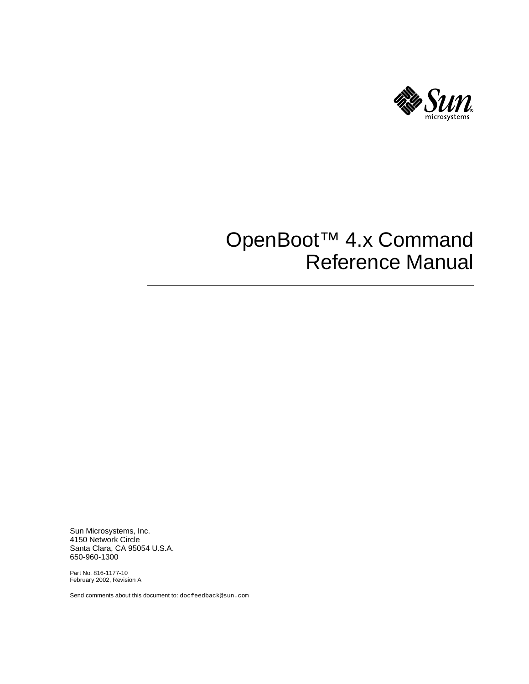

# OpenBoot™ 4.x Command Reference Manual

Sun Microsystems, Inc. 4150 Network Circle Santa Clara, CA 95054 U.S.A. 650-960-1300

Part No. 816-1177-10 February 2002, Revision A

Send comments about this document to: docfeedback@sun.com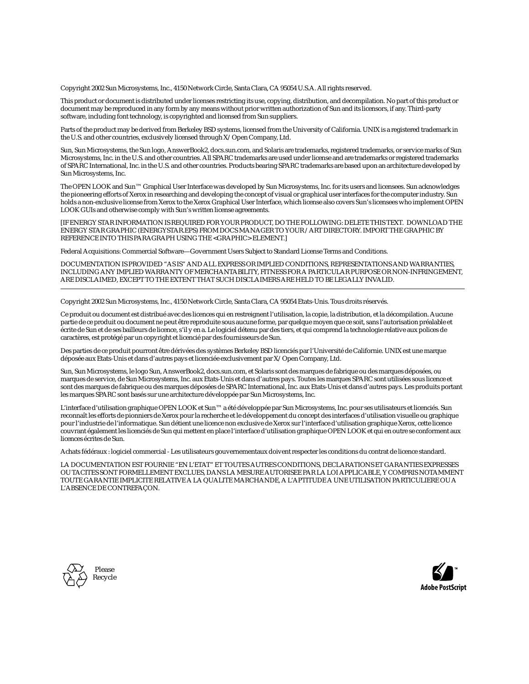Copyright 2002 Sun Microsystems, Inc., 4150 Network Circle, Santa Clara, CA 95054 U.S.A. All rights reserved.

This product or document is distributed under licenses restricting its use, copying, distribution, and decompilation. No part of this product or document may be reproduced in any form by any means without prior written authorization of Sun and its licensors, if any. Third-party software, including font technology, is copyrighted and licensed from Sun suppliers.

Parts of the product may be derived from Berkeley BSD systems, licensed from the University of California. UNIX is a registered trademark in the U.S. and other countries, exclusively licensed through X/Open Company, Ltd.

Sun, Sun Microsystems, the Sun logo, AnswerBook2, docs.sun.com, and Solaris are trademarks, registered trademarks, or service marks of Sun Microsystems, Inc. in the U.S. and other countries. All SPARC trademarks are used under license and are trademarks or registered trademarks of SPARC International, Inc. in the U.S. and other countries. Products bearing SPARC trademarks are based upon an architecture developed by Sun Microsystems, Inc.

The OPEN LOOK and Sun™ Graphical User Interface was developed by Sun Microsystems, Inc. for its users and licensees. Sun acknowledges the pioneering efforts of Xerox in researching and developing the concept of visual or graphical user interfaces for the computer industry. Sun holds a non-exclusive license from Xerox to the Xerox Graphical User Interface, which license also covers Sun's licensees who implement OPEN LOOK GUIs and otherwise comply with Sun's written license agreements.

[IF ENERGY STAR INFORMATION IS REQUIRED FOR YOUR PRODUCT, DO THE FOLLOWING: DELETE THIS TEXT. DOWNLOAD THE ENERGY STAR GRAPHIC (ENERGYSTAR.EPS) FROM DOCS MANAGER TO YOUR /ART DIRECTORY. IMPORT THE GRAPHIC BY REFERENCE INTO THIS PARAGRAPH USING THE <GRAPHIC> ELEMENT.]

Federal Acquisitions: Commercial Software—Government Users Subject to Standard License Terms and Conditions.

DOCUMENTATION IS PROVIDED "AS IS" AND ALL EXPRESS OR IMPLIED CONDITIONS, REPRESENTATIONS AND WARRANTIES, INCLUDING ANY IMPLIED WARRANTY OF MERCHANTABILITY, FITNESS FOR A PARTICULAR PURPOSE OR NON-INFRINGEMENT, ARE DISCLAIMED, EXCEPT TO THE EXTENT THAT SUCH DISCLAIMERS ARE HELD TO BE LEGALLY INVALID.

Copyright 2002 Sun Microsystems, Inc., 4150 Network Circle, Santa Clara, CA 95054 Etats-Unis. Tous droits réservés.

Ce produit ou document est distribué avec des licences qui en restreignent l'utilisation, la copie, la distribution, et la décompilation. Aucune partie de ce produit ou document ne peut être reproduite sous aucune forme, par quelque moyen que ce soit, sans l'autorisation préalable et écrite de Sun et de ses bailleurs de licence, s'il y en a. Le logiciel détenu par des tiers, et qui comprend la technologie relative aux polices de caractères, est protégé par un copyright et licencié par des fournisseurs de Sun.

Des parties de ce produit pourront être dérivées des systèmes Berkeley BSD licenciés par l'Université de Californie. UNIX est une marque déposée aux Etats-Unis et dans d'autres pays et licenciée exclusivement par X/Open Company, Ltd.

Sun, Sun Microsystems, le logo Sun, AnswerBook2, docs.sun.com, et Solaris sont des marques de fabrique ou des marques déposées, ou marques de service, de Sun Microsystems, Inc. aux Etats-Unis et dans d'autres pays. Toutes les marques SPARC sont utilisées sous licence et sont des marques de fabrique ou des marques déposées de SPARC International, Inc. aux Etats-Unis et dans d'autres pays. Les produits portant les marques SPARC sont basés sur une architecture développée par Sun Microsystems, Inc.

L'interface d'utilisation graphique OPEN LOOK et Sun™ a été développée par Sun Microsystems, Inc. pour ses utilisateurs et licenciés. Sun reconnaît les efforts de pionniers de Xerox pour la recherche et le développement du concept des interfaces d'utilisation visuelle ou graphique pour l'industrie de l'informatique. Sun détient une licence non exclusive de Xerox sur l'interface d'utilisation graphique Xerox, cette licence couvrant également les licenciés de Sun qui mettent en place l'interface d'utilisation graphique OPEN LOOK et qui en outre se conforment aux licences écrites de Sun.

Achats fédéraux : logiciel commercial - Les utilisateurs gouvernementaux doivent respecter les conditions du contrat de licence standard.

LA DOCUMENTATION EST FOURNIE "EN L'ETAT" ET TOUTES AUTRES CONDITIONS, DECLARATIONS ET GARANTIES EXPRESSES OU TACITES SONT FORMELLEMENT EXCLUES, DANS LA MESURE AUTORISEE PAR LA LOI APPLICABLE, Y COMPRIS NOTAMMENT TOUTE GARANTIE IMPLICITE RELATIVE A LA QUALITE MARCHANDE, A L'APTITUDE A UNE UTILISATION PARTICULIERE OU A L'ABSENCE DE CONTREFAÇON.



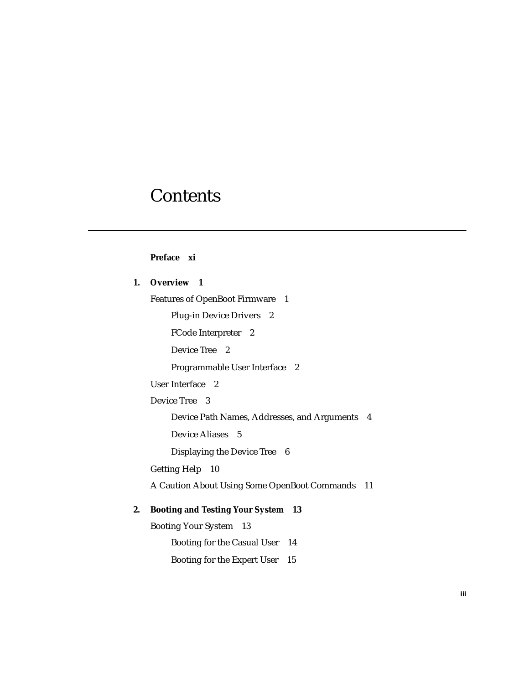## **Contents**

#### **[Preface](#page-10-0) xi**

#### **1. [Overview 1](#page-16-0)**

[Features of OpenBoot Firmware](#page-16-1) 1

[Plug-in Device Drivers](#page-17-0) 2

[FCode Interpreter](#page-17-1) 2

[Device Tree 2](#page-17-2)

[Programmable User Interface 2](#page-17-3)

[User Interface 2](#page-17-4)

[Device Tree 3](#page-18-0)

[Device Path Names, Addresses, and Arguments 4](#page-19-0)

[Device Aliases](#page-20-0) 5

[Displaying the Device Tree 6](#page-21-0)

[Getting Help](#page-25-0) 10

[A Caution About Using Some OpenBoot Commands 1](#page-26-0)1

#### **2. [Booting and Testing Your System 1](#page-28-0)3**

[Booting Your System 1](#page-28-1)3

[Booting for the Casual User](#page-29-0) 14

[Booting for the Expert User](#page-30-0) 15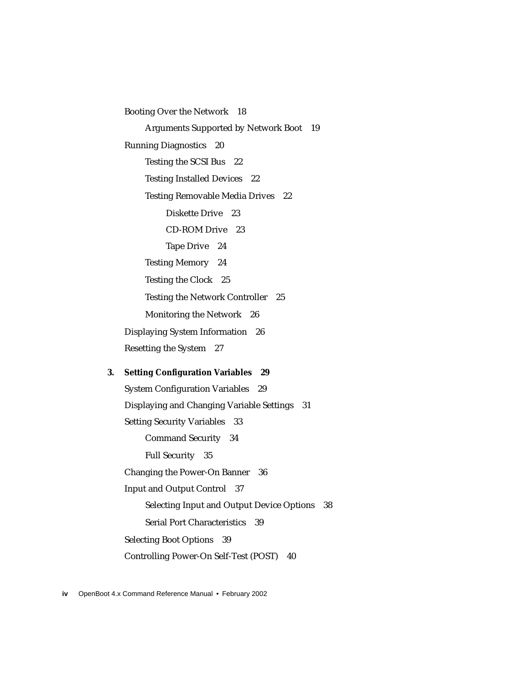[Booting Over the Network](#page-33-0) 18 [Arguments Supported by Network Boot 1](#page-34-0)9 [Running Diagnostics 2](#page-35-0)0 [Testing the SCSI Bus 2](#page-37-0)2 [Testing Installed Devices](#page-37-1) 22 [Testing Removable Media Drives 2](#page-37-2)2 [Diskette Drive 2](#page-38-0)3 [CD-ROM Drive](#page-38-1) 23 [Tape Drive 2](#page-39-0)4 [Testing Memory 2](#page-39-1)4 [Testing the Clock 2](#page-40-0)5 [Testing the Network Controller](#page-40-1) 25 [Monitoring the Network](#page-41-0) 26 [Displaying System Information 2](#page-41-1)6 [Resetting the System](#page-42-0) 27 **3. [Setting Configuration Variables 2](#page-44-0)9** [System Configuration Variables](#page-44-1) 29

[Displaying and Changing Variable Settings 3](#page-46-0)1 [Setting Security Variables](#page-48-0) 33 [Command Security 3](#page-49-0)4 [Full Security](#page-50-0) 35 [Changing the Power-On Banner 3](#page-51-0)6 [Input and Output Control 3](#page-52-0)7 [Selecting Input and Output Device Options](#page-53-0) 38 [Serial Port Characteristics 3](#page-54-0)9 [Selecting Boot Options 3](#page-54-1)9 [Controlling Power-On Self-Test \(POST\)](#page-55-0) 40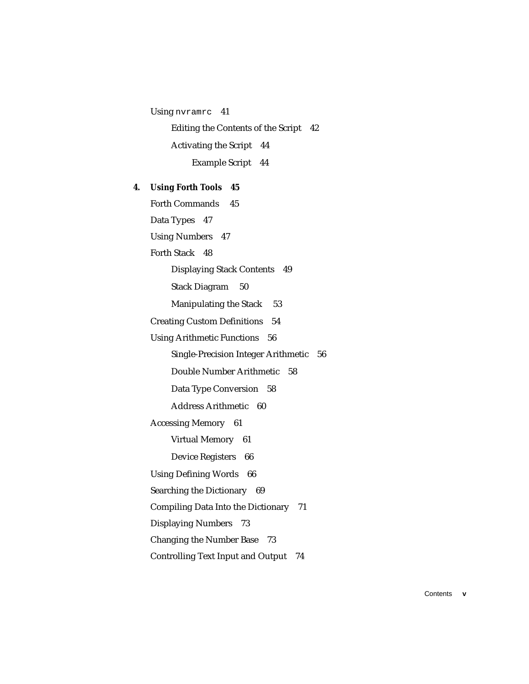[Using](#page-56-0) nvramrc 41

[Editing the Contents of the Script 4](#page-57-0)2 [Activating the Script](#page-59-0) 44 [Example Script 4](#page-59-1)4

#### **4. [Using Forth Tools 4](#page-60-0)5**

[Forth Commands](#page-60-1) 45 [Data Types](#page-62-0) 47 [Using Numbers 4](#page-62-1)7 [Forth Stack](#page-63-0) 48 [Displaying Stack Contents 4](#page-64-0)9 [Stack Diagram](#page-65-0) 50 [Manipulating the Stack 5](#page-68-0)3 [Creating Custom Definitions](#page-69-0) 54 [Using Arithmetic Functions](#page-71-0) 56 [Single-Precision Integer Arithmetic](#page-71-1) 56 [Double Number Arithmetic](#page-73-0) 58 [Data Type Conversion 5](#page-73-1)8 [Address Arithmetic](#page-75-0) 60 [Accessing Memory](#page-76-0) 61 [Virtual Memory 6](#page-76-1)1 [Device Registers 6](#page-81-0)6 [Using Defining Words](#page-81-1) 66 [Searching the Dictionary 6](#page-84-0)9 [Compiling Data Into the Dictionary 7](#page-86-0)1 [Displaying Numbers 7](#page-88-0)3 [Changing the Number Base](#page-88-1) 73 [Controlling Text Input and Output 7](#page-89-0)4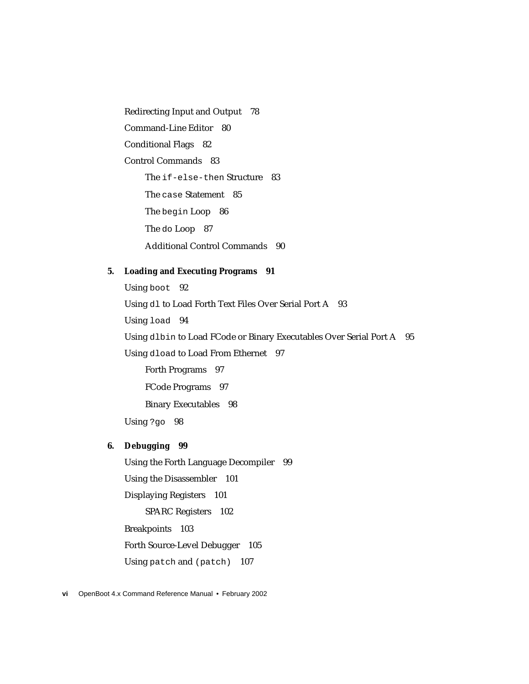[Redirecting Input and Output](#page-93-0) 78 [Command-Line Editor](#page-95-0) 80 [Conditional Flags](#page-97-0) 82 [Control Commands 8](#page-98-0)3 [The](#page-98-1) if-else-then Structure 83 [The](#page-100-0) case Statement 85 [The](#page-101-0) begin Loop 86 [The](#page-102-0) do Loop 87 [Additional Control Commands](#page-105-0) 90

#### **5. [Loading and Executing Programs 9](#page-106-0)1**

[Using](#page-107-0) boot 92 [Using](#page-108-0) dl to Load Forth Text Files Over Serial Port A 93 [Using](#page-109-0) load 94 [Using](#page-110-0) dlbin to Load FCode or Binary Executables Over Serial Port A 95 [Using](#page-112-0) dload to Load From Ethernet 97 [Forth Programs 9](#page-112-1)7 [FCode Programs 9](#page-112-2)7 [Binary Executables](#page-113-0) 98

[Using](#page-113-1) ?go 98

#### **6. [Debugging 9](#page-114-0)9**

[Using the Forth Language Decompiler 9](#page-114-1)9 [Using the Disassembler 1](#page-116-0)01 [Displaying Registers 1](#page-116-1)01 [SPARC Registers](#page-117-0) 102 [Breakpoints](#page-118-0) 103 [Forth Source-Level Debugger](#page-120-0) 105 [Using](#page-122-0) patch and (patch) 107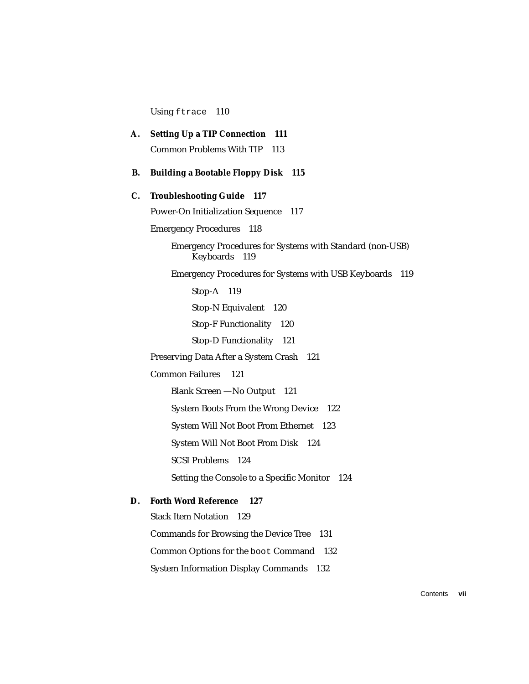[Using](#page-125-0) ftrace 110

| А. | <b>Setting Up a TIP Connection</b><br>111                                    |
|----|------------------------------------------------------------------------------|
|    | <b>Common Problems With TIP</b><br>113                                       |
| В. | <b>Building a Bootable Floppy Disk</b><br>115                                |
| C. | <b>Troubleshooting Guide</b><br>117                                          |
|    | <b>Power-On Initialization Sequence</b><br>117                               |
|    | <b>Emergency Procedures</b><br>118                                           |
|    | Emergency Procedures for Systems with Standard (non-USB)<br>Keyboards<br>119 |
|    | <b>Emergency Procedures for Systems with USB Keyboards</b><br>119            |
|    | Stop-A 119                                                                   |
|    | <b>Stop-N Equivalent</b><br>120                                              |
|    | <b>Stop-F Functionality</b><br>120                                           |
|    | Stop-D Functionality 121                                                     |
|    | Preserving Data After a System Crash<br>121                                  |
|    | <b>Common Failures</b><br>121                                                |
|    | <b>Blank Screen - No Output</b><br>-121                                      |
|    | System Boots From the Wrong Device<br>122                                    |
|    | <b>System Will Not Boot From Ethernet</b><br>- 123                           |
|    | <b>System Will Not Boot From Disk</b><br>124                                 |
|    | <b>SCSI Problems</b><br>124                                                  |
|    | Setting the Console to a Specific Monitor<br>124                             |
| D. | <b>Forth Word Reference</b><br>127                                           |
|    | <b>Stack Item Notation</b><br>- 129                                          |
|    | <b>Commands for Browsing the Device Tree</b><br>131                          |

[Common Options for the](#page-147-0) boot Command 132 [System Information Display Commands](#page-147-1) 132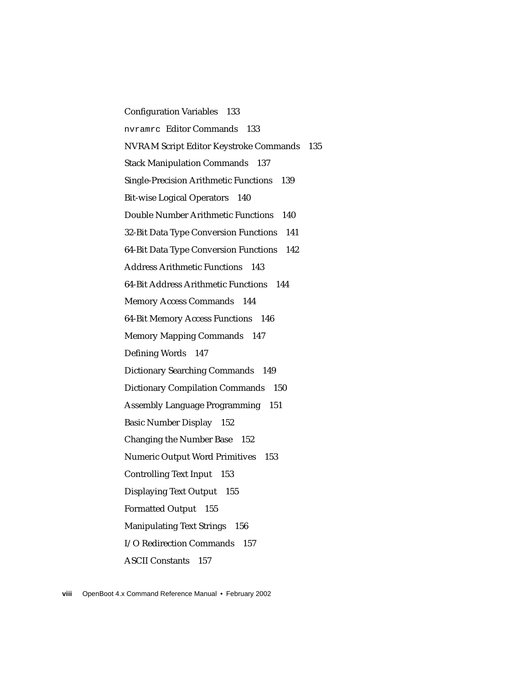[Configuration Variables 1](#page-148-0)33 [nvramrc](#page-148-1) Editor Commands 133 [NVRAM Script Editor Keystroke Commands](#page-150-0) 135 [Stack Manipulation Commands](#page-152-0) 137 [Single-Precision Arithmetic Functions](#page-154-0) 139 [Bit-wise Logical Operators](#page-155-0) 140 [Double Number Arithmetic Functions](#page-155-1) 140 [32-Bit Data Type Conversion Functions 1](#page-156-0)41 [64-Bit Data Type Conversion Functions 1](#page-157-0)42 [Address Arithmetic Functions](#page-158-0) 143 [64-Bit Address Arithmetic Functions](#page-159-0) 144 [Memory Access Commands 1](#page-159-1)44 [64-Bit Memory Access Functions 1](#page-161-0)46 [Memory Mapping Commands 1](#page-162-0)47 [Defining Words](#page-162-1) 147 [Dictionary Searching Commands 1](#page-164-0)49 [Dictionary Compilation Commands](#page-165-0) 150 [Assembly Language Programming](#page-166-0) 151 [Basic Number Display 1](#page-167-0)52 [Changing the Number Base](#page-167-1) 152 [Numeric Output Word Primitives](#page-168-0) 153 [Controlling Text Input](#page-168-1) 153 [Displaying Text Output 1](#page-170-0)55 [Formatted Output 1](#page-170-1)55 [Manipulating Text Strings 1](#page-171-0)56 [I/O Redirection Commands](#page-172-0) 157 [ASCII Constants](#page-172-1) 157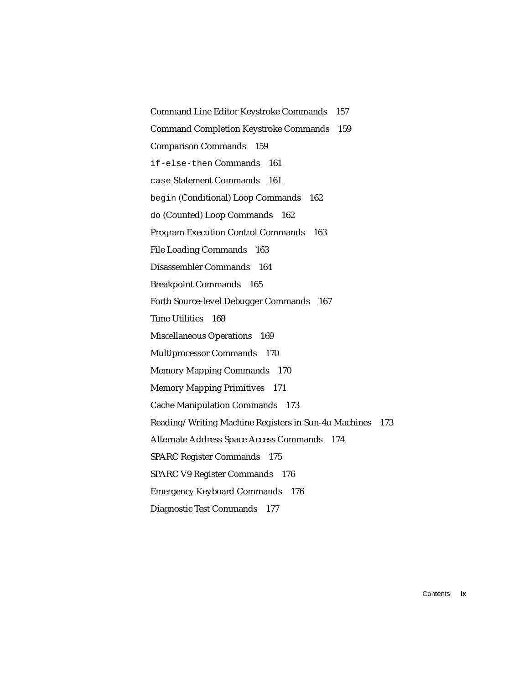[Command Line Editor Keystroke Commands 1](#page-172-2)57 [Command Completion Keystroke Commands](#page-174-0) 159 [Comparison Commands 1](#page-174-1)59 [if-else-then](#page-176-0) Commands 161 [case](#page-176-1) Statement Commands 161 [begin](#page-177-0) (Conditional) Loop Commands 162 [do](#page-177-1) (Counted) Loop Commands 162 [Program Execution Control Commands 1](#page-178-0)63 [File Loading Commands 1](#page-178-1)63 [Disassembler Commands](#page-179-0) 164 [Breakpoint Commands 1](#page-180-0)65 [Forth Source-level Debugger Commands 1](#page-182-0)67 [Time Utilities](#page-183-0) 168 [Miscellaneous Operations](#page-184-0) 169 [Multiprocessor Commands](#page-185-0) 170 [Memory Mapping Commands 1](#page-185-1)70 [Memory Mapping Primitives 1](#page-186-0)71 [Cache Manipulation Commands 1](#page-188-0)73 [Reading/Writing Machine Registers in Sun-4u Machines 1](#page-188-1)73 [Alternate Address Space Access Commands](#page-189-0) 174 [SPARC Register Commands 1](#page-190-0)75 [SPARC V9 Register Commands 1](#page-191-0)76 [Emergency Keyboard Commands](#page-191-1) 176 [Diagnostic Test Commands 1](#page-192-0)77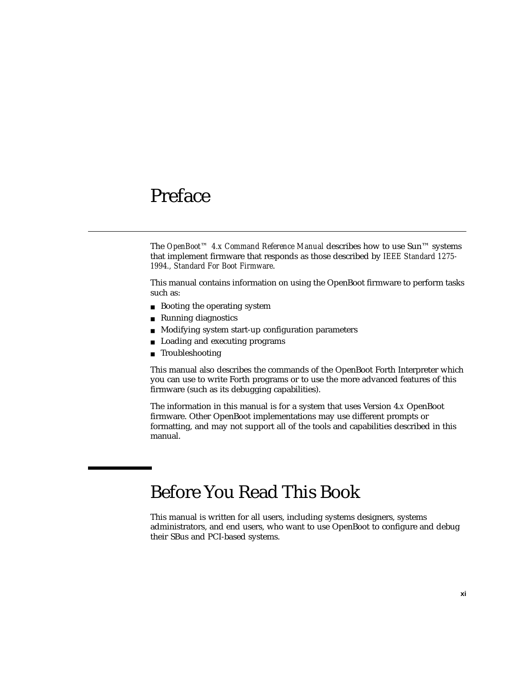## <span id="page-10-0"></span>Preface

The *OpenBoot™ 4.x Command Reference Manual* describes how to use Sun™ systems that implement firmware that responds as those described by *IEEE Standard 1275- 1994., Standard For Boot Firmware*.

This manual contains information on using the OpenBoot firmware to perform tasks such as:

- Booting the operating system
- Running diagnostics
- Modifying system start-up configuration parameters
- Loading and executing programs
- Troubleshooting

This manual also describes the commands of the OpenBoot Forth Interpreter which you can use to write Forth programs or to use the more advanced features of this firmware (such as its debugging capabilities).

The information in this manual is for a system that uses Version 4.*x* OpenBoot firmware. Other OpenBoot implementations may use different prompts or formatting, and may not support all of the tools and capabilities described in this manual.

## Before You Read This Book

This manual is written for all users, including systems designers, systems administrators, and end users, who want to use OpenBoot to configure and debug their SBus and PCI-based systems.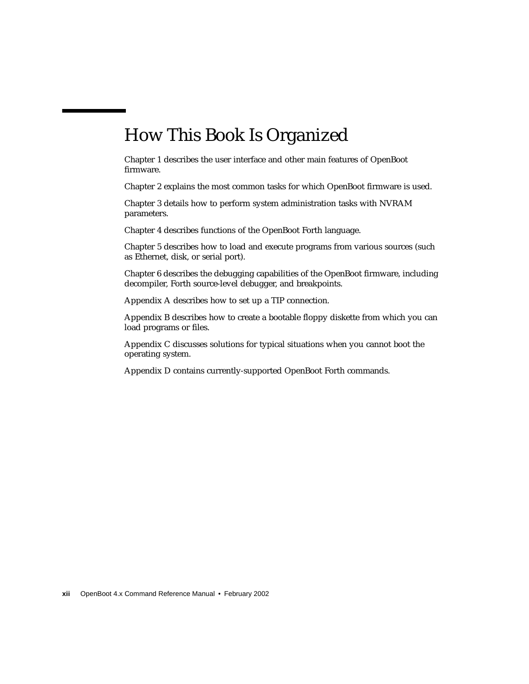# How This Book Is Organized

Chapter 1 describes the user interface and other main features of OpenBoot firmware.

Chapter 2 explains the most common tasks for which OpenBoot firmware is used.

Chapter 3 details how to perform system administration tasks with NVRAM parameters.

Chapter 4 describes functions of the OpenBoot Forth language.

Chapter 5 describes how to load and execute programs from various sources (such as Ethernet, disk, or serial port).

Chapter 6 describes the debugging capabilities of the OpenBoot firmware, including decompiler, Forth source-level debugger, and breakpoints.

Appendix A describes how to set up a TIP connection.

Appendix B describes how to create a bootable floppy diskette from which you can load programs or files.

Appendix C discusses solutions for typical situations when you cannot boot the operating system.

Appendix D contains currently-supported OpenBoot Forth commands.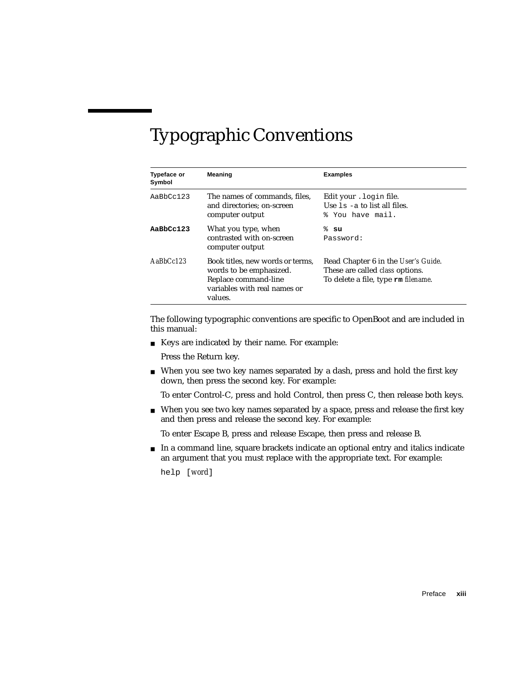# Typographic Conventions

| <b>Typeface or</b><br>Symbol | <b>Meaning</b>                                                                                                                 | <b>Examples</b>                                                                                                      |
|------------------------------|--------------------------------------------------------------------------------------------------------------------------------|----------------------------------------------------------------------------------------------------------------------|
| AaBbCc123                    | The names of commands, files,<br>and directories; on-screen<br>computer output                                                 | Edit your . login file.<br>Use $1s - a$ to list all files.<br>% You have mail.                                       |
| AaBbCc123                    | What you type, when<br>contrasted with on-screen<br>computer output                                                            | ៖ su<br>Password:                                                                                                    |
| $A$ a $B$ h $Cc$ 123         | Book titles, new words or terms.<br>words to be emphasized.<br>Replace command-line<br>variables with real names or<br>values. | Read Chapter 6 in the User's Guide.<br>These are called <i>class</i> options.<br>To delete a file, type rm filename. |

The following typographic conventions are specific to OpenBoot and are included in this manual:

■ Keys are indicated by their name. For example:

Press the Return key.

■ When you see two key names separated by a dash, press and hold the first key down, then press the second key. For example:

To enter Control-C, press and hold Control, then press C, then release both keys.

■ When you see two key names separated by a space, press and release the first key and then press and release the second key. For example:

To enter Escape B, press and release Escape, then press and release B.

■ In a command line, square brackets indicate an optional entry and italics indicate an argument that you must replace with the appropriate text. For example:

```
help [word]
```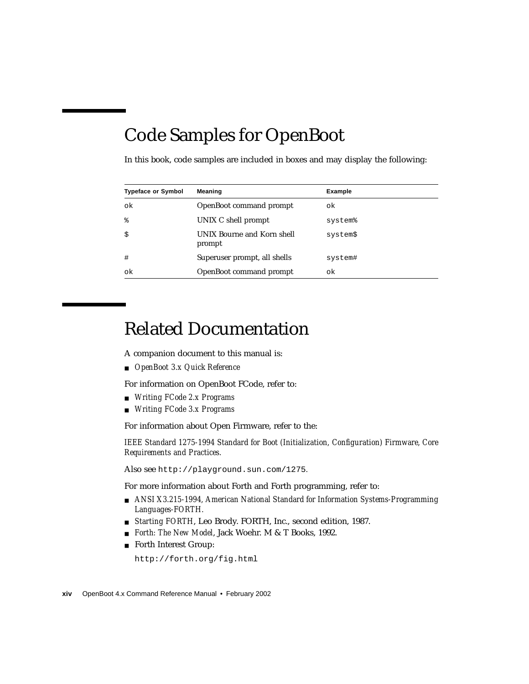# Code Samples for OpenBoot

In this book, code samples are included in boxes and may display the following:

| <b>Typeface or Symbol</b> | <b>Meaning</b>                       | <b>Example</b> |
|---------------------------|--------------------------------------|----------------|
| ok                        | OpenBoot command prompt              | ok             |
| ⊱                         | UNIX C shell prompt                  | system%        |
| \$                        | UNIX Bourne and Korn shell<br>prompt | system\$       |
| #                         | Superuser prompt, all shells         | system#        |
| ok                        | OpenBoot command prompt              | ok             |

## Related Documentation

A companion document to this manual is:

■ *OpenBoot 3.x Quick Reference*

For information on OpenBoot FCode, refer to:

- *Writing FCode 2.x Programs*
- *Writing FCode 3.x Programs*

For information about Open Firmware, refer to the:

*IEEE Standard 1275-1994 Standard for Boot (Initialization, Configuration) Firmware, Core Requirements and Practices.*

Also see http://playground.sun.com/1275*.*

For more information about Forth and Forth programming, refer to:

- *ANSI X3.215-1994, American National Standard for Information Systems-Programming Languages-FORTH.*
- *Starting FORTH*, Leo Brody. FORTH, Inc., second edition, 1987.
- *Forth: The New Model*, Jack Woehr. M & T Books, 1992.
- Forth Interest Group:

```
http://forth.org/fig.html
```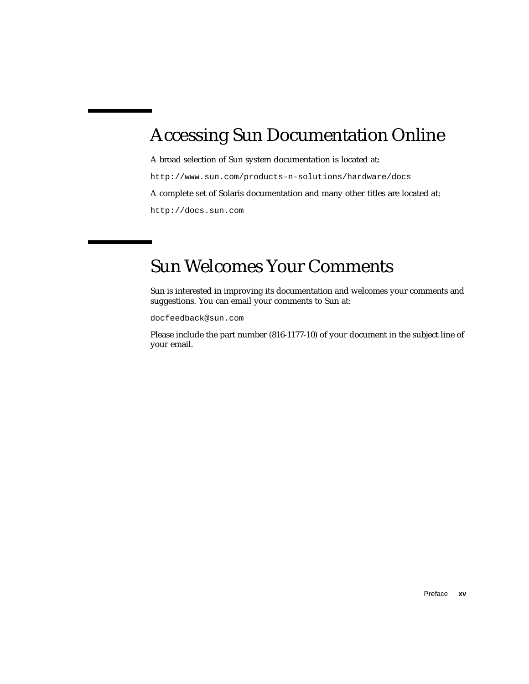# Accessing Sun Documentation Online

A broad selection of Sun system documentation is located at:

http://www.sun.com/products-n-solutions/hardware/docs

A complete set of Solaris documentation and many other titles are located at:

http://docs.sun.com

# Sun Welcomes Your Comments

Sun is interested in improving its documentation and welcomes your comments and suggestions. You can email your comments to Sun at:

docfeedback@sun.com

Please include the part number (816-1177-10) of your document in the subject line of your email.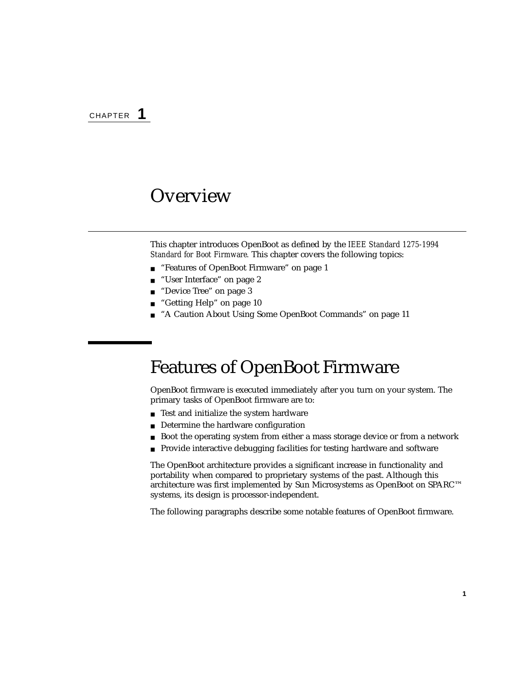CHAPTER **1**

### <span id="page-16-0"></span>**Overview**

This chapter introduces OpenBoot as defined by the *IEEE Standard 1275-1994 Standard for Boot Firmware.* This chapter covers the following topics:

- ["Features of OpenBoot Firmware" on page 1](#page-16-1)
- ["User Interface" on page 2](#page-17-4)
- ["Device Tree" on page 3](#page-18-0)
- ["Getting Help" on page 10](#page-25-0)
- ["A Caution About Using Some OpenBoot Commands" on page 11](#page-26-0)

## <span id="page-16-1"></span>Features of OpenBoot Firmware

OpenBoot firmware is executed immediately after you turn on your system. The primary tasks of OpenBoot firmware are to:

- Test and initialize the system hardware
- Determine the hardware configuration
- Boot the operating system from either a mass storage device or from a network
- Provide interactive debugging facilities for testing hardware and software

The OpenBoot architecture provides a significant increase in functionality and portability when compared to proprietary systems of the past. Although this architecture was first implemented by Sun Microsystems as OpenBoot on SPARC™ systems, its design is processor-independent.

The following paragraphs describe some notable features of OpenBoot firmware.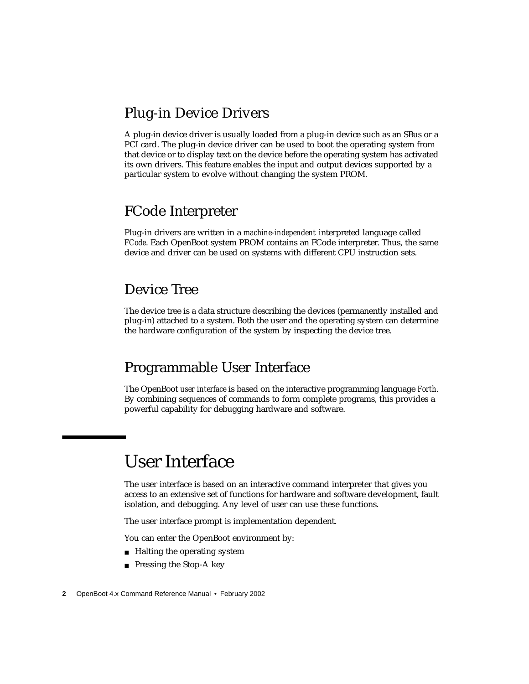### <span id="page-17-0"></span>Plug-in Device Drivers

A plug-in device driver is usually loaded from a plug-in device such as an SBus or a PCI card. The plug-in device driver can be used to boot the operating system from that device or to display text on the device before the operating system has activated its own drivers. This feature enables the input and output devices supported by a particular system to evolve without changing the system PROM.

### <span id="page-17-1"></span>FCode Interpreter

Plug-in drivers are written in a *machine-independent* interpreted language called *FCode*. Each OpenBoot system PROM contains an FCode interpreter. Thus, the same device and driver can be used on systems with different CPU instruction sets.

#### <span id="page-17-2"></span>Device Tree

The device tree is a data structure describing the devices (permanently installed and plug-in) attached to a system. Both the user and the operating system can determine the hardware configuration of the system by inspecting the device tree.

### <span id="page-17-3"></span>Programmable User Interface

The OpenBoot *user interface* is based on the interactive programming language *Forth*. By combining sequences of commands to form complete programs, this provides a powerful capability for debugging hardware and software.

## <span id="page-17-4"></span>User Interface

The user interface is based on an interactive command interpreter that gives you access to an extensive set of functions for hardware and software development, fault isolation, and debugging. Any level of user can use these functions.

The user interface prompt is implementation dependent.

You can enter the OpenBoot environment by:

- Halting the operating system
- Pressing the Stop-A key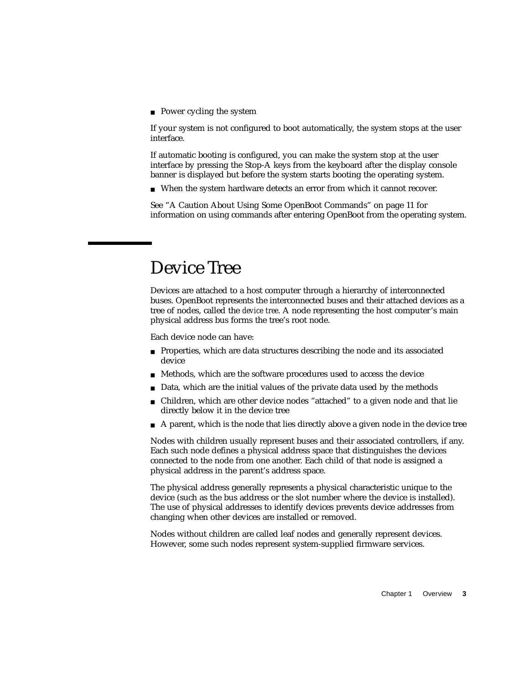■ Power cycling the system

If your system is not configured to boot automatically, the system stops at the user interface.

If automatic booting is configured, you can make the system stop at the user interface by pressing the Stop-A keys from the keyboard after the display console banner is displayed but before the system starts booting the operating system.

■ When the system hardware detects an error from which it cannot recover.

See ["A Caution About Using Some OpenBoot Commands" on page 11](#page-26-0) for information on using commands after entering OpenBoot from the operating system.

## <span id="page-18-0"></span>Device Tree

Devices are attached to a host computer through a hierarchy of interconnected buses. OpenBoot represents the interconnected buses and their attached devices as a tree of nodes, called the *device tree*. A node representing the host computer's main physical address bus forms the tree's root node.

Each device node can have:

- Properties, which are data structures describing the node and its associated device
- Methods, which are the software procedures used to access the device
- Data, which are the initial values of the private data used by the methods
- Children, which are other device nodes "attached" to a given node and that lie directly below it in the device tree
- A parent, which is the node that lies directly above a given node in the device tree

Nodes with children usually represent buses and their associated controllers, if any. Each such node defines a physical address space that distinguishes the devices connected to the node from one another. Each child of that node is assigned a physical address in the parent's address space.

The physical address generally represents a physical characteristic unique to the device (such as the bus address or the slot number where the device is installed). The use of physical addresses to identify devices prevents device addresses from changing when other devices are installed or removed.

Nodes without children are called leaf nodes and generally represent devices. However, some such nodes represent system-supplied firmware services.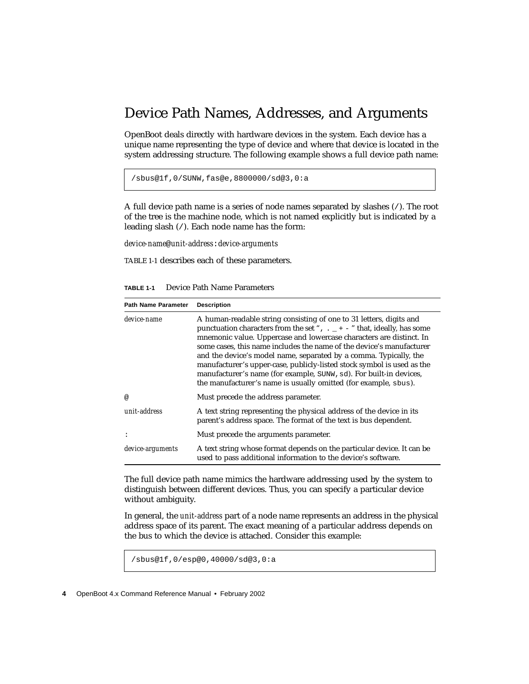### <span id="page-19-0"></span>Device Path Names, Addresses, and Arguments

OpenBoot deals directly with hardware devices in the system. Each device has a unique name representing the type of device and where that device is located in the system addressing structure. The following example shows a full device path name:

```
/sbus@1f,0/SUNW,fas@e,8800000/sd@3,0:a
```
A full device path name is a series of node names separated by slashes (/). The root of the tree is the machine node, which is not named explicitly but is indicated by a leading slash (/). Each node name has the form:

*device-name*@*unit-address*:*device-arguments*

TABLE 1-1 describes each of these parameters.

| <b>Path Name Parameter</b> | <b>Description</b>                                                                                                                                                                                                                                                                                                                                                                                                                                                                                                                                                                           |
|----------------------------|----------------------------------------------------------------------------------------------------------------------------------------------------------------------------------------------------------------------------------------------------------------------------------------------------------------------------------------------------------------------------------------------------------------------------------------------------------------------------------------------------------------------------------------------------------------------------------------------|
| device-name                | A human-readable string consisting of one to 31 letters, digits and<br>punctuation characters from the set ", $\cdot$ _ + - " that, ideally, has some<br>mnemonic value. Uppercase and lowercase characters are distinct. In<br>some cases, this name includes the name of the device's manufacturer<br>and the device's model name, separated by a comma. Typically, the<br>manufacturer's upper-case, publicly-listed stock symbol is used as the<br>manufacturer's name (for example, SUNW, sd). For built-in devices,<br>the manufacturer's name is usually omitted (for example, sbus). |
| @                          | Must precede the address parameter.                                                                                                                                                                                                                                                                                                                                                                                                                                                                                                                                                          |
| unit-address               | A text string representing the physical address of the device in its<br>parent's address space. The format of the text is bus dependent.                                                                                                                                                                                                                                                                                                                                                                                                                                                     |
|                            | Must precede the arguments parameter.                                                                                                                                                                                                                                                                                                                                                                                                                                                                                                                                                        |
| device-arguments           | A text string whose format depends on the particular device. It can be<br>used to pass additional information to the device's software.                                                                                                                                                                                                                                                                                                                                                                                                                                                      |

**TABLE 1-1** Device Path Name Parameters

The full device path name mimics the hardware addressing used by the system to distinguish between different devices. Thus, you can specify a particular device without ambiguity.

In general, the *unit-address* part of a node name represents an address in the physical address space of its parent. The exact meaning of a particular address depends on the bus to which the device is attached. Consider this example:

```
/sbus@1f,0/esp@0,40000/sd@3,0:a
```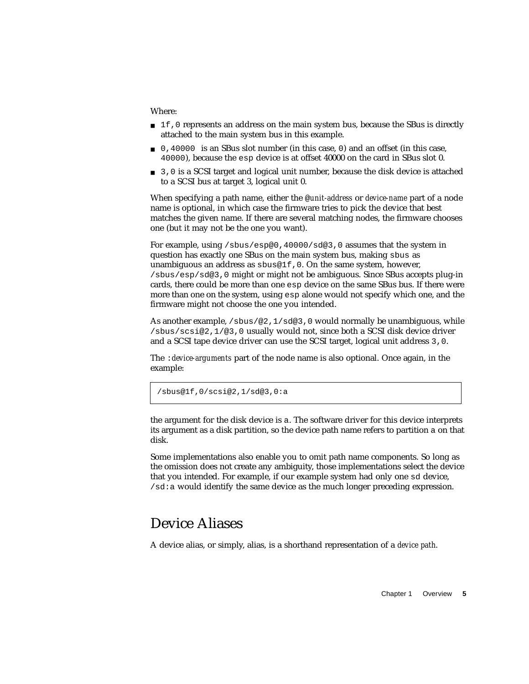Where:

- 1f,0 represents an address on the main system bus, because the SBus is directly attached to the main system bus in this example.
- 0,40000 is an SBus slot number (in this case, 0) and an offset (in this case, 40000), because the esp device is at offset 40000 on the card in SBus slot 0.
- 3,0 is a SCSI target and logical unit number, because the disk device is attached to a SCSI bus at target 3, logical unit 0.

When specifying a path name, either the @*unit-address* or *device-name* part of a node name is optional, in which case the firmware tries to pick the device that best matches the given name. If there are several matching nodes, the firmware chooses one (but it may not be the one you want).

For example, using /sbus/esp@0,40000/sd@3,0 assumes that the system in question has exactly one SBus on the main system bus, making sbus as unambiguous an address as sbus@1f,0. On the same system, however, /sbus/esp/sd@3,0 might or might not be ambiguous. Since SBus accepts plug-in cards, there could be more than one esp device on the same SBus bus. If there were more than one on the system, using esp alone would not specify which one, and the firmware might not choose the one you intended.

As another example,  $\sqrt{s}$  /sbus/@2, 1/sd@3,0 would normally be unambiguous, while /sbus/scsi@2,1/@3,0 usually would not, since both a SCSI disk device driver and a SCSI tape device driver can use the SCSI target, logical unit address 3,0.

The :*device-arguments* part of the node name is also optional. Once again, in the example:

```
/sbus@1f,0/scsi@2,1/sd@3,0:a
```
the argument for the disk device is a. The software driver for this device interprets its argument as a disk partition, so the device path name refers to partition a on that disk.

Some implementations also enable you to omit path name components. So long as the omission does not create any ambiguity, those implementations select the device that you intended. For example, if our example system had only one sd device, /sd:a would identify the same device as the much longer preceding expression.

#### <span id="page-20-0"></span>Device Aliases

A device alias, or simply, alias, is a shorthand representation of a *device path*.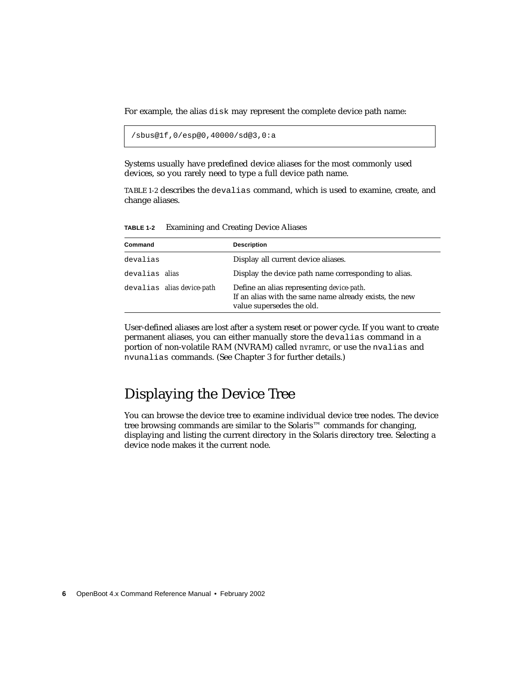For example, the alias disk may represent the complete device path name:

```
/sbus@1f,0/esp@0,40000/sd@3,0:a
```
Systems usually have predefined device aliases for the most commonly used devices, so you rarely need to type a full device path name.

TABLE 1-2 describes the devalias command, which is used to examine, create, and change aliases.

| Command                           | <b>Description</b>                                                                                                                       |  |
|-----------------------------------|------------------------------------------------------------------------------------------------------------------------------------------|--|
| devalias                          | Display all current device aliases.                                                                                                      |  |
| devalias <i>alias</i>             | Display the device path name corresponding to alias.                                                                                     |  |
| devalias <i>alias device-path</i> | Define an alias representing <i>device-path</i> .<br>If an alias with the same name already exists, the new<br>value supersedes the old. |  |

**TABLE 1-2** Examining and Creating Device Aliases

User-defined aliases are lost after a system reset or power cycle. If you want to create permanent aliases, you can either manually store the devalias command in a portion of non-volatile RAM (NVRAM) called *nvramrc*, or use the nvalias and nvunalias commands. (See Chapter 3 for further details.)

#### <span id="page-21-0"></span>Displaying the Device Tree

You can browse the device tree to examine individual device tree nodes. The device tree browsing commands are similar to the Solaris™ commands for changing, displaying and listing the current directory in the Solaris directory tree. Selecting a device node makes it the current node.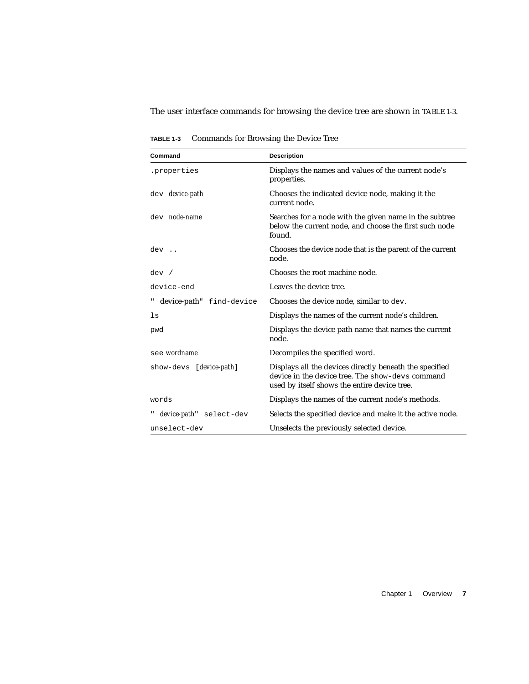The user interface commands for browsing the device tree are shown in TABLE 1-3.

| Command                                       | <b>Description</b>                                                                                                                                          |
|-----------------------------------------------|-------------------------------------------------------------------------------------------------------------------------------------------------------------|
| .properties                                   | Displays the names and values of the current node's<br>properties.                                                                                          |
| dev device-path                               | Chooses the indicated device node, making it the<br>current node.                                                                                           |
| dev node-name                                 | Searches for a node with the given name in the subtree<br>below the current node, and choose the first such node<br>found.                                  |
| dev                                           | Chooses the device node that is the parent of the current<br>node.                                                                                          |
| dev /                                         | Chooses the root machine node.                                                                                                                              |
| device-end                                    | Leaves the device tree.                                                                                                                                     |
| " device-path" find-device                    | Chooses the device node, similar to dev.                                                                                                                    |
| ls                                            | Displays the names of the current node's children.                                                                                                          |
| pwd                                           | Displays the device path name that names the current<br>node.                                                                                               |
| see wordname                                  | Decompiles the specified word.                                                                                                                              |
| show-devs [device-path]                       | Displays all the devices directly beneath the specified<br>device in the device tree. The show-devs command<br>used by itself shows the entire device tree. |
| words                                         | Displays the names of the current node's methods.                                                                                                           |
| device-path" select-dev<br>$\mathbf{u}_\perp$ | Selects the specified device and make it the active node.                                                                                                   |
| unselect-dev                                  | Unselects the previously selected device.                                                                                                                   |

**TABLE 1-3** Commands for Browsing the Device Tree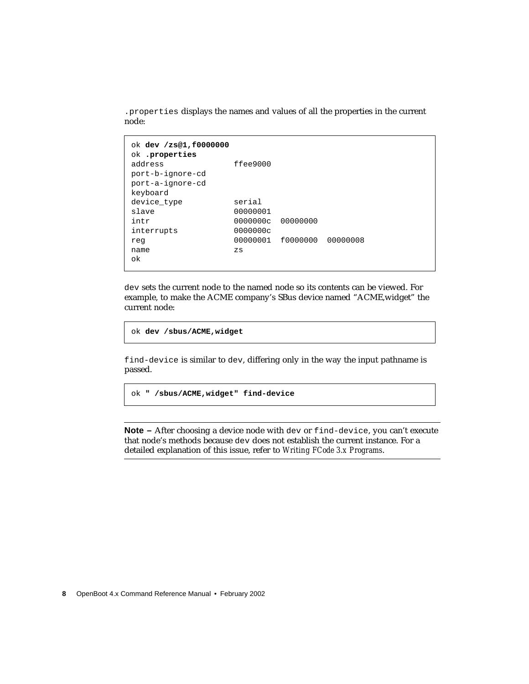.properties displays the names and values of all the properties in the current node:

```
ok dev /zs@1,f0000000
ok .properties
address ffee9000
port-b-ignore-cd
port-a-ignore-cd
keyboard
device_type serial
slave 00000001
intr 0000000c 00000000<br>interrupts 0000000c
interrupts
reg 00000001 f0000000 00000008
name zs
ok
```
dev sets the current node to the named node so its contents can be viewed. For example, to make the ACME company's SBus device named "ACME,widget" the current node:

ok **dev /sbus/ACME,widget**

find-device is similar to dev, differing only in the way the input pathname is passed.

ok **" /sbus/ACME,widget" find-device**

**Note –** After choosing a device node with dev or find-device, you can't execute that node's methods because dev does not establish the current instance. For a detailed explanation of this issue, refer to *Writing FCode 3.x Programs*.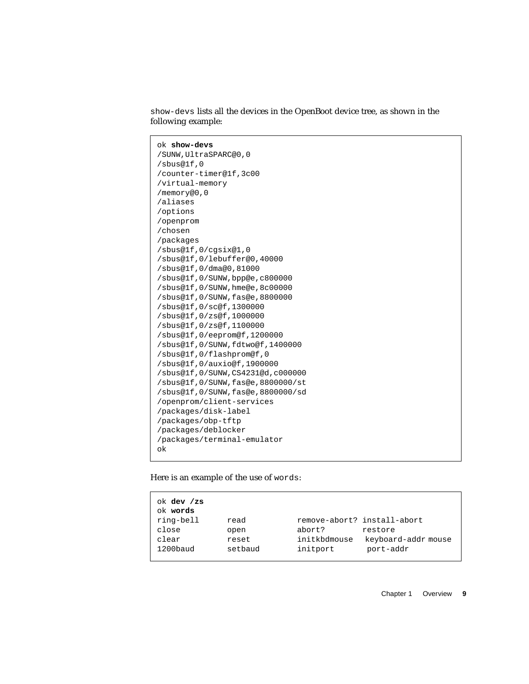ok **show-devs** /SUNW,UltraSPARC@0,0 /sbus@1f,0 /counter-timer@1f,3c00 /virtual-memory /memory@0,0 /aliases /options /openprom /chosen /packages /sbus@1f,0/cgsix@1,0 /sbus@1f,0/lebuffer@0,40000 /sbus@1f,0/dma@0,81000 /sbus@1f,0/SUNW,bpp@e,c800000 /sbus@1f,0/SUNW,hme@e,8c00000 /sbus@1f,0/SUNW,fas@e,8800000 /sbus@1f,0/sc@f,1300000 /sbus@1f,0/zs@f,1000000 /sbus@1f,0/zs@f,1100000 /sbus@1f,0/eeprom@f,1200000 /sbus@1f,0/SUNW,fdtwo@f,1400000 /sbus@1f,0/flashprom@f,0 /sbus@1f,0/auxio@f,1900000 /sbus@1f,0/SUNW,CS4231@d,c000000 /sbus@1f,0/SUNW,fas@e,8800000/st /sbus@1f,0/SUNW,fas@e,8800000/sd /openprom/client-services /packages/disk-label /packages/obp-tftp /packages/deblocker /packages/terminal-emulator

show-devs lists all the devices in the OpenBoot device tree, as shown in the following example:

Here is an example of the use of words:

ok

| ok dev /zs<br>ok words |         |                             |                     |
|------------------------|---------|-----------------------------|---------------------|
| ring-bell              | read    | remove-abort? install-abort | restore             |
| close                  | open    | abort?                      |                     |
| clear                  | reset   | initkbdmouse                | keyboard-addr mouse |
| 1200baud               | setbaud | initport                    | port-addr           |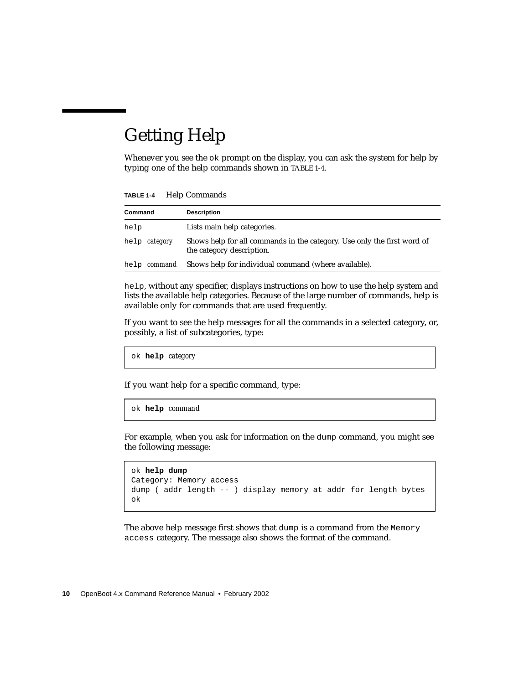# <span id="page-25-0"></span>Getting Help

Whenever you see the  $\circ$ k prompt on the display, you can ask the system for help by typing one of the help commands shown in TABLE 1-4.

**TABLE 1-4** Help Commands

| Command |                     | <b>Description</b>                                                                                   |
|---------|---------------------|------------------------------------------------------------------------------------------------------|
| help    |                     | Lists main help categories.                                                                          |
|         | help category       | Shows help for all commands in the category. Use only the first word of<br>the category description. |
|         | help <i>command</i> | Shows help for individual command (where available).                                                 |

help, without any specifier, displays instructions on how to use the help system and lists the available help categories. Because of the large number of commands, help is available only for commands that are used frequently.

If you want to see the help messages for all the commands in a selected category, or, possibly, a list of subcategories, type:

```
ok help category
```
If you want help for a specific command, type:

```
ok help command
```
For example, when you ask for information on the dump command, you might see the following message:

```
ok help dump
Category: Memory access
dump ( addr length -- ) display memory at addr for length bytes
ok
```
The above help message first shows that dump is a command from the Memory access category. The message also shows the format of the command.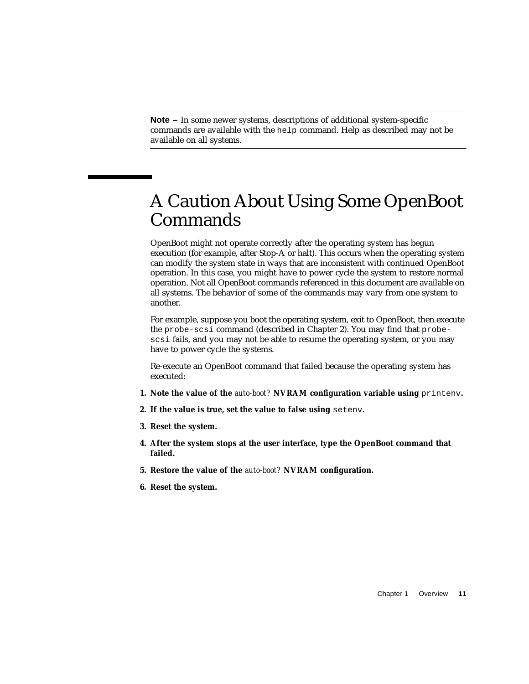**Note –** In some newer systems, descriptions of additional system-specific commands are available with the help command. Help as described may not be available on all systems.

## <span id="page-26-0"></span>A Caution About Using Some OpenBoot Commands

OpenBoot might not operate correctly after the operating system has begun execution (for example, after Stop-A or halt). This occurs when the operating system can modify the system state in ways that are inconsistent with continued OpenBoot operation. In this case, you might have to power cycle the system to restore normal operation. Not all OpenBoot commands referenced in this document are available on all systems. The behavior of some of the commands may vary from one system to another.

For example, suppose you boot the operating system, exit to OpenBoot, then execute the probe-scsi command (described in Chapter 2). You may find that probescsi fails, and you may not be able to resume the operating system, or you may have to power cycle the systems.

Re-execute an OpenBoot command that failed because the operating system has executed:

- **1. Note the value of the** *auto-boot?* **NVRAM configuration variable using** printenv**.**
- **2. If the value is true, set the value to false using** setenv**.**
- **3. Reset the system.**
- **4. After the system stops at the user interface, type the OpenBoot command that failed.**
- **5. Restore the value of the** *auto-boot?* **NVRAM configuration.**
- **6. Reset the system.**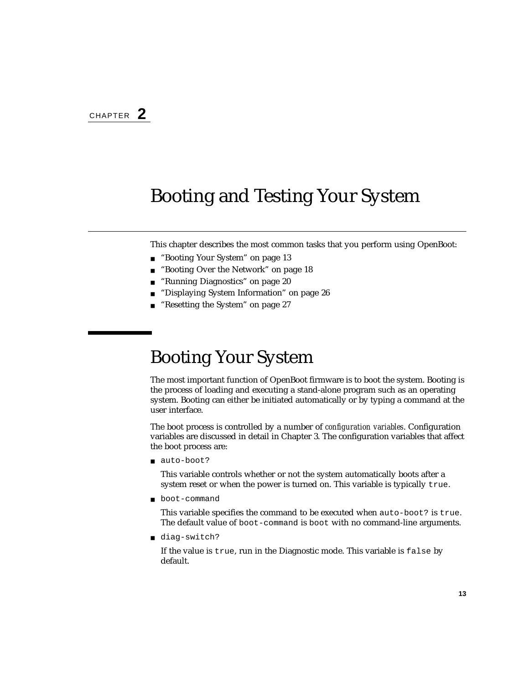# <span id="page-28-0"></span>Booting and Testing Your System

This chapter describes the most common tasks that you perform using OpenBoot:

- ["Booting Your System" on page 13](#page-28-1)
- ["Booting Over the Network" on page 18](#page-33-0)
- ["Running Diagnostics" on page 20](#page-35-0)
- ["Displaying System Information" on page 26](#page-41-1)
- ["Resetting the System" on page 27](#page-42-0)

## <span id="page-28-1"></span>Booting Your System

The most important function of OpenBoot firmware is to boot the system. Booting is the process of loading and executing a stand-alone program such as an operating system. Booting can either be initiated automatically or by typing a command at the user interface.

The boot process is controlled by a number of *configuration variables*. Configuration variables are discussed in detail in Chapter 3. The configuration variables that affect the boot process are:

■ auto-boot?

This variable controls whether or not the system automatically boots after a system reset or when the power is turned on. This variable is typically true.

■ boot-command

This variable specifies the command to be executed when auto-boot? is true. The default value of boot-command is boot with no command-line arguments.

■ diag-switch?

If the value is true, run in the Diagnostic mode. This variable is false by default.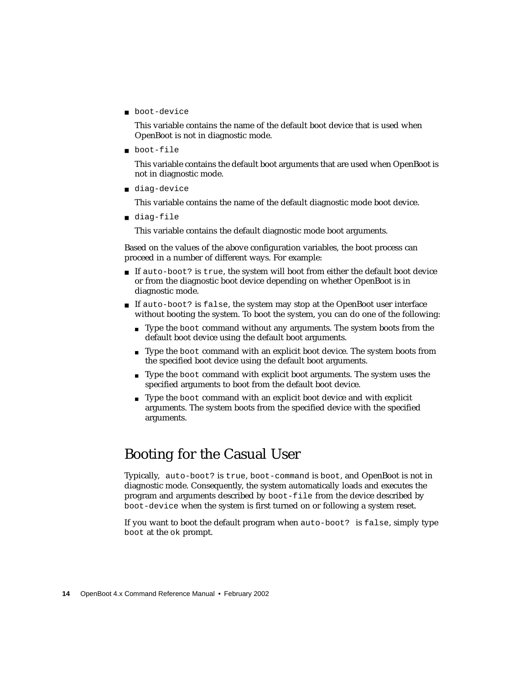■ boot-device

This variable contains the name of the default boot device that is used when OpenBoot is not in diagnostic mode.

■ boot-file

This variable contains the default boot arguments that are used when OpenBoot is not in diagnostic mode.

■ diag-device

This variable contains the name of the default diagnostic mode boot device.

■ diag-file

This variable contains the default diagnostic mode boot arguments.

Based on the values of the above configuration variables, the boot process can proceed in a number of different ways. For example:

- If auto-boot? is true, the system will boot from either the default boot device or from the diagnostic boot device depending on whether OpenBoot is in diagnostic mode.
- If auto-boot? is false, the system may stop at the OpenBoot user interface without booting the system. To boot the system, you can do one of the following:
	- Type the boot command without any arguments. The system boots from the default boot device using the default boot arguments.
	- Type the boot command with an explicit boot device. The system boots from the specified boot device using the default boot arguments.
	- Type the boot command with explicit boot arguments. The system uses the specified arguments to boot from the default boot device.
	- Type the boot command with an explicit boot device and with explicit arguments. The system boots from the specified device with the specified arguments.

#### <span id="page-29-0"></span>Booting for the Casual User

Typically, auto-boot? is true, boot-command is boot, and OpenBoot is not in diagnostic mode. Consequently, the system automatically loads and executes the program and arguments described by boot-file from the device described by boot-device when the system is first turned on or following a system reset.

If you want to boot the default program when auto-boot? is false, simply type boot at the ok prompt.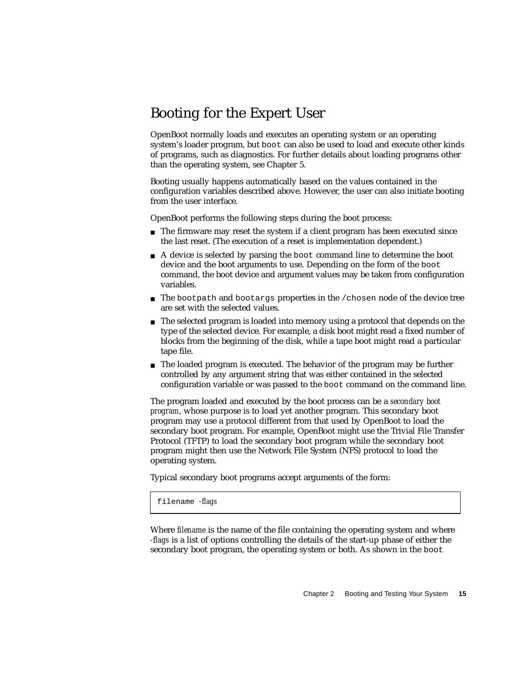### <span id="page-30-0"></span>Booting for the Expert User

OpenBoot normally loads and executes an operating system or an operating system's loader program, but boot can also be used to load and execute other kinds of programs, such as diagnostics. For further details about loading programs other than the operating system, see Chapter 5.

Booting usually happens automatically based on the values contained in the configuration variables described above. However, the user can also initiate booting from the user interface.

OpenBoot performs the following steps during the boot process:

- The firmware may reset the system if a client program has been executed since the last reset. (The execution of a reset is implementation dependent.)
- A device is selected by parsing the boot command line to determine the boot device and the boot arguments to use. Depending on the form of the boot command, the boot device and argument values may be taken from configuration variables.
- The bootpath and bootargs properties in the /chosen node of the device tree are set with the selected values.
- The selected program is loaded into memory using a protocol that depends on the type of the selected device. For example, a disk boot might read a fixed number of blocks from the beginning of the disk, while a tape boot might read a particular tape file.
- The loaded program is executed. The behavior of the program may be further controlled by any argument string that was either contained in the selected configuration variable or was passed to the boot command on the command line.

The program loaded and executed by the boot process can be a *secondary boot program*, whose purpose is to load yet another program. This secondary boot program may use a protocol different from that used by OpenBoot to load the secondary boot program. For example, OpenBoot might use the Trivial File Transfer Protocol (TFTP) to load the secondary boot program while the secondary boot program might then use the Network File System (NFS) protocol to load the operating system.

Typical secondary boot programs accept arguments of the form:

filename *-flags*

Where *filename* is the name of the file containing the operating system and where *-flags* is a list of options controlling the details of the start-up phase of either the secondary boot program, the operating system or both. As shown in the boot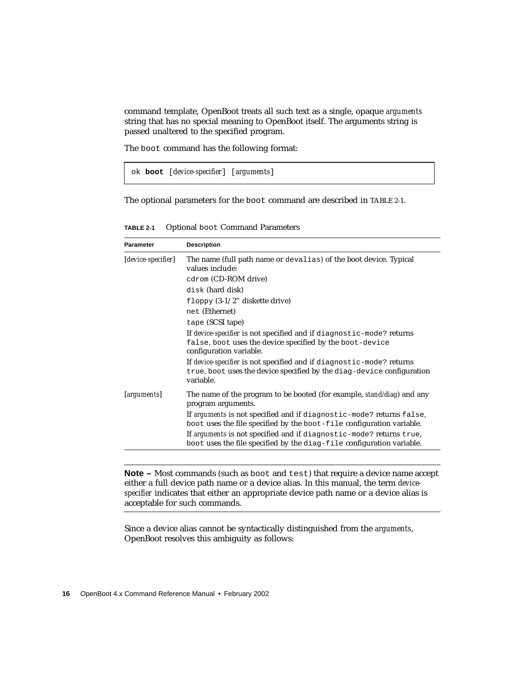command template, OpenBoot treats all such text as a single, opaque *arguments* string that has no special meaning to OpenBoot itself. The arguments string is passed unaltered to the specified program.

The boot command has the following format:

```
ok boot [device-specifier] [arguments]
```
The optional parameters for the boot command are described in TABLE 2-1.

**TABLE 2-1** Optional boot Command Parameters

| <b>Parameter</b>   | <b>Description</b>                                                                                                                                                 |
|--------------------|--------------------------------------------------------------------------------------------------------------------------------------------------------------------|
| [device-specifier] | The name (full path name or devalias) of the boot device. Typical<br>values include:                                                                               |
|                    | cdrom (CD-ROM drive)                                                                                                                                               |
|                    | disk (hard disk)                                                                                                                                                   |
|                    | floppy $(3-1/2)$ " diskette drive)                                                                                                                                 |
|                    | net (Ethernet)                                                                                                                                                     |
|                    | tape (SCSI tape)                                                                                                                                                   |
|                    | If <i>device-specifier</i> is not specified and if diagnostic-mode? returns<br>false, boot uses the device specified by the boot-device<br>configuration variable. |
|                    | If device-specifier is not specified and if diagnostic-mode? returns<br>true, boot uses the device specified by the diag-device configuration<br>variable.         |
| [arguments]        | The name of the program to be booted (for example, <i>stand/diag</i> ) and any<br>program arguments.                                                               |
|                    | If arguments is not specified and if diagnostic-mode? returns false,<br>boot uses the file specified by the boot-file configuration variable.                      |
|                    | If arguments is not specified and if diagnostic-mode? returns true,<br>boot uses the file specified by the diag-file configuration variable.                       |

**Note –** Most commands (such as boot and test) that require a device name accept either a full device path name or a device alias. In this manual, the term *devicespecifier* indicates that either an appropriate device path name or a device alias is acceptable for such commands.

Since a device alias cannot be syntactically distinguished from the *arguments*, OpenBoot resolves this ambiguity as follows: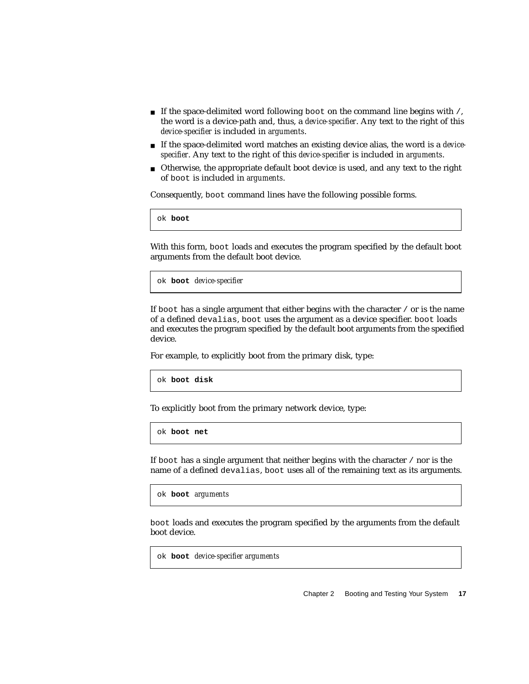- **If the space-delimited word following boot on the command line begins with**  $/$ **,** the word is a device-path and, thus, a *device-specifier*. Any text to the right of this *device-specifier* is included in *arguments*.
- If the space-delimited word matches an existing device alias, the word is a *devicespecifier*. Any text to the right of this *device-specifier* is included in *arguments*.
- Otherwise, the appropriate default boot device is used, and any text to the right of boot is included in *arguments*.

Consequently, boot command lines have the following possible forms.

ok **boot**

With this form, boot loads and executes the program specified by the default boot arguments from the default boot device.

ok **boot** *device-specifier*

If boot has a single argument that either begins with the character / or is the name of a defined devalias, boot uses the argument as a device specifier. boot loads and executes the program specified by the default boot arguments from the specified device.

For example, to explicitly boot from the primary disk, type:

ok **boot disk**

To explicitly boot from the primary network device, type:

ok **boot net**

If boot has a single argument that neither begins with the character / nor is the name of a defined devalias, boot uses all of the remaining text as its arguments.

ok **boot** *arguments*

boot loads and executes the program specified by the arguments from the default boot device.

ok **boot** *device-specifier arguments*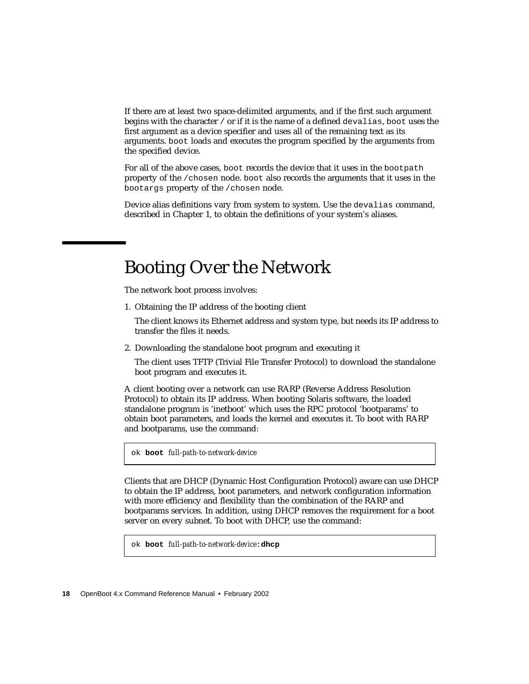If there are at least two space-delimited arguments, and if the first such argument begins with the character / or if it is the name of a defined devalias, boot uses the first argument as a device specifier and uses all of the remaining text as its arguments. boot loads and executes the program specified by the arguments from the specified device.

For all of the above cases, boot records the device that it uses in the bootpath property of the /chosen node. boot also records the arguments that it uses in the bootargs property of the /chosen node.

Device alias definitions vary from system to system. Use the devalias command, described in Chapter 1, to obtain the definitions of your system's aliases.

# <span id="page-33-0"></span>Booting Over the Network

The network boot process involves:

1. Obtaining the IP address of the booting client

The client knows its Ethernet address and system type, but needs its IP address to transfer the files it needs.

2. Downloading the standalone boot program and executing it

The client uses TFTP (Trivial File Transfer Protocol) to download the standalone boot program and executes it.

A client booting over a network can use RARP (Reverse Address Resolution Protocol) to obtain its IP address. When booting Solaris software, the loaded standalone program is 'inetboot' which uses the RPC protocol 'bootparams' to obtain boot parameters, and loads the kernel and executes it. To boot with RARP and bootparams, use the command:

ok **boot** *full-path-to-network-device*

Clients that are DHCP (Dynamic Host Configuration Protocol) aware can use DHCP to obtain the IP address, boot parameters, and network configuration information with more efficiency and flexibility than the combination of the RARP and bootparams services. In addition, using DHCP removes the requirement for a boot server on every subnet. To boot with DHCP, use the command:

ok **boot** *full-path-to-network-device*:**dhcp**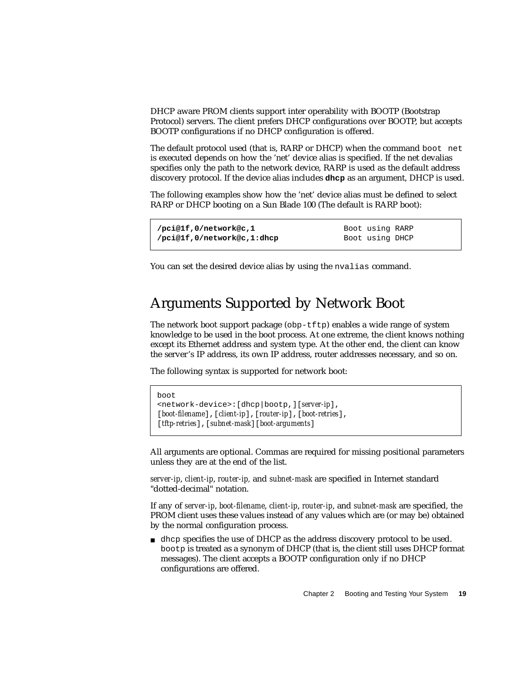DHCP aware PROM clients support inter operability with BOOTP (Bootstrap Protocol) servers. The client prefers DHCP configurations over BOOTP, but accepts BOOTP configurations if no DHCP configuration is offered.

The default protocol used (that is, RARP or DHCP) when the command boot net is executed depends on how the 'net' device alias is specified. If the net devalias specifies only the path to the network device, RARP is used as the default address discovery protocol. If the device alias includes **dhcp** as an argument, DHCP is used.

The following examples show how the 'net' device alias must be defined to select RARP or DHCP booting on a Sun Blade 100 (The default is RARP boot):

```
/pci@1f,0/network@c,1 Boot using RARP
/pci@1f,0/network@c,1:dhcp Boot using DHCP
```
You can set the desired device alias by using the nvalias command.

### <span id="page-34-0"></span>Arguments Supported by Network Boot

The network boot support package (obp-tftp) enables a wide range of system knowledge to be used in the boot process. At one extreme, the client knows nothing except its Ethernet address and system type. At the other end, the client can know the server's IP address, its own IP address, router addresses necessary, and so on.

The following syntax is supported for network boot:

```
boot
<network-device>:[dhcp|bootp,][server-ip],
[boot-filename],[client-ip],[router-ip],[boot-retries],
[tftp-retries],[subnet-mask][boot-arguments]
```
All arguments are optional. Commas are required for missing positional parameters unless they are at the end of the list.

*server-ip*, *client-ip*, *router-ip,* and *subnet-mask* are specified in Internet standard "dotted-decimal" notation.

If any of *server-ip*, *boot-filename*, *client-ip*, *router-ip*, and *subnet-mask* are specified, the PROM client uses these values instead of any values which are (or may be) obtained by the normal configuration process.

■ dhcp specifies the use of DHCP as the address discovery protocol to be used. bootp is treated as a synonym of DHCP (that is, the client still uses DHCP format messages). The client accepts a BOOTP configuration only if no DHCP configurations are offered.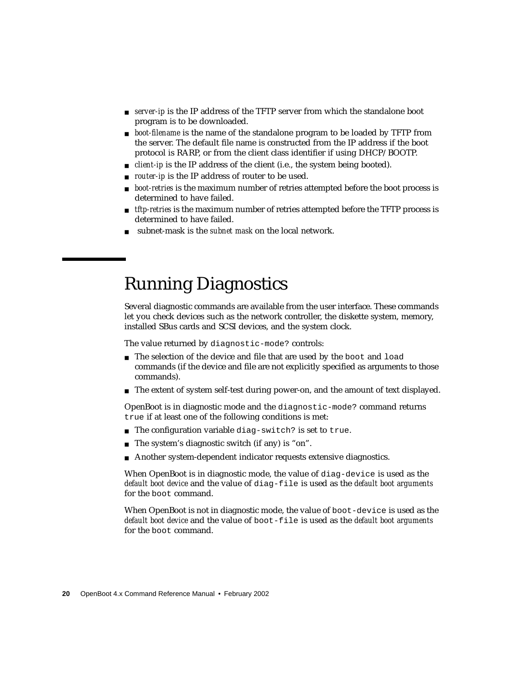- *server-ip* is the IP address of the TFTP server from which the standalone boot program is to be downloaded.
- *boot-filename* is the name of the standalone program to be loaded by TFTP from the server. The default file name is constructed from the IP address if the boot protocol is RARP, or from the client class identifier if using DHCP/BOOTP.
- *client-ip* is the IP address of the client (i.e., the system being booted).
- *router-ip* is the IP address of router to be used.
- *boot-retries* is the maximum number of retries attempted before the boot process is determined to have failed.
- *tftp-retries* is the maximum number of retries attempted before the TFTP process is determined to have failed.
- subnet-mask is the *subnet mask* on the local network.

# <span id="page-35-0"></span>Running Diagnostics

Several diagnostic commands are available from the user interface. These commands let you check devices such as the network controller, the diskette system, memory, installed SBus cards and SCSI devices, and the system clock.

The value returned by diagnostic-mode? controls:

- The selection of the device and file that are used by the boot and load commands (if the device and file are not explicitly specified as arguments to those commands).
- The extent of system self-test during power-on, and the amount of text displayed.

OpenBoot is in diagnostic mode and the diagnostic-mode? command returns true if at least one of the following conditions is met:

- The configuration variable diag-switch? is set to true.
- The system's diagnostic switch (if any) is "on".
- Another system-dependent indicator requests extensive diagnostics.

When OpenBoot is in diagnostic mode, the value of diag-device is used as the *default boot device* and the value of diag-file is used as the *default boot arguments* for the boot command.

When OpenBoot is not in diagnostic mode, the value of boot-device is used as the *default boot device* and the value of boot-file is used as the *default boot arguments* for the boot command.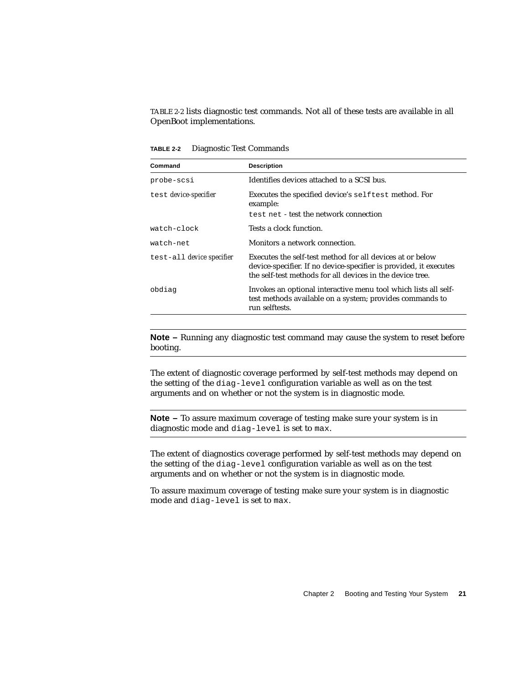TABLE 2-2 lists diagnostic test commands. Not all of these tests are available in all OpenBoot implementations.

| Command                          | <b>Description</b>                                                                                                                                                                          |
|----------------------------------|---------------------------------------------------------------------------------------------------------------------------------------------------------------------------------------------|
| probe-scsi                       | Identifies devices attached to a SCSI bus.                                                                                                                                                  |
| test <i>device-specifier</i>     | Executes the specified device's selftest method. For<br>example:                                                                                                                            |
|                                  | test net - test the network connection                                                                                                                                                      |
| watch-clock                      | Tests a clock function.                                                                                                                                                                     |
| watch-net                        | Monitors a network connection.                                                                                                                                                              |
| test-all <i>device specifier</i> | Executes the self-test method for all devices at or below<br>device-specifier. If no device-specifier is provided, it executes<br>the self-test methods for all devices in the device tree. |
| obdiag                           | Invokes an optional interactive menu tool which lists all self-<br>test methods available on a system; provides commands to<br>run selftests.                                               |

**TABLE 2-2** Diagnostic Test Commands

**Note –** Running any diagnostic test command may cause the system to reset before booting.

The extent of diagnostic coverage performed by self-test methods may depend on the setting of the diag-level configuration variable as well as on the test arguments and on whether or not the system is in diagnostic mode.

**Note –** To assure maximum coverage of testing make sure your system is in diagnostic mode and diag-level is set to max.

The extent of diagnostics coverage performed by self-test methods may depend on the setting of the diag-level configuration variable as well as on the test arguments and on whether or not the system is in diagnostic mode.

To assure maximum coverage of testing make sure your system is in diagnostic mode and diag-level is set to max.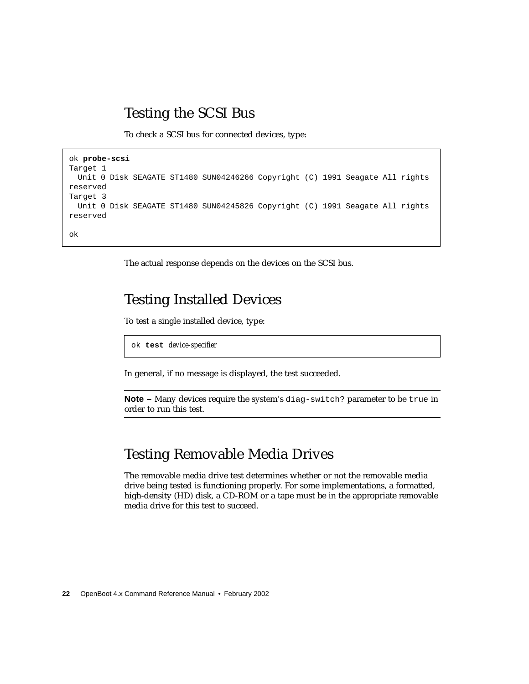#### Testing the SCSI Bus

To check a SCSI bus for connected devices, type:

```
ok probe-scsi
Target 1
 Unit 0 Disk SEAGATE ST1480 SUN04246266 Copyright (C) 1991 Seagate All rights
reserved
Target 3
 Unit 0 Disk SEAGATE ST1480 SUN04245826 Copyright (C) 1991 Seagate All rights
reserved
ok
```
The actual response depends on the devices on the SCSI bus.

#### Testing Installed Devices

To test a single installed device, type:

ok **test** *device-specifier*

In general, if no message is displayed, the test succeeded.

**Note –** Many devices require the system's diag-switch? parameter to be true in order to run this test.

#### Testing Removable Media Drives

The removable media drive test determines whether or not the removable media drive being tested is functioning properly. For some implementations, a formatted, high-density (HD) disk, a CD-ROM or a tape must be in the appropriate removable media drive for this test to succeed.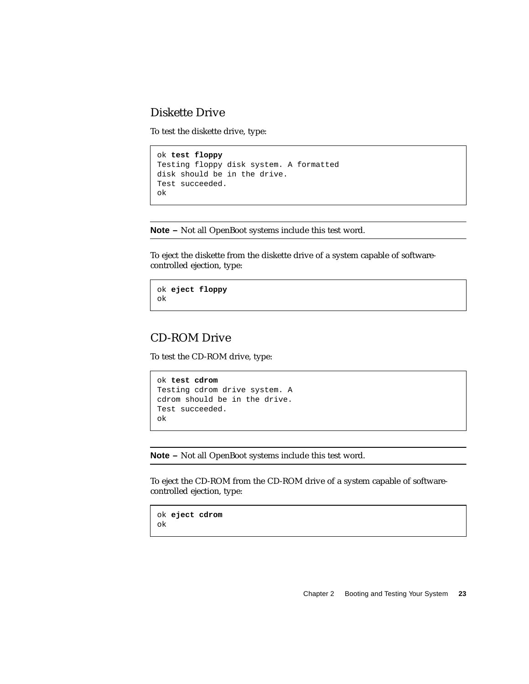#### Diskette Drive

To test the diskette drive, type:

```
ok test floppy
Testing floppy disk system. A formatted
disk should be in the drive.
Test succeeded.
ok
```
**Note –** Not all OpenBoot systems include this test word.

To eject the diskette from the diskette drive of a system capable of softwarecontrolled ejection, type:

```
ok eject floppy
ok
```
#### CD-ROM Drive

To test the CD-ROM drive, type:

```
ok test cdrom
Testing cdrom drive system. A
cdrom should be in the drive.
Test succeeded.
ok
```
**Note –** Not all OpenBoot systems include this test word.

To eject the CD-ROM from the CD-ROM drive of a system capable of softwarecontrolled ejection, type:

```
ok eject cdrom
ok
```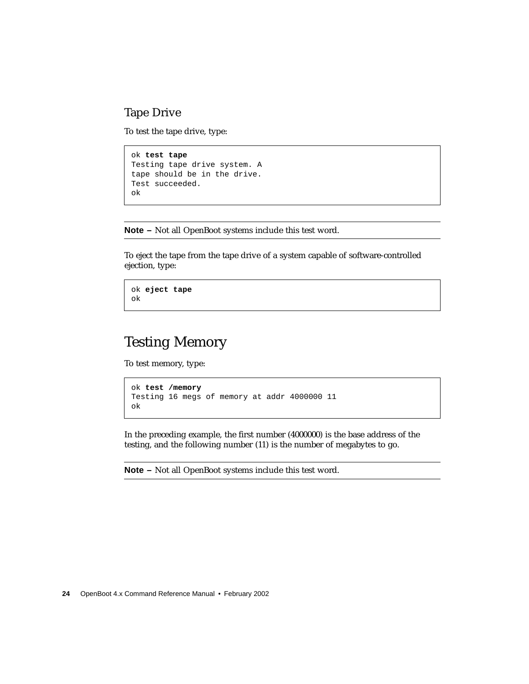#### Tape Drive

To test the tape drive, type:

ok **test tape** Testing tape drive system. A tape should be in the drive. Test succeeded. ok

**Note –** Not all OpenBoot systems include this test word.

To eject the tape from the tape drive of a system capable of software-controlled ejection, type:

ok **eject tape** ok

#### Testing Memory

To test memory, type:

```
ok test /memory
Testing 16 megs of memory at addr 4000000 11
ok
```
In the preceding example, the first number (4000000) is the base address of the testing, and the following number (11) is the number of megabytes to go.

**Note –** Not all OpenBoot systems include this test word.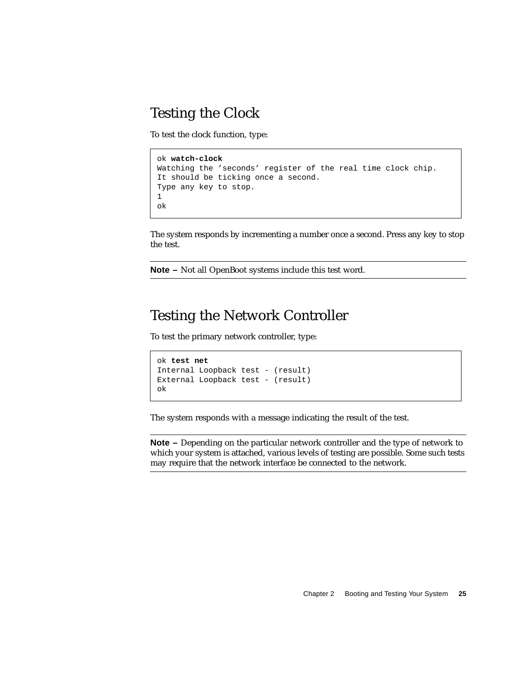#### Testing the Clock

To test the clock function, type:

```
ok watch-clock
Watching the 'seconds' register of the real time clock chip.
It should be ticking once a second.
Type any key to stop.
1
ok
```
The system responds by incrementing a number once a second. Press any key to stop the test.

**Note –** Not all OpenBoot systems include this test word.

#### Testing the Network Controller

To test the primary network controller, type:

```
ok test net
Internal Loopback test - (result)
External Loopback test - (result)
ok
```
The system responds with a message indicating the result of the test.

**Note –** Depending on the particular network controller and the type of network to which your system is attached, various levels of testing are possible. Some such tests may require that the network interface be connected to the network.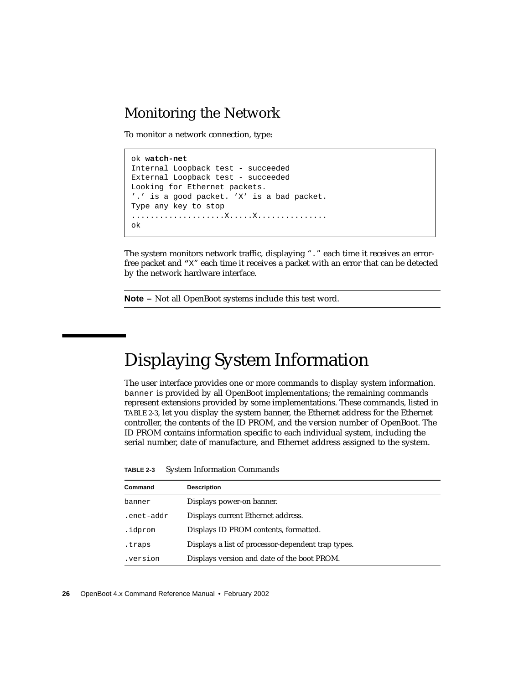#### Monitoring the Network

To monitor a network connection, type:

ok **watch-net** Internal Loopback test - succeeded External Loopback test - succeeded Looking for Ethernet packets. '.' is a good packet. 'X' is a bad packet. Type any key to stop ....................X.....X............... ok

The system monitors network traffic, displaying "." each time it receives an errorfree packet and "X" each time it receives a packet with an error that can be detected by the network hardware interface.

**Note –** Not all OpenBoot systems include this test word.

# Displaying System Information

The user interface provides one or more commands to display system information. banner is provided by all OpenBoot implementations; the remaining commands represent extensions provided by some implementations. These commands, listed in TABLE 2-3, let you display the system banner, the Ethernet address for the Ethernet controller, the contents of the ID PROM, and the version number of OpenBoot. The ID PROM contains information specific to each individual system, including the serial number, date of manufacture, and Ethernet address assigned to the system.

| Command    | <b>Description</b>                                 |
|------------|----------------------------------------------------|
| banner     | Displays power-on banner.                          |
| .enet-addr | Displays current Ethernet address.                 |
| .idprom    | Displays ID PROM contents, formatted.              |
| .traps     | Displays a list of processor-dependent trap types. |
| .version   | Displays version and date of the boot PROM.        |

**TABLE 2-3** System Information Commands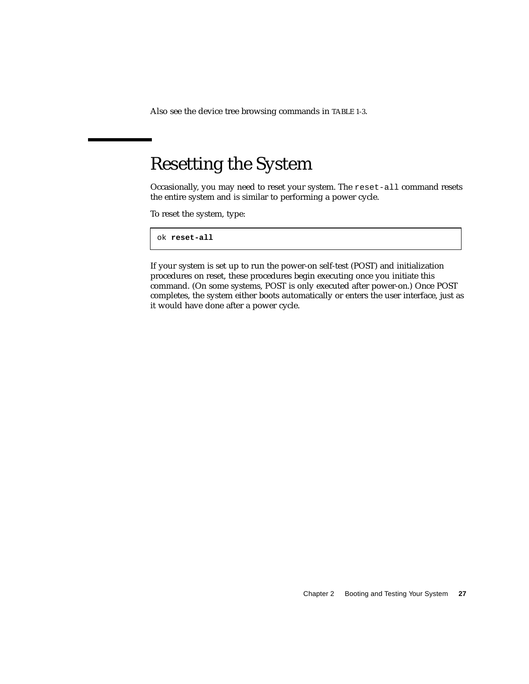Also see the device tree browsing commands in TABLE 1-3.

# Resetting the System

Occasionally, you may need to reset your system. The reset-all command resets the entire system and is similar to performing a power cycle.

To reset the system, type:

ok **reset-all**

If your system is set up to run the power-on self-test (POST) and initialization procedures on reset, these procedures begin executing once you initiate this command. (On some systems, POST is only executed after power-on.) Once POST completes, the system either boots automatically or enters the user interface, just as it would have done after a power cycle.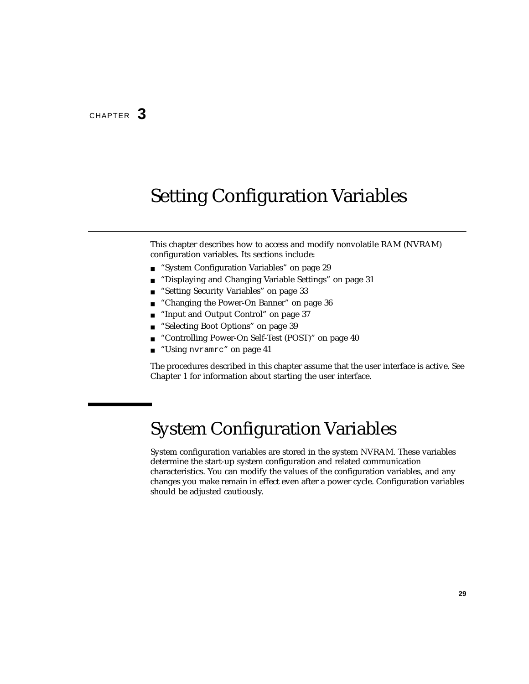### Setting Configuration Variables

This chapter describes how to access and modify nonvolatile RAM (NVRAM) configuration variables. Its sections include:

- ["System Configuration Variables" on page 29](#page-44-0)
- ["Displaying and Changing Variable Settings" on page 31](#page-46-0)
- ["Setting Security Variables" on page 33](#page-48-0)
- ["Changing the Power-On Banner" on page 36](#page-51-0)
- ["Input and Output Control" on page 37](#page-52-0)
- ["Selecting Boot Options" on page 39](#page-54-0)
- ["Controlling Power-On Self-Test \(POST\)" on page 40](#page-55-0)
- "Using nvramrc[" on page 41](#page-56-0)

The procedures described in this chapter assume that the user interface is active. See Chapter 1 for information about starting the user interface.

### <span id="page-44-0"></span>System Configuration Variables

System configuration variables are stored in the system NVRAM. These variables determine the start-up system configuration and related communication characteristics. You can modify the values of the configuration variables, and any changes you make remain in effect even after a power cycle. Configuration variables should be adjusted cautiously.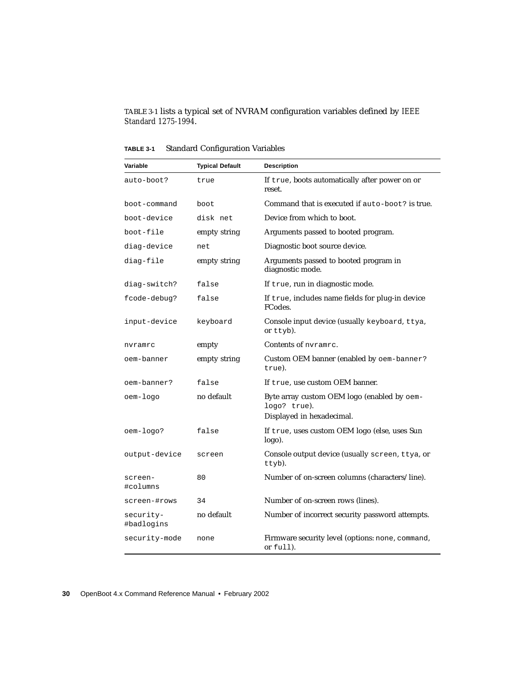TABLE 3-1 lists a typical set of NVRAM configuration variables defined by *IEEE Standard 1275-1994*.

| Variable                | <b>Typical Default</b> | <b>Description</b>                                                                       |  |
|-------------------------|------------------------|------------------------------------------------------------------------------------------|--|
| auto-boot?              | true                   | If true, boots automatically after power on or<br>reset.                                 |  |
| boot-command            | boot                   | Command that is executed if auto-boot? is true.                                          |  |
| boot-device             | disk net               | Device from which to boot.                                                               |  |
| boot-file               | empty string           | Arguments passed to booted program.                                                      |  |
| diag-device             | net                    | Diagnostic boot source device.                                                           |  |
| diag-file               | empty string           | Arguments passed to booted program in<br>diagnostic mode.                                |  |
| diag-switch?            | false                  | If true, run in diagnostic mode.                                                         |  |
| fcode-debug?            | false                  | If true, includes name fields for plug-in device<br>FCodes.                              |  |
| input-device            | keyboard               | Console input device (usually keyboard, ttya,<br>or ttyb).                               |  |
| nvramrc                 | empty                  | Contents of nyramrc.                                                                     |  |
| oem-banner              | empty string           | Custom OEM banner (enabled by oem-banner?<br>true).                                      |  |
| oem-banner?             | false                  | If true, use custom OEM banner.                                                          |  |
| oem-logo                | no default             | Byte array custom OEM logo (enabled by oem-<br>logo? true).<br>Displayed in hexadecimal. |  |
| oem-logo?               | false                  | If true, uses custom OEM logo (else, uses Sun<br>logo).                                  |  |
| output-device           | screen                 | Console output device (usually screen, ttya, or<br>ttyb).                                |  |
| screen-<br>#columns     | 80                     | Number of on-screen columns (characters/line).                                           |  |
| screen-#rows            | 34                     | Number of on-screen rows (lines).                                                        |  |
| security-<br>#badlogins | no default             | Number of incorrect security password attempts.                                          |  |
| security-mode           | none                   | Firmware security level (options: none, command,<br>or full).                            |  |

**TABLE 3-1** Standard Configuration Variables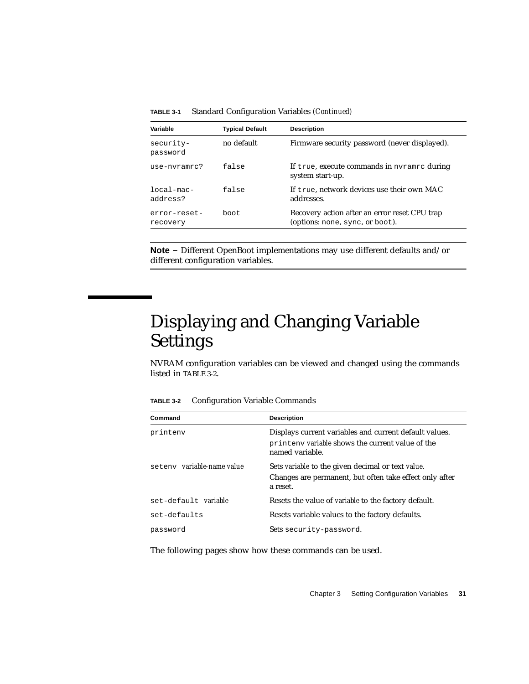| Variable                  | <b>Typical Default</b> | <b>Description</b>                                                               |
|---------------------------|------------------------|----------------------------------------------------------------------------------|
| security-<br>password     | no default             | Firmware security password (never displayed).                                    |
| $use-nvramrc?$            | false                  | If true, execute commands in nyramrc during<br>system start-up.                  |
| $local$ -mac-<br>address? | false                  | If true, network devices use their own MAC<br>addresses.                         |
| error-reset-<br>recovery  | boot.                  | Recovery action after an error reset CPU trap<br>(options: none, sync, or boot). |

**TABLE 3-1** Standard Configuration Variables *(Continued)*

**Note –** Different OpenBoot implementations may use different defaults and/or different configuration variables.

### <span id="page-46-0"></span>Displaying and Changing Variable Settings

NVRAM configuration variables can be viewed and changed using the commands listed in TABLE 3-2.

| Command                    | <b>Description</b>                                                                                                            |
|----------------------------|-------------------------------------------------------------------------------------------------------------------------------|
| printenv                   | Displays current variables and current default values.<br>printeny variable shows the current value of the<br>named variable. |
| seteny variable-name value | Sets variable to the given decimal or text value.<br>Changes are permanent, but often take effect only after<br>a reset.      |
| set-default variable       | Resets the value of <i>variable</i> to the factory default.                                                                   |
| set-defaults               | Resets variable values to the factory defaults.                                                                               |
| password                   | Sets security-password.                                                                                                       |

**TABLE 3-2** Configuration Variable Commands

The following pages show how these commands can be used.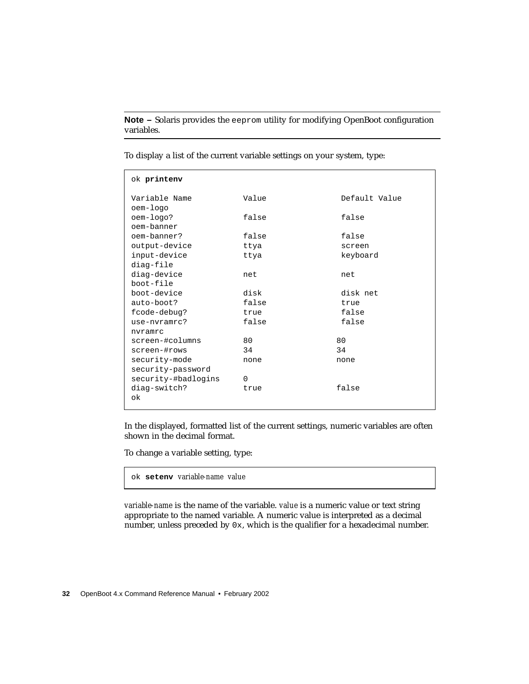**Note –** Solaris provides the eeprom utility for modifying OpenBoot configuration variables.

| ok printenv               |       |               |
|---------------------------|-------|---------------|
| Variable Name<br>oem-logo | Value | Default Value |
| oem-logo?<br>oem-banner   | false | false         |
| oem-banner?               | false | false         |
| output-device             | ttya  | screen        |
| input-device<br>diag-file | ttya  | keyboard      |
| diag-device               | net.  | net.          |
| boot-file                 |       |               |
| boot-device               | disk  | disk net      |
| $auto-boot?$              | false | true          |
| fcode-debug?              | true  | false         |
| use-nyramrc?              | false | false         |
| nvramrc                   |       |               |
| screen-#columns           | 80    | 80            |
| screen-#rows              | 34    | 34            |
| security-mode             | none  | none          |
| security-password         |       |               |
| security-#badlogins       | 0     |               |
| diag-switch?<br>ok        | true  | false         |

To display a list of the current variable settings on your system, type:

In the displayed, formatted list of the current settings, numeric variables are often shown in the decimal format.

To change a variable setting, type:

ok **setenv** *variable-name value*

*variable-name* is the name of the variable. *value* is a numeric value or text string appropriate to the named variable. A numeric value is interpreted as a decimal number, unless preceded by 0x, which is the qualifier for a hexadecimal number.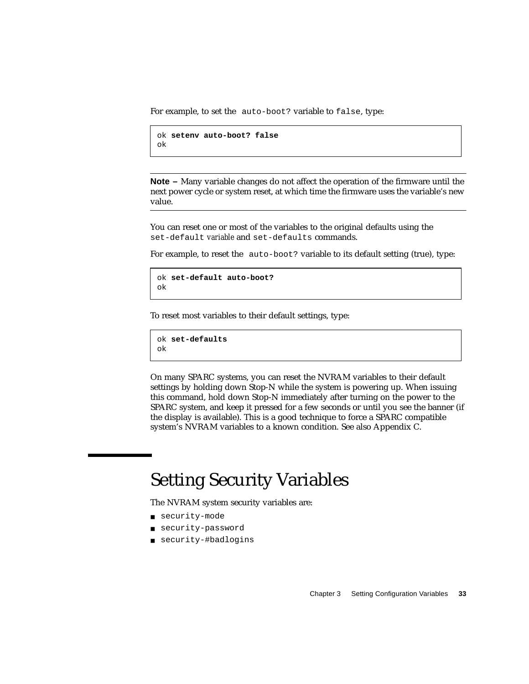For example, to set the auto-boot? variable to false, type:

```
ok setenv auto-boot? false
ok
```
**Note –** Many variable changes do not affect the operation of the firmware until the next power cycle or system reset, at which time the firmware uses the variable's new value.

You can reset one or most of the variables to the original defaults using the set-default *variable* and set-defaults commands.

For example, to reset the auto-boot? variable to its default setting (true), type:

```
ok set-default auto-boot?
ok
```
To reset most variables to their default settings, type:

```
ok set-defaults
ok
```
On many SPARC systems, you can reset the NVRAM variables to their default settings by holding down Stop-N while the system is powering up. When issuing this command, hold down Stop-N immediately after turning on the power to the SPARC system, and keep it pressed for a few seconds or until you see the banner (if the display is available). This is a good technique to force a SPARC compatible system's NVRAM variables to a known condition. See also Appendix C.

### <span id="page-48-0"></span>Setting Security Variables

The NVRAM system security variables are:

- security-mode
- security-password
- security-#badlogins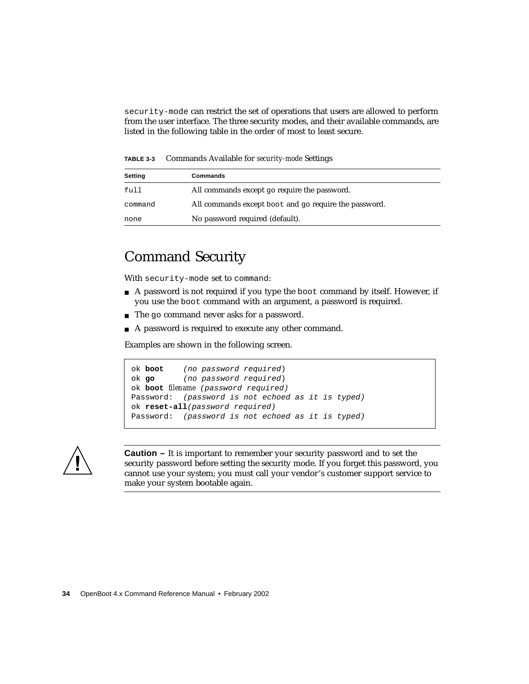security-mode can restrict the set of operations that users are allowed to perform from the user interface. The three security modes, and their available commands, are listed in the following table in the order of most to least secure.

| TABLE 3-3 |  | Commands Available for security-mode Settings |  |
|-----------|--|-----------------------------------------------|--|
|           |  |                                               |  |

| Setting | Commands                                              |
|---------|-------------------------------------------------------|
| full    | All commands except go require the password.          |
| command | All commands except boot and go require the password. |
| none    | No password required (default).                       |

#### Command Security

With security-mode set to command:

- A password is not required if you type the boot command by itself. However, if you use the boot command with an argument, a password is required.
- The go command never asks for a password.
- A password is required to execute any other command.

Examples are shown in the following screen.

```
ok boot (no password required)
ok go (no password required)
ok boot filename (password required)
Password: (password is not echoed as it is typed)
ok reset-all(password required)
Password: (password is not echoed as it is typed)
```


**Caution –** It is important to remember your security password and to set the security password before setting the security mode. If you forget this password, you cannot use your system; you must call your vendor's customer support service to make your system bootable again.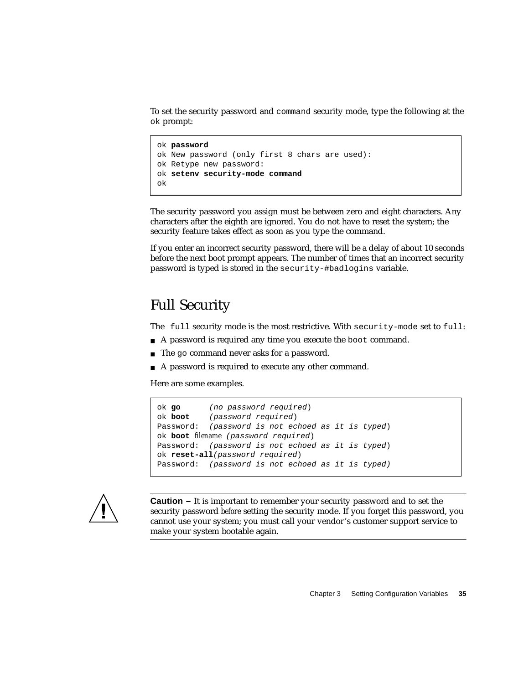To set the security password and command security mode, type the following at the ok prompt:

```
ok password
ok New password (only first 8 chars are used):
ok Retype new password:
ok setenv security-mode command
ok
```
The security password you assign must be between zero and eight characters. Any characters after the eighth are ignored. You do not have to reset the system; the security feature takes effect as soon as you type the command.

If you enter an incorrect security password, there will be a delay of about 10 seconds before the next boot prompt appears. The number of times that an incorrect security password is typed is stored in the security-#badlogins variable.

### Full Security

The full security mode is the most restrictive. With security-mode set to full:

- A password is required any time you execute the boot command.
- The go command never asks for a password.
- A password is required to execute any other command.

Here are some examples.

```
ok go (no password required)<br>ok boot (password required)
          ok boot (password required)
Password: (password is not echoed as it is typed)
ok boot filename (password required)
Password: (password is not echoed as it is typed)
ok reset-all(password required)
Password: (password is not echoed as it is typed)
```


**Caution –** It is important to remember your security password and to set the security password *before* setting the security mode. If you forget this password, you cannot use your system; you must call your vendor's customer support service to make your system bootable again.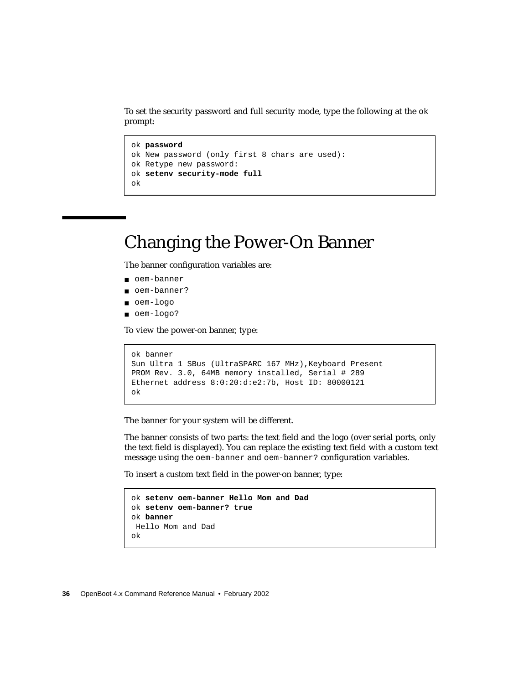To set the security password and full security mode, type the following at the ok prompt:

```
ok password
ok New password (only first 8 chars are used):
ok Retype new password:
ok setenv security-mode full
ok
```
## <span id="page-51-0"></span>Changing the Power-On Banner

The banner configuration variables are:

- oem-banner
- oem-banner?
- oem-logo
- oem-logo?

To view the power-on banner, type:

```
ok banner
Sun Ultra 1 SBus (UltraSPARC 167 MHz), Keyboard Present
PROM Rev. 3.0, 64MB memory installed, Serial # 289
Ethernet address 8:0:20:d:e2:7b, Host ID: 80000121
ok
```
The banner for your system will be different.

The banner consists of two parts: the text field and the logo (over serial ports, only the text field is displayed). You can replace the existing text field with a custom text message using the oem-banner and oem-banner? configuration variables.

To insert a custom text field in the power-on banner, type:

```
ok setenv oem-banner Hello Mom and Dad
ok setenv oem-banner? true
ok banner
 Hello Mom and Dad
ok
```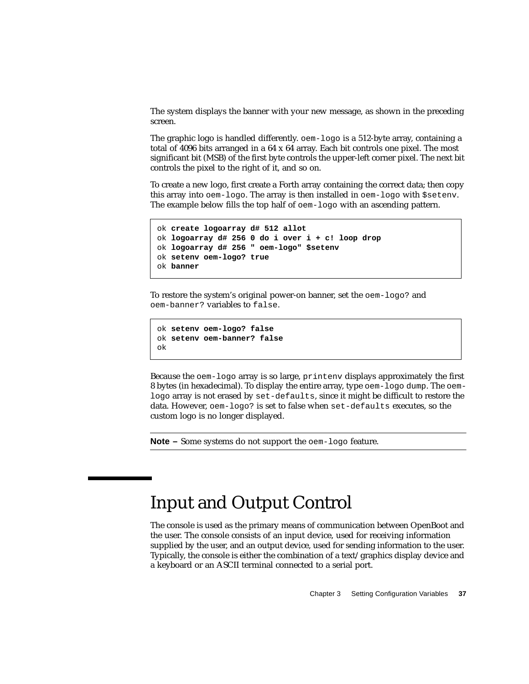The system displays the banner with your new message, as shown in the preceding screen.

The graphic logo is handled differently. oem-logo is a 512-byte array, containing a total of 4096 bits arranged in a 64 x 64 array. Each bit controls one pixel. The most significant bit (MSB) of the first byte controls the upper-left corner pixel. The next bit controls the pixel to the right of it, and so on.

To create a new logo, first create a Forth array containing the correct data; then copy this array into oem-logo. The array is then installed in oem-logo with \$setenv. The example below fills the top half of oem-logo with an ascending pattern.

```
ok create logoarray d# 512 allot
ok logoarray d# 256 0 do i over i + c! loop drop
ok logoarray d# 256 " oem-logo" $setenv
ok setenv oem-logo? true
ok banner
```
To restore the system's original power-on banner, set the oem-logo? and oem-banner? variables to false.

```
ok setenv oem-logo? false
ok setenv oem-banner? false
ok
```
Because the oem-logo array is so large, printenv displays approximately the first 8 bytes (in hexadecimal). To display the entire array, type oem-logo dump. The oemlogo array is not erased by set-defaults, since it might be difficult to restore the data. However, oem-logo? is set to false when set-defaults executes, so the custom logo is no longer displayed.

**Note –** Some systems do not support the oem-logo feature.

### <span id="page-52-0"></span>Input and Output Control

The console is used as the primary means of communication between OpenBoot and the user. The console consists of an input device, used for receiving information supplied by the user, and an output device, used for sending information to the user. Typically, the console is either the combination of a text/graphics display device and a keyboard or an ASCII terminal connected to a serial port.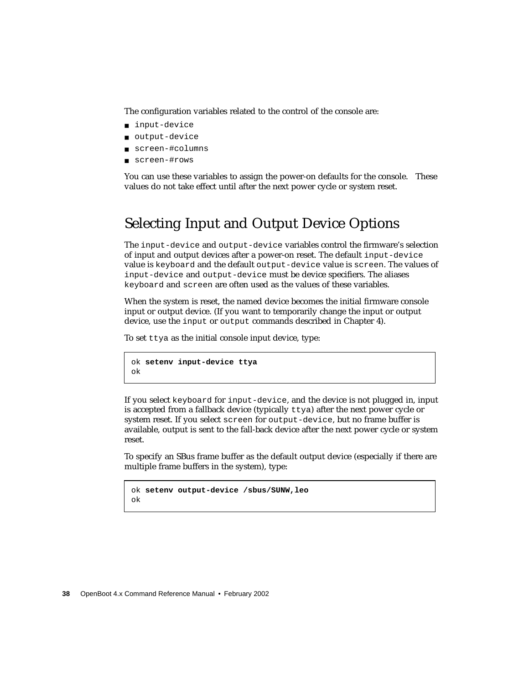The configuration variables related to the control of the console are:

- input-device
- output-device
- screen-#columns
- screen-#rows

You can use these variables to assign the power-on defaults for the console. These values do not take effect until after the next power cycle or system reset.

### Selecting Input and Output Device Options

The input-device and output-device variables control the firmware's selection of input and output devices after a power-on reset. The default input-device value is keyboard and the default output-device value is screen. The values of input-device and output-device must be device specifiers. The aliases keyboard and screen are often used as the values of these variables.

When the system is reset, the named device becomes the initial firmware console input or output device. (If you want to temporarily change the input or output device, use the input or output commands described in Chapter 4).

To set ttya as the initial console input device, type:

```
ok setenv input-device ttya
ok
```
If you select keyboard for input-device, and the device is not plugged in, input is accepted from a fallback device (typically ttya) after the next power cycle or system reset. If you select screen for output-device, but no frame buffer is available, output is sent to the fall-back device after the next power cycle or system reset.

To specify an SBus frame buffer as the default output device (especially if there are multiple frame buffers in the system), type:

```
ok setenv output-device /sbus/SUNW,leo
ok
```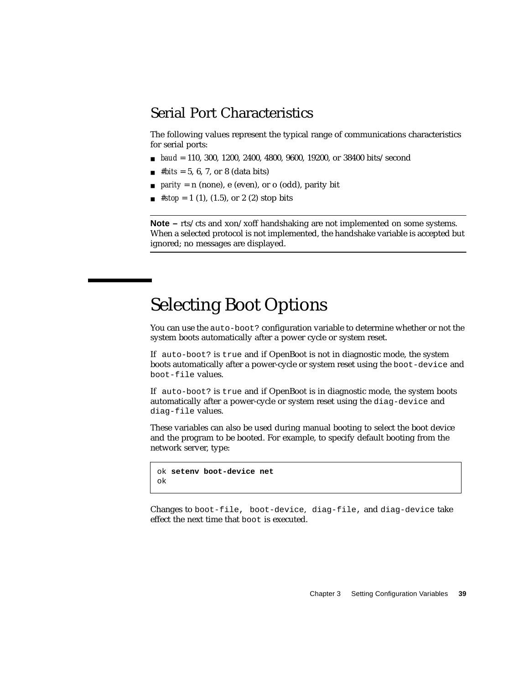#### Serial Port Characteristics

The following values represent the typical range of communications characteristics for serial ports:

- *baud* = 110, 300, 1200, 2400, 4800, 9600, 19200, or 38400 bits/second
- $#bits = 5, 6, 7, or 8 (data bits)$
- *parity* = n (none), e (even), or o (odd), parity bit
- $\blacksquare$  #stop = 1 (1), (1.5), or 2 (2) stop bits

**Note –** rts/cts and xon/xoff handshaking are not implemented on some systems. When a selected protocol is not implemented, the handshake variable is accepted but ignored; no messages are displayed.

## <span id="page-54-0"></span>Selecting Boot Options

You can use the auto-boot? configuration variable to determine whether or not the system boots automatically after a power cycle or system reset.

If auto-boot? is true and if OpenBoot is not in diagnostic mode, the system boots automatically after a power-cycle or system reset using the boot-device and boot-file values.

If auto-boot? is true and if OpenBoot is in diagnostic mode, the system boots automatically after a power-cycle or system reset using the diag-device and diag-file values.

These variables can also be used during manual booting to select the boot device and the program to be booted. For example, to specify default booting from the network server, type:

```
ok setenv boot-device net
ok
```
Changes to boot-file, boot-device, diag-file, and diag-device take effect the next time that boot is executed.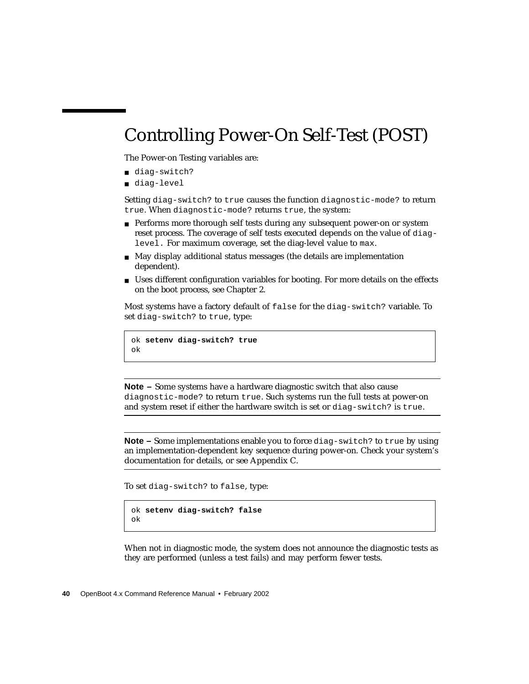# <span id="page-55-0"></span>Controlling Power-On Self-Test (POST)

The Power-on Testing variables are:

- diag-switch?
- diag-level

Setting diag-switch? to true causes the function diagnostic-mode? to return true. When diagnostic-mode? returns true, the system:

- Performs more thorough self tests during any subsequent power-on or system reset process. The coverage of self tests executed depends on the value of diaglevel. For maximum coverage, set the diag-level value to max.
- May display additional status messages (the details are implementation dependent).
- Uses different configuration variables for booting. For more details on the effects on the boot process, see Chapter 2.

Most systems have a factory default of false for the diag-switch? variable. To set diag-switch? to true, type:

ok **setenv diag-switch? true** ok

**Note –** Some systems have a hardware diagnostic switch that also cause diagnostic-mode? to return true. Such systems run the full tests at power-on and system reset if either the hardware switch is set or diag-switch? is true.

**Note –** Some implementations enable you to force diag-switch? to true by using an implementation-dependent key sequence during power-on. Check your system's documentation for details, or see Appendix C.

To set diag-switch? to false, type:

```
ok setenv diag-switch? false
ok
```
When not in diagnostic mode, the system does not announce the diagnostic tests as they are performed (unless a test fails) and may perform fewer tests.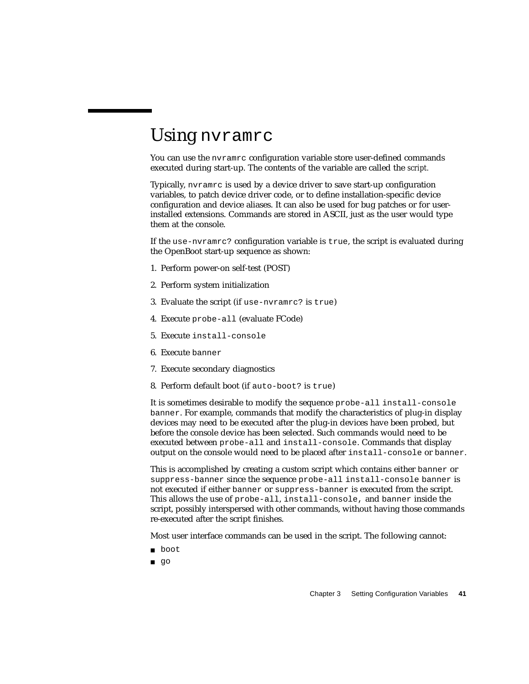### <span id="page-56-0"></span>Using nvramrc

You can use the nvramrc configuration variable store user-defined commands executed during start-up. The contents of the variable are called the *script.*

Typically, nvramrc is used by a device driver to save start-up configuration variables, to patch device driver code, or to define installation-specific device configuration and device aliases. It can also be used for bug patches or for userinstalled extensions. Commands are stored in ASCII, just as the user would type them at the console.

If the use-nvramrc? configuration variable is true, the script is evaluated during the OpenBoot start-up sequence as shown:

- 1. Perform power-on self-test (POST)
- 2. Perform system initialization
- 3. Evaluate the script (if use-nvramrc? is true)
- 4. Execute probe-all (evaluate FCode)
- 5. Execute install-console
- 6. Execute banner
- 7. Execute secondary diagnostics
- 8. Perform default boot (if auto-boot? is true)

It is sometimes desirable to modify the sequence probe-all install-console banner. For example, commands that modify the characteristics of plug-in display devices may need to be executed after the plug-in devices have been probed, but before the console device has been selected. Such commands would need to be executed between probe-all and install-console. Commands that display output on the console would need to be placed after install-console or banner.

This is accomplished by creating a custom script which contains either banner or suppress-banner since the sequence probe-all install-console banner is not executed if either banner or suppress-banner is executed from the script. This allows the use of probe-all, install-console, and banner inside the script, possibly interspersed with other commands, without having those commands re-executed after the script finishes.

Most user interface commands can be used in the script. The following cannot:

- boot
- go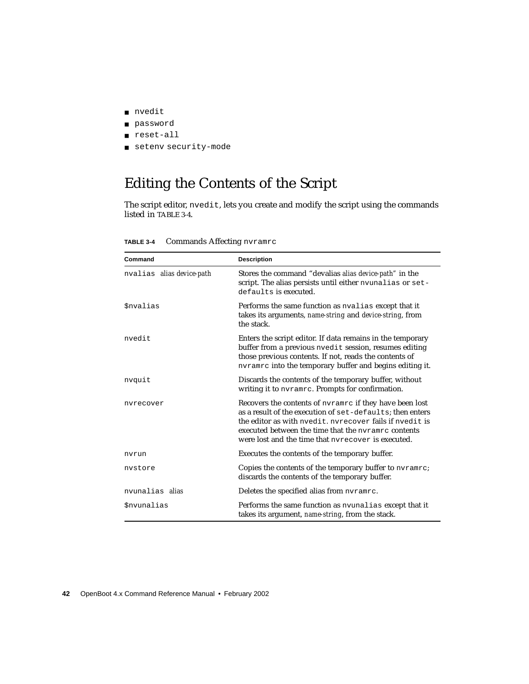- nvedit
- password
- reset-all
- setenv security-mode

### Editing the Contents of the Script

The script editor, nvedit, lets you create and modify the script using the commands listed in TABLE 3-4.

| Command                   | <b>Description</b>                                                                                                                                                                                                                                                                           |
|---------------------------|----------------------------------------------------------------------------------------------------------------------------------------------------------------------------------------------------------------------------------------------------------------------------------------------|
| nvalias alias device-path | Stores the command "devalias alias device-path" in the<br>script. The alias persists until either nvunalias or set-<br>defaults is executed.                                                                                                                                                 |
| <i><b>\$nvalias</b></i>   | Performs the same function as nyalias except that it<br>takes its arguments, name-string and device-string, from<br>the stack.                                                                                                                                                               |
| nvedit                    | Enters the script editor. If data remains in the temporary<br>buffer from a previous nvedit session, resumes editing<br>those previous contents. If not, reads the contents of<br>nvramrc into the temporary buffer and begins editing it.                                                   |
| nvquit                    | Discards the contents of the temporary buffer, without<br>writing it to nvramrc. Prompts for confirmation.                                                                                                                                                                                   |
| nvrecover                 | Recovers the contents of nvramrc if they have been lost<br>as a result of the execution of set-defaults; then enters<br>the editor as with nyedit, nyrecover fails if nyedit is<br>executed between the time that the nyramrc contents<br>were lost and the time that nyrecover is executed. |
| nvrun                     | Executes the contents of the temporary buffer.                                                                                                                                                                                                                                               |
| nvstore                   | Copies the contents of the temporary buffer to nvramrc;<br>discards the contents of the temporary buffer.                                                                                                                                                                                    |
| nvunalias alias           | Deletes the specified alias from nyramrc.                                                                                                                                                                                                                                                    |
| <i><b>\$nvunalias</b></i> | Performs the same function as nyunalias except that it<br>takes its argument, name-string, from the stack.                                                                                                                                                                                   |

#### **TABLE 3-4** Commands Affecting nvramrc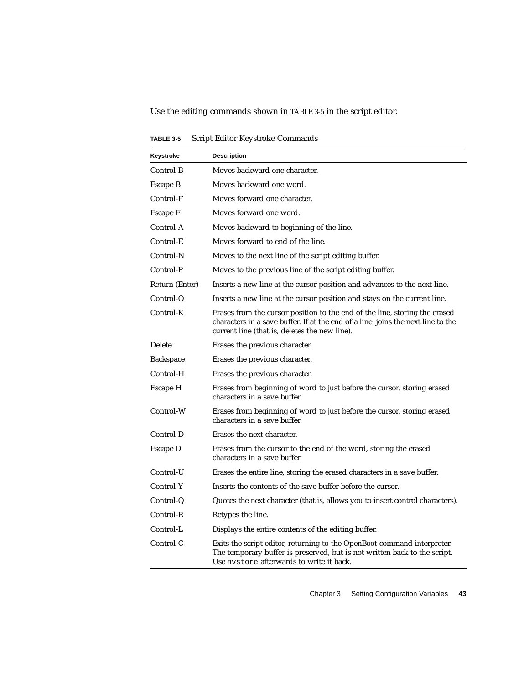Use the editing commands shown in TABLE 3-5 in the script editor.

| Keystroke        | <b>Description</b>                                                                                                                                                                                              |
|------------------|-----------------------------------------------------------------------------------------------------------------------------------------------------------------------------------------------------------------|
| Control-B        | Moves backward one character.                                                                                                                                                                                   |
| Escape B         | Moves backward one word.                                                                                                                                                                                        |
| Control-F        | Moves forward one character.                                                                                                                                                                                    |
| Escape F         | Moves forward one word.                                                                                                                                                                                         |
| Control-A        | Moves backward to beginning of the line.                                                                                                                                                                        |
| Control-E        | Moves forward to end of the line.                                                                                                                                                                               |
| Control-N        | Moves to the next line of the script editing buffer.                                                                                                                                                            |
| Control-P        | Moves to the previous line of the script editing buffer.                                                                                                                                                        |
| Return (Enter)   | Inserts a new line at the cursor position and advances to the next line.                                                                                                                                        |
| Control-O        | Inserts a new line at the cursor position and stays on the current line.                                                                                                                                        |
| Control-K        | Erases from the cursor position to the end of the line, storing the erased<br>characters in a save buffer. If at the end of a line, joins the next line to the<br>current line (that is, deletes the new line). |
| Delete           | Erases the previous character.                                                                                                                                                                                  |
| <b>Backspace</b> | Erases the previous character.                                                                                                                                                                                  |
| Control-H        | Erases the previous character.                                                                                                                                                                                  |
| Escape H         | Erases from beginning of word to just before the cursor, storing erased<br>characters in a save buffer.                                                                                                         |
| Control-W        | Erases from beginning of word to just before the cursor, storing erased<br>characters in a save buffer.                                                                                                         |
| Control-D        | Erases the next character.                                                                                                                                                                                      |
| Escape D         | Erases from the cursor to the end of the word, storing the erased<br>characters in a save buffer.                                                                                                               |
| Control-U        | Erases the entire line, storing the erased characters in a save buffer.                                                                                                                                         |
| Control-Y        | Inserts the contents of the save buffer before the cursor.                                                                                                                                                      |
| Control-Q        | Quotes the next character (that is, allows you to insert control characters).                                                                                                                                   |
| Control-R        | Retypes the line.                                                                                                                                                                                               |
| Control-L        | Displays the entire contents of the editing buffer.                                                                                                                                                             |
| Control-C        | Exits the script editor, returning to the OpenBoot command interpreter.<br>The temporary buffer is preserved, but is not written back to the script.<br>Use nystore afterwards to write it back.                |

**TABLE 3-5** Script Editor Keystroke Commands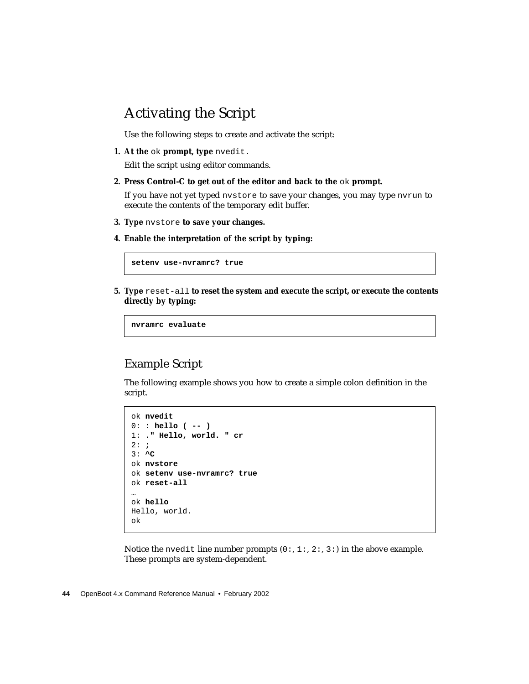#### Activating the Script

Use the following steps to create and activate the script:

**1. At the** ok **prompt, type** nvedit.

Edit the script using editor commands.

**2. Press Control-C to get out of the editor and back to the** ok **prompt.**

If you have not yet typed nvstore to save your changes, you may type nvrun to execute the contents of the temporary edit buffer.

- **3. Type** nvstore **to save your changes.**
- **4. Enable the interpretation of the script by typing:**

**setenv use-nvramrc? true**

**5. Type** reset-all **to reset the system and execute the script, or execute the contents directly by typing:**

**nvramrc evaluate**

#### Example Script

The following example shows you how to create a simple colon definition in the script.

```
ok nvedit
0: : hello ( -- )
1: ." Hello, world. " cr
2: ;
3: ^C
ok nvstore
ok setenv use-nvramrc? true
ok reset-all
…
ok hello
Hello, world.
ok
```
Notice the nvedit line number prompts  $(0:$ , 1:, 2:, 3:) in the above example. These prompts are system-dependent.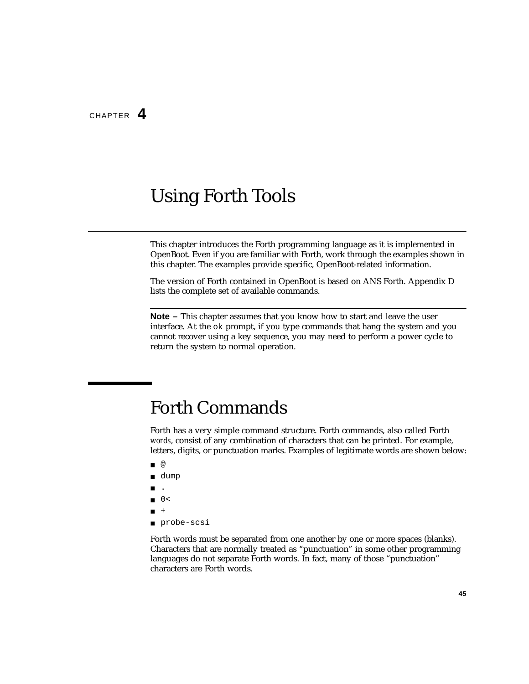### Using Forth Tools

This chapter introduces the Forth programming language as it is implemented in OpenBoot. Even if you are familiar with Forth, work through the examples shown in this chapter. The examples provide specific, OpenBoot-related information.

The version of Forth contained in OpenBoot is based on ANS Forth. Appendix D lists the complete set of available commands.

**Note –** This chapter assumes that you know how to start and leave the user interface. At the ok prompt, if you type commands that hang the system and you cannot recover using a key sequence, you may need to perform a power cycle to return the system to normal operation.

### Forth Commands

Forth has a very simple command structure. Forth commands, also called Forth *words*, consist of any combination of characters that can be printed. For example, letters, digits, or punctuation marks. Examples of legitimate words are shown below:

- $@$
- dump
- .
- $0<$
- $\pm$
- probe-scsi

Forth words must be separated from one another by one or more spaces (blanks). Characters that are normally treated as "punctuation" in some other programming languages do not separate Forth words. In fact, many of those "punctuation" characters are Forth words.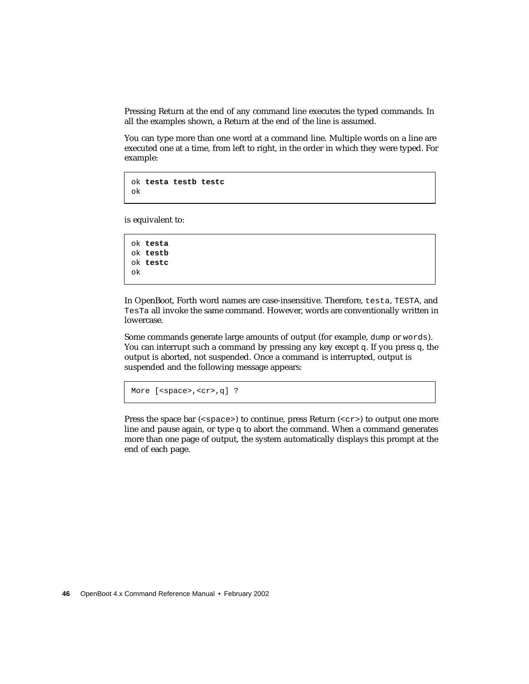Pressing Return at the end of any command line executes the typed commands. In all the examples shown, a Return at the end of the line is assumed.

You can type more than one word at a command line. Multiple words on a line are executed one at a time, from left to right, in the order in which they were typed. For example:

```
ok testa testb testc
ok
```
is equivalent to:

ok **testa** ok **testb** ok **testc** ok

In OpenBoot, Forth word names are case-insensitive. Therefore, testa, TESTA, and TesTa all invoke the same command. However, words are conventionally written in lowercase.

Some commands generate large amounts of output (for example, dump or words). You can interrupt such a command by pressing any key except  $\sigma$ . If you press  $\sigma$ , the output is aborted, not suspended. Once a command is interrupted, output is suspended and the following message appears:

```
More [<space>,<cr>,q] ?
```
Press the space bar ( $\langle$ space $\rangle$ ) to continue, press Return ( $\langle$ cr $\rangle$ ) to output one more line and pause again, or type q to abort the command. When a command generates more than one page of output, the system automatically displays this prompt at the end of each page.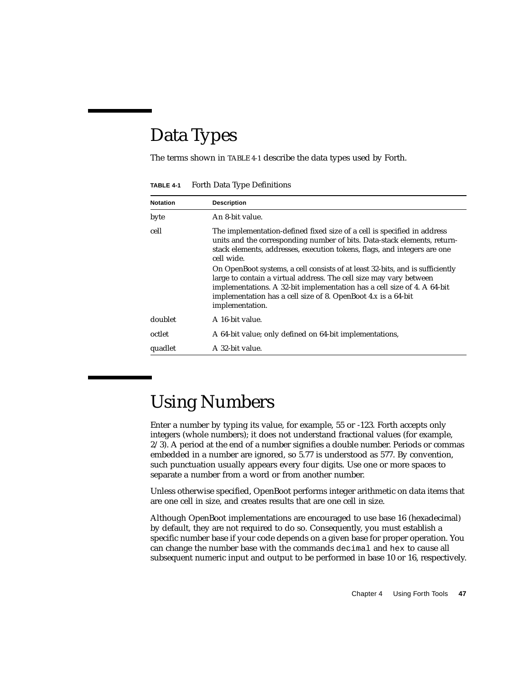# Data Types

The terms shown in TABLE 4-1 describe the data types used by Forth.

| TABLE 4-1 | Forth Data Type Definitions |  |
|-----------|-----------------------------|--|
|           |                             |  |

| <b>Notation</b> | <b>Description</b>                                                                                                                                                                                                                                                                                                 |
|-----------------|--------------------------------------------------------------------------------------------------------------------------------------------------------------------------------------------------------------------------------------------------------------------------------------------------------------------|
| byte            | An 8-bit value.                                                                                                                                                                                                                                                                                                    |
| cell            | The implementation-defined fixed size of a cell is specified in address<br>units and the corresponding number of bits. Data-stack elements, return-<br>stack elements, addresses, execution tokens, flags, and integers are one<br>cell wide.                                                                      |
|                 | On OpenBoot systems, a cell consists of at least 32-bits, and is sufficiently<br>large to contain a virtual address. The cell size may vary between<br>implementations. A 32-bit implementation has a cell size of 4. A 64-bit<br>implementation has a cell size of 8. OpenBoot 4.x is a 64-bit<br>implementation. |
| doublet         | A 16-bit value.                                                                                                                                                                                                                                                                                                    |
| octlet          | A 64-bit value; only defined on 64-bit implementations,                                                                                                                                                                                                                                                            |
| quadlet         | A 32-bit value.                                                                                                                                                                                                                                                                                                    |

## Using Numbers

Enter a number by typing its value, for example, 55 or -123. Forth accepts only integers (whole numbers); it does not understand fractional values (for example, 2/3). A period at the end of a number signifies a double number. Periods or commas embedded in a number are ignored, so 5.77 is understood as 577. By convention, such punctuation usually appears every four digits. Use one or more spaces to separate a number from a word or from another number.

Unless otherwise specified, OpenBoot performs integer arithmetic on data items that are one cell in size, and creates results that are one cell in size.

Although OpenBoot implementations are encouraged to use base 16 (hexadecimal) by default, they are not required to do so. Consequently, you must establish a specific number base if your code depends on a given base for proper operation. You can change the number base with the commands decimal and hex to cause all subsequent numeric input and output to be performed in base 10 or 16, respectively.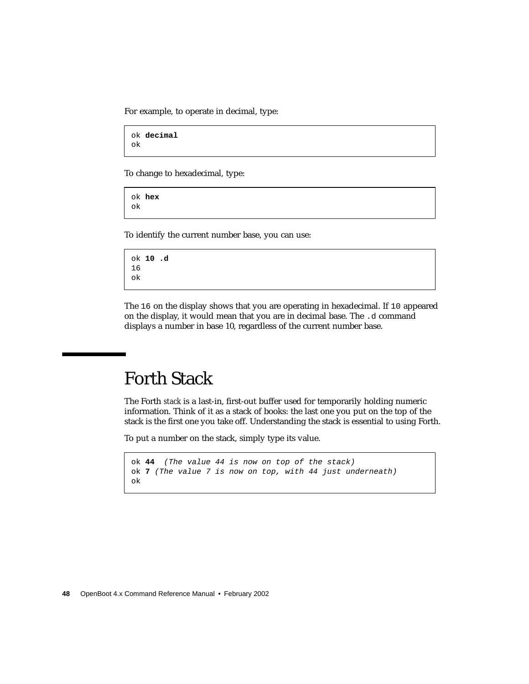For example, to operate in decimal, type:

```
ok decimal
ok
```
To change to hexadecimal, type:

ok **hex** ok

To identify the current number base, you can use:

```
ok 10 .d
16
ok
```
The 16 on the display shows that you are operating in hexadecimal. If 10 appeared on the display, it would mean that you are in decimal base. The .d command displays a number in base 10, regardless of the current number base.

### Forth Stack

The Forth *stack* is a last-in, first-out buffer used for temporarily holding numeric information. Think of it as a stack of books: the last one you put on the top of the stack is the first one you take off. Understanding the stack is essential to using Forth.

To put a number on the stack, simply type its value.

```
ok 44 (The value 44 is now on top of the stack)
ok 7 (The value 7 is now on top, with 44 just underneath)
ok
```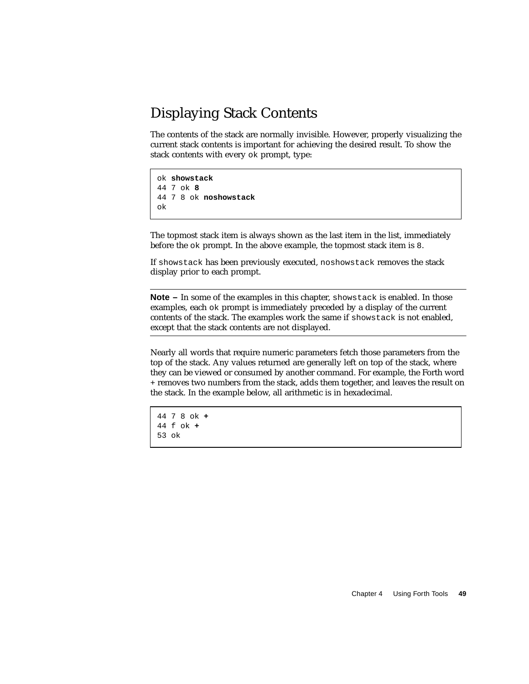### Displaying Stack Contents

The contents of the stack are normally invisible. However, properly visualizing the current stack contents is important for achieving the desired result. To show the stack contents with every ok prompt, type:

ok **showstack** 44 7 ok **8** 44 7 8 ok **noshowstack** ok

The topmost stack item is always shown as the last item in the list, immediately before the ok prompt. In the above example, the topmost stack item is 8.

If showstack has been previously executed, noshowstack removes the stack display prior to each prompt.

**Note –** In some of the examples in this chapter, showstack is enabled. In those examples, each ok prompt is immediately preceded by a display of the current contents of the stack. The examples work the same if showstack is not enabled, except that the stack contents are not displayed.

Nearly all words that require numeric parameters fetch those parameters from the top of the stack. Any values returned are generally left on top of the stack, where they can be viewed or consumed by another command. For example, the Forth word + removes two numbers from the stack, adds them together, and leaves the result on the stack. In the example below, all arithmetic is in hexadecimal.

```
44 7 8 ok +
44 f ok +
53 ok
```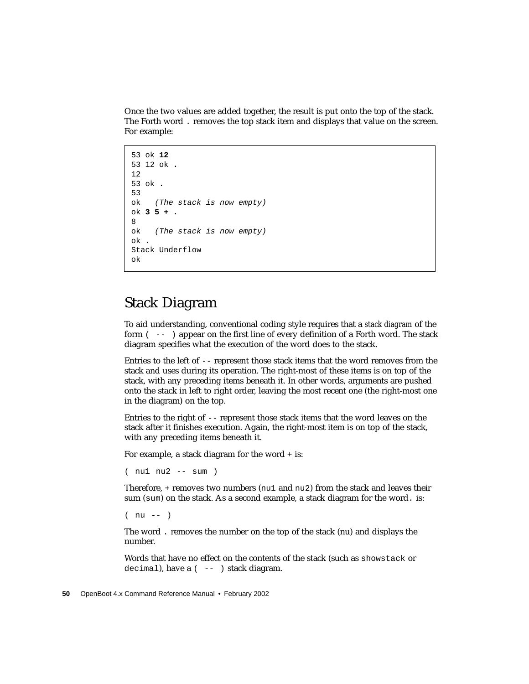Once the two values are added together, the result is put onto the top of the stack. The Forth word . removes the top stack item and displays that value on the screen. For example:

```
53 ok 12
53 12 ok .
12
53 ok .
53
ok (The stack is now empty)
ok 3 5 + .
8
ok (The stack is now empty)
ok .
Stack Underflow
ok
```
### Stack Diagram

To aid understanding, conventional coding style requires that a *stack diagram* of the form  $(- - )$  appear on the first line of every definition of a Forth word. The stack diagram specifies what the execution of the word does to the stack.

Entries to the left of -- represent those stack items that the word removes from the stack and uses during its operation. The right-most of these items is on top of the stack, with any preceding items beneath it. In other words, arguments are pushed onto the stack in left to right order, leaving the most recent one (the right-most one in the diagram) on the top.

Entries to the right of -- represent those stack items that the word leaves on the stack after it finishes execution. Again, the right-most item is on top of the stack, with any preceding items beneath it.

For example, a stack diagram for the word  $+$  is:

```
( nu1 nu2 -- sum )
```
Therefore, + removes two numbers (nu1 and nu2) from the stack and leaves their sum (sum) on the stack. As a second example, a stack diagram for the word. is:

 $(nu - - )$ 

The word . removes the number on the top of the stack (nu) and displays the number.

Words that have no effect on the contents of the stack (such as showstack or decimal), have  $a$  ( -- ) stack diagram.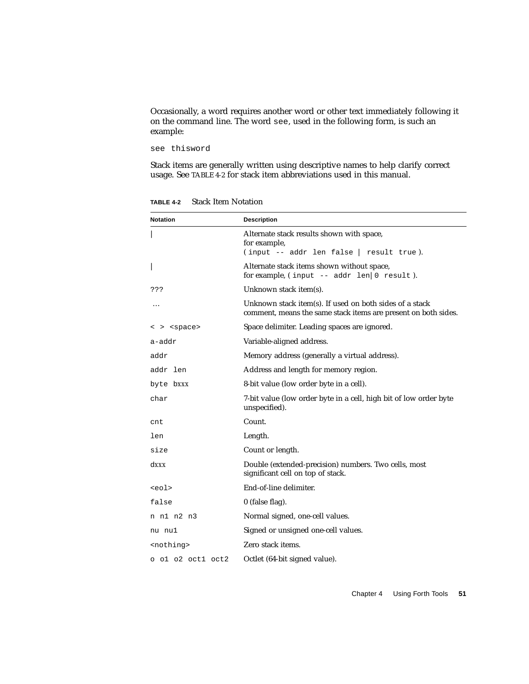Occasionally, a word requires another word or other text immediately following it on the command line. The word see, used in the following form, is such an example:

see thisword

Stack items are generally written using descriptive names to help clarify correct usage. See TABLE 4-2 for stack item abbreviations used in this manual.

| <b>Notation</b>     | <b>Description</b>                                                                                                        |  |
|---------------------|---------------------------------------------------------------------------------------------------------------------------|--|
|                     | Alternate stack results shown with space,<br>for example,<br>(input -- addr len false   result true).                     |  |
|                     | Alternate stack items shown without space,<br>for example, (input $--$ addr len   0 result).                              |  |
| ???                 | Unknown stack item(s).                                                                                                    |  |
| .                   | Unknown stack item(s). If used on both sides of a stack<br>comment, means the same stack items are present on both sides. |  |
| < > <space></space> | Space delimiter. Leading spaces are ignored.                                                                              |  |
| a-addr              | Variable-aligned address.                                                                                                 |  |
| addr                | Memory address (generally a virtual address).                                                                             |  |
| addr len            | Address and length for memory region.                                                                                     |  |
| byte bxxx           | 8-bit value (low order byte in a cell).                                                                                   |  |
| char                | 7-bit value (low order byte in a cell, high bit of low order byte<br>unspecified).                                        |  |
| cnt                 | Count.                                                                                                                    |  |
| len                 | Length.                                                                                                                   |  |
| size                | Count or length.                                                                                                          |  |
| $d$ <i>xxx</i>      | Double (extended-precision) numbers. Two cells, most<br>significant cell on top of stack.                                 |  |
| <eol></eol>         | End-of-line delimiter.                                                                                                    |  |
| false               | $0$ (false flag).                                                                                                         |  |
| n n1 n2 n3          | Normal signed, one-cell values.                                                                                           |  |
| nu nul              | Signed or unsigned one-cell values.                                                                                       |  |
| <nothing></nothing> | Zero stack items.                                                                                                         |  |
| o ol o2 octl oct2   | Octlet (64-bit signed value).                                                                                             |  |

**TABLE 4-2** Stack Item Notation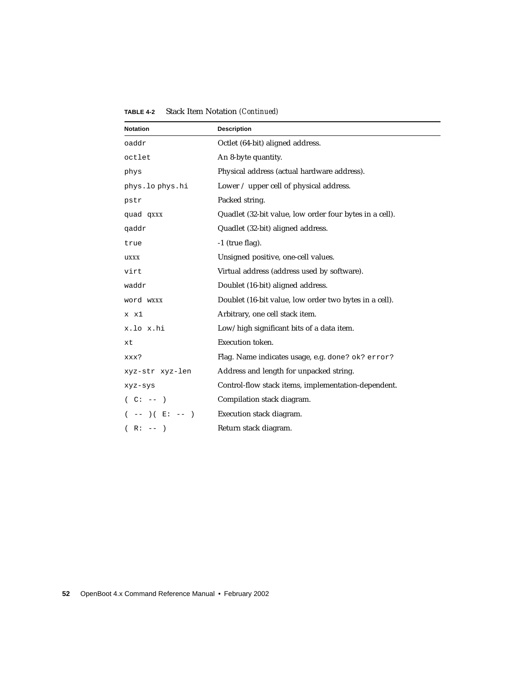| <b>Stack Item Notation (Continued)</b> |
|----------------------------------------|
|                                        |

| <b>Notation</b>     | <b>Description</b>                                      |  |  |
|---------------------|---------------------------------------------------------|--|--|
| oaddr               | Octlet (64-bit) aligned address.                        |  |  |
| octlet              | An 8-byte quantity.                                     |  |  |
| phys                | Physical address (actual hardware address).             |  |  |
| phys.lophys.hi      | Lower / upper cell of physical address.                 |  |  |
| pstr                | Packed string.                                          |  |  |
| quad qxxx           | Quadlet (32-bit value, low order four bytes in a cell). |  |  |
| qaddr               | Quadlet (32-bit) aligned address.                       |  |  |
| true                | -1 (true flag).                                         |  |  |
| uxxx                | Unsigned positive, one-cell values.                     |  |  |
| virt                | Virtual address (address used by software).             |  |  |
| waddr               | Doublet (16-bit) aligned address.                       |  |  |
| word wXXX           | Doublet (16-bit value, low order two bytes in a cell).  |  |  |
| x x1                | Arbitrary, one cell stack item.                         |  |  |
| x.lo x.hi           | Low/high significant bits of a data item.               |  |  |
| xt                  | Execution token.                                        |  |  |
| xxx?                | Flag. Name indicates usage, e.g. done? ok? error?       |  |  |
| xyz-str xyz-len     | Address and length for unpacked string.                 |  |  |
| xyz-sys             | Control-flow stack items, implementation-dependent.     |  |  |
| $(C: --)$           | Compilation stack diagram.                              |  |  |
| $(- - ) ( E: - - )$ | Execution stack diagram.                                |  |  |
| $(R: -- )$          | Return stack diagram.                                   |  |  |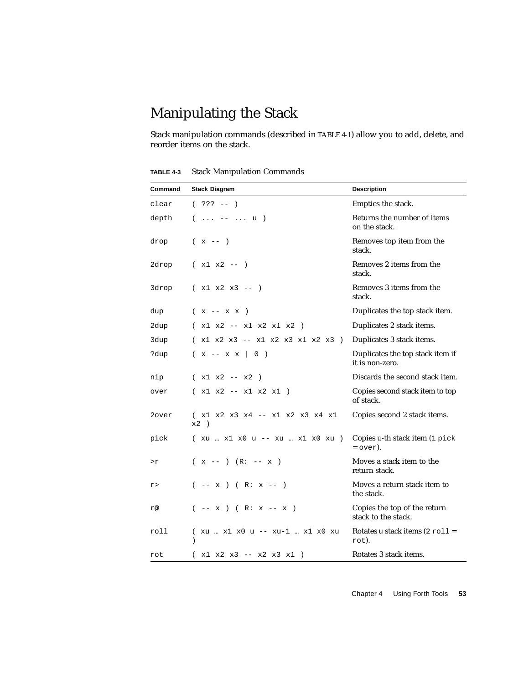### Manipulating the Stack

Stack manipulation commands (described in TABLE 4-1) allow you to add, delete, and reorder items on the stack.

| Command | <b>Stack Diagram</b>                             | <b>Description</b>                                  |
|---------|--------------------------------------------------|-----------------------------------------------------|
| clear   | $( ??? -- )$                                     | Empties the stack.                                  |
| depth   | $(  - -  u )$                                    | Returns the number of items<br>on the stack.        |
| drop    | $(x - -)$                                        | Removes top item from the<br>stack.                 |
| 2drop   | $(x1 x2 - - )$                                   | Removes 2 items from the<br>stack.                  |
| 3drop   | $(x1 x2 x3 -- )$                                 | Removes 3 items from the<br>stack.                  |
| dup     | $(x - x x)$                                      | Duplicates the top stack item.                      |
| 2dup    | $(x1 x2 - x1 x2 x1 x2)$                          | Duplicates 2 stack items.                           |
| 3dup    | $(x1 x2 x3 - x1 x2 x3 x1 x2 x3$<br>$\rightarrow$ | Duplicates 3 stack items.                           |
| ?dup    | $(x - x x   0)$                                  | Duplicates the top stack item if<br>it is non-zero. |
| nip     | $(x1 x2 - x2)$                                   | Discards the second stack item.                     |
| over    | $(x1 x2 - x1 x2 x1)$                             | Copies second stack item to top<br>of stack.        |
| 2over   | $(x1 x2 x3 x4 - x1 x2 x3 x4 x1$<br>$x2$ )        | Copies second 2 stack items.                        |
| pick    | (xu  x1 x0 u -- xu  x1 x0 xu )                   | Copies u-th stack item (1 pick<br>$= over).$        |
| >r      | $(x - - )$ $(R: - - x)$                          | Moves a stack item to the<br>return stack.          |
| r>      | $(- - x) ( R: x - )$                             | Moves a return stack item to<br>the stack.          |
| r@      | $(- - x)$ $(R: x - - x)$                         | Copies the top of the return<br>stack to the stack. |
| roll    | xu  x1 x0 u -- xu-1  x1 x0 xu<br>$\left($        | Rotates u stack items $(2 \text{ roll} =$<br>rot).  |
| rot     | (x1 x2 x3 -- x2 x3 x1 )                          | Rotates 3 stack items.                              |

**TABLE 4-3** Stack Manipulation Commands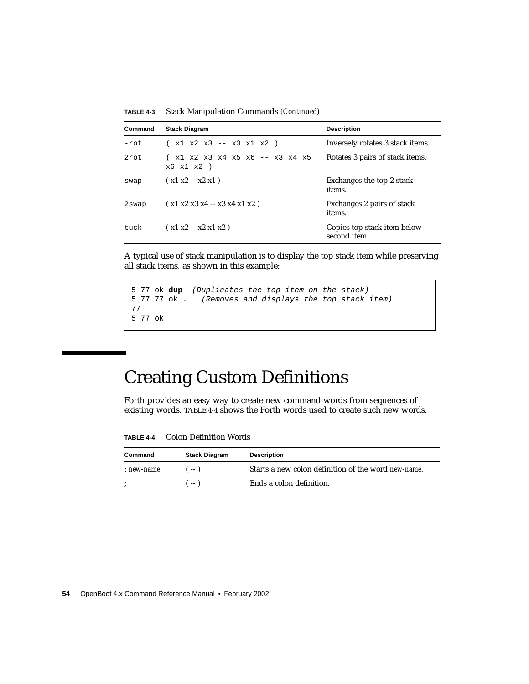**TABLE 4-3** Stack Manipulation Commands *(Continued)*

| Command        | <b>Stack Diagram</b>                          | <b>Description</b>                          |
|----------------|-----------------------------------------------|---------------------------------------------|
| $-rot$         | $(x1 x2 x3 -- x3 x1 x2)$                      | Inversely rotates 3 stack items.            |
| $2 \text{rot}$ | $(x1 x2 x3 x4 x5 x6 - x3 x4 x5$<br>x6 x1 x2 ) | Rotates 3 pairs of stack items.             |
| swap           | $(x1 x2 - x2 x1)$                             | Exchanges the top 2 stack<br>items.         |
| 2swap          | $(x1 x2 x3 x4 - x3 x4 x1 x2)$                 | Exchanges 2 pairs of stack<br>items.        |
| tuck           | $(x1 x2 - x2 x1 x2)$                          | Copies top stack item below<br>second item. |

A typical use of stack manipulation is to display the top stack item while preserving all stack items, as shown in this example:

```
5 77 ok dup (Duplicates the top item on the stack)
5 77 77 ok . (Removes and displays the top stack item)
77
5 77 ok
```
### Creating Custom Definitions

Forth provides an easy way to create new command words from sequences of existing words. TABLE 4-4 shows the Forth words used to create such new words.

**TABLE 4-4** Colon Definition Words

| Command      | <b>Stack Diagram</b> | <b>Description</b>                                  |
|--------------|----------------------|-----------------------------------------------------|
| $: new-name$ | $-1$                 | Starts a new colon definition of the word new-name. |
|              | ั⊸- โ                | Ends a colon definition.                            |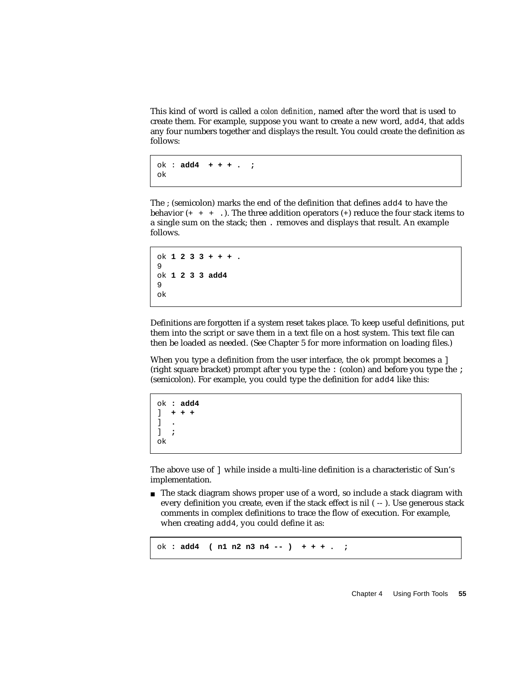This kind of word is called a *colon definition*, named after the word that is used to create them. For example, suppose you want to create a new word, add4, that adds any four numbers together and displays the result. You could create the definition as follows:

```
ok : add4 + + + . ;
ok
```
The ; (semicolon) marks the end of the definition that defines add4 to have the behavior  $(+ + + \cdot)$ . The three addition operators  $(+)$  reduce the four stack items to a single sum on the stack; then . removes and displays that result. An example follows.

```
ok 1 2 3 3 + + + .
9
ok 1 2 3 3 add4
9
ok
```
Definitions are forgotten if a system reset takes place. To keep useful definitions, put them into the script or save them in a text file on a host system. This text file can then be loaded as needed. (See Chapter 5 for more information on loading files.)

When you type a definition from the user interface, the  $\circ$ k prompt becomes a ] (right square bracket) prompt after you type the : (colon) and before you type the ; (semicolon). For example, you could type the definition for add4 like this:

```
ok : add4
] + + +
] .
] ;
ok
```
The above use of ] while inside a multi-line definition is a characteristic of Sun's implementation.

■ The stack diagram shows proper use of a word, so include a stack diagram with every definition you create, even if the stack effect is nil ( -- ). Use generous stack comments in complex definitions to trace the flow of execution. For example, when creating add4, you could define it as:

ok **: add4 ( n1 n2 n3 n4 -- ) + + + . ;**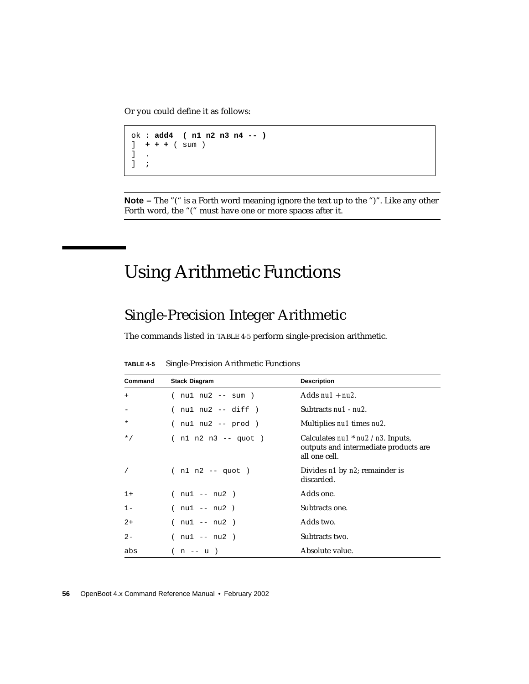Or you could define it as follows:

```
ok : add4 ( n1 n2 n3 n4 -- )
] + + + ( sum )
] .
] ;
```
**Note –** The "(" is a Forth word meaning ignore the text up to the ")". Like any other Forth word, the "(" must have one or more spaces after it.

### Using Arithmetic Functions

#### Single-Precision Integer Arithmetic

The commands listed in TABLE 4-5 perform single-precision arithmetic.

| Command | <b>Stack Diagram</b> | <b>Description</b>                                                                               |
|---------|----------------------|--------------------------------------------------------------------------------------------------|
| $+$     | $(nu1 nu2 - sum)$    | Adds $nu1 + nu2$ .                                                                               |
|         | $(nu1 nu2 - - diff)$ | Subtracts nu1 - nu2.                                                                             |
| $\star$ | $(nu1 nu2 -- prod)$  | Multiplies nul times nu2.                                                                        |
| $*$ /   | $(n1 n2 n3 -- quot)$ | Calculates $nu1 * nu2 / n3$ . Inputs,<br>outputs and intermediate products are.<br>all one cell. |
|         | $(n1 n2 - quot)$     | Divides n1 by n2; remainder is<br>discarded.                                                     |
| $1+$    | $(nu1 - nu2)$        | Adds one.                                                                                        |
| $1 -$   | $(nu1 - nu2)$        | Subtracts one.                                                                                   |
| $2+$    | $(nu1 - nu2)$        | Adds two.                                                                                        |
| $2 -$   | $(nu1 - nu2)$        | Subtracts two.                                                                                   |
| abs     | $(n - u)$            | Absolute value.                                                                                  |

**TABLE 4-5** Single-Precision Arithmetic Functions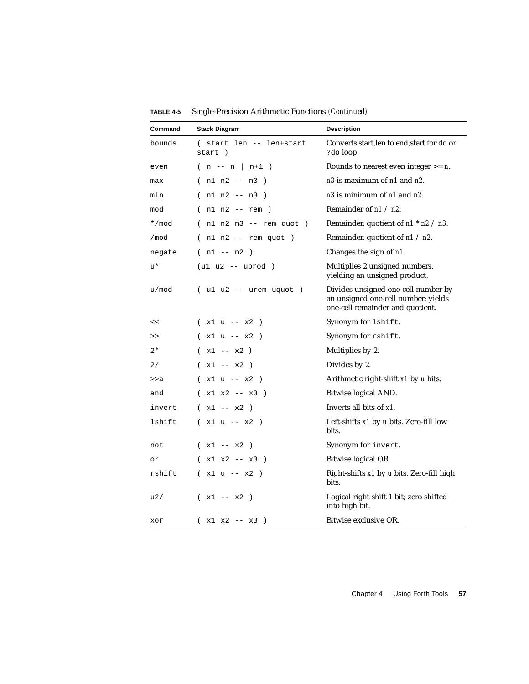| Command | <b>Stack Diagram</b>                           | <b>Description</b>                                                                                             |
|---------|------------------------------------------------|----------------------------------------------------------------------------------------------------------------|
| bounds  | (start len -- len+start<br>start)              | Converts start, len to end, start for do or<br>?do loop.                                                       |
| even    | $(n - n   n+1)$                                | Rounds to nearest even integer $>= n$ .                                                                        |
| max     | $(n1 n2 - n3)$                                 | <i>n3</i> is maximum of <i>n1</i> and <i>n2</i> .                                                              |
| min     | $nl$ $n2$ -- $n3$<br>$\left($<br>$\rightarrow$ | <i>n3</i> is minimum of <i>n1</i> and <i>n2</i> .                                                              |
| mod     | $(n1 n2 - rem)$                                | Remainder of $n1/n2$ .                                                                                         |
| $*/mod$ | $n1$ $n2$ $n3$ $-$ rem quot )<br>$\left($      | Remainder, quotient of $n1 * n2 / n3$ .                                                                        |
| /mod    | $n1 n2 -- rem quot)$<br>$\left($               | Remainder, quotient of $n1 / n2$ .                                                                             |
| negate  | $(n1 - n2)$                                    | Changes the sign of n1.                                                                                        |
| u*      | (u1 u2 -- uprod )                              | Multiplies 2 unsigned numbers,<br>yielding an unsigned product.                                                |
| u/mod   | $( u1 u2 -- urem uquot )$                      | Divides unsigned one-cell number by<br>an unsigned one-cell number; yields<br>one-cell remainder and quotient. |
| <<      | x1 u -- x2 )<br>$\left($                       | Synonym for lshift.                                                                                            |
| >>      | $(x1 u - x2)$<br>$\rightarrow$                 | Synonym for rshift.                                                                                            |
| $2*$    | $(x1 - x2)$                                    | Multiplies by 2.                                                                                               |
| 2/      | $x1 - x2$<br>$\left($                          | Divides by 2.                                                                                                  |
| >>a     | $x1 u -- x2)$<br>$\left($                      | Arithmetic right-shift x1 by u bits.                                                                           |
| and     | $x1 x2 -- x3$<br>$\left($                      | Bitwise logical AND.                                                                                           |
| invert  | $x1 - - x2$<br>$\left($                        | Inverts all bits of x1.                                                                                        |
| lshift  | x1 u -- x2 )<br>$\left($                       | Left-shifts $x1$ by u bits. Zero-fill low<br>bits.                                                             |
| not     | x1 -- x2 )<br>$\left($                         | Synonym for invert.                                                                                            |
| or      | $(x1 x2 - x3)$                                 | Bitwise logical OR.                                                                                            |
| rshift  | $x1 u -- x2)$<br>$\left($                      | Right-shifts x1 by u bits. Zero-fill high<br>bits.                                                             |
| u2/     | $(x1 - x2)$                                    | Logical right shift 1 bit; zero shifted<br>into high bit.                                                      |
| xor     | (x1 x2 -- x3 )                                 | Bitwise exclusive OR.                                                                                          |

**TABLE 4-5** Single-Precision Arithmetic Functions *(Continued)*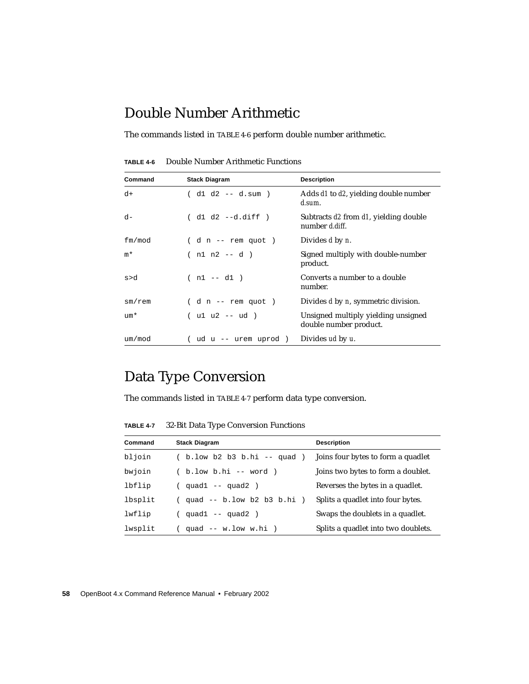#### Double Number Arithmetic

The commands listed in TABLE 4-6 perform double number arithmetic.

| Command      | <b>Stack Diagram</b>      | <b>Description</b>                                            |
|--------------|---------------------------|---------------------------------------------------------------|
| d+           | ( d1 d2 -- d.sum )        | Adds d1 to d2, yielding double number<br>d.sum.               |
| $d -$        | $($ d1 d2 $--d.diff$ )    | Subtracts d2 from d1, yielding double<br>number d.diff.       |
| fm/mol       | $($ d n $--$ rem quot $)$ | Divides <i>d</i> by <i>n</i> .                                |
| $m^*$        | $(n1 n2 - d)$             | Signed multiply with double-number<br>product.                |
| s>d          | $(n1 - d1)$               | Converts a number to a double<br>number.                      |
| $sm$ / $rem$ | $($ d n $--$ rem quot $)$ | Divides d by n, symmetric division.                           |
| um*          | $( u1 u2 -- ud )$         | Unsigned multiply yielding unsigned<br>double number product. |
| um/mod       | ( ud u -- urem uprod )    | Divides <i>ud</i> by <i>u</i> .                               |

**TABLE 4-6** Double Number Arithmetic Functions

#### Data Type Conversion

The commands listed in TABLE 4-7 perform data type conversion.

**TABLE 4-7** 32-Bit Data Type Conversion Functions

| Command | <b>Stack Diagram</b>          | <b>Description</b>                  |
|---------|-------------------------------|-------------------------------------|
| bljoin  | $(b. low b2 b3 b.hi -- quad)$ | Joins four bytes to form a quadlet  |
| bwioin  | $(h.low b.hi -- word)$        | Joins two bytes to form a doublet.  |
| lbflip  | quad1 -- quad2)               | Reverses the bytes in a quadlet.    |
| lbsplit | (quad -- b.low b2 b3 b.hi)    | Splits a quadlet into four bytes.   |
| lwflip  | quad $1$ -- quad $2$ )        | Swaps the doublets in a quadlet.    |
| lwsplit | quad $--$ w.low w.hi $)$      | Splits a quadlet into two doublets. |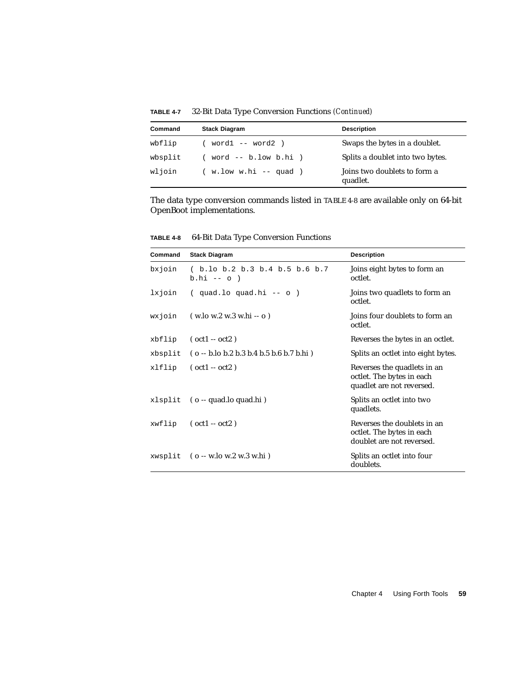| Command | <b>Stack Diagram</b>    | <b>Description</b>                       |
|---------|-------------------------|------------------------------------------|
| wbflip  | $word1 -- word2)$       | Swaps the bytes in a doublet.            |
| wbsplit | word $-$ b.low b.hi $)$ | Splits a doublet into two bytes.         |
| wljoin  | $w.low w.hi -- quad)$   | Joins two doublets to form a<br>quadlet. |

**TABLE 4-7** 32-Bit Data Type Conversion Functions *(Continued)*

The data type conversion commands listed in TABLE 4-8 are available only on 64-bit OpenBoot implementations.

| Command | <b>Stack Diagram</b>                                                                  | <b>Description</b>                                                                    |
|---------|---------------------------------------------------------------------------------------|---------------------------------------------------------------------------------------|
| bxjoin  | (b.lo b.2 b.3 b.4 b.5 b.6 b.7<br>$b.hi$ -- $o$ )                                      | Joins eight bytes to form an<br>octlet.                                               |
| lxjoin  | $(quad.lo quad.hi -- o)$                                                              | Joins two quadlets to form an<br>octlet.                                              |
| wxjoin  | $(w \cdot 10 w \cdot 2 w \cdot 3 w \cdot 16 - 0)$                                     | Joins four doublets to form an<br>octlet.                                             |
| xbflip  | $(oct1 - oct2)$                                                                       | Reverses the bytes in an octlet.                                                      |
| xbsplit | $(o - b \cdot b \cdot 2 b \cdot 3 b \cdot 4 b \cdot 5 b \cdot 6 b \cdot 7 b \cdot h)$ | Splits an octlet into eight bytes.                                                    |
| xlflip  | $(oct1 - oct2)$                                                                       | Reverses the quadlets in an<br>octlet. The bytes in each<br>quadlet are not reversed. |
|         | $x \text{lsplit}$ (o -- quad.lo quad.hi)                                              | Splits an octlet into two<br>quadlets.                                                |
| xwflip  | $(oct1 - oct2)$                                                                       | Reverses the doublets in an<br>octlet. The bytes in each<br>doublet are not reversed. |
| xwsplit | $(o - w \cdot w \cdot 2 w \cdot 3 w \cdot h)$                                         | Splits an octlet into four<br>doublets.                                               |

**TABLE 4-8** 64-Bit Data Type Conversion Functions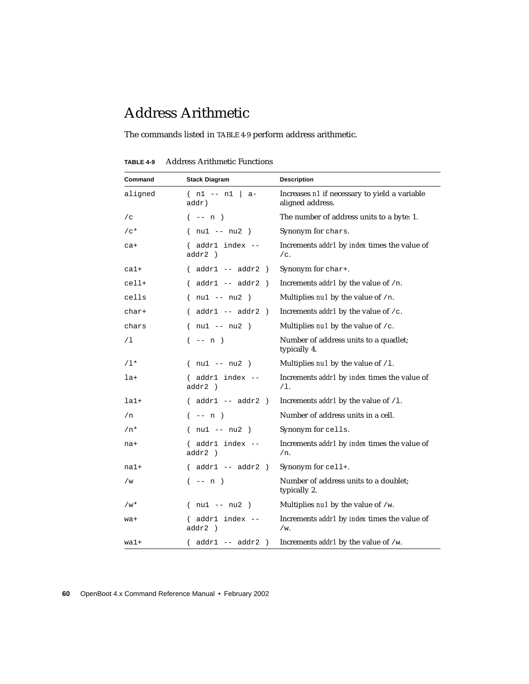#### Address Arithmetic

The commands listed in TABLE 4-9 perform address arithmetic.

| Command | <b>Stack Diagram</b>                      | <b>Description</b>                                                |
|---------|-------------------------------------------|-------------------------------------------------------------------|
| aligned | $(n1 - n1)$<br>$a-$<br>addr)              | Increases n1 if necessary to yield a variable<br>aligned address. |
| /c      | $(- - n)$                                 | The number of address units to a byte: 1.                         |
| $/c*$   | nu1 -- nu2 )                              | Synonym for chars.                                                |
| $ca+$   | addr1 index --<br>addr2)                  | Increments addr1 by index times the value of<br>$/c$ .            |
| cal+    | $( addr1 -- addr2 )$                      | Synonym for char+.                                                |
| cell+   | $($ addr $1$ -- addr $2$ $)$              | Increments <i>addr1</i> by the value of /n.                       |
| cells   | $(nu1 - nu2)$                             | Multiplies $nu1$ by the value of /n.                              |
| char+   | $addr1 -- addr2)$<br>$\left($             | Increments <i>addr1</i> by the value of $/c$ .                    |
| chars   | $(nu1 - nu2)$                             | Multiplies <i>nu1</i> by the value of $/c$ .                      |
| /1      | $(- - n)$                                 | Number of address units to a quadlet;<br>typically 4.             |
| /1*     | ( nu1 -- nu2<br>$\rightarrow$             | Multiplies $nu1$ by the value of $/1$ .                           |
| la+     | ( addr1 index --<br>addr2)                | Increments addr1 by index times the value of<br>/1.               |
| la1+    | $( addr1 -- addr2 )$                      | Increments <i>addr1</i> by the value of $/1$ .                    |
| /n      | $(- - n)$                                 | Number of address units in a cell.                                |
| $/n*$   | $nu1$ -- $nu2$ )<br>$\left($              | Synonym for cells.                                                |
| na+     | ( addr1 index --<br>addr2)                | Increments addr1 by index times the value of<br>/n.               |
| na1+    | $($ addr $1$ -- addr $2$ $)$              | Synonym for cell+.                                                |
| /w      | $(- - n)$                                 | Number of address units to a doublet;<br>typically 2.             |
| $/w^*$  | $(nu1 - nu2)$                             | Multiplies nul by the value of /w.                                |
| wa+     | addr1 index --<br>addr2)                  | Increments addr1 by index times the value of<br>/w.               |
| wa1+    | $($ addr $1$ -- addr $2$<br>$\rightarrow$ | Increments addr1 by the value of /w.                              |

**TABLE 4-9** Address Arithmetic Functions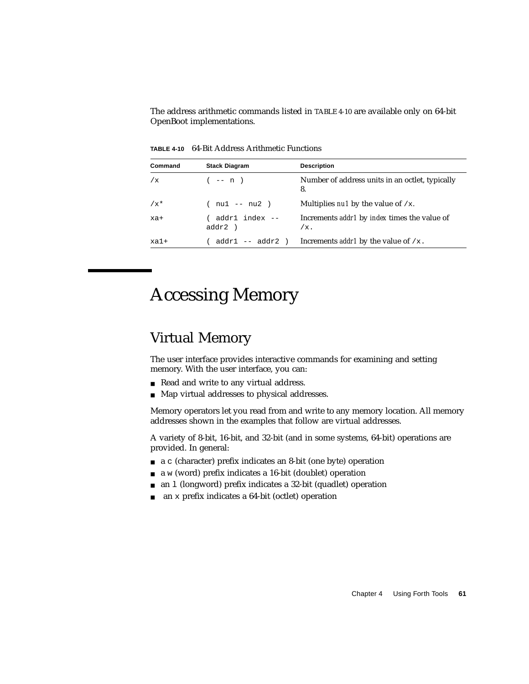The address arithmetic commands listed in TABLE 4-10 are available only on 64-bit OpenBoot implementations.

| Command | <b>Stack Diagram</b>     | <b>Description</b>                                     |
|---------|--------------------------|--------------------------------------------------------|
| /x      | $(--n)$                  | Number of address units in an octlet, typically<br>8.  |
| /x*     | ( nu1 -- nu2 )           | Multiplies nul by the value of $/x$ .                  |
| $xa+$   | addr1 index --<br>addr2) | Increments addr1 by index times the value of<br>$/x$ . |
| $xa1+$  | $-- addr2$ )<br>addr1    | Increments <i>addr1</i> by the value of $/x$ .         |

**TABLE 4-10** 64-Bit Address Arithmetic Functions

### Accessing Memory

#### Virtual Memory

The user interface provides interactive commands for examining and setting memory. With the user interface, you can:

- Read and write to any virtual address.
- Map virtual addresses to physical addresses.

Memory operators let you read from and write to any memory location. All memory addresses shown in the examples that follow are virtual addresses.

A variety of 8-bit, 16-bit, and 32-bit (and in some systems, 64-bit) operations are provided. In general:

- a c (character) prefix indicates an 8-bit (one byte) operation
- a w (word) prefix indicates a 16-bit (doublet) operation
- an 1 (longword) prefix indicates a 32-bit (quadlet) operation
- an x prefix indicates a 64-bit (octlet) operation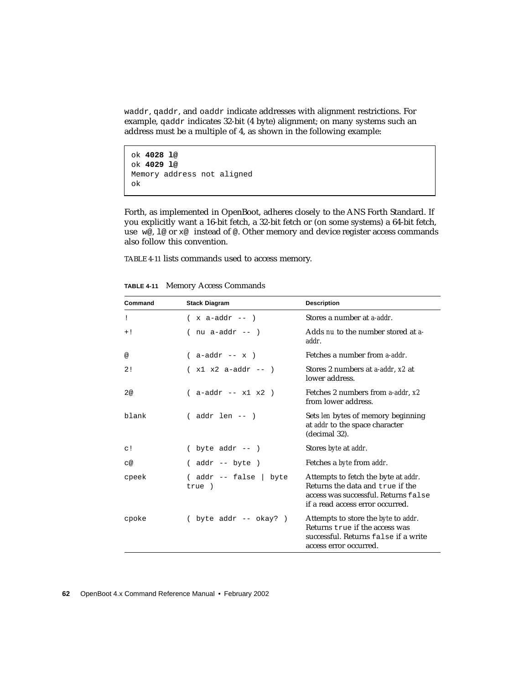waddr, qaddr, and oaddr indicate addresses with alignment restrictions. For example, qaddr indicates 32-bit (4 byte) alignment; on many systems such an address must be a multiple of 4, as shown in the following example:

ok **4028 l@** ok **4029 l@** Memory address not aligned ok

Forth, as implemented in OpenBoot, adheres closely to the ANS Forth Standard. If you explicitly want a 16-bit fetch, a 32-bit fetch or (on some systems) a 64-bit fetch, use  $w\omega$ ,  $l\omega$  or  $x\omega$  instead of  $\omega$ . Other memory and device register access commands also follow this convention.

TABLE 4-11 lists commands used to access memory.

| Command   | <b>Stack Diagram</b>               | <b>Description</b>                                                                                                                                          |
|-----------|------------------------------------|-------------------------------------------------------------------------------------------------------------------------------------------------------------|
| Ţ         | $(x \text{ a-addr } --)$           | Stores a number at a-addr.                                                                                                                                  |
| $+!$      | $(nu a-addr - )$                   | Adds nu to the number stored at a-<br>addr.                                                                                                                 |
| @         | $( a-addr - x )$                   | Fetches a number from a-addr.                                                                                                                               |
| 2!        | $(x1 x2 a-addr --)$                | Stores 2 numbers at <i>a-addr</i> , x2 at<br>lower address.                                                                                                 |
| 2@        | $( a-addr - x1 x2 )$               | Fetches 2 numbers from a-addr, x2<br>from lower address.                                                                                                    |
| blank     | $($ addr len -- $)$                | Sets len bytes of memory beginning<br>at addr to the space character<br>(decimal 32).                                                                       |
| $\circ$ ! | byte $addr$ -- $)$                 | Stores byte at addr.                                                                                                                                        |
| C@        | $addr$ -- byte $)$                 | Fetches a <i>byte</i> from <i>addr</i> .                                                                                                                    |
| cpeek     | ( addr -- false  <br>byte<br>true) | Attempts to fetch the byte at <i>addr</i> .<br>Returns the data and true if the<br>access was successful. Returns false<br>if a read access error occurred. |
| cpoke     | byte addr -- okay? )               | Attempts to store the <i>byte</i> to <i>addr</i> .<br>Returns true if the access was<br>successful. Returns false if a write<br>access error occurred.      |

**TABLE 4-11** Memory Access Commands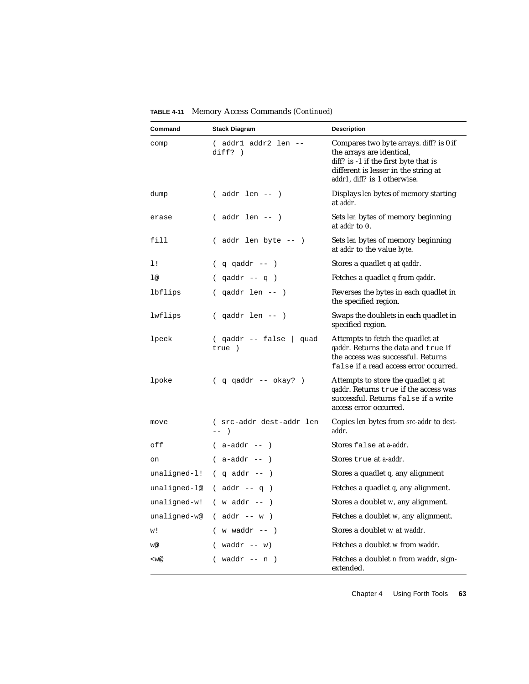| Command                                                                                                                                                           | <b>Stack Diagram</b>               | <b>Description</b>                                                                                                                                                                           |
|-------------------------------------------------------------------------------------------------------------------------------------------------------------------|------------------------------------|----------------------------------------------------------------------------------------------------------------------------------------------------------------------------------------------|
| comp                                                                                                                                                              | ( addr1 addr2 len --<br>diff?)     | Compares two byte arrays. <i>diff?</i> is 0 if<br>the arrays are identical,<br>diff? is -1 if the first byte that is<br>different is lesser in the string at<br>addr1. diff? is 1 otherwise. |
| dump                                                                                                                                                              | $($ addr len -- $)$                | Displays len bytes of memory starting<br>at <i>addr</i> .                                                                                                                                    |
| erase                                                                                                                                                             | $($ addr len -- $)$                | Sets len bytes of memory beginning<br>at <i>addr</i> to 0.                                                                                                                                   |
| fill                                                                                                                                                              | (addr len byte -- )                | Sets len bytes of memory beginning<br>at addr to the value byte.                                                                                                                             |
| 1!                                                                                                                                                                | q qaddr -- )<br>$\left($           | Stores a quadlet $q$ at $q$ addr.                                                                                                                                                            |
| 1@                                                                                                                                                                | $( qaddr - q )$                    | Fetches a quadlet $q$ from $q$ addr.                                                                                                                                                         |
| lbflips                                                                                                                                                           | qaddr len -- )<br>$\left($         | Reverses the bytes in each quadlet in<br>the specified region.                                                                                                                               |
| lwflips                                                                                                                                                           | qaddr len -- )<br>$\left($         | Swaps the doublets in each quadlet in<br>specified region.                                                                                                                                   |
| lpeek                                                                                                                                                             | ( qaddr -- false   quad<br>true)   | Attempts to fetch the quadlet at<br>gaddr. Returns the data and true if<br>the access was successful. Returns<br>false if a read access error occurred.                                      |
| lpoke                                                                                                                                                             | ( q qaddr -- okay? )               | Attempts to store the quadlet $q$ at<br>gaddr. Returns true if the access was<br>successful. Returns false if a write<br>access error occurred.                                              |
| move                                                                                                                                                              | ( src-addr dest-addr len<br>$---$  | Copies len bytes from src-addr to dest-<br>addr.                                                                                                                                             |
| off                                                                                                                                                               | $($ a-addr -- $)$                  | Stores false at <i>a-addr</i> .                                                                                                                                                              |
| on                                                                                                                                                                | $($ a-addr -- $)$                  | Stores true at <i>a-addr</i> .                                                                                                                                                               |
| $unaligned-1!$                                                                                                                                                    | q $addr$ -- $)$<br>$\left($        | Stores a quadlet $q$ , any alignment                                                                                                                                                         |
| unaligned-l@                                                                                                                                                      | $($ addr -- q $)$                  | Fetches a quadlet $q$ , any alignment.                                                                                                                                                       |
| unaligned-w!                                                                                                                                                      | w $addr$ -- $)$<br>$\left($        | Stores a doublet w, any alignment.                                                                                                                                                           |
|                                                                                                                                                                   | unaligned-w@ ( $addr$ -- $w$ )     | Fetches a doublet w, any alignment.                                                                                                                                                          |
| w!                                                                                                                                                                | w waddr $--$ )<br>$\left($         | Stores a doublet w at waddr.                                                                                                                                                                 |
| w@                                                                                                                                                                | waddr -- $w)$<br>$\left($          | Fetches a doublet w from waddr.                                                                                                                                                              |
| <w@< td=""><td>waddr <math>--</math> n <math>)</math><br/><math>\overline{ }</math></td><td>Fetches a doublet <i>n</i> from waddr, sign-<br/>extended.</td></w@<> | waddr $--$ n $)$<br>$\overline{ }$ | Fetches a doublet <i>n</i> from waddr, sign-<br>extended.                                                                                                                                    |

| <b>TABLE 4-11</b> |  |  | Memory Access Commands (Continued) |
|-------------------|--|--|------------------------------------|
|-------------------|--|--|------------------------------------|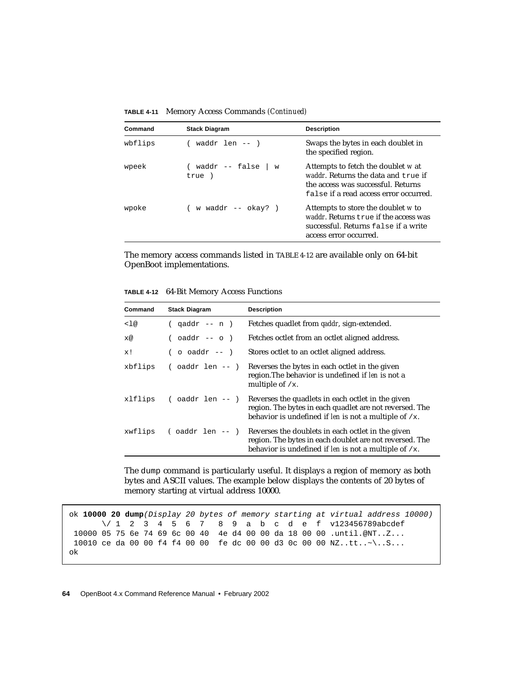| Command | <b>Stack Diagram</b>           | <b>Description</b>                                                                                                                                       |
|---------|--------------------------------|----------------------------------------------------------------------------------------------------------------------------------------------------------|
| wbflips | waddr $len$ -- $)$             | Swaps the bytes in each doublet in<br>the specified region.                                                                                              |
| wpeek   | ( waddr -- false<br>W<br>true) | Attempts to fetch the doublet wat<br>waddr. Returns the data and true if<br>the access was successful. Returns<br>false if a read access error occurred. |
| wpoke   | ( w waddr -- okay? )           | Attempts to store the doublet w to<br>waddr. Returns true if the access was<br>successful. Returns false if a write<br>access error occurred.            |

**TABLE 4-11** Memory Access Commands *(Continued)*

The memory access commands listed in TABLE 4-12 are available only on 64-bit OpenBoot implementations.

**TABLE 4-12** 64-Bit Memory Access Functions

| Command  | <b>Stack Diagram</b> | <b>Description</b>                                                                                                                                                       |
|----------|----------------------|--------------------------------------------------------------------------------------------------------------------------------------------------------------------------|
| $< \log$ | $qaddr - n)$         | Fetches quadlet from <i>gaddr</i> , sign-extended.                                                                                                                       |
| x@       | $oaddr$ -- $o$ )     | Fetches octlet from an octlet aligned address.                                                                                                                           |
| x!       | $\circ$ oaddr -- $)$ | Stores octlet to an octlet aligned address.                                                                                                                              |
| xbflips  | oaddr len -- )       | Reverses the bytes in each octlet in the given<br>region. The behavior is undefined if len is not a<br>multiple of $/x$ .                                                |
| xlflips  | oaddr len -- )       | Reverses the quadlets in each octlet in the given<br>region. The bytes in each quadlet are not reversed. The<br>behavior is undefined if len is not a multiple of $/x$ . |
| xwflips  | oaddr len -- )       | Reverses the doublets in each octlet in the given<br>region. The bytes in each doublet are not reversed. The<br>behavior is undefined if len is not a multiple of $/x$ . |

The dump command is particularly useful. It displays a region of memory as both bytes and ASCII values. The example below displays the contents of 20 bytes of memory starting at virtual address 10000.

ok **10000 20 dump**(Display 20 bytes of memory starting at virtual address 10000) \/ 1 2 3 4 5 6 7 8 9 a b c d e f v123456789abcdef 10000 05 75 6e 74 69 6c 00 40 4e d4 00 00 da 18 00 00 .until.@NT..Z... 10010 ce da 00 00 f4 f4 00 00 fe dc 00 00 d3 0c 00 00 NZ..tt..~\..S... ok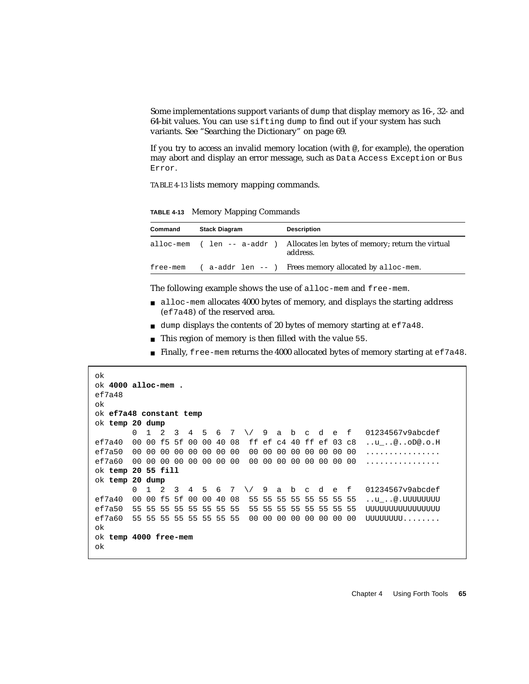Some implementations support variants of dump that display memory as 16-, 32- and 64-bit values. You can use sifting dump to find out if your system has such variants. See ["Searching the Dictionary" on page 69.](#page-84-0)

If you try to access an invalid memory location (with  $\varphi$ , for example), the operation may abort and display an error message, such as Data Access Exception or Bus Error.

TABLE 4-13 lists memory mapping commands.

**TABLE 4-13** Memory Mapping Commands

| Command                       | <b>Stack Diagram</b> |  | <b>Description</b>                                                   |
|-------------------------------|----------------------|--|----------------------------------------------------------------------|
| alloc-mem ( $len$ -- a-addr ) |                      |  | Allocates <i>len</i> bytes of memory; return the virtual<br>address. |
| free-mem                      |                      |  | $a$ -addr len -- ) Frees memory allocated by alloc-mem.              |

The following example shows the use of alloc-mem and free-mem.

- alloc-mem allocates 4000 bytes of memory, and displays the starting address (ef7a48) of the reserved area.
- $\blacksquare$  dump displays the contents of 20 bytes of memory starting at  $\epsilon$  f 7a48.
- This region of memory is then filled with the value 55.
- **Finally, free-mem returns the 4000 allocated bytes of memory starting at**  $e^{27a48}$ **.**

```
ok
ok 4000 alloc-mem .
ef7a48ok
ok ef7a48 constant temp
ok temp 20 dump
        0 1 2 3 4 5 6 7 \/ 9 a b c d e f 01234567v9abcdef
ef7a40 00 00 f5 5f 00 00 40 08 ff ef c4 40 ff ef 03 c8 ..u_..@..oD@.o.H
ef7a50 00 00 00 00 00 00 00 00 00 00 00 00 00 00 00 00 ................
ef7a60 00 00 00 00 00 00 00 00 00 00 00 00 00 00 00 00 ................
ok temp 20 55 fill
ok temp 20 dump
       0 1 2 3 4 5 6 7 \/ 9 a b c d e f 01234567v9abcdef
ef7a40  00  00  f5  5f  00  00  40  08  55  55  55  55  55  55  55  55 ..u_..@.UUUUUUUU
ef7a50 55 55 55 55 55 55 55 55 55 55 55 55 55 55 55 55 UUUUUUUUUUUUUUUU
ef7a60 55 55 55 55 55 55 55 55 00 00 00 00 00 00 00 00 UUUUUUUU........
ok
ok temp 4000 free-mem
ok
```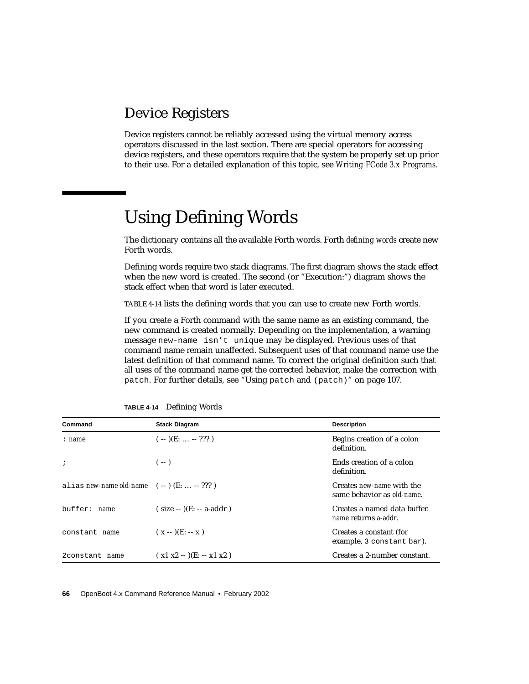#### Device Registers

Device registers cannot be reliably accessed using the virtual memory access operators discussed in the last section. There are special operators for accessing device registers, and these operators require that the system be properly set up prior to their use. For a detailed explanation of this topic, see *Writing FCode 3.x Programs.*

# Using Defining Words

The dictionary contains all the available Forth words. Forth *defining words* create new Forth words.

Defining words require two stack diagrams. The first diagram shows the stack effect when the new word is created. The second (or "Execution:") diagram shows the stack effect when that word is later executed.

TABLE 4-14 lists the defining words that you can use to create new Forth words.

If you create a Forth command with the same name as an existing command, the new command is created normally. Depending on the implementation, a warning message new-name isn't unique may be displayed. Previous uses of that command name remain unaffected. Subsequent uses of that command name use the latest definition of that command name. To correct the original definition such that *all* uses of the command name get the corrected behavior, make the correction with patch. For further details, see "Using patch and (patch)" on page 107.

| Command                                      | <b>Stack Diagram</b>     | <b>Description</b>                                              |
|----------------------------------------------|--------------------------|-----------------------------------------------------------------|
| : name                                       | $(-)$ (E:  -- ???)       | Begins creation of a colon<br>definition.                       |
| $\ddot{i}$                                   | $(-)$                    | Ends creation of a colon<br>definition.                         |
| alias <i>new-name old-name</i> (--)(E:--???) |                          | Creates new-name with the<br>same behavior as <i>old-name</i> . |
| buffer: <i>name</i>                          | $(size -)(E: -a-addr)$   | Creates a named data buffer.<br>name returns a-addr.            |
| constant <i>name</i>                         | $(x -)(E: -x)$           | Creates a constant (for<br>example, 3 constant bar).            |
| 2constant name                               | $(x1 x2 - (E: - x1 x2))$ | Creates a 2-number constant.                                    |

**TABLE 4-14** Defining Words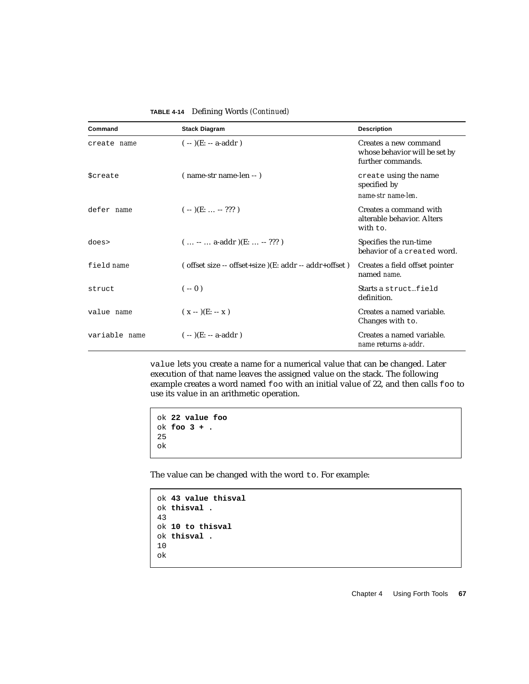| Command       | <b>Stack Diagram</b>                                    | <b>Description</b>                                                          |
|---------------|---------------------------------------------------------|-----------------------------------------------------------------------------|
| create name   | $(-)$ (E: -- a-addr)                                    | Creates a new command<br>whose behavior will be set by<br>further commands. |
| Screate       | (name-str name-len --)                                  | create using the name<br>specified by<br>name-str name-len.                 |
| defer name    | $(-)$ (E:  -- ???)                                      | Creates a command with<br>alterable behavior. Alters<br>with to.            |
| does>         | $( -  a-addr)(E:  - ???)$                               | Specifies the run-time<br>behavior of a created word.                       |
| field name    | ( offset size -- offset+size )(E: addr -- addr+offset ) | Creates a field offset pointer<br>named <i>name</i> .                       |
| struct        | $(-0)$                                                  | Starts a structfield<br>definition.                                         |
| value name    | $(x - )$ (E: -- x)                                      | Creates a named variable.<br>Changes with to.                               |
| variable name | $(-)$ (E: $-$ a-addr)                                   | Creates a named variable.<br>name returns a-addr.                           |

**TABLE 4-14** Defining Words *(Continued)*

value lets you create a name for a numerical value that can be changed. Later execution of that name leaves the assigned value on the stack. The following example creates a word named foo with an initial value of 22, and then calls foo to use its value in an arithmetic operation.

```
ok 22 value foo
ok foo 3 + .
25
ok
```
The value can be changed with the word to. For example:

```
ok 43 value thisval
ok thisval .
43
ok 10 to thisval
ok thisval .
10
ok
```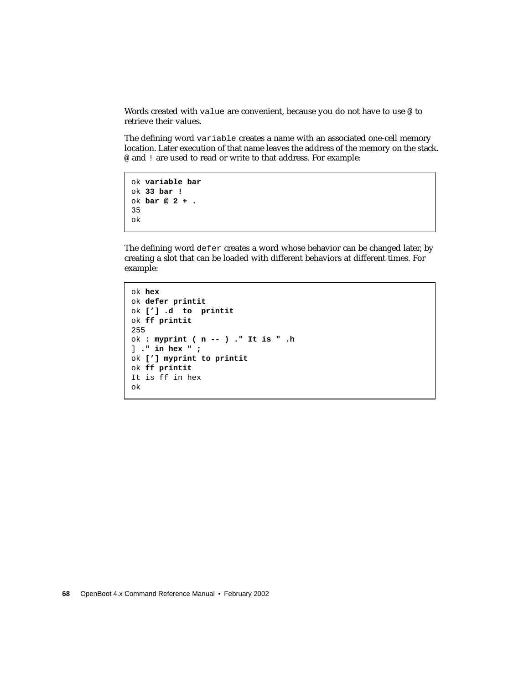Words created with value are convenient, because you do not have to use @ to retrieve their values.

The defining word variable creates a name with an associated one-cell memory location. Later execution of that name leaves the address of the memory on the stack. @ and ! are used to read or write to that address. For example:

```
ok variable bar
ok 33 bar !
ok bar @ 2 + .
35
ok
```
The defining word defer creates a word whose behavior can be changed later, by creating a slot that can be loaded with different behaviors at different times. For example:

```
ok hex
ok defer printit
ok ['] .d to printit
ok ff printit
255
ok : myprint ( n -- ) ." It is " .h
] ." in hex " ;
ok ['] myprint to printit
ok ff printit
It is ff in hex
ok
```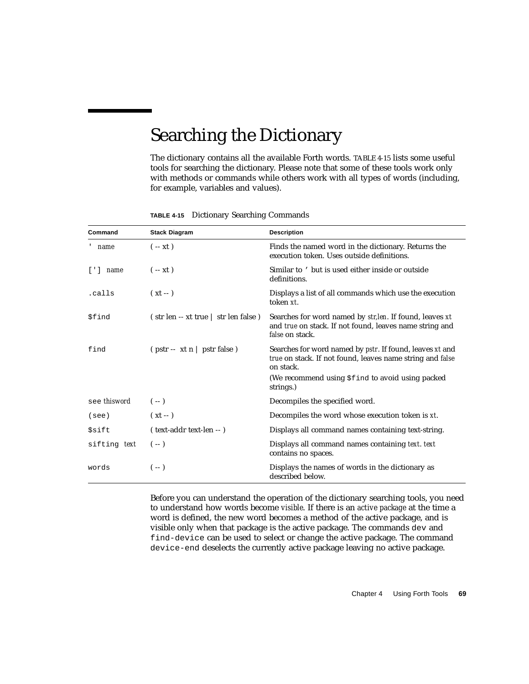# <span id="page-84-0"></span>Searching the Dictionary

The dictionary contains all the available Forth words. TABLE 4-15 lists some useful tools for searching the dictionary. Please note that some of these tools work only with methods or commands while others work with all types of words (including, for example, variables and values).

| Command             | <b>Stack Diagram</b>                                              | <b>Description</b>                                                                                                                                                                                  |
|---------------------|-------------------------------------------------------------------|-----------------------------------------------------------------------------------------------------------------------------------------------------------------------------------------------------|
| 1<br>name           | $(-x t)$                                                          | Finds the named word in the dictionary. Returns the<br>execution token. Uses outside definitions.                                                                                                   |
| $[\ ]$ name         | $(-x t)$                                                          | Similar to ' but is used either inside or outside<br>definitions.                                                                                                                                   |
| .calls              | $(xt - )$                                                         | Displays a list of all commands which use the execution<br>token xt.                                                                                                                                |
| \$find              | (str len -- xt true   str len false)                              | Searches for word named by str, len. If found, leaves xt<br>and true on stack. If not found, leaves name string and<br>false on stack.                                                              |
| find                | $(\text{pstr} - \text{xt} \cdot \text{n} \mid \text{pstr false})$ | Searches for word named by pstr. If found, leaves xt and<br>true on stack. If not found, leaves name string and false<br>on stack.<br>(We recommend using \$find to avoid using packed<br>strings.) |
| see thisword        | $(--)$                                                            | Decompiles the specified word.                                                                                                                                                                      |
| (see)               | $(xt - )$                                                         | Decompiles the word whose execution token is xt.                                                                                                                                                    |
| <i><b>Ssift</b></i> | (text-addr text-len --)                                           | Displays all command names containing text-string.                                                                                                                                                  |
| sifting text        | $(-)$                                                             | Displays all command names containing text. text<br>contains no spaces.                                                                                                                             |
| words               | $(-)$                                                             | Displays the names of words in the dictionary as<br>described below.                                                                                                                                |

**TABLE 4-15** Dictionary Searching Commands

Before you can understand the operation of the dictionary searching tools, you need to understand how words become *visible*. If there is an *active package* at the time a word is defined, the new word becomes a method of the active package, and is visible only when that package is the active package. The commands dev and find-device can be used to select or change the active package. The command device-end deselects the currently active package leaving no active package.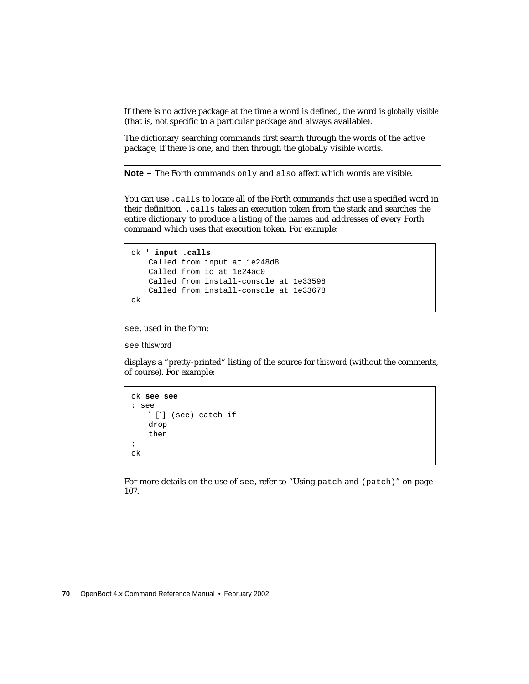If there is no active package at the time a word is defined, the word is *globally visible* (that is, not specific to a particular package and always available).

The dictionary searching commands first search through the words of the active package, if there is one, and then through the globally visible words.

**Note –** The Forth commands only and also affect which words are visible.

You can use .calls to locate all of the Forth commands that use a specified word in their definition. .calls takes an execution token from the stack and searches the entire dictionary to produce a listing of the names and addresses of every Forth command which uses that execution token. For example:

```
ok ' input .calls
  Called from input at 1e248d8
   Called from io at 1e24ac0
   Called from install-console at 1e33598
   Called from install-console at 1e33678
ok
```
see, used in the form:

see *thisword*

displays a "pretty-printed" listing of the source for *thisword* (without the comments, of course). For example:

```
ok see see
: see
   ′ [′] (see) catch if
   drop
   then
;
ok
```
For more details on the use of see, refer to "Using patch and (patch)" on page 107.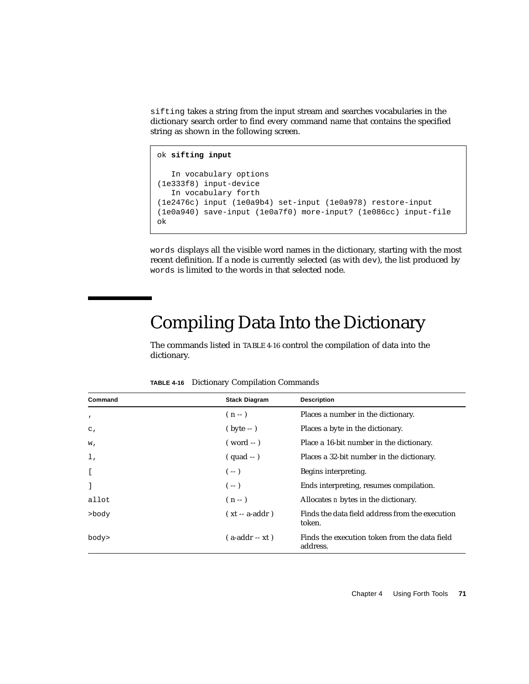sifting takes a string from the input stream and searches vocabularies in the dictionary search order to find every command name that contains the specified string as shown in the following screen.

```
ok sifting input
  In vocabulary options
(1e333f8) input-device
  In vocabulary forth
(1e2476c) input (1e0a9b4) set-input (1e0a978) restore-input
(1e0a940) save-input (1e0a7f0) more-input? (1e086cc) input-file
ok
```
words displays all the visible word names in the dictionary, starting with the most recent definition. If a node is currently selected (as with dev), the list produced by words is limited to the words in that selected node.

# Compiling Data Into the Dictionary

The commands listed in TABLE 4-16 control the compilation of data into the dictionary.

| Command        | <b>Stack Diagram</b> | <b>Description</b>                                        |
|----------------|----------------------|-----------------------------------------------------------|
| $\overline{ }$ | $(n - )$             | Places a number in the dictionary.                        |
| $\mathbb{C}$ , | $(\text{byte} - )$   | Places a byte in the dictionary.                          |
| w,             | $(word - )$          | Place a 16-bit number in the dictionary.                  |
| $\mathbf{1}$ , | $(quad --)$          | Places a 32-bit number in the dictionary.                 |
| $\mathbb{R}$   | $(-)$                | Begins interpreting.                                      |
| -1             | $(-)$                | Ends interpreting, resumes compilation.                   |
| allot          | $(n - )$             | Allocates <i>n</i> bytes in the dictionary.               |
| >body          | $(xt - a-addr)$      | Finds the data field address from the execution<br>token. |
| body>          | ( a-addr -- xt )     | Finds the execution token from the data field<br>address. |

**TABLE 4-16** Dictionary Compilation Commands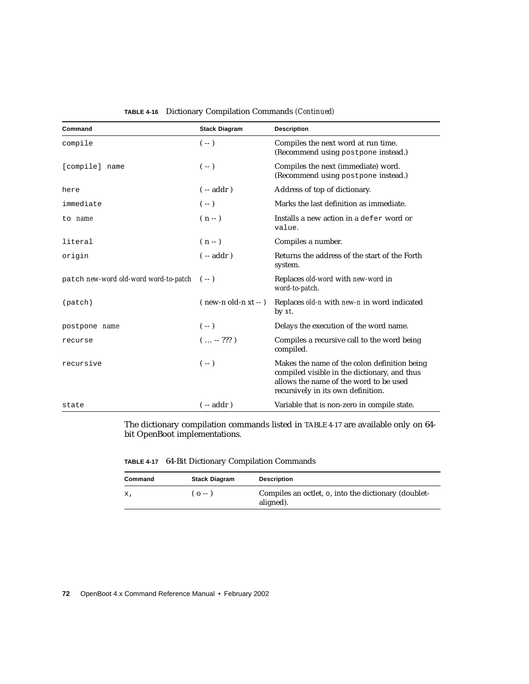| Command                               | <b>Stack Diagram</b>  | <b>Description</b>                                                                                                                                                           |
|---------------------------------------|-----------------------|------------------------------------------------------------------------------------------------------------------------------------------------------------------------------|
| compile                               | $(-)$                 | Compiles the next word at run time.<br>(Recommend using postpone instead.)                                                                                                   |
| [compile] name                        | $(-)$                 | Compiles the next (immediate) word.<br>(Recommend using postpone instead.)                                                                                                   |
| here                                  | $(-$ addr $)$         | Address of top of dictionary.                                                                                                                                                |
| immediate                             | $(-)$                 | Marks the last definition as immediate.                                                                                                                                      |
| to name                               | $(n - )$              | Installs a new action in a defer word or<br>value.                                                                                                                           |
| literal                               | $(n - )$              | Compiles a number.                                                                                                                                                           |
| origin                                | $(-addr)$             | Returns the address of the start of the Forth<br>system.                                                                                                                     |
| patch new-word old-word word-to-patch | $(-)$                 | Replaces old-word with new-word in<br>word-to-patch.                                                                                                                         |
| (path)                                | $(new-n old-n xt - )$ | Replaces old-n with new-n in word indicated<br>by xt.                                                                                                                        |
| postpone name                         | $(-)$                 | Delays the execution of the word name.                                                                                                                                       |
| recurse                               | $( - ???)$            | Compiles a recursive call to the word being<br>compiled.                                                                                                                     |
| recursive                             | $(-)$                 | Makes the name of the colon definition being<br>compiled visible in the dictionary, and thus<br>allows the name of the word to be used<br>recursively in its own definition. |
| state                                 | $(-addr)$             | Variable that is non-zero in compile state.                                                                                                                                  |

#### **TABLE 4-16** Dictionary Compilation Commands *(Continued)*

The dictionary compilation commands listed in TABLE 4-17 are available only on 64 bit OpenBoot implementations.

|  | <b>TABLE 4-17</b> 64-Bit Dictionary Compilation Commands |  |  |
|--|----------------------------------------------------------|--|--|
|--|----------------------------------------------------------|--|--|

| Command | <b>Stack Diagram</b> | <b>Description</b>                                                |
|---------|----------------------|-------------------------------------------------------------------|
| х,      | $(0 - 1)$            | Compiles an octlet, o, into the dictionary (doublet-<br>aligned). |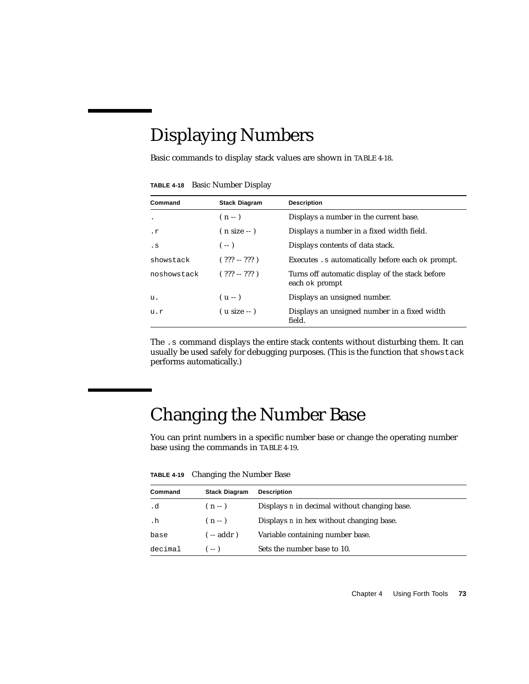## Displaying Numbers

Basic commands to display stack values are shown in TABLE 4-18.

**TABLE 4-18** Basic Number Display

| Command     | <b>Stack Diagram</b> | <b>Description</b>                                                |
|-------------|----------------------|-------------------------------------------------------------------|
|             | $(n - )$             | Displays a number in the current base.                            |
| $\cdot$ r   | $(n size - )$        | Displays a number in a fixed width field.                         |
| $\cdot$ S   | $(-)$                | Displays contents of data stack.                                  |
| showstack   | $( ?? ? - ?? ? )$    | Executes . s automatically before each ok prompt.                 |
| noshowstack | $( ?? ? - ?? ? )$    | Turns off automatic display of the stack before<br>each ok prompt |
| u.          | $(u - )$             | Displays an unsigned number.                                      |
| u.r         | $($ u size $-$ )     | Displays an unsigned number in a fixed width<br>field.            |

The .s command displays the entire stack contents without disturbing them. It can usually be used safely for debugging purposes. (This is the function that showstack performs automatically.)

### Changing the Number Base

You can print numbers in a specific number base or change the operating number base using the commands in TABLE 4-19.

**TABLE 4-19** Changing the Number Base

| Command | <b>Stack Diagram</b> | <b>Description</b>                                  |
|---------|----------------------|-----------------------------------------------------|
| .d      | $(n - )$             | Displays <i>n</i> in decimal without changing base. |
| .h      | $(n - )$             | Displays <i>n</i> in hex without changing base.     |
| base    | ( -- addr )          | Variable containing number base.                    |
| decimal | $(- - )$             | Sets the number base to 10.                         |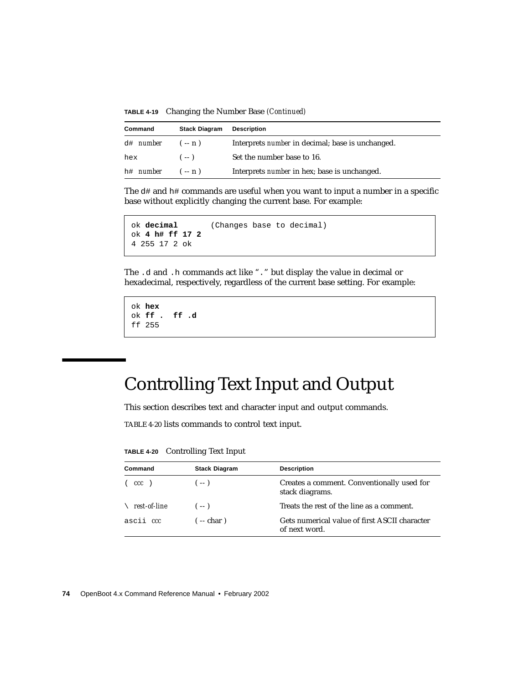**TABLE 4-19** Changing the Number Base *(Continued)*

| Command                    | <b>Stack Diagram</b> | <b>Description</b>                                  |
|----------------------------|----------------------|-----------------------------------------------------|
| $d$ # <i>number</i> $(-n)$ |                      | Interprets number in decimal; base is unchanged.    |
| hex                        | $(--1)$              | Set the number base to 16.                          |
| $h# number$ $(-n)$         |                      | Interprets <i>number</i> in hex; base is unchanged. |

The  $d\#$  and  $h\#$  commands are useful when you want to input a number in a specific base without explicitly changing the current base. For example:

```
ok decimal (Changes base to decimal)
ok 4 h# ff 17 2
4 255 17 2 ok
```
The .d and .h commands act like "." but display the value in decimal or hexadecimal, respectively, regardless of the current base setting. For example:

```
ok hex
ok ff . ff .d
ff 255
```
### Controlling Text Input and Output

This section describes text and character input and output commands.

TABLE 4-20 lists commands to control text input.

**TABLE 4-20** Controlling Text Input

| Command      | <b>Stack Diagram</b> | <b>Description</b>                                             |
|--------------|----------------------|----------------------------------------------------------------|
| $ccc$ )      | $(--1)$              | Creates a comment. Conventionally used for<br>stack diagrams.  |
| rest-of-line | $(-)$                | Treats the rest of the line as a comment.                      |
| ascii ccc    | $(-char)$            | Gets numerical value of first ASCII character<br>of next word. |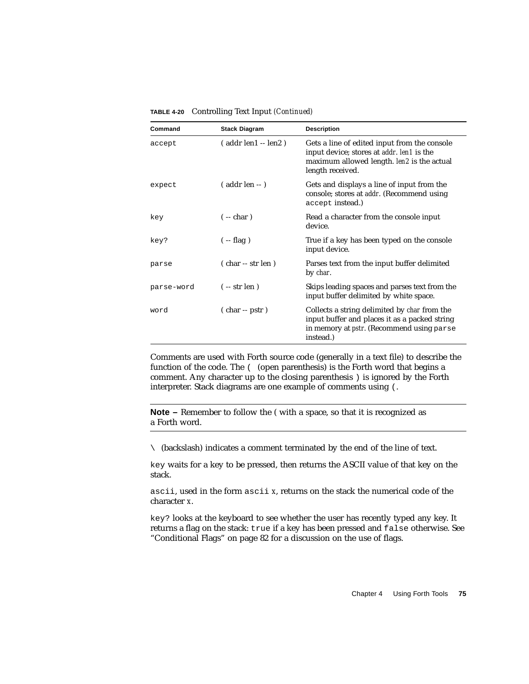| Command    | <b>Stack Diagram</b>         | <b>Description</b>                                                                                                                                                         |
|------------|------------------------------|----------------------------------------------------------------------------------------------------------------------------------------------------------------------------|
| accept     | $($ addr len $1 -$ len $2$ ) | Gets a line of edited input from the console<br>input device; stores at <i>addr</i> . <i>len1</i> is the<br>maximum allowed length. len2 is the actual<br>length received. |
| expect     | $($ addr len $-$ )           | Gets and displays a line of input from the<br>console; stores at <i>addr.</i> (Recommend using<br>accept instead.)                                                         |
| key        | $(-\text{char})$             | Read a character from the console input<br>device.                                                                                                                         |
| key?       | $(-$ flag)                   | True if a key has been typed on the console<br>input device.                                                                                                               |
| parse      | $( char - str len)$          | Parses text from the input buffer delimited<br>by <i>char</i> .                                                                                                            |
| parse-word | $(-str len)$                 | Skips leading spaces and parses text from the<br>input buffer delimited by white space.                                                                                    |
| word       | $( char - pstr)$             | Collects a string delimited by <i>char</i> from the<br>input buffer and places it as a packed string<br>in memory at <i>pstr.</i> (Recommend using parse<br>instead.)      |

**TABLE 4-20** Controlling Text Input *(Continued)*

Comments are used with Forth source code (generally in a text file) to describe the function of the code. The ( (open parenthesis) is the Forth word that begins a comment. Any character up to the closing parenthesis ) is ignored by the Forth interpreter. Stack diagrams are one example of comments using (.

**Note –** Remember to follow the ( with a space, so that it is recognized as a Forth word.

 $\setminus$  (backslash) indicates a comment terminated by the end of the line of text.

key waits for a key to be pressed, then returns the ASCII value of that key on the stack.

ascii, used in the form ascii *x*, returns on the stack the numerical code of the character *x*.

key? looks at the keyboard to see whether the user has recently typed any key. It returns a flag on the stack: true if a key has been pressed and false otherwise. See ["Conditional Flags" on page 82](#page-97-0) for a discussion on the use of flags.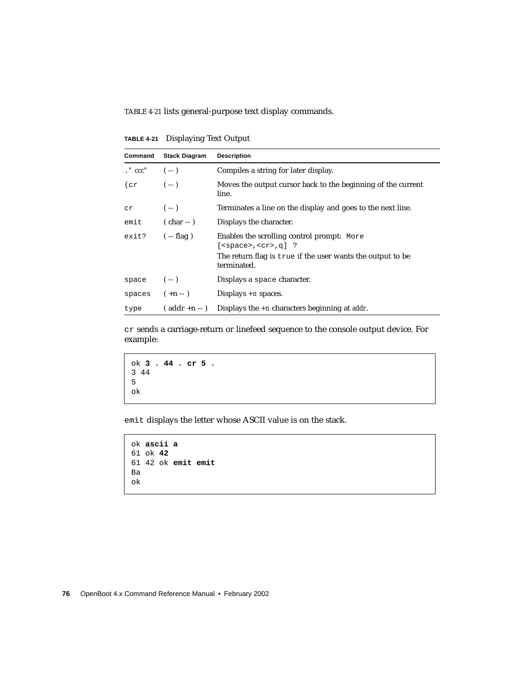TABLE 4-21 lists general-purpose text display commands.

| Command                                      | <b>Stack Diagram</b> | <b>Description</b>                                                                                                                                                   |
|----------------------------------------------|----------------------|----------------------------------------------------------------------------------------------------------------------------------------------------------------------|
| $C^{\prime\prime}$ $cc^{\prime\prime}$ $(-)$ |                      | Compiles a string for later display.                                                                                                                                 |
| $(cr - (-))$                                 |                      | Moves the output cursor back to the beginning of the current<br>line.                                                                                                |
| cr                                           | $(-)$                | Terminates a line on the display and goes to the next line.                                                                                                          |
| emit                                         | $(char -)$           | Displays the character.                                                                                                                                              |
| $exist?$ $(-flag)$                           |                      | Enables the scrolling control prompt: More<br>$[space>,  -]$ $[$ < space > $,   -]$ $[$<br>The return flag is true if the user wants the output to be<br>terminated. |
| space                                        | $(-)$                | Displays a space character.                                                                                                                                          |
|                                              | spaces $(+n-)$       | Displays $+n$ spaces.                                                                                                                                                |
| type                                         | $($ addr +n -- $)$   | Displays the $+n$ characters beginning at addr.                                                                                                                      |

**TABLE 4-21** Displaying Text Output

cr sends a carriage-return or linefeed sequence to the console output device. For example:

ok **3 . 44 . cr 5 .** 3 44 5 ok

emit displays the letter whose ASCII value is on the stack.

```
ok ascii a
61 ok 42
61 42 ok emit emit
Ba
ok
```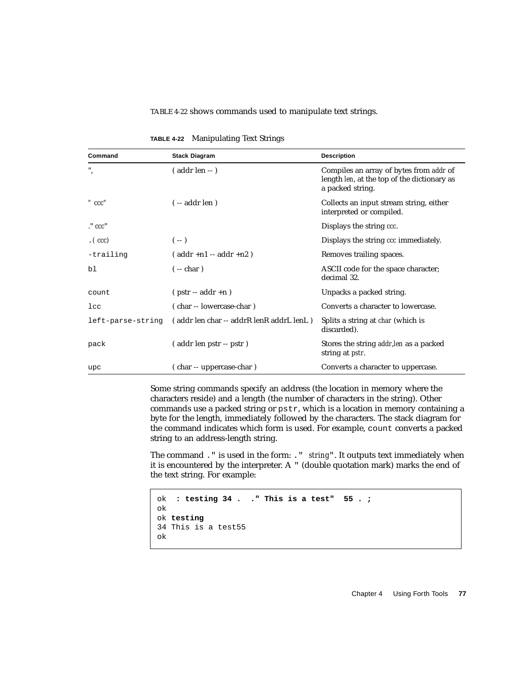#### TABLE 4-22 shows commands used to manipulate text strings.

| Command            | <b>Stack Diagram</b>                     | <b>Description</b>                                                                                         |
|--------------------|------------------------------------------|------------------------------------------------------------------------------------------------------------|
| $\pmb{\mathsf{H}}$ | ( addr len -- )                          | Compiles an array of bytes from addr of<br>length len, at the top of the dictionary as<br>a packed string. |
| $"$ $ccc"$         | $( -- addr len )$                        | Collects an input stream string, either<br>interpreted or compiled.                                        |
| $\cdot$ " $ccc$ "  |                                          | Displays the string ccc.                                                                                   |
| . (ccc)            | $(-)$                                    | Displays the string ccc immediately.                                                                       |
| -trailing          | $($ addr +n1 -- addr +n2)                | Removes trailing spaces.                                                                                   |
| bl                 | $(-char)$                                | ASCII code for the space character;<br>decimal 32.                                                         |
| count              | $(pstr - addr + n)$                      | Unpacks a packed string.                                                                                   |
| $_{1cc}$           | (char -- lowercase-char)                 | Converts a character to lowercase.                                                                         |
| left-parse-string  | (addr len char -- addrR lenR addrL lenL) | Splits a string at <i>char</i> (which is<br>discarded).                                                    |
| pack               | (addr len pstr -- pstr )                 | Stores the string addr, len as a packed<br>string at <i>pstr.</i>                                          |
| upc                | (char -- uppercase-char )                | Converts a character to uppercase.                                                                         |

**TABLE 4-22** Manipulating Text Strings

Some string commands specify an address (the location in memory where the characters reside) and a length (the number of characters in the string). Other commands use a packed string or pstr, which is a location in memory containing a byte for the length, immediately followed by the characters. The stack diagram for the command indicates which form is used. For example, count converts a packed string to an address-length string.

The command ." is used in the form: ." *string*". It outputs text immediately when it is encountered by the interpreter. A " (double quotation mark) marks the end of the text string. For example:

```
ok : testing 34 . ." This is a test" 55 . ;
ok
ok testing
34 This is a test55
ok
```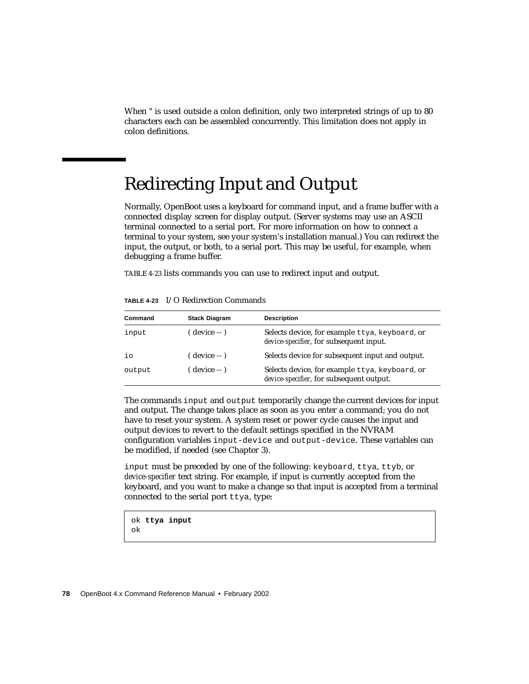When " is used outside a colon definition, only two interpreted strings of up to 80 characters each can be assembled concurrently. This limitation does not apply in colon definitions.

## Redirecting Input and Output

Normally, OpenBoot uses a keyboard for command input, and a frame buffer with a connected display screen for display output. (Server systems may use an ASCII terminal connected to a serial port. For more information on how to connect a terminal to your system, see your system's installation manual.) You can redirect the input, the output, or both, to a serial port. This may be useful, for example, when debugging a frame buffer.

TABLE 4-23 lists commands you can use to redirect input and output.

| Command | <b>Stack Diagram</b> | <b>Description</b>                                                                         |
|---------|----------------------|--------------------------------------------------------------------------------------------|
| input   | ( device -- )        | Selects device, for example ttya, keyboard, or<br>device-specifier, for subsequent input.  |
| iο      | ( device -- )        | Selects device for subsequent input and output.                                            |
| output  | ( device -- )        | Selects device, for example ttya, keyboard, or<br>device-specifier, for subsequent output. |

**TABLE 4-23** I/O Redirection Commands

The commands input and output temporarily change the current devices for input and output. The change takes place as soon as you enter a command; you do not have to reset your system. A system reset or power cycle causes the input and output devices to revert to the default settings specified in the NVRAM configuration variables input-device and output-device. These variables can be modified, if needed (see Chapter 3).

input must be preceded by one of the following: keyboard, ttya, ttyb, or *device-specifier* text string. For example, if input is currently accepted from the keyboard, and you want to make a change so that input is accepted from a terminal connected to the serial port ttya, type:

```
ok ttya input
ok
```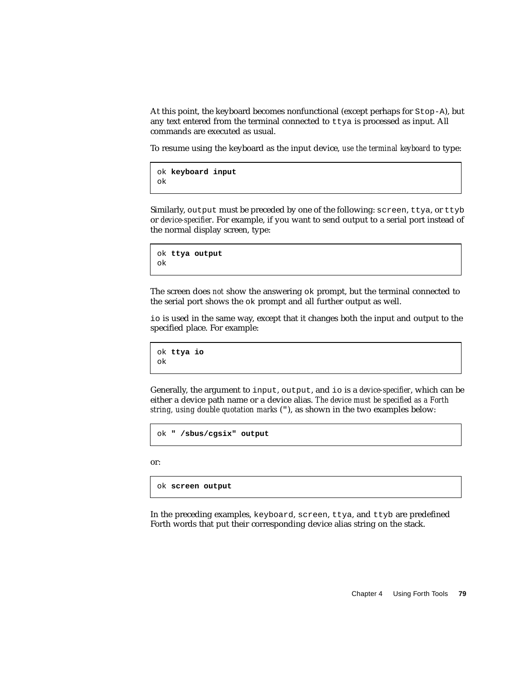At this point, the keyboard becomes nonfunctional (except perhaps for Stop-A), but any text entered from the terminal connected to ttya is processed as input. All commands are executed as usual.

To resume using the keyboard as the input device, *use the terminal keyboard* to type:

```
ok keyboard input
ok
```
Similarly, output must be preceded by one of the following: screen, ttya, or ttyb or *device-specifier*. For example, if you want to send output to a serial port instead of the normal display screen, type:

ok **ttya output** ok

The screen does *not* show the answering ok prompt, but the terminal connected to the serial port shows the ok prompt and all further output as well.

io is used in the same way, except that it changes both the input and output to the specified place. For example:

ok **ttya io** ok

Generally, the argument to input, output, and io is a *device-specifier*, which can be either a device path name or a device alias. *The device must be specified as a Forth string, using double quotation marks* ("), as shown in the two examples below:

ok **" /sbus/cgsix" output**

or:

ok **screen output**

In the preceding examples, keyboard, screen, ttya, and ttyb are predefined Forth words that put their corresponding device alias string on the stack.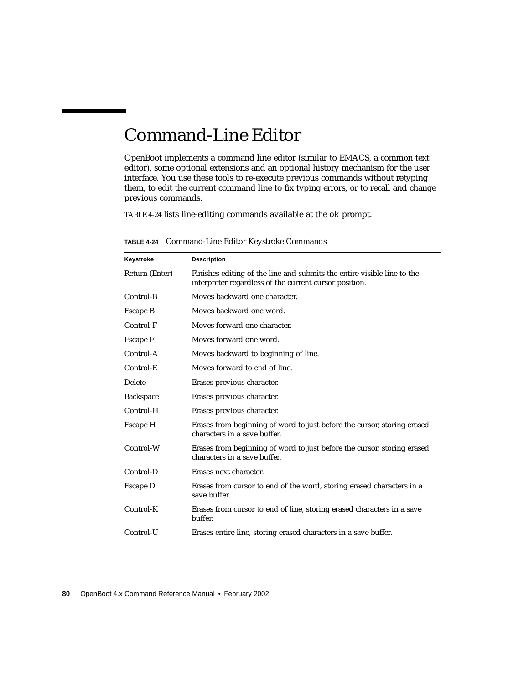# Command-Line Editor

OpenBoot implements a command line editor (similar to EMACS, a common text editor), some optional extensions and an optional history mechanism for the user interface. You use these tools to re-execute previous commands without retyping them, to edit the current command line to fix typing errors, or to recall and change previous commands.

TABLE 4-24 lists line-editing commands available at the ok prompt.

| Keystroke        | <b>Description</b>                                                                                                                |
|------------------|-----------------------------------------------------------------------------------------------------------------------------------|
| Return (Enter)   | Finishes editing of the line and submits the entire visible line to the<br>interpreter regardless of the current cursor position. |
| Control-B        | Moves backward one character.                                                                                                     |
| Escape B         | Moves backward one word.                                                                                                          |
| Control-F        | Moves forward one character.                                                                                                      |
| Escape F         | Moves forward one word.                                                                                                           |
| Control-A        | Moves backward to beginning of line.                                                                                              |
| Control-E        | Moves forward to end of line.                                                                                                     |
| <b>Delete</b>    | Erases previous character.                                                                                                        |
| <b>Backspace</b> | Erases previous character.                                                                                                        |
| Control-H        | Erases previous character.                                                                                                        |
| Escape H         | Erases from beginning of word to just before the cursor, storing erased<br>characters in a save buffer.                           |
| Control-W        | Erases from beginning of word to just before the cursor, storing erased<br>characters in a save buffer.                           |
| Control-D        | Erases next character.                                                                                                            |
| Escape D         | Erases from cursor to end of the word, storing erased characters in a<br>save buffer.                                             |
| Control-K        | Erases from cursor to end of line, storing erased characters in a save<br>buffer.                                                 |
| Control-U        | Erases entire line, storing erased characters in a save buffer.                                                                   |

**TABLE 4-24** Command-Line Editor Keystroke Commands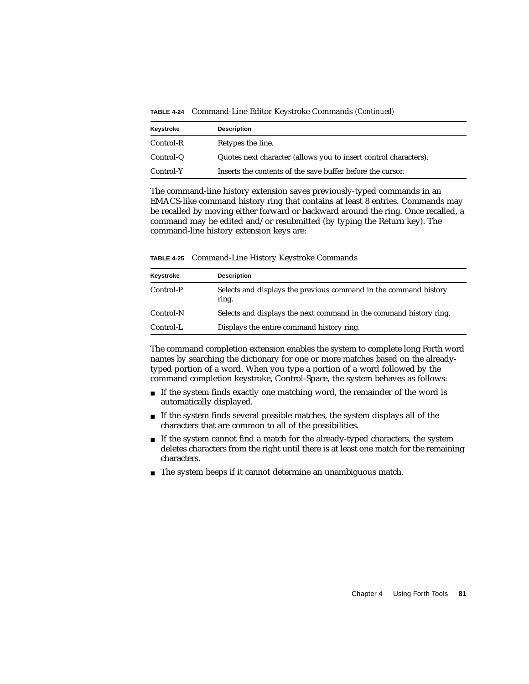| Keystroke | <b>Description</b>                                               |
|-----------|------------------------------------------------------------------|
| Control-R | Retypes the line.                                                |
| Control-Q | Quotes next character (allows you to insert control characters). |
| Control-Y | Inserts the contents of the save buffer before the cursor.       |

**TABLE 4-24** Command-Line Editor Keystroke Commands *(Continued)*

The command-line history extension saves previously-typed commands in an EMACS-like command history ring that contains at least 8 entries. Commands may be recalled by moving either forward or backward around the ring. Once recalled, a command may be edited and/or resubmitted (by typing the Return key). The command-line history extension keys are:

**TABLE 4-25** Command-Line History Keystroke Commands

| Keystroke | <b>Description</b>                                                        |
|-----------|---------------------------------------------------------------------------|
| Control-P | Selects and displays the previous command in the command history<br>ring. |
| Control-N | Selects and displays the next command in the command history ring.        |
| Control-L | Displays the entire command history ring.                                 |

The command completion extension enables the system to complete long Forth word names by searching the dictionary for one or more matches based on the alreadytyped portion of a word. When you type a portion of a word followed by the command completion keystroke, Control-Space, the system behaves as follows:

- If the system finds exactly one matching word, the remainder of the word is automatically displayed.
- If the system finds several possible matches, the system displays all of the characters that are common to all of the possibilities.
- If the system cannot find a match for the already-typed characters, the system deletes characters from the right until there is at least one match for the remaining characters.
- The system beeps if it cannot determine an unambiguous match.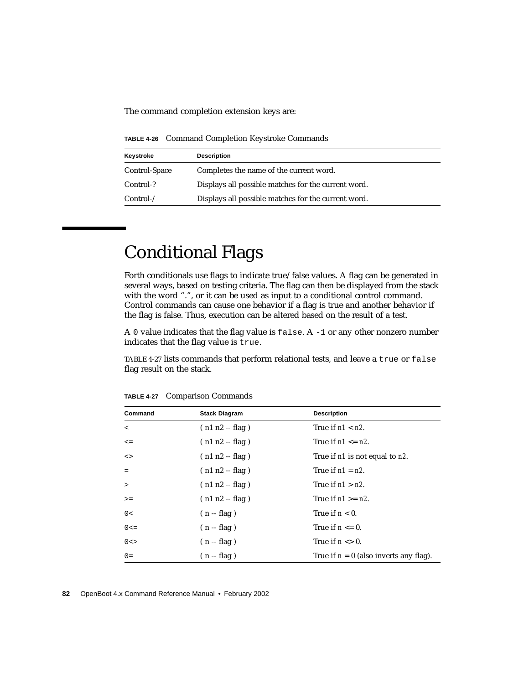The command completion extension keys are:

| Keystroke     | <b>Description</b>                                  |
|---------------|-----------------------------------------------------|
| Control-Space | Completes the name of the current word.             |
| Control-?     | Displays all possible matches for the current word. |
| $Control-$    | Displays all possible matches for the current word. |

**TABLE 4-26** Command Completion Keystroke Commands

## <span id="page-97-0"></span>Conditional Flags

Forth conditionals use flags to indicate true/false values. A flag can be generated in several ways, based on testing criteria. The flag can then be displayed from the stack with the word ".", or it can be used as input to a conditional control command. Control commands can cause one behavior if a flag is true and another behavior if the flag is false. Thus, execution can be altered based on the result of a test.

A 0 value indicates that the flag value is false. A -1 or any other nonzero number indicates that the flag value is true.

TABLE 4-27 lists commands that perform relational tests, and leave a true or false flag result on the stack.

| Command        | <b>Stack Diagram</b> | <b>Description</b>                            |
|----------------|----------------------|-----------------------------------------------|
| $\overline{a}$ | $(n1 n2 - flag)$     | True if $n1 < n2$ .                           |
| $\leq$ =       | $(n1 n2 - flag)$     | True if $n1 \leq n2$ .                        |
| $\lt$          | $(n1 n2 - flag)$     | True if <i>n1</i> is not equal to <i>n2</i> . |
| $\equiv$       | $(n1 n2 - flag)$     | True if $n1 = n2$ .                           |
| $\geq$         | $(n1 n2 - flag)$     | True if $n1 > n2$ .                           |
| $> =$          | $(n1 n2 - flag)$     | True if $n1 \geq n2$ .                        |
| 0<             | $(n - flag)$         | True if $n < 0$ .                             |
| $0 < =$        | $(n - flag)$         | True if $n \leq 0$ .                          |
| $0 < \gt$      | $(n - flag)$         | True if $n \ll 0$ .                           |
| $0 =$          | $(n - flag)$         | True if $n = 0$ (also inverts any flag).      |

**TABLE 4-27** Comparison Commands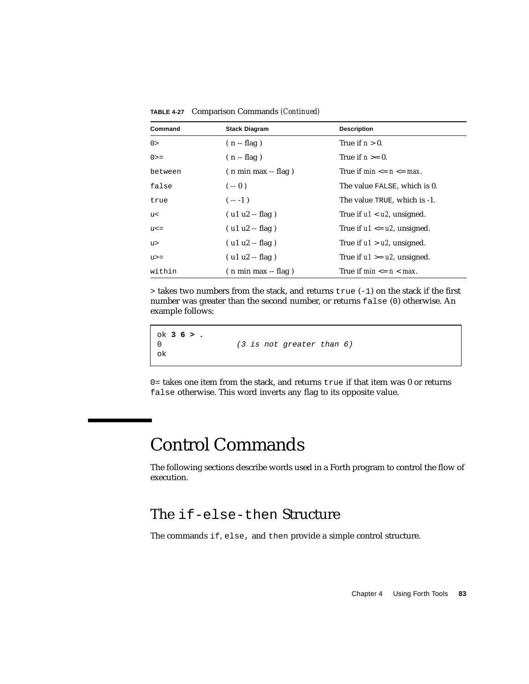| Command | <b>Stack Diagram</b>                   | <b>Description</b>               |
|---------|----------------------------------------|----------------------------------|
| 0>      | $(n - flag)$                           | True if $n > 0$ .                |
| $0 > =$ | $(n - flag)$                           | True if $n \geq 0$ .             |
| between | $(n \text{ min } \max - \text{ flag})$ | True if $min \le n \le max$ .    |
| false   | $(-0)$                                 | The value FALSE, which is 0.     |
| true    | $(--1)$                                | The value TRUE, which is -1.     |
| u<      | $(ulu2 - flag)$                        | True if $u1 < u2$ , unsigned.    |
| $u < =$ | $($ u1 u2 -- flag)                     | True if $u1 \leq u2$ , unsigned. |
| u>      | $($ u1 u2 $-$ flag)                    | True if $u1 > u2$ , unsigned.    |
| $u>=$   | $($ u1 u2 -- flag)                     | True if $u1 \geq u2$ , unsigned. |
| within  | $(n \text{ min } \max - \text{ flag})$ | True if $min \le n \le max$ .    |

**TABLE 4-27** Comparison Commands *(Continued)*

 $>$  takes two numbers from the stack, and returns true  $(-1)$  on the stack if the first number was greater than the second number, or returns false (0) otherwise. An example follows:

```
ok 3 6 > .
0 (3 is not greater than 6)
ok
```
 $0=$  takes one item from the stack, and returns  $true$  if that item was 0 or returns false otherwise. This word inverts any flag to its opposite value.

# Control Commands

The following sections describe words used in a Forth program to control the flow of execution.

#### The if-else-then Structure

The commands if, else, and then provide a simple control structure.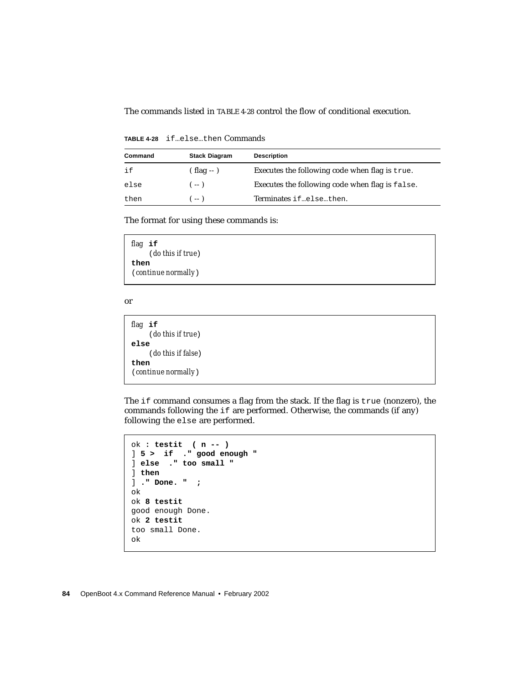The commands listed in TABLE 4-28 control the flow of conditional execution.

| Command | <b>Stack Diagram</b> | <b>Description</b>                              |
|---------|----------------------|-------------------------------------------------|
| i f     | (flag $-$ )          | Executes the following code when flag is true.  |
| else    | $(-)$                | Executes the following code when flag is false. |
| then    | $(- - )$             | Terminates ifelsethen.                          |

**TABLE 4-28** if…else…then Commands

The format for using these commands is:

*flag* **if** (*do this if true*) **then** (*continue normally*)

#### or

*flag* **if** (*do this if true*) **else** (*do this if false*) **then** (*continue normally*)

The if command consumes a flag from the stack. If the flag is true (nonzero), the commands following the if are performed. Otherwise, the commands (if any) following the else are performed.

```
ok : testit ( n -- )
] 5 > if ." good enough "
] else ." too small "
] then
] ." Done. " ;
ok
ok 8 testit
good enough Done.
ok 2 testit
too small Done.
ok
```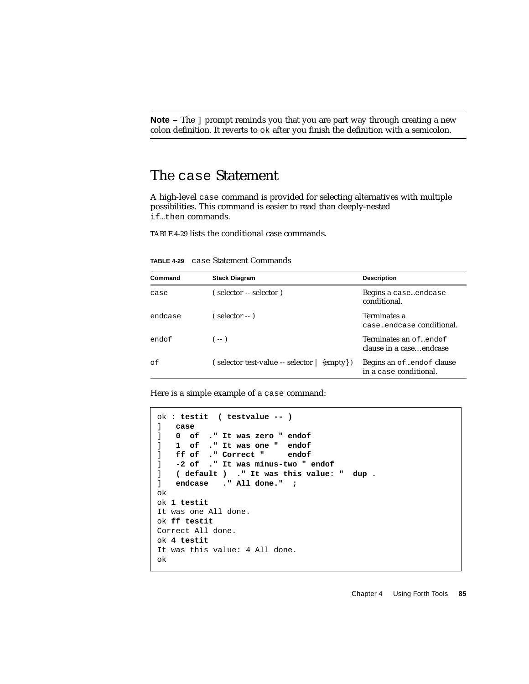**Note –** The 1 prompt reminds you that you are part way through creating a new colon definition. It reverts to ok after you finish the definition with a semicolon.

#### The case Statement

A high-level case command is provided for selecting alternatives with multiple possibilities. This command is easier to read than deeply-nested if…then commands.

TABLE 4-29 lists the conditional case commands.

**TABLE 4-29** case Statement Commands

| Command | <b>Stack Diagram</b>                                                  | <b>Description</b>                                  |
|---------|-----------------------------------------------------------------------|-----------------------------------------------------|
| case    | (selector -- selector)                                                | Begins a caseendcase<br>conditional.                |
| endcase | $(s^{elector} -)$                                                     | Terminates a<br>case endcase conditional.           |
| endof   | $(-)$                                                                 | Terminates an of sendof<br>clause in a caseendcase  |
| оf      | $\left($ selector test-value -- selector $\left( \frac{1}{2} \right)$ | Begins an of endof clause<br>in a case conditional. |

Here is a simple example of a case command:

```
ok : testit ( testvalue -- )
] case
] 0 of ." It was zero " endof
] 1 of ." It was one " endof
] ff of ." Correct " endof
] -2 of ." It was minus-two " endof
] ( default ) ." It was this value: " dup .
] endcase ." All done." ;
ok
ok 1 testit
It was one All done.
ok ff testit
Correct All done.
ok 4 testit
It was this value: 4 All done.
ok
```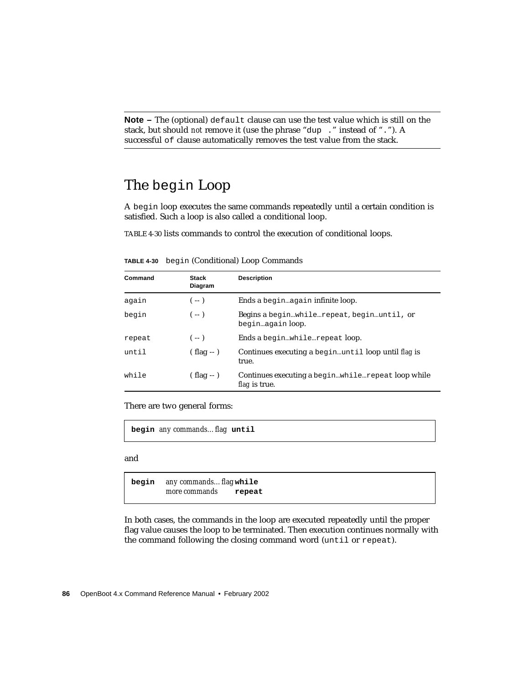**Note –** The (optional) default clause can use the test value which is still on the stack, but should *not* remove it (use the phrase "dup ." instead of "."). A successful of clause automatically removes the test value from the stack.

#### The begin Loop

A begin loop executes the same commands repeatedly until a certain condition is satisfied. Such a loop is also called a conditional loop.

TABLE 4-30 lists commands to control the execution of conditional loops.

| Command | Stack<br>Diagram | <b>Description</b>                                                           |
|---------|------------------|------------------------------------------------------------------------------|
| again   | $(- - )$         | Ends a begin  again infinite loop.                                           |
| begin   | $(- - )$         | Begins a beginwhilerepeat, beginuntil, or<br>begin  again loop.              |
| repeat  | $(- - )$         | Ends a beginwhilerepeat loop.                                                |
| until   | flag -- $)$      | Continues executing a beginuntil loop until flag is<br>true.                 |
| while   | (flag --)        | Continues executing a begin while  repeat loop while<br><i>flag</i> is true. |

**TABLE 4-30** begin (Conditional) Loop Commands

There are two general forms:

**begin** *any commands…flag* **until**

and

**begin** *any commands…flag* **while** *more commands* **repeat**

In both cases, the commands in the loop are executed repeatedly until the proper flag value causes the loop to be terminated. Then execution continues normally with the command following the closing command word (until or repeat).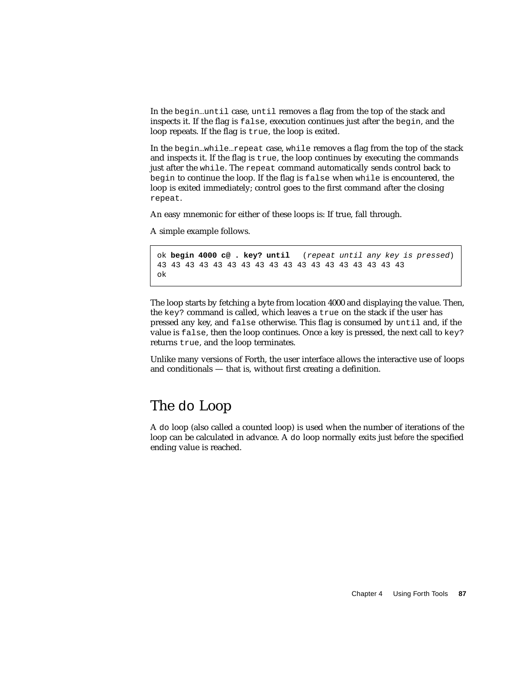In the begin…until case, until removes a flag from the top of the stack and inspects it. If the flag is false, execution continues just after the begin, and the loop repeats. If the flag is true, the loop is exited.

In the begin…while…repeat case, while removes a flag from the top of the stack and inspects it. If the flag is true, the loop continues by executing the commands just after the while. The repeat command automatically sends control back to begin to continue the loop. If the flag is false when while is encountered, the loop is exited immediately; control goes to the first command after the closing repeat.

An easy mnemonic for either of these loops is: If true, fall through.

A simple example follows.

```
ok begin 4000 c@ . key? until (repeat until any key is pressed)
43 43 43 43 43 43 43 43 43 43 43 43 43 43 43 43 43 43
ok
```
The loop starts by fetching a byte from location 4000 and displaying the value. Then, the key? command is called, which leaves a true on the stack if the user has pressed any key, and false otherwise. This flag is consumed by until and, if the value is false, then the loop continues. Once a key is pressed, the next call to key? returns true, and the loop terminates.

Unlike many versions of Forth, the user interface allows the interactive use of loops and conditionals — that is, without first creating a definition.

#### The do Loop

A do loop (also called a counted loop) is used when the number of iterations of the loop can be calculated in advance. A do loop normally exits just *before* the specified ending value is reached.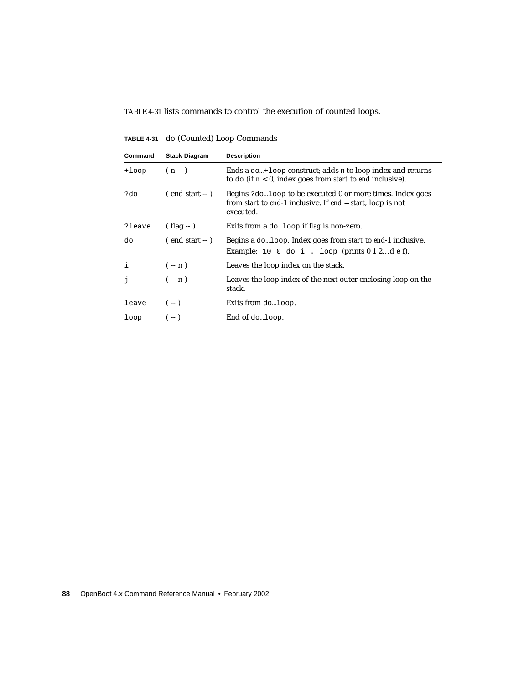TABLE 4-31 lists commands to control the execution of counted loops.

| Command  | <b>Stack Diagram</b> | <b>Description</b>                                                                                                                   |  |
|----------|----------------------|--------------------------------------------------------------------------------------------------------------------------------------|--|
| $+$ loop | $(n - )$             | Ends a do+loop construct; adds n to loop index and returns<br>to do (if $n < 0$ , index goes from <i>start</i> to end inclusive).    |  |
| ?do      | $($ end start $ )$   | Begins ?doloop to be executed 0 or more times. Index goes<br>from start to end-1 inclusive. If end = start, loop is not<br>executed. |  |
| ?leave   | (flag --)            | Exits from a doloop if flag is non-zero.                                                                                             |  |
| do       | $($ end start $ )$   | Begins a do100p. Index goes from <i>start</i> to end-1 inclusive.<br>Example: 10 0 do i . loop (prints $012$ de f).                  |  |
| $\pm$    | $(-n)$               | Leaves the loop index on the stack.                                                                                                  |  |
| ÷.       | $(-n)$               | Leaves the loop index of the next outer enclosing loop on the<br>stack.                                                              |  |
| leave    | $(-)$                | Exits from doloop.                                                                                                                   |  |
| loop     | $(-)$                | End of doloop.                                                                                                                       |  |

**TABLE 4-31** do (Counted) Loop Commands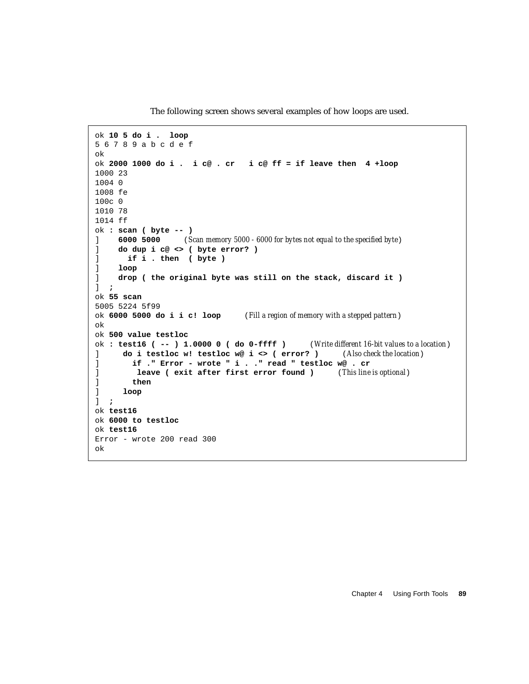The following screen shows several examples of how loops are used.

```
ok 10 5 do i . loop
5 6 7 8 9 a b c d e f
ok
ok 2000 1000 do i . i c@ . cr i c@ ff = if leave then 4 +loop
1000 23
1004 0
1008 fe
100c 0
1010 78
1014 ff
ok : scan ( byte -- )
] 6000 5000 (Scan memory 5000 - 6000 for bytes not equal to the specified byte)
] do dup i c@ <> ( byte error? )
] if i . then ( byte )
] loop
] drop ( the original byte was still on the stack, discard it )
] ;
ok 55 scan
5005 5224 5f99
ok 6000 5000 do i i c! loop (Fill a region of memory with a stepped pattern)
ok
ok 500 value testloc
ok : test16 ( -- ) 1.0000 0 ( do 0-ffff ) (Write different 16-bit values to a location)
] do i testloc w! testloc w@ i <> ( error? ) (Also check the location)
] if ." Error - wrote " i . ." read " testloc w@ . cr
] leave ( exit after first error found ) (This line is optional)
] then
] loop
] ;
ok test16
ok 6000 to testloc
ok test16
Error - wrote 200 read 300
ok
```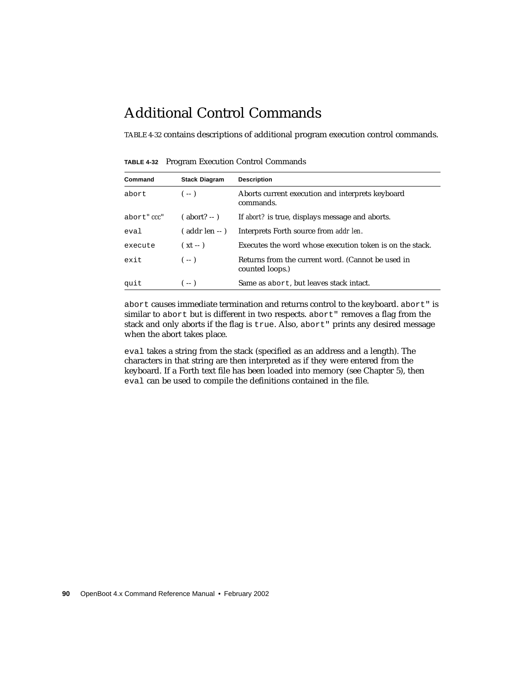#### Additional Control Commands

TABLE 4-32 contains descriptions of additional program execution control commands.

| Command     | <b>Stack Diagram</b> | <b>Description</b>                                                   |  |
|-------------|----------------------|----------------------------------------------------------------------|--|
| abort       | $(-)$                | Aborts current execution and interprets keyboard<br>commands.        |  |
| abort" ccc" | $($ abort? $ )$      | If abort? is true, displays message and aborts.                      |  |
| eval        | $($ addr len $ )$    | Interprets Forth source from addr len.                               |  |
| execute     | $(xt - )$            | Executes the word whose execution token is on the stack.             |  |
| exit        | $(-)$                | Returns from the current word. (Cannot be used in<br>counted loops.) |  |
| quit        | $(- - )$             | Same as abort, but leaves stack intact.                              |  |

**TABLE 4-32** Program Execution Control Commands

abort causes immediate termination and returns control to the keyboard. abort" is similar to abort but is different in two respects. abort" removes a flag from the stack and only aborts if the flag is true. Also, abort" prints any desired message when the abort takes place.

eval takes a string from the stack (specified as an address and a length). The characters in that string are then interpreted as if they were entered from the keyboard. If a Forth text file has been loaded into memory (see Chapter 5), then eval can be used to compile the definitions contained in the file.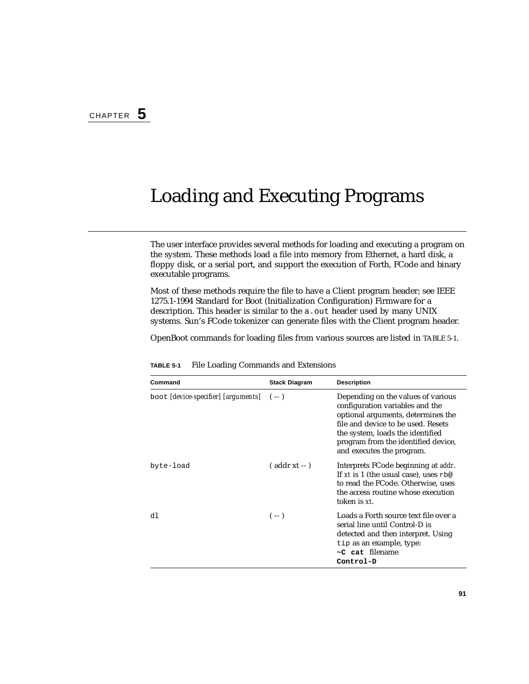## Loading and Executing Programs

The user interface provides several methods for loading and executing a program on the system. These methods load a file into memory from Ethernet, a hard disk, a floppy disk, or a serial port, and support the execution of Forth, FCode and binary executable programs.

Most of these methods require the file to have a Client program header; see IEEE 1275.1-1994 Standard for Boot (Initialization Configuration) Firmware for a description. This header is similar to the  $a$ . out header used by many UNIX systems. Sun's FCode tokenizer can generate files with the Client program header.

OpenBoot commands for loading files from various sources are listed in TABLE 5-1.

| Command                                      | <b>Stack Diagram</b> | <b>Description</b>                                                                                                                                                                                                                                        |
|----------------------------------------------|----------------------|-----------------------------------------------------------------------------------------------------------------------------------------------------------------------------------------------------------------------------------------------------------|
| boot $[device-specific]$ $[arguments]$ $(-)$ |                      | Depending on the values of various<br>configuration variables and the<br>optional arguments, determines the<br>file and device to be used. Resets<br>the system, loads the identified<br>program from the identified device,<br>and executes the program. |
| byte-load                                    | $($ addr xt $ )$     | Interprets FCode beginning at <i>addr</i> .<br>If xt is 1 (the usual case), uses $r$ b@<br>to read the FCode. Otherwise, uses<br>the access routine whose execution<br>token is xt.                                                                       |
| d1                                           | $(-)$                | Loads a Forth source text file over a<br>serial line until Control-D is<br>detected and then interpret. Using<br>tip as an example, type:<br>~C cat filename<br>Control-D                                                                                 |

**TABLE 5-1** File Loading Commands and Extensions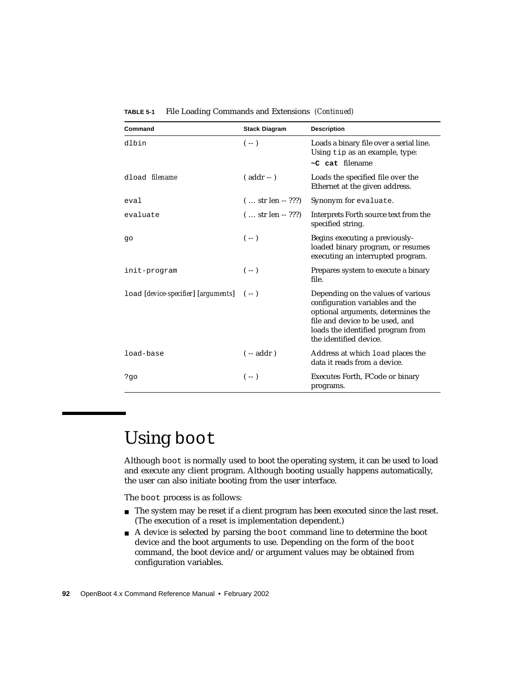| Command                             | <b>Stack Diagram</b> | <b>Description</b>                                                                                                                                                                                            |
|-------------------------------------|----------------------|---------------------------------------------------------------------------------------------------------------------------------------------------------------------------------------------------------------|
| dlbin                               | $(-)$                | Loads a binary file over a serial line.<br>Using tip as an example, type:<br>~C cat filename                                                                                                                  |
| dload <i>filename</i>               | $($ addr $ )$        | Loads the specified file over the<br>Ethernet at the given address.                                                                                                                                           |
| eval                                | $( str len - ???)$   | Synonym for evaluate.                                                                                                                                                                                         |
| evaluate                            | $( str len - ???)$   | Interprets Forth source text from the<br>specified string.                                                                                                                                                    |
| go                                  | $(-)$                | Begins executing a previously-<br>loaded binary program, or resumes<br>executing an interrupted program.                                                                                                      |
| init-program                        | $(-)$                | Prepares system to execute a binary<br>file.                                                                                                                                                                  |
| load [device-specifier] [arguments] | $(- - )$             | Depending on the values of various<br>configuration variables and the<br>optional arguments, determines the<br>file and device to be used, and<br>loads the identified program from<br>the identified device. |
| load-base                           | $(-addr)$            | Address at which load places the<br>data it reads from a device.                                                                                                                                              |
| ?qo                                 | $(-)$                | Executes Forth, FCode or binary<br>programs.                                                                                                                                                                  |

**TABLE 5-1** File Loading Commands and Extensions *(Continued)*

## Using boot

Although boot is normally used to boot the operating system, it can be used to load and execute any client program. Although booting usually happens automatically, the user can also initiate booting from the user interface.

The boot process is as follows:

- The system may be reset if a client program has been executed since the last reset. (The execution of a reset is implementation dependent.)
- A device is selected by parsing the boot command line to determine the boot device and the boot arguments to use. Depending on the form of the boot command, the boot device and/or argument values may be obtained from configuration variables.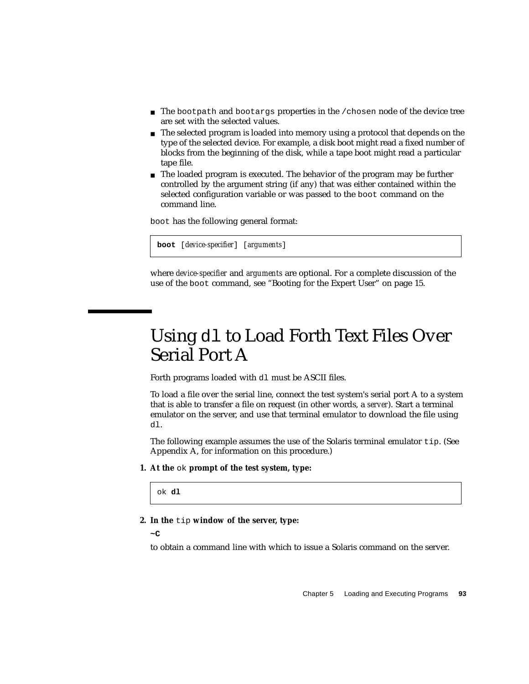- The bootpath and bootargs properties in the /chosen node of the device tree are set with the selected values.
- The selected program is loaded into memory using a protocol that depends on the type of the selected device. For example, a disk boot might read a fixed number of blocks from the beginning of the disk, while a tape boot might read a particular tape file.
- The loaded program is executed. The behavior of the program may be further controlled by the argument string (if any) that was either contained within the selected configuration variable or was passed to the boot command on the command line.

boot has the following general format:

**boot** [*device-specifier*] [*arguments*]

where *device-specifier* and *arguments* are optional. For a complete discussion of the use of the boot command, see "Booting for the Expert User" on page 15.

## Using dl to Load Forth Text Files Over Serial Port A

Forth programs loaded with dl must be ASCII files.

To load a file over the serial line, connect the test system's serial port A to a system that is able to transfer a file on request (in other words, a *server*). Start a terminal emulator on the server, and use that terminal emulator to download the file using dl.

The following example assumes the use of the Solaris terminal emulator tip. (See Appendix A, for information on this procedure.)

#### **1. At the** ok **prompt of the test system, type:**

ok **dl**

#### **2. In the** tip **window of the server, type:**

**~C**

to obtain a command line with which to issue a Solaris command on the server.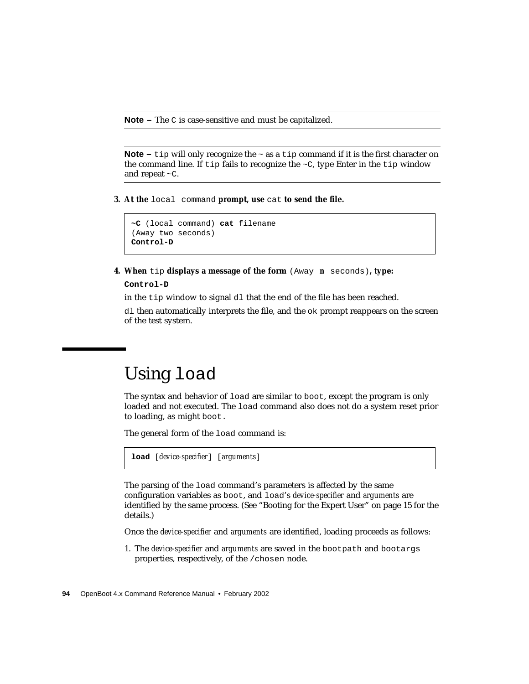**Note –** The C is case-sensitive and must be capitalized.

**Note –** tip will only recognize the  $\sim$  as a tip command if it is the first character on the command line. If tip fails to recognize the  $\sim$ C, type Enter in the tip window and repeat  $\sim$  C.

**3. At the** local command **prompt, use** cat **to send the file.**

```
~C (local command) cat filename
(Away two seconds)
Control-D
```
**4. When** tip **displays a message of the form** (Away *n* seconds)**, type:**

#### **Control-D**

in the tip window to signal dl that the end of the file has been reached.

dl then automatically interprets the file, and the ok prompt reappears on the screen of the test system.

## Using load

The syntax and behavior of load are similar to boot, except the program is only loaded and not executed. The load command also does not do a system reset prior to loading, as might boot.

The general form of the load command is:

```
load [device-specifier] [arguments]
```
The parsing of the load command's parameters is affected by the same configuration variables as boot, and load's *device-specifier* and *arguments* are identified by the same process. (See "Booting for the Expert User" on page 15 for the details.)

Once the *device-specifier* and *arguments* are identified, loading proceeds as follows:

1. The *device-specifier* and *arguments* are saved in the bootpath and bootargs properties, respectively, of the /chosen node.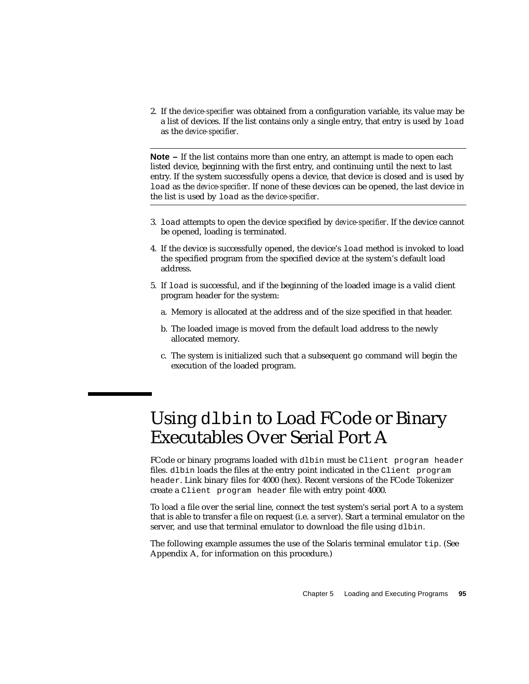2. If the *device-specifier* was obtained from a configuration variable, its value may be a list of devices. If the list contains only a single entry, that entry is used by load as the *device-specifier*.

**Note –** If the list contains more than one entry, an attempt is made to open each listed device, beginning with the first entry, and continuing until the next to last entry. If the system successfully opens a device, that device is closed and is used by load as the *device-specifier*. If none of these devices can be opened, the last device in the list is used by load as the *device-specifier*.

- 3. load attempts to open the device specified by *device-specifier*. If the device cannot be opened, loading is terminated.
- 4. If the device is successfully opened, the device's load method is invoked to load the specified program from the specified device at the system's default load address.
- 5. If load is successful, and if the beginning of the loaded image is a valid client program header for the system:
	- a. Memory is allocated at the address and of the size specified in that header.
	- b. The loaded image is moved from the default load address to the newly allocated memory.
	- c. The system is initialized such that a subsequent go command will begin the execution of the loaded program.

# Using dlbin to Load FCode or Binary Executables Over Serial Port A

FCode or binary programs loaded with dlbin must be Client program header files. dlbin loads the files at the entry point indicated in the Client program header. Link binary files for 4000 (hex). Recent versions of the FCode Tokenizer create a Client program header file with entry point 4000.

To load a file over the serial line, connect the test system's serial port A to a system that is able to transfer a file on request (i.e. a *server*). Start a terminal emulator on the server, and use that terminal emulator to download the file using dlbin.

The following example assumes the use of the Solaris terminal emulator tip. (See Appendix A, for information on this procedure.)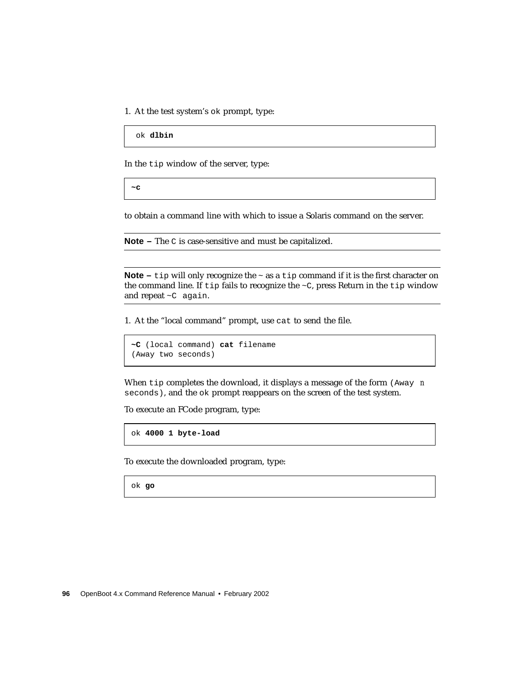1. At the test system's ok prompt, type:

ok **dlbin**

In the tip window of the server, type:

**~c**

to obtain a command line with which to issue a Solaris command on the server.

**Note –** The C is case-sensitive and must be capitalized.

**Note –** tip will only recognize the  $\sim$  as a tip command if it is the first character on the command line. If tip fails to recognize the  $\sim$ C, press Return in the tip window and repeat  $\sim$ C again.

1. At the "local command" prompt, use cat to send the file.

```
~C (local command) cat filename
(Away two seconds)
```
When tip completes the download, it displays a message of the form (Away *n* seconds), and the ok prompt reappears on the screen of the test system.

To execute an FCode program, type:

ok **4000 1 byte-load**

To execute the downloaded program, type:

ok **go**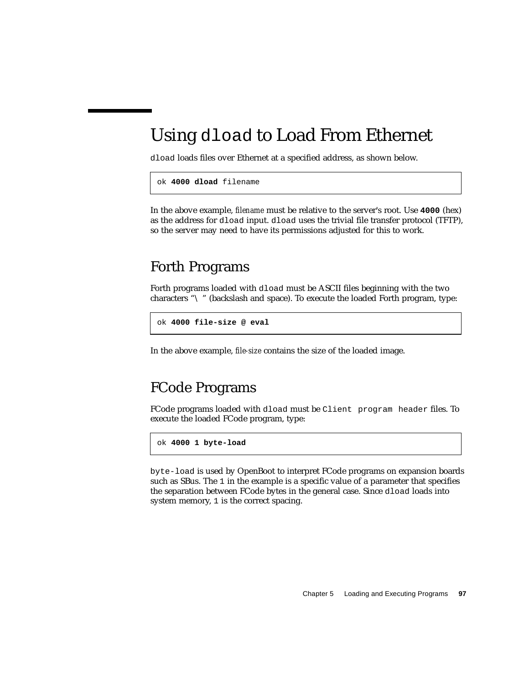## Using dload to Load From Ethernet

dload loads files over Ethernet at a specified address, as shown below.

```
ok 4000 dload filename
```
In the above example, *filename* must be relative to the server's root. Use **4000** (hex) as the address for dload input. dload uses the trivial file transfer protocol (TFTP), so the server may need to have its permissions adjusted for this to work.

### Forth Programs

Forth programs loaded with dload must be ASCII files beginning with the two characters " $\backslash$ " (backslash and space). To execute the loaded Forth program, type:

```
ok 4000 file-size @ eval
```
In the above example, *file-size* contains the size of the loaded image.

### FCode Programs

FCode programs loaded with dload must be Client program header files. To execute the loaded FCode program, type:

```
ok 4000 1 byte-load
```
byte-load is used by OpenBoot to interpret FCode programs on expansion boards such as SBus. The  $1$  in the example is a specific value of a parameter that specifies the separation between FCode bytes in the general case. Since dload loads into system memory, 1 is the correct spacing.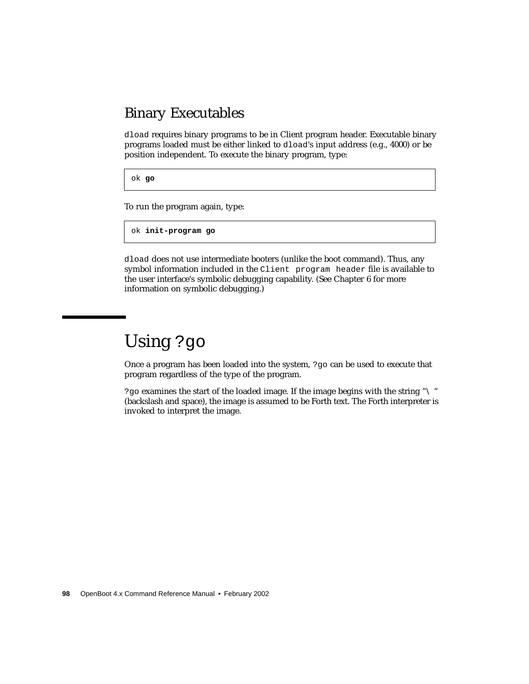### Binary Executables

dload requires binary programs to be in Client program header. Executable binary programs loaded must be either linked to dload's input address (e.g., 4000) or be position independent. To execute the binary program, type:

ok **go**

To run the program again, type:

ok **init-program go**

dload does not use intermediate booters (unlike the boot command). Thus, any symbol information included in the Client program header file is available to the user interface's symbolic debugging capability. (See Chapter 6 for more information on symbolic debugging.)

# Using ?go

Once a program has been loaded into the system, ?go can be used to execute that program regardless of the type of the program.

?go examines the start of the loaded image. If the image begins with the string "\ " (backslash and space), the image is assumed to be Forth text. The Forth interpreter is invoked to interpret the image.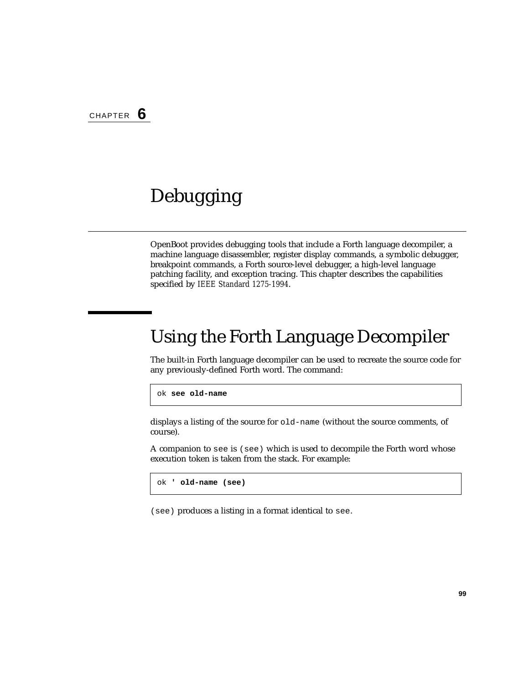# Debugging

OpenBoot provides debugging tools that include a Forth language decompiler, a machine language disassembler, register display commands, a symbolic debugger, breakpoint commands, a Forth source-level debugger, a high-level language patching facility, and exception tracing. This chapter describes the capabilities specified by *IEEE Standard 1275-1994*.

# Using the Forth Language Decompiler

The built-in Forth language decompiler can be used to recreate the source code for any previously-defined Forth word. The command:

ok **see old-name**

displays a listing of the source for old-name (without the source comments, of course).

A companion to see is (see) which is used to decompile the Forth word whose execution token is taken from the stack. For example:

ok **' old-name (see)**

(see) produces a listing in a format identical to see.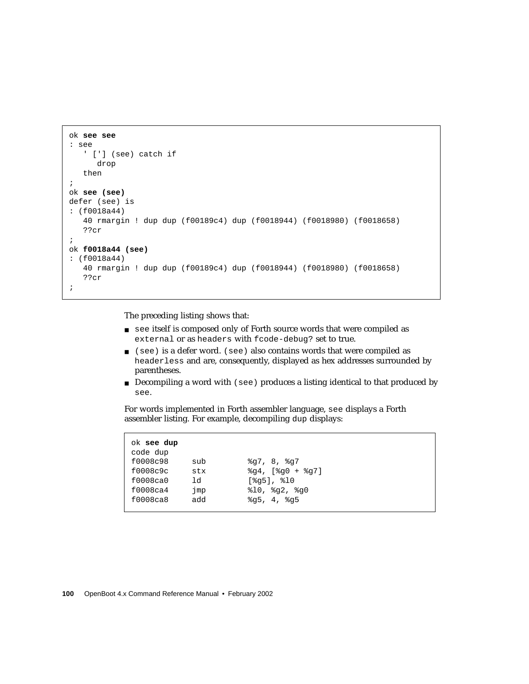```
ok see see
: see
    ' ['] (see) catch if
       drop
    then
;
ok see (see)
defer (see) is
: (f0018a44)
    40 rmargin ! dup dup (f00189c4) dup (f0018944) (f0018980) (f0018658)
    ??cr
;
ok f0018a44 (see)
: (f0018a44)
    40 rmargin ! dup dup (f00189c4) dup (f0018944) (f0018980) (f0018658)
    ??cr
;
```
The preceding listing shows that:

- see itself is composed only of Forth source words that were compiled as external or as headers with fcode-debug? set to true.
- (see) is a defer word. (see) also contains words that were compiled as headerless and are, consequently, displayed as hex addresses surrounded by parentheses.
- Decompiling a word with (see) produces a listing identical to that produced by see.

For words implemented in Forth assembler language, see displays a Forth assembler listing. For example, decompiling dup displays:

| ok see dup<br>code dup |     |                       |
|------------------------|-----|-----------------------|
| f0008c98               | sub | 8q7, 8, 8q7           |
| f0008c9c               | stx | $3q4$ , $[3q0 + 3q7]$ |
| f0008ca0               | ld  | $[8q5]$ , $\$10$      |
| f0008ca4               | jmp | \$10, \$q2, \$q0      |
| f0008ca8               | add | 8q5, 4, 8q5           |
|                        |     |                       |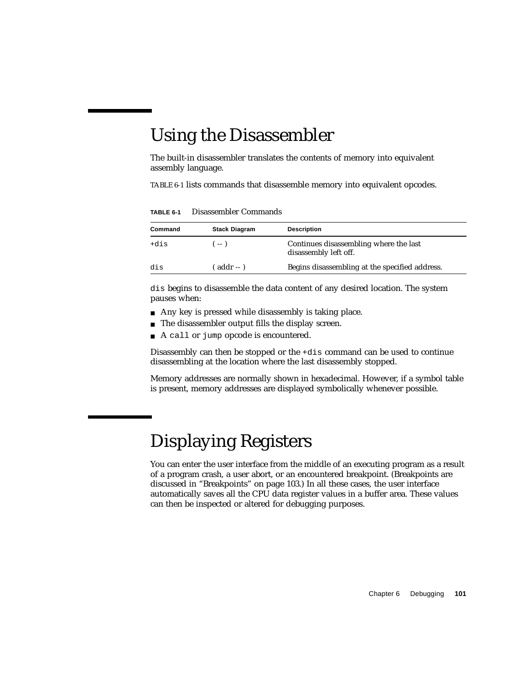## Using the Disassembler

The built-in disassembler translates the contents of memory into equivalent assembly language.

TABLE 6-1 lists commands that disassemble memory into equivalent opcodes.

| Command | <b>Stack Diagram</b> | <b>Description</b>                                              |
|---------|----------------------|-----------------------------------------------------------------|
| +dis    | $-1$                 | Continues disassembling where the last<br>disassembly left off. |
| dis     | ( addr -- )          | Begins disassembling at the specified address.                  |

**TABLE 6-1** Disassembler Commands

dis begins to disassemble the data content of any desired location. The system pauses when:

- Any key is pressed while disassembly is taking place.
- The disassembler output fills the display screen.
- A call or jump opcode is encountered.

Disassembly can then be stopped or the +dis command can be used to continue disassembling at the location where the last disassembly stopped.

Memory addresses are normally shown in hexadecimal. However, if a symbol table is present, memory addresses are displayed symbolically whenever possible.

# Displaying Registers

You can enter the user interface from the middle of an executing program as a result of a program crash, a user abort, or an encountered breakpoint. (Breakpoints are discussed in ["Breakpoints" on page 103](#page-118-0).) In all these cases, the user interface automatically saves all the CPU data register values in a buffer area. These values can then be inspected or altered for debugging purposes.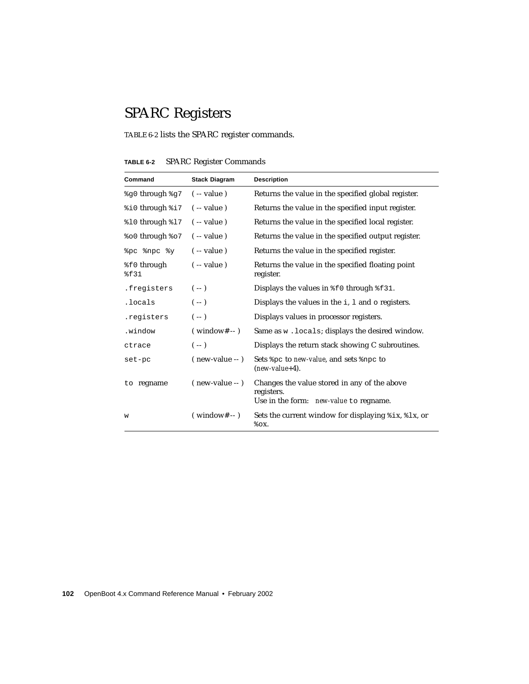## SPARC Registers

TABLE 6-2 lists the SPARC register commands.

**TABLE 6-2** SPARC Register Commands

| Command                | <b>Stack Diagram</b> | <b>Description</b>                                                                                   |
|------------------------|----------------------|------------------------------------------------------------------------------------------------------|
| %g0 through %g7        | $( -$ value $)$      | Returns the value in the specified global register.                                                  |
| %i0 through %i7        | $(-$ value)          | Returns the value in the specified input register.                                                   |
| %10 through %17        | $(-$ value)          | Returns the value in the specified local register.                                                   |
| %00 through %07        | $(-$ value)          | Returns the value in the specified output register.                                                  |
| %pc %npc %y            | $( -$ value $)$      | Returns the value in the specified register.                                                         |
| % f 0 through<br>\$£31 | $(-$ value)          | Returns the value in the specified floating point<br>register.                                       |
| .freqisters            | $(-)$                | Displays the values in $\S$ f 0 through $\S$ f 31.                                                   |
| .locals                | $(-)$                | Displays the values in the $i$ , $l$ and $o$ registers.                                              |
| .registers             | $(-)$                | Displays values in processor registers.                                                              |
| .window                | $(windown# - )$      | Same as w.locals; displays the desired window.                                                       |
| ctrace                 | $(-)$                | Displays the return stack showing C subroutines.                                                     |
| set-pc                 | $(new-value - )$     | Sets &pc to new-value, and sets &npc to<br>$(new-value+4)$ .                                         |
| to regname             | $(new-value - )$     | Changes the value stored in any of the above<br>registers.<br>Use in the form: new-value to regname. |
| W                      | $(windown# - )$      | Sets the current window for displaying $ix, x \, x$ , or<br>$\circ x.$                               |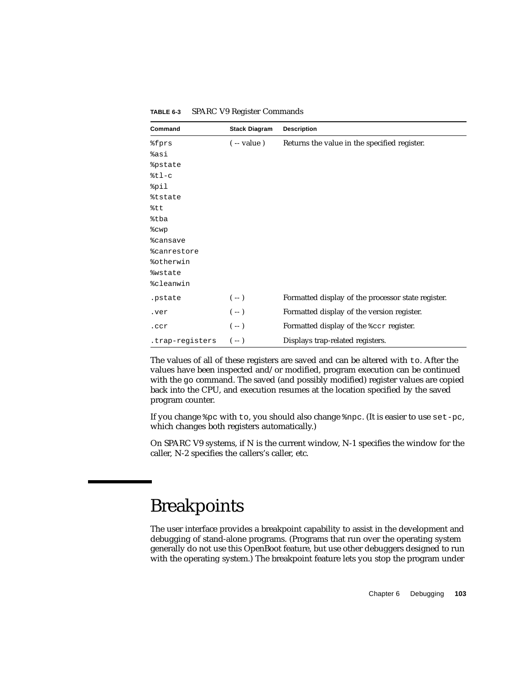| Command                   | <b>Stack Diagram</b> | <b>Description</b>                                 |
|---------------------------|----------------------|----------------------------------------------------|
| <i><b>&amp;fprs</b></i>   | $( -$ value)         | Returns the value in the specified register.       |
| %asi                      |                      |                                                    |
| <i><b>&amp;pstate</b></i> |                      |                                                    |
| $8t1-c$                   |                      |                                                    |
| %pil                      |                      |                                                    |
| <i><b>&amp;tstate</b></i> |                      |                                                    |
| <b>%しし</b>                |                      |                                                    |
| %tba                      |                      |                                                    |
| %cwp                      |                      |                                                    |
| <i><b>%cansave</b></i>    |                      |                                                    |
| <i><b>%canrestore</b></i> |                      |                                                    |
| %otherwin                 |                      |                                                    |
| <i><b>%wstate</b></i>     |                      |                                                    |
| <i><b>%cleanwin</b></i>   |                      |                                                    |
| .pstate                   | $(-)$                | Formatted display of the processor state register. |
| .ver                      | $(-)$                | Formatted display of the version register.         |
| .ccr                      | $(-)$                | Formatted display of the $sec$ r register.         |
| .trap-registers           | $(- - )$             | Displays trap-related registers.                   |

**TABLE 6-3** SPARC V9 Register Commands

The values of all of these registers are saved and can be altered with to. After the values have been inspected and/or modified, program execution can be continued with the go command. The saved (and possibly modified) register values are copied back into the CPU, and execution resumes at the location specified by the saved program counter.

If you change  $p > p$  with to, you should also change  $p > p$ . (It is easier to use set-pc, which changes both registers automatically.)

On SPARC V9 systems, if N is the current window, N-1 specifies the window for the caller, N-2 specifies the callers's caller, etc.

## <span id="page-118-0"></span>Breakpoints

The user interface provides a breakpoint capability to assist in the development and debugging of stand-alone programs. (Programs that run over the operating system generally do not use this OpenBoot feature, but use other debuggers designed to run with the operating system.) The breakpoint feature lets you stop the program under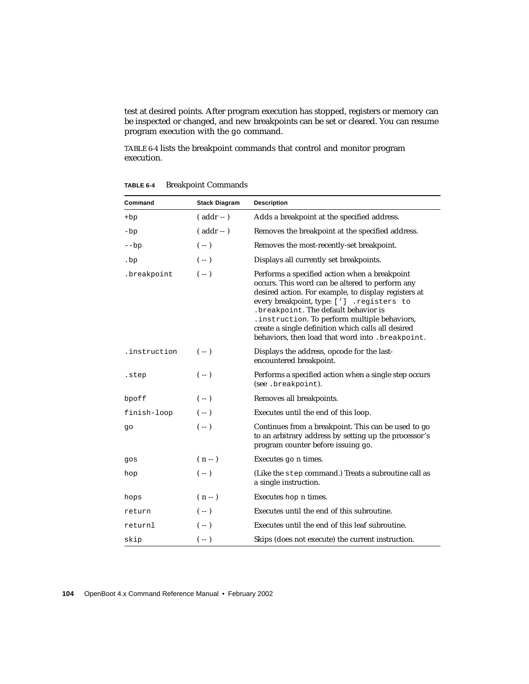test at desired points. After program execution has stopped, registers or memory can be inspected or changed, and new breakpoints can be set or cleared. You can resume program execution with the go command.

TABLE 6-4 lists the breakpoint commands that control and monitor program execution.

| Command        | <b>Stack Diagram</b> | <b>Description</b>                                                                                                                                                                                                                                                                                                                                                                                        |
|----------------|----------------------|-----------------------------------------------------------------------------------------------------------------------------------------------------------------------------------------------------------------------------------------------------------------------------------------------------------------------------------------------------------------------------------------------------------|
| $+bp$          | $($ addr $-$ )       | Adds a breakpoint at the specified address.                                                                                                                                                                                                                                                                                                                                                               |
| -bp            | $($ addr $-$ )       | Removes the breakpoint at the specified address.                                                                                                                                                                                                                                                                                                                                                          |
| $-\mathsf{bp}$ | $(-)$                | Removes the most-recently-set breakpoint.                                                                                                                                                                                                                                                                                                                                                                 |
| .bp            | $(-)$                | Displays all currently set breakpoints.                                                                                                                                                                                                                                                                                                                                                                   |
| .breakpoint    | $(-)$                | Performs a specified action when a breakpoint<br>occurs. This word can be altered to perform any<br>desired action. For example, to display registers at<br>every breakpoint, type: ['] .registers to<br>.breakpoint. The default behavior is<br>. instruction. To perform multiple behaviors,<br>create a single definition which calls all desired<br>behaviors, then load that word into . breakpoint. |
| .instruction   | $(-)$                | Displays the address, opcode for the last-<br>encountered breakpoint.                                                                                                                                                                                                                                                                                                                                     |
| .step          | $(-)$                | Performs a specified action when a single step occurs<br>(see .breakpoint).                                                                                                                                                                                                                                                                                                                               |
| bpoff          | $(-)$                | Removes all breakpoints.                                                                                                                                                                                                                                                                                                                                                                                  |
| finish-loop    | $(-)$                | Executes until the end of this loop.                                                                                                                                                                                                                                                                                                                                                                      |
| go             | $(-)$                | Continues from a breakpoint. This can be used to go<br>to an arbitrary address by setting up the processor's<br>program counter before issuing go.                                                                                                                                                                                                                                                        |
| gos            | $(n - )$             | Executes $q_0$ n times.                                                                                                                                                                                                                                                                                                                                                                                   |
| hop            | $(-)$                | (Like the step command.) Treats a subroutine call as<br>a single instruction.                                                                                                                                                                                                                                                                                                                             |
| hops           | $(n - )$             | Executes hop n times.                                                                                                                                                                                                                                                                                                                                                                                     |
| return         | $(-)$                | Executes until the end of this subroutine.                                                                                                                                                                                                                                                                                                                                                                |
| returnl        | $(-)$                | Executes until the end of this leaf subroutine.                                                                                                                                                                                                                                                                                                                                                           |
| skip           | $(-)$                | Skips (does not execute) the current instruction.                                                                                                                                                                                                                                                                                                                                                         |

**TABLE 6-4** Breakpoint Commands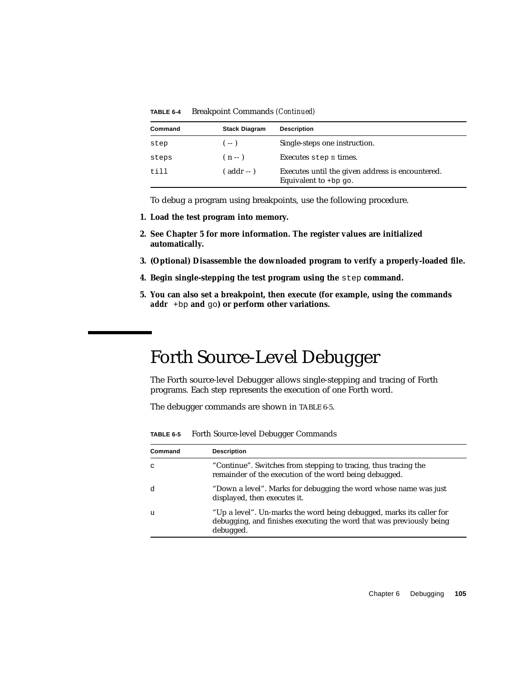| Command | <b>Stack Diagram</b> | <b>Description</b>                                                          |
|---------|----------------------|-----------------------------------------------------------------------------|
| step    | $(-)$                | Single-steps one instruction.                                               |
| steps   | $(n - )$             | Executes step <i>n</i> times.                                               |
| till    | ( addr -- )          | Executes until the given address is encountered.<br>Equivalent to $+bp$ go. |

**TABLE 6-4** Breakpoint Commands *(Continued)*

To debug a program using breakpoints, use the following procedure.

- **1. Load the test program into memory.**
- **2. See Chapter 5 for more information. The register values are initialized automatically.**
- **3. (Optional) Disassemble the downloaded program to verify a properly-loaded file.**
- **4. Begin single-stepping the test program using the** step **command.**
- **5. You can also set a breakpoint, then execute (for example, using the commands** *addr* +bp **and** go**) or perform other variations.**

# Forth Source-Level Debugger

The Forth source-level Debugger allows single-stepping and tracing of Forth programs. Each step represents the execution of one Forth word.

The debugger commands are shown in TABLE 6-5.

| Command | <b>Description</b>                                                                                                                                        |
|---------|-----------------------------------------------------------------------------------------------------------------------------------------------------------|
| C       | "Continue". Switches from stepping to tracing, thus tracing the<br>remainder of the execution of the word being debugged.                                 |
| d       | "Down a level". Marks for debugging the word whose name was just<br>displayed, then executes it.                                                          |
| 11      | "Up a level". Un-marks the word being debugged, marks its caller for<br>debugging, and finishes executing the word that was previously being<br>debugged. |

**TABLE 6-5** Forth Source-level Debugger Commands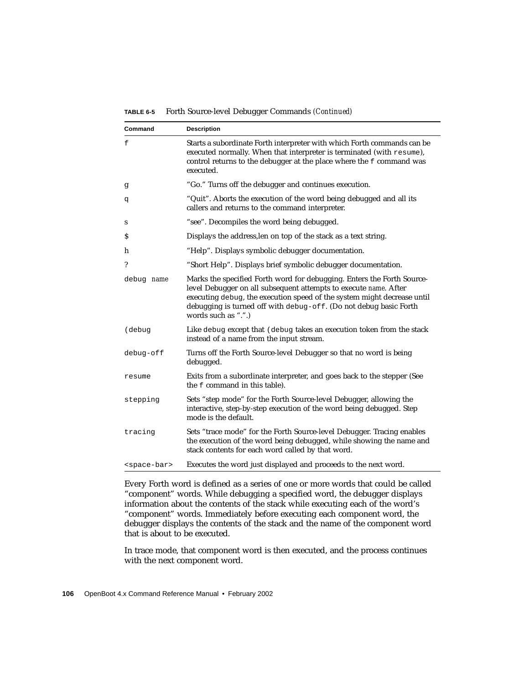**TABLE 6-5** Forth Source-level Debugger Commands *(Continued)*

| Command                 | <b>Description</b>                                                                                                                                                                                                                                                                                                |
|-------------------------|-------------------------------------------------------------------------------------------------------------------------------------------------------------------------------------------------------------------------------------------------------------------------------------------------------------------|
| f                       | Starts a subordinate Forth interpreter with which Forth commands can be<br>executed normally. When that interpreter is terminated (with resume),<br>control returns to the debugger at the place where the f command was<br>executed.                                                                             |
| g                       | "Go." Turns off the debugger and continues execution.                                                                                                                                                                                                                                                             |
| q                       | "Quit". Aborts the execution of the word being debugged and all its<br>callers and returns to the command interpreter.                                                                                                                                                                                            |
| S                       | "see". Decompiles the word being debugged.                                                                                                                                                                                                                                                                        |
| s                       | Displays the address, len on top of the stack as a text string.                                                                                                                                                                                                                                                   |
| h                       | "Help". Displays symbolic debugger documentation.                                                                                                                                                                                                                                                                 |
| ?                       | "Short Help". Displays brief symbolic debugger documentation.                                                                                                                                                                                                                                                     |
| debug name              | Marks the specified Forth word for debugging. Enters the Forth Source-<br>level Debugger on all subsequent attempts to execute name. After<br>executing debug, the execution speed of the system might decrease until<br>debugging is turned off with debug-off. (Do not debug basic Forth<br>words such as ".".) |
| (debug                  | Like debug except that (debug takes an execution token from the stack<br>instead of a name from the input stream.                                                                                                                                                                                                 |
| debug-off               | Turns off the Forth Source-level Debugger so that no word is being<br>debugged.                                                                                                                                                                                                                                   |
| resume                  | Exits from a subordinate interpreter, and goes back to the stepper (See<br>the f command in this table).                                                                                                                                                                                                          |
| stepping                | Sets "step mode" for the Forth Source-level Debugger, allowing the<br>interactive, step-by-step execution of the word being debugged. Step<br>mode is the default.                                                                                                                                                |
| tracing                 | Sets "trace mode" for the Forth Source-level Debugger. Tracing enables<br>the execution of the word being debugged, while showing the name and<br>stack contents for each word called by that word.                                                                                                               |
| <space-bar></space-bar> | Executes the word just displayed and proceeds to the next word.                                                                                                                                                                                                                                                   |

Every Forth word is defined as a series of one or more words that could be called "component" words. While debugging a specified word, the debugger displays information about the contents of the stack while executing each of the word's "component" words. Immediately before executing each component word, the debugger displays the contents of the stack and the name of the component word that is about to be executed.

In trace mode, that component word is then executed, and the process continues with the next component word.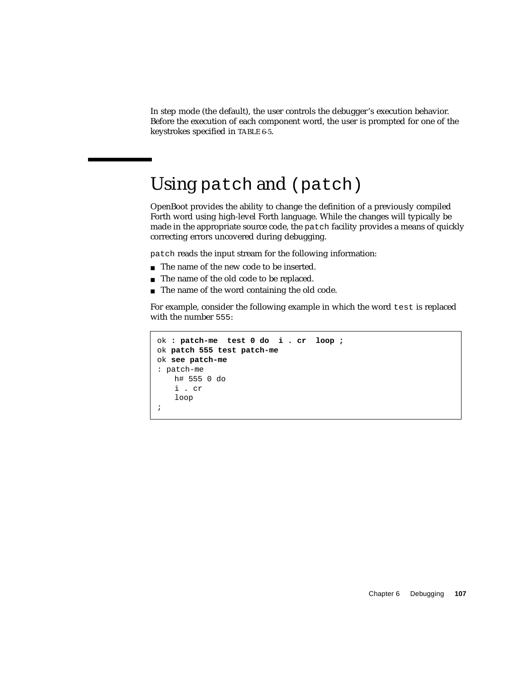In step mode (the default), the user controls the debugger's execution behavior. Before the execution of each component word, the user is prompted for one of the keystrokes specified in TABLE 6-5.

## Using patch and (patch)

OpenBoot provides the ability to change the definition of a previously compiled Forth word using high-level Forth language. While the changes will typically be made in the appropriate source code, the patch facility provides a means of quickly correcting errors uncovered during debugging.

patch reads the input stream for the following information:

- The name of the new code to be inserted.
- The name of the old code to be replaced.
- The name of the word containing the old code.

For example, consider the following example in which the word test is replaced with the number 555:

```
ok : patch-me test 0 do i . cr loop ;
ok patch 555 test patch-me
ok see patch-me
: patch-me
   h# 555 0 do
   i . cr
   loop
;
```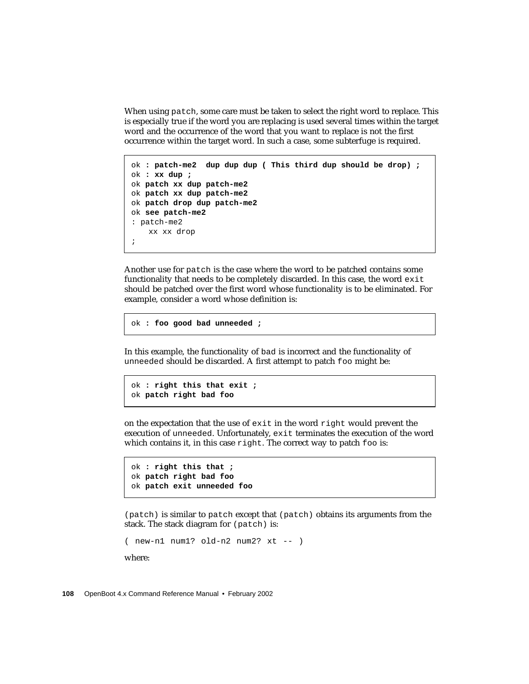When using patch, some care must be taken to select the right word to replace. This is especially true if the word you are replacing is used several times within the target word and the occurrence of the word that you want to replace is not the first occurrence within the target word. In such a case, some subterfuge is required.

```
ok : patch-me2 dup dup dup ( This third dup should be drop) ;
ok : xx dup ;
ok patch xx dup patch-me2
ok patch xx dup patch-me2
ok patch drop dup patch-me2
ok see patch-me2
: patch-me2
   xx xx drop
;
```
Another use for patch is the case where the word to be patched contains some functionality that needs to be completely discarded. In this case, the word exit should be patched over the first word whose functionality is to be eliminated. For example, consider a word whose definition is:

ok **: foo good bad unneeded ;**

In this example, the functionality of bad is incorrect and the functionality of unneeded should be discarded. A first attempt to patch foo might be:

```
ok : right this that exit ;
ok patch right bad foo
```
on the expectation that the use of exit in the word right would prevent the execution of unneeded. Unfortunately, exit terminates the execution of the word which contains it, in this case right. The correct way to patch foo is:

```
ok : right this that ;
ok patch right bad foo
ok patch exit unneeded foo
```
(patch) is similar to patch except that (patch) obtains its arguments from the stack. The stack diagram for (patch) is:

```
(new-n1 num1? old-n2 num2? xt - - )where:
```
**108** OpenBoot 4.x Command Reference Manual • February 2002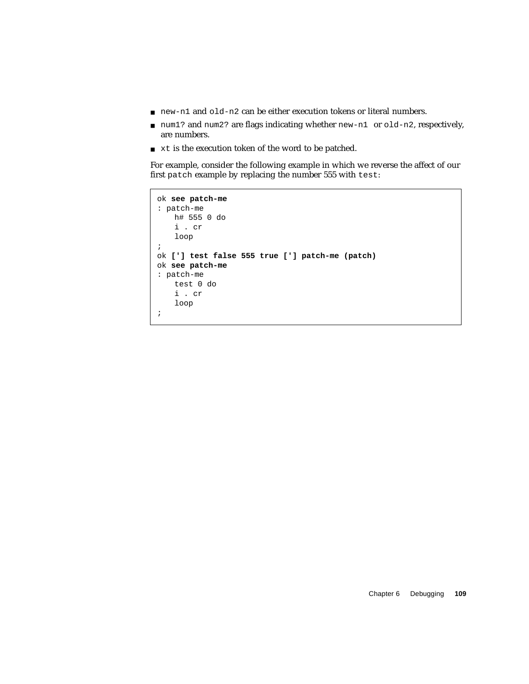- new-n1 and old-n2 can be either execution tokens or literal numbers.
- num1? and num2? are flags indicating whether new-n1 or old-n2, respectively, are numbers.
- xt is the execution token of the word to be patched.

For example, consider the following example in which we reverse the affect of our first patch example by replacing the number 555 with test:

```
ok see patch-me
: patch-me
   h# 555 0 do
   i . cr
   loop
;
ok ['] test false 555 true ['] patch-me (patch)
ok see patch-me
: patch-me
   test 0 do
   i . cr
   loop
;
```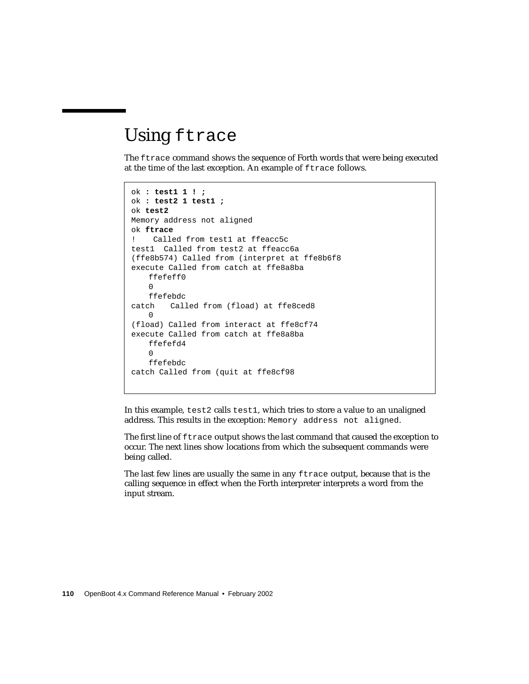## Using ftrace

The ftrace command shows the sequence of Forth words that were being executed at the time of the last exception. An example of ftrace follows.

```
ok : test1 1 ! ;
ok : test2 1 test1 ;
ok test2
Memory address not aligned
ok ftrace
! Called from test1 at ffeacc5c
test1 Called from test2 at ffeacc6a
(ffe8b574) Called from (interpret at ffe8b6f8
execute Called from catch at ffe8a8ba
   ffefeff0
   \Omegaffefebdc
catch Called from (fload) at ffe8ced8
   \Omega(fload) Called from interact at ffe8cf74
execute Called from catch at ffe8a8ba
   ffefefd4
   \capffefebdc
catch Called from (quit at ffe8cf98
```
In this example, test2 calls test1, which tries to store a value to an unaligned address. This results in the exception: Memory address not aligned.

The first line of ftrace output shows the last command that caused the exception to occur. The next lines show locations from which the subsequent commands were being called.

The last few lines are usually the same in any ftrace output, because that is the calling sequence in effect when the Forth interpreter interprets a word from the input stream.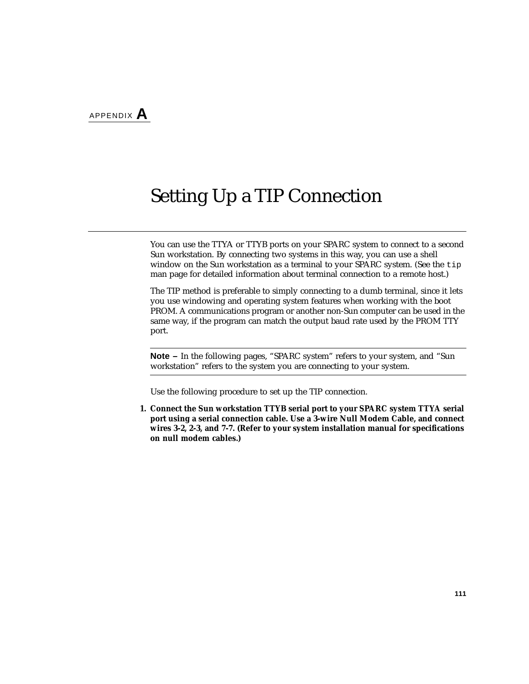# Setting Up a TIP Connection

You can use the TTYA or TTYB ports on your SPARC system to connect to a second Sun workstation. By connecting two systems in this way, you can use a shell window on the Sun workstation as a terminal to your SPARC system. (See the tip man page for detailed information about terminal connection to a remote host.)

The TIP method is preferable to simply connecting to a dumb terminal, since it lets you use windowing and operating system features when working with the boot PROM. A communications program or another non-Sun computer can be used in the same way, if the program can match the output baud rate used by the PROM TTY port.

**Note –** In the following pages, "SPARC system" refers to your system, and "Sun workstation" refers to the system you are connecting to your system.

Use the following procedure to set up the TIP connection.

**1. Connect the Sun workstation TTYB serial port to your SPARC system TTYA serial port using a serial connection cable. Use a 3-wire Null Modem Cable, and connect wires 3-2, 2-3, and 7-7. (Refer to your system installation manual for specifications on null modem cables.)**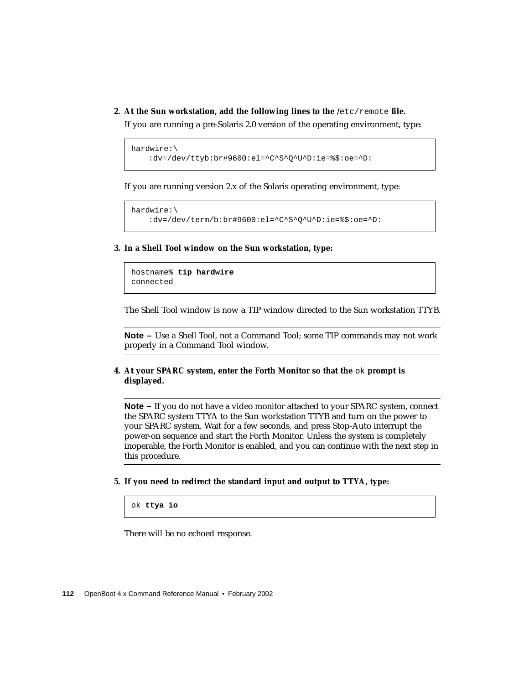**2. At the Sun workstation, add the following lines to the /**etc/remote **file.**

If you are running a pre-Solaris 2.0 version of the operating environment, type:

```
hardwire:\
   :dv=/dev/ttyb:br#9600:el=^C^S^Q^U^D:ie=%$:oe=^D:
```
If you are running version 2.x of the Solaris operating environment, type:

```
hardwire:\
   :dv=/dev/term/b:br#9600:el=^C^S^Q^U^D:ie=%$:oe=^D:
```
**3. In a Shell Tool window on the Sun workstation, type:**

```
hostname% tip hardwire
connected
```
The Shell Tool window is now a TIP window directed to the Sun workstation TTYB.

**Note –** Use a Shell Tool, not a Command Tool; some TIP commands may not work properly in a Command Tool window.

**4. At your SPARC system, enter the Forth Monitor so that the** ok **prompt is displayed.**

**Note –** If you do not have a video monitor attached to your SPARC system, connect the SPARC system TTYA to the Sun workstation TTYB and turn on the power to your SPARC system. Wait for a few seconds, and press Stop-Auto interrupt the power-on sequence and start the Forth Monitor. Unless the system is completely inoperable, the Forth Monitor is enabled, and you can continue with the next step in this procedure.

**5. If you need to redirect the standard input and output to TTYA, type:**

ok **ttya io**

There will be no echoed response.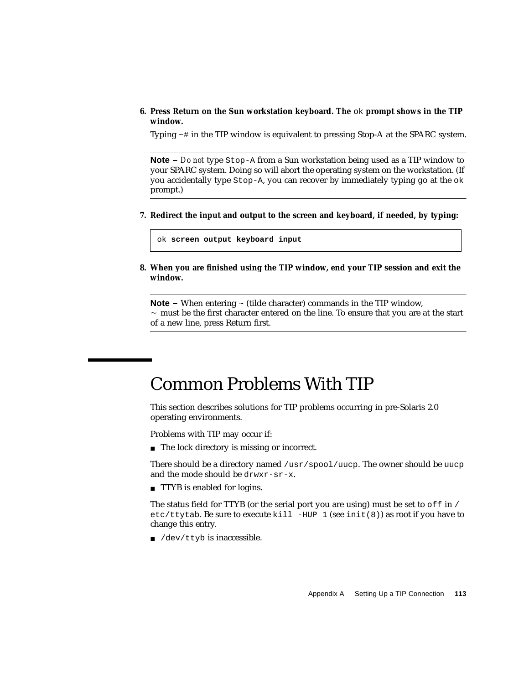**6. Press Return on the Sun workstation keyboard. The** ok **prompt shows in the TIP window.**

Typing ~# in the TIP window is equivalent to pressing Stop-A at the SPARC system.

**Note –** *Do not* type Stop-A from a Sun workstation being used as a TIP window to your SPARC system. Doing so will abort the operating system on the workstation. (If you accidentally type Stop-A, you can recover by immediately typing go at the ok prompt.)

**7. Redirect the input and output to the screen and keyboard, if needed, by typing:**

ok **screen output keyboard input**

**8. When you are finished using the TIP window, end your TIP session and exit the window.**

**Note –** When entering  $\sim$  (tilde character) commands in the TIP window,  $\sim$  must be the first character entered on the line. To ensure that you are at the start of a new line, press Return first.

## Common Problems With TIP

This section describes solutions for TIP problems occurring in pre-Solaris 2.0 operating environments.

Problems with TIP may occur if:

■ The lock directory is missing or incorrect.

There should be a directory named  $/$ usr $/$ spool $/$ uucp. The owner should be uucp and the mode should be drwxr-sr-x.

■ TTYB is enabled for logins.

The status field for TTYB (or the serial port you are using) must be set to off in / etc/ttytab. Be sure to execute kill -HUP 1 (see init(8)) as root if you have to change this entry.

■ /dev/ttyb is inaccessible.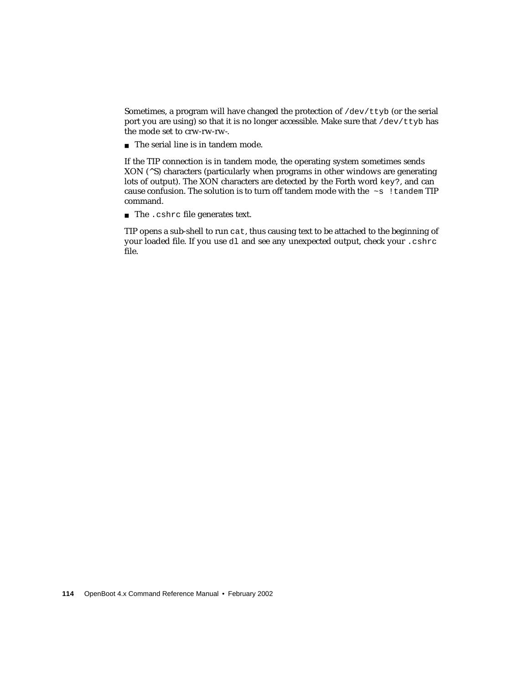Sometimes, a program will have changed the protection of  $/$ dev $/$ ttyb (or the serial port you are using) so that it is no longer accessible. Make sure that  $/$  dev $/$ ttyb has the mode set to crw-rw-rw-.

■ The serial line is in tandem mode.

If the TIP connection is in tandem mode, the operating system sometimes sends XON (^S) characters (particularly when programs in other windows are generating lots of output). The XON characters are detected by the Forth word key?, and can cause confusion. The solution is to turn off tandem mode with the  $~\sim$ s ! tandem TIP command.

■ The .cshrc file generates text.

TIP opens a sub-shell to run cat, thus causing text to be attached to the beginning of your loaded file. If you use dl and see any unexpected output, check your .cshrc file.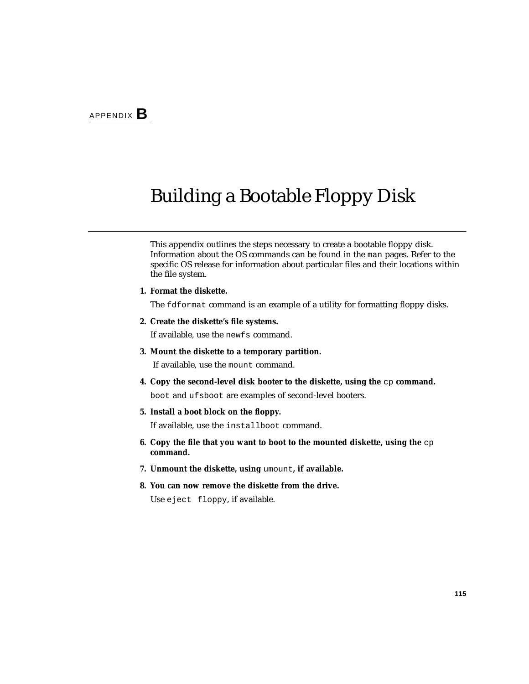# Building a Bootable Floppy Disk

This appendix outlines the steps necessary to create a bootable floppy disk. Information about the OS commands can be found in the man pages. Refer to the specific OS release for information about particular files and their locations within the file system.

#### **1. Format the diskette.**

The fdformat command is an example of a utility for formatting floppy disks.

**2. Create the diskette's file systems.**

If available, use the newfs command.

**3. Mount the diskette to a temporary partition.**

If available, use the mount command.

- **4. Copy the second-level disk booter to the diskette, using the** cp **command.** boot and ufsboot are examples of second-level booters.
- **5. Install a boot block on the floppy.**

If available, use the installboot command.

- **6. Copy the file that you want to boot to the mounted diskette, using the** cp **command.**
- **7. Unmount the diskette, using** umount**, if available.**
- **8. You can now remove the diskette from the drive.**

Use eject floppy, if available.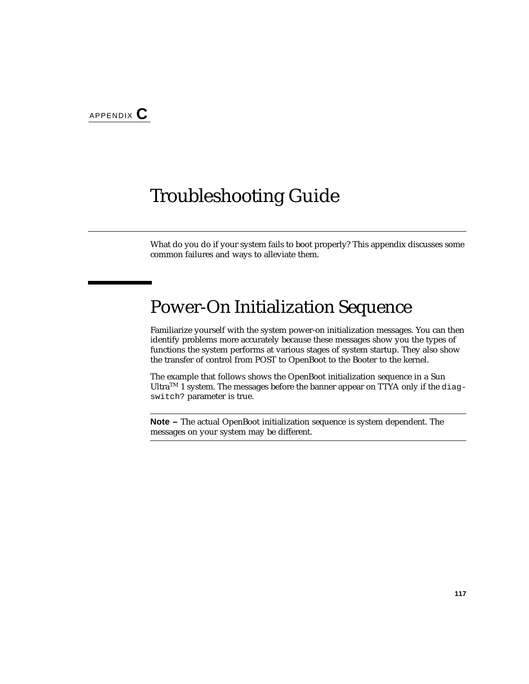# Troubleshooting Guide

What do you do if your system fails to boot properly? This appendix discusses some common failures and ways to alleviate them.

## Power-On Initialization Sequence

Familiarize yourself with the system power-on initialization messages. You can then identify problems more accurately because these messages show you the types of functions the system performs at various stages of system startup. They also show the transfer of control from POST to OpenBoot to the Booter to the kernel.

The example that follows shows the OpenBoot initialization sequence in a Sun Ultra<sup>TM</sup> 1 system. The messages before the banner appear on TTYA only if the  $diag$ switch? parameter is true.

**Note –** The actual OpenBoot initialization sequence is system dependent. The messages on your system may be different.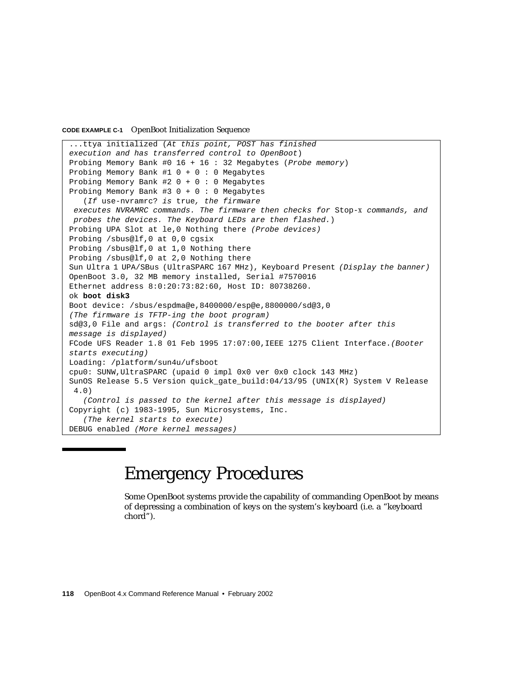#### **CODE EXAMPLE C-1** OpenBoot Initialization Sequence

```
...ttya initialized (At this point, POST has finished
execution and has transferred control to OpenBoot)
Probing Memory Bank #0 16 + 16 : 32 Megabytes (Probe memory)
Probing Memory Bank #1 0 + 0 : 0 Megabytes
Probing Memory Bank #2 0 + 0 : 0 Megabytes
Probing Memory Bank #3 0 + 0 : 0 Megabytes
   (If use-nvramrc? is true, the firmware
  executes NVRAMRC commands. The firmware then checks for Stop-x commands, and
  probes the devices. The Keyboard LEDs are then flashed.)
Probing UPA Slot at le,0 Nothing there (Probe devices)
Probing /sbus@lf,0 at 0,0 cgsix
Probing /sbus@lf,0 at 1,0 Nothing there
Probing /sbus@lf,0 at 2,0 Nothing there
Sun Ultra 1 UPA/SBus (UltraSPARC 167 MHz), Keyboard Present (Display the banner)
OpenBoot 3.0, 32 MB memory installed, Serial #7570016
Ethernet address 8:0:20:73:82:60, Host ID: 80738260.
ok boot disk3
Boot device: /sbus/espdma@e,8400000/esp@e,8800000/sd@3,0
(The firmware is TFTP-ing the boot program)
sd@3,0 File and args: (Control is transferred to the booter after this
message is displayed)
FCode UFS Reader 1.8 01 Feb 1995 17:07:00,IEEE 1275 Client Interface.(Booter
starts executing)
Loading: /platform/sun4u/ufsboot
cpu0: SUNW,UltraSPARC (upaid 0 impl 0x0 ver 0x0 clock 143 MHz)
SunOS Release 5.5 Version quick_gate_build:04/13/95 (UNIX(R) System V Release
  4.0)
   (Control is passed to the kernel after this message is displayed)
Copyright (c) 1983-1995, Sun Microsystems, Inc.
   (The kernel starts to execute)
DEBUG enabled (More kernel messages)
```
## Emergency Procedures

Some OpenBoot systems provide the capability of commanding OpenBoot by means of depressing a combination of keys on the system's keyboard (i.e. a "keyboard chord").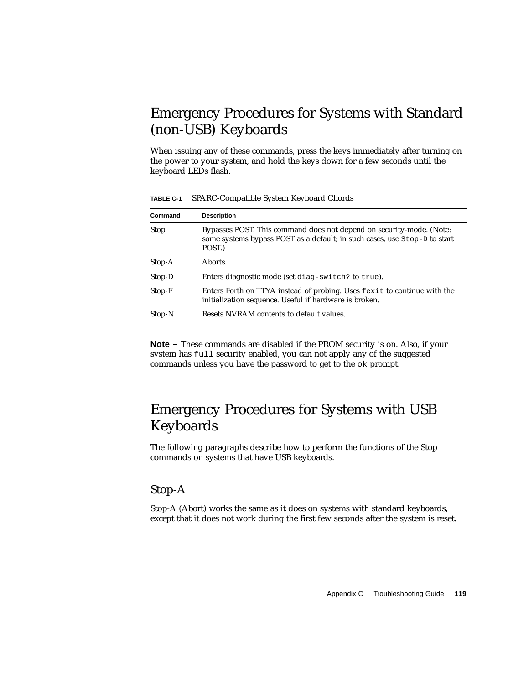### Emergency Procedures for Systems with Standard (non-USB) Keyboards

When issuing any of these commands, press the keys immediately after turning on the power to your system, and hold the keys down for a few seconds until the keyboard LEDs flash.

| Command     | <b>Description</b>                                                                                                                                         |  |
|-------------|------------------------------------------------------------------------------------------------------------------------------------------------------------|--|
| <b>Stop</b> | Bypasses POST. This command does not depend on security-mode. (Note:<br>some systems bypass POST as a default; in such cases, use Stop-D to start<br>POST. |  |
| Stop-A      | Aborts.                                                                                                                                                    |  |
| Stop-D      | Enters diagnostic mode (set diag-switch? to true).                                                                                                         |  |
| Stop-F      | Enters Forth on TTYA instead of probing. Uses fexit to continue with the<br>initialization sequence. Useful if hardware is broken.                         |  |
| Stop-N      | Resets NVRAM contents to default values.                                                                                                                   |  |

**TABLE C-1** SPARC-Compatible System Keyboard Chords

**Note –** These commands are disabled if the PROM security is on. Also, if your system has full security enabled, you can not apply any of the suggested commands unless you have the password to get to the ok prompt.

### Emergency Procedures for Systems with USB Keyboards

The following paragraphs describe how to perform the functions of the Stop commands on systems that have USB keyboards.

### Stop-A

Stop-A (Abort) works the same as it does on systems with standard keyboards, except that it does not work during the first few seconds after the system is reset.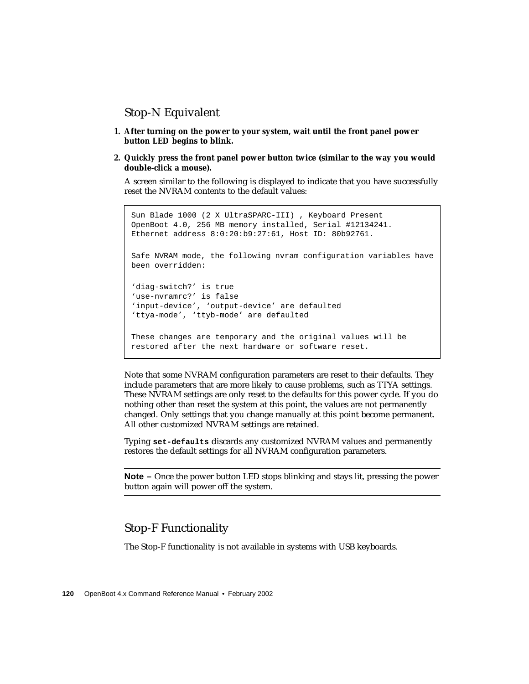### Stop-N Equivalent

- **1. After turning on the power to your system, wait until the front panel power button LED begins to blink.**
- **2. Quickly press the front panel power button twice (similar to the way you would double-click a mouse).**

A screen similar to the following is displayed to indicate that you have successfully reset the NVRAM contents to the default values:

```
Sun Blade 1000 (2 X UltraSPARC-III) , Keyboard Present
OpenBoot 4.0, 256 MB memory installed, Serial #12134241.
Ethernet address 8:0:20:b9:27:61, Host ID: 80b92761.
Safe NVRAM mode, the following nvram configuration variables have
been overridden:
'diag-switch?' is true
'use-nvramrc?' is false
'input-device', 'output-device' are defaulted
'ttya-mode', 'ttyb-mode' are defaulted
These changes are temporary and the original values will be
restored after the next hardware or software reset.
```
Note that some NVRAM configuration parameters are reset to their defaults. They include parameters that are more likely to cause problems, such as TTYA settings. These NVRAM settings are only reset to the defaults for this power cycle. If you do nothing other than reset the system at this point, the values are not permanently changed. Only settings that you change manually at this point become permanent. All other customized NVRAM settings are retained.

Typing **set-defaults** discards any customized NVRAM values and permanently restores the default settings for all NVRAM configuration parameters.

**Note –** Once the power button LED stops blinking and stays lit, pressing the power button again will power off the system.

#### Stop-F Functionality

The Stop-F functionality is not available in systems with USB keyboards.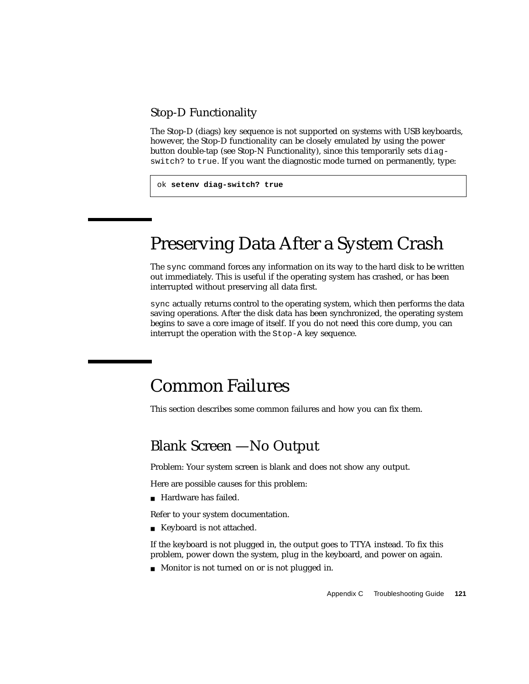### Stop-D Functionality

The Stop-D (diags) key sequence is not supported on systems with USB keyboards, however, the Stop-D functionality can be closely emulated by using the power button double-tap (see Stop-N Functionality), since this temporarily sets diagswitch? to true. If you want the diagnostic mode turned on permanently, type:

```
ok setenv diag-switch? true
```
## Preserving Data After a System Crash

The sync command forces any information on its way to the hard disk to be written out immediately. This is useful if the operating system has crashed, or has been interrupted without preserving all data first.

sync actually returns control to the operating system, which then performs the data saving operations. After the disk data has been synchronized, the operating system begins to save a core image of itself. If you do not need this core dump, you can interrupt the operation with the Stop-A key sequence.

## Common Failures

This section describes some common failures and how you can fix them.

### Blank Screen —No Output

Problem: Your system screen is blank and does not show any output.

Here are possible causes for this problem:

■ Hardware has failed.

Refer to your system documentation.

■ Keyboard is not attached.

If the keyboard is not plugged in, the output goes to TTYA instead. To fix this problem, power down the system, plug in the keyboard, and power on again.

■ Monitor is not turned on or is not plugged in.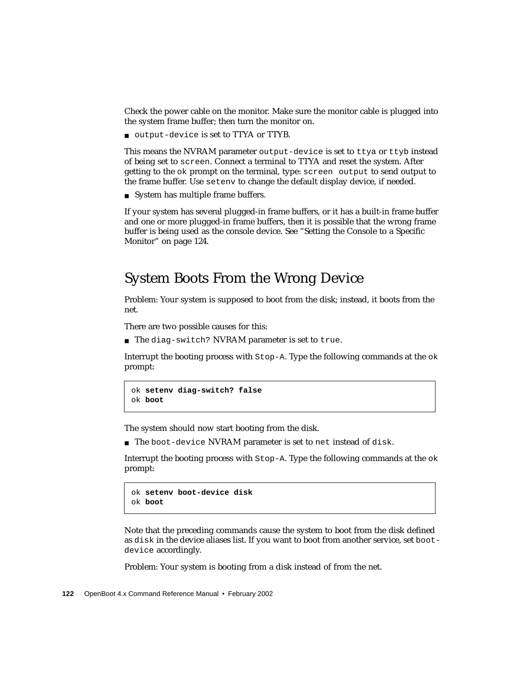Check the power cable on the monitor. Make sure the monitor cable is plugged into the system frame buffer; then turn the monitor on.

■ output-device is set to TTYA or TTYB.

This means the NVRAM parameter output-device is set to ttya or ttyb instead of being set to screen. Connect a terminal to TTYA and reset the system. After getting to the ok prompt on the terminal, type: screen output to send output to the frame buffer. Use setenv to change the default display device, if needed.

■ System has multiple frame buffers.

If your system has several plugged-in frame buffers, or it has a built-in frame buffer and one or more plugged-in frame buffers, then it is possible that the wrong frame buffer is being used as the console device. See ["Setting the Console to a Specific](#page-139-0) [Monitor" on page 124.](#page-139-0)

### System Boots From the Wrong Device

Problem: Your system is supposed to boot from the disk; instead, it boots from the net.

There are two possible causes for this:

■ The diag-switch? NVRAM parameter is set to true.

Interrupt the booting process with Stop-A. Type the following commands at the ok prompt:

```
ok setenv diag-switch? false
ok boot
```
The system should now start booting from the disk.

■ The boot-device NVRAM parameter is set to net instead of disk.

Interrupt the booting process with Stop-A. Type the following commands at the ok prompt:

```
ok setenv boot-device disk
ok boot
```
Note that the preceding commands cause the system to boot from the disk defined as disk in the device aliases list. If you want to boot from another service, set bootdevice accordingly.

Problem: Your system is booting from a disk instead of from the net.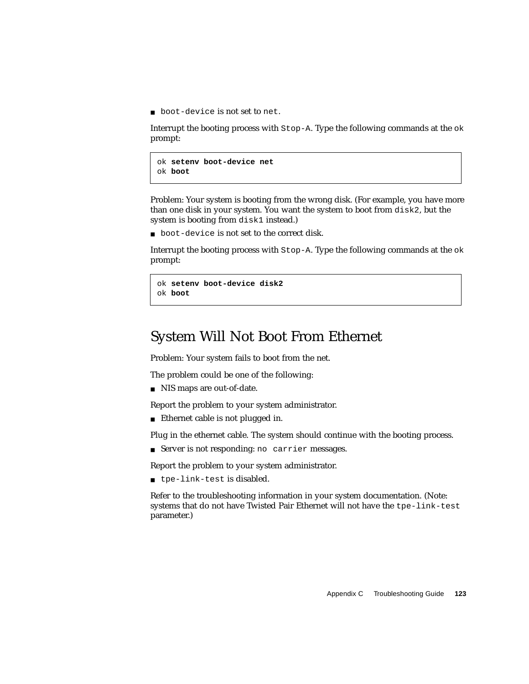■ boot-device is not set to net.

Interrupt the booting process with Stop-A. Type the following commands at the ok prompt:

```
ok setenv boot-device net
ok boot
```
Problem: Your system is booting from the wrong disk. (For example, you have more than one disk in your system. You want the system to boot from disk2, but the system is booting from disk1 instead.)

■ boot-device is not set to the correct disk.

Interrupt the booting process with Stop-A. Type the following commands at the ok prompt:

```
ok setenv boot-device disk2
ok boot
```
### System Will Not Boot From Ethernet

Problem: Your system fails to boot from the net.

The problem could be one of the following:

■ NIS maps are out-of-date.

Report the problem to your system administrator.

■ Ethernet cable is not plugged in.

Plug in the ethernet cable. The system should continue with the booting process.

■ Server is not responding: no carrier messages.

Report the problem to your system administrator.

■ tpe-link-test is disabled.

Refer to the troubleshooting information in your system documentation. (Note: systems that do not have Twisted Pair Ethernet will not have the tpe-link-test parameter.)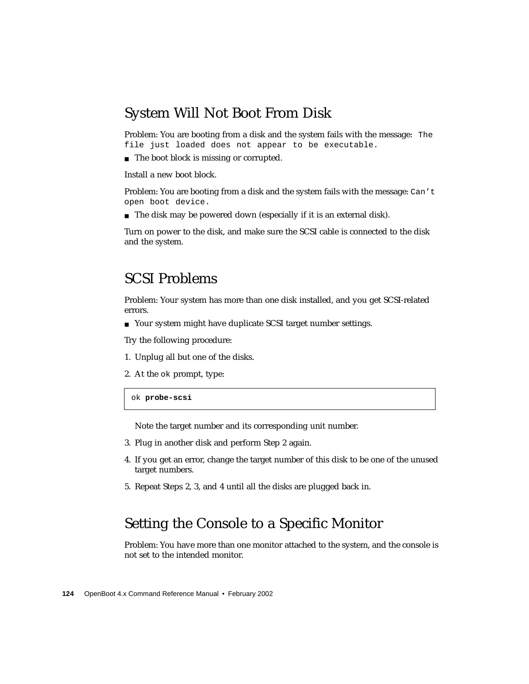### System Will Not Boot From Disk

Problem: You are booting from a disk and the system fails with the message: The file just loaded does not appear to be executable.

■ The boot block is missing or corrupted.

Install a new boot block.

Problem: You are booting from a disk and the system fails with the message: Can't open boot device.

■ The disk may be powered down (especially if it is an external disk).

Turn on power to the disk, and make sure the SCSI cable is connected to the disk and the system.

### SCSI Problems

Problem: Your system has more than one disk installed, and you get SCSI-related errors.

■ Your system might have duplicate SCSI target number settings.

Try the following procedure:

- 1. Unplug all but one of the disks.
- 2. At the ok prompt, type:

ok **probe-scsi**

Note the target number and its corresponding unit number.

- 3. Plug in another disk and perform Step 2 again.
- 4. If you get an error, change the target number of this disk to be one of the unused target numbers.
- 5. Repeat Steps 2, 3, and 4 until all the disks are plugged back in.

### <span id="page-139-0"></span>Setting the Console to a Specific Monitor

Problem: You have more than one monitor attached to the system, and the console is not set to the intended monitor.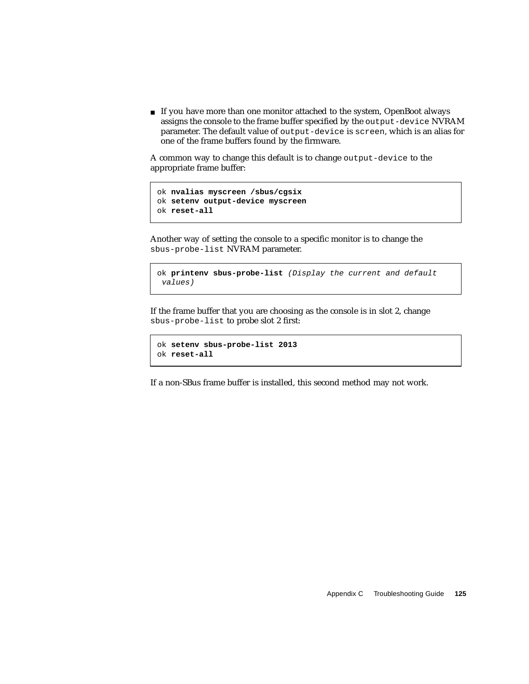■ If you have more than one monitor attached to the system, OpenBoot always assigns the console to the frame buffer specified by the output-device NVRAM parameter. The default value of output-device is screen, which is an alias for one of the frame buffers found by the firmware.

A common way to change this default is to change output-device to the appropriate frame buffer:

```
ok nvalias myscreen /sbus/cgsix
ok setenv output-device myscreen
ok reset-all
```
Another way of setting the console to a specific monitor is to change the sbus-probe-list NVRAM parameter.

```
ok printenv sbus-probe-list (Display the current and default
values)
```
If the frame buffer that you are choosing as the console is in slot 2, change sbus-probe-list to probe slot 2 first:

```
ok setenv sbus-probe-list 2013
ok reset-all
```
If a non-SBus frame buffer is installed, this second method may not work.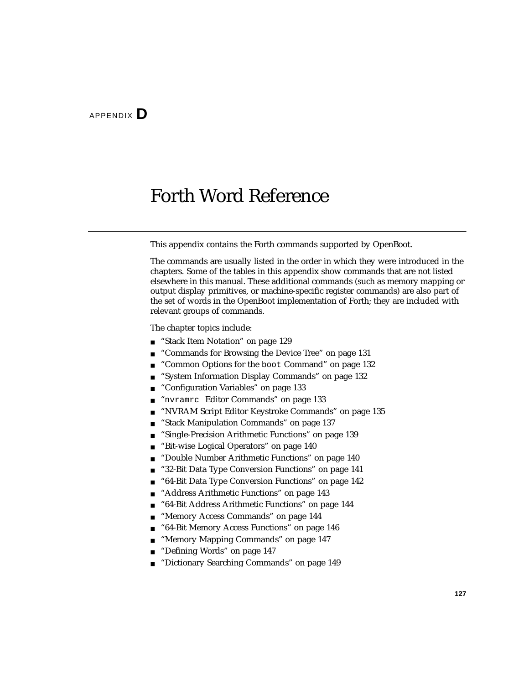## Forth Word Reference

This appendix contains the Forth commands supported by OpenBoot.

The commands are usually listed in the order in which they were introduced in the chapters. Some of the tables in this appendix show commands that are not listed elsewhere in this manual. These additional commands (such as memory mapping or output display primitives, or machine-specific register commands) are also part of the set of words in the OpenBoot implementation of Forth; they are included with relevant groups of commands.

The chapter topics include:

- ["Stack Item Notation" on page 129](#page-144-0)
- ["Commands for Browsing the Device Tree" on page 131](#page-146-0)
- ["Common Options for the](#page-147-0) boot Command" on page 132
- ["System Information Display Commands" on page 132](#page-147-1)
- ["Configuration Variables" on page 133](#page-148-0)
- "nvramrc [Editor Commands" on page 133](#page-148-1)
- ["NVRAM Script Editor Keystroke Commands" on page 135](#page-150-0)
- ["Stack Manipulation Commands" on page 137](#page-152-0)
- ["Single-Precision Arithmetic Functions" on page 139](#page-154-0)
- ["Bit-wise Logical Operators" on page 140](#page-155-0)
- ["Double Number Arithmetic Functions" on page 140](#page-155-1)
- ["32-Bit Data Type Conversion Functions" on page 141](#page-156-0)
- ["64-Bit Data Type Conversion Functions" on page 142](#page-157-0)
- ["Address Arithmetic Functions" on page 143](#page-158-0)
- ["64-Bit Address Arithmetic Functions" on page 144](#page-159-0)
- ["Memory Access Commands" on page 144](#page-159-1)
- ["64-Bit Memory Access Functions" on page 146](#page-161-0)
- ["Memory Mapping Commands" on page 147](#page-162-0)
- ["Defining Words" on page 147](#page-162-1)
- ["Dictionary Searching Commands" on page 149](#page-164-0)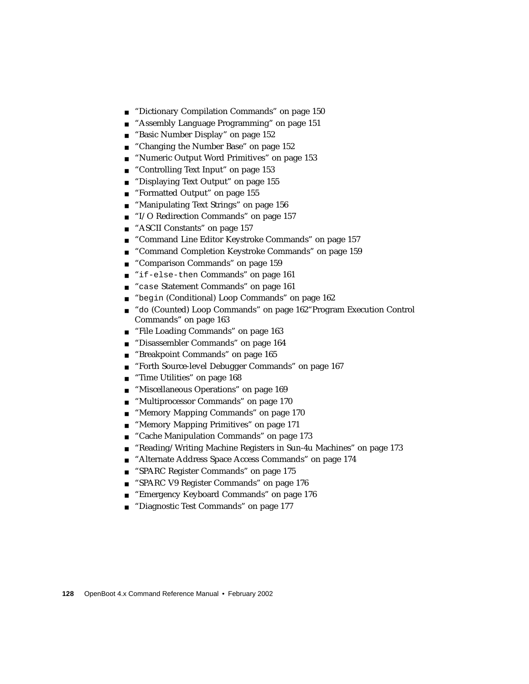- ["Dictionary Compilation Commands" on page 150](#page-165-0)
- ["Assembly Language Programming" on page 151](#page-166-0)
- ["Basic Number Display" on page 152](#page-167-0)
- ["Changing the Number Base" on page 152](#page-167-1)
- ["Numeric Output Word Primitives" on page 153](#page-168-0)
- ["Controlling Text Input" on page 153](#page-168-1)
- ["Displaying Text Output" on page 155](#page-170-0)
- ["Formatted Output" on page 155](#page-170-1)
- ["Manipulating Text Strings" on page 156](#page-171-0)
- ["I/O Redirection Commands" on page 157](#page-172-0)
- ["ASCII Constants" on page 157](#page-172-1)
- ["Command Line Editor Keystroke Commands" on page 157](#page-172-2)
- ["Command Completion Keystroke Commands" on page 159](#page-174-0)
- ["Comparison Commands" on page 159](#page-174-1)
- "if-else-then [Commands" on page 161](#page-176-0)
- "case [Statement Commands" on page 161](#page-176-1)
- "begin [\(Conditional\) Loop Commands" on page 162](#page-177-0)
- "do [\(Counted\) Loop Commands" on page 162](#page-177-1) Program Execution Control [Commands" on page 163](#page-178-0)
- ["File Loading Commands" on page 163](#page-178-1)
- ["Disassembler Commands" on page 164](#page-179-0)
- ["Breakpoint Commands" on page 165](#page-180-0)
- ["Forth Source-level Debugger Commands" on page 167](#page-182-0)
- ["Time Utilities" on page 168](#page-183-0)
- ["Miscellaneous Operations" on page 169](#page-184-0)
- ["Multiprocessor Commands" on page 170](#page-185-0)
- ["Memory Mapping Commands" on page 170](#page-185-1)
- ["Memory Mapping Primitives" on page 171](#page-186-0)
- ["Cache Manipulation Commands" on page 173](#page-188-0)
- ["Reading/Writing Machine Registers in Sun-4u Machines" on page 173](#page-188-1)
- ["Alternate Address Space Access Commands" on page 174](#page-189-0)
- ["SPARC Register Commands" on page 175](#page-190-0)
- ["SPARC V9 Register Commands" on page 176](#page-191-0)
- ["Emergency Keyboard Commands" on page 176](#page-191-1)
- ["Diagnostic Test Commands" on page 177](#page-192-0)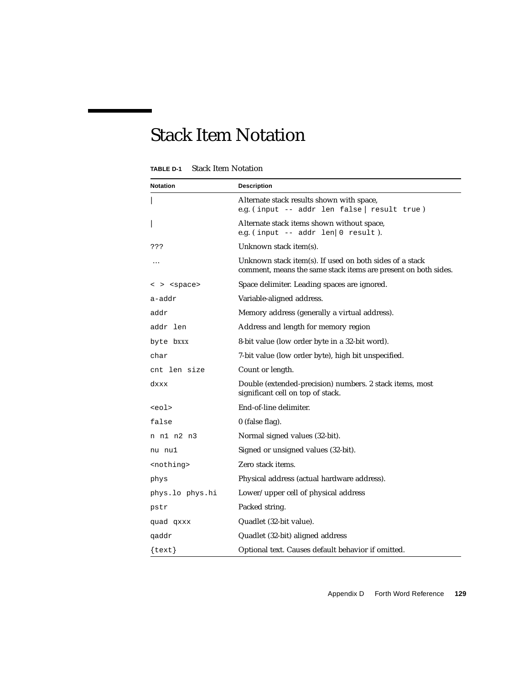# Stack Item Notation

#### **TABLE D-1** Stack Item Notation

| <b>Notation</b>     | <b>Description</b>                                                                                                        |  |
|---------------------|---------------------------------------------------------------------------------------------------------------------------|--|
|                     | Alternate stack results shown with space,<br>e.g. (input -- addr len false   result true)                                 |  |
|                     | Alternate stack items shown without space,<br>e.g. (input -- addr len   0 result).                                        |  |
| ???                 | Unknown stack item(s).                                                                                                    |  |
|                     | Unknown stack item(s). If used on both sides of a stack<br>comment, means the same stack items are present on both sides. |  |
| < > <space></space> | Space delimiter. Leading spaces are ignored.                                                                              |  |
| a-addr              | Variable-aligned address.                                                                                                 |  |
| addr                | Memory address (generally a virtual address).                                                                             |  |
| addr len            | Address and length for memory region                                                                                      |  |
| byte bxxx           | 8-bit value (low order byte in a 32-bit word).                                                                            |  |
| char                | 7-bit value (low order byte), high bit unspecified.                                                                       |  |
| cnt len size        | Count or length.                                                                                                          |  |
| dxxx                | Double (extended-precision) numbers. 2 stack items, most<br>significant cell on top of stack.                             |  |
| $ecol$              | End-of-line delimiter.                                                                                                    |  |
| false               | $0$ (false flag).                                                                                                         |  |
| n n1 n2 n3          | Normal signed values (32-bit).                                                                                            |  |
| nu nul              | Signed or unsigned values (32-bit).                                                                                       |  |
| <nothing></nothing> | Zero stack items.                                                                                                         |  |
| phys                | Physical address (actual hardware address).                                                                               |  |
| phys.lo phys.hi     | Lower/upper cell of physical address                                                                                      |  |
| pstr                | Packed string.                                                                                                            |  |
| quad qxxx           | Quadlet (32-bit value).                                                                                                   |  |
| qaddr               | Quadlet (32-bit) aligned address                                                                                          |  |
| $\{textext}\}$      | Optional text. Causes default behavior if omitted.                                                                        |  |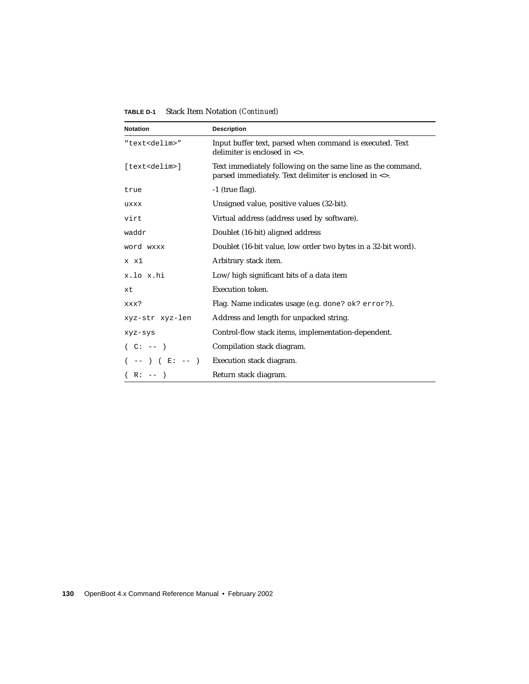| <b>Notation</b>                                                | <b>Description</b>                                                                                                   |  |  |
|----------------------------------------------------------------|----------------------------------------------------------------------------------------------------------------------|--|--|
| "text <delim>"</delim>                                         | Input buffer text, parsed when command is executed. Text<br>delimiter is enclosed in <>.                             |  |  |
| [text <delim>]</delim>                                         | Text immediately following on the same line as the command,<br>parsed immediately. Text delimiter is enclosed in <>. |  |  |
| true                                                           | $-1$ (true flag).                                                                                                    |  |  |
| uxxx                                                           | Unsigned value, positive values (32-bit).                                                                            |  |  |
| virt                                                           | Virtual address (address used by software).                                                                          |  |  |
| waddr                                                          | Doublet (16-bit) aligned address                                                                                     |  |  |
| word wxxx                                                      | Doublet (16-bit value, low order two bytes in a 32-bit word).                                                        |  |  |
| x x1                                                           | Arbitrary stack item.                                                                                                |  |  |
| x.lo x.hi                                                      | Low/high significant bits of a data item                                                                             |  |  |
| xt                                                             | Execution token.                                                                                                     |  |  |
| xxx?                                                           | Flag. Name indicates usage (e.g. done? ok? error?).                                                                  |  |  |
| Address and length for unpacked string.<br>xyz-str xyz-len     |                                                                                                                      |  |  |
| Control-flow stack items, implementation-dependent.<br>xyz-sys |                                                                                                                      |  |  |
| $(C: --)$                                                      | Compilation stack diagram.                                                                                           |  |  |
| $(- - )$ $(E: - - )$                                           | Execution stack diagram.                                                                                             |  |  |
| $(R: -- )$                                                     | Return stack diagram.                                                                                                |  |  |

**TABLE D-1** Stack Item Notation *(Continued)*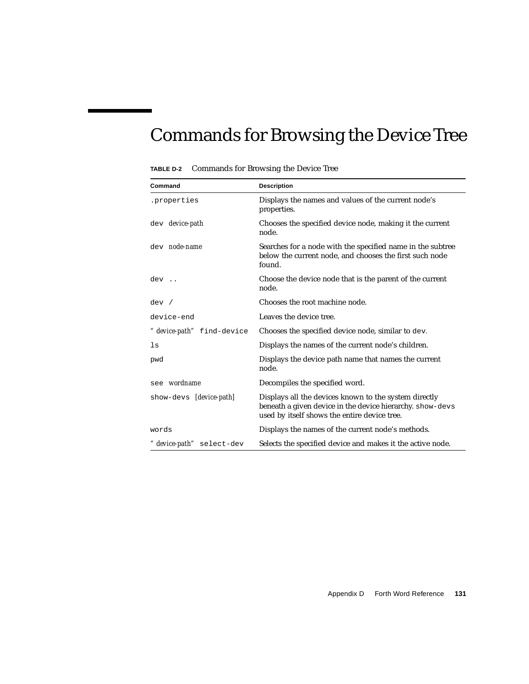# Commands for Browsing the Device Tree

| Command                    | <b>Description</b>                                                                                                                                                 |
|----------------------------|--------------------------------------------------------------------------------------------------------------------------------------------------------------------|
| .properties                | Displays the names and values of the current node's<br>properties.                                                                                                 |
| dev device-path            | Chooses the specified device node, making it the current<br>node.                                                                                                  |
| dev node-name              | Searches for a node with the specified name in the subtree<br>below the current node, and chooses the first such node<br>found.                                    |
| dev.                       | Choose the device node that is the parent of the current<br>node.                                                                                                  |
| dev /                      | Chooses the root machine node.                                                                                                                                     |
| device-end                 | Leaves the device tree.                                                                                                                                            |
| " device-path" find-device | Chooses the specified device node, similar to dev.                                                                                                                 |
| ls                         | Displays the names of the current node's children.                                                                                                                 |
| pwd                        | Displays the device path name that names the current<br>node.                                                                                                      |
| see wordname               | Decompiles the specified word.                                                                                                                                     |
| show-devs [device-path]    | Displays all the devices known to the system directly<br>beneath a given device in the device hierarchy. show-devs<br>used by itself shows the entire device tree. |
| words                      | Displays the names of the current node's methods.                                                                                                                  |
| " device-path" select-dev  | Selects the specified device and makes it the active node.                                                                                                         |

**TABLE D-2** Commands for Browsing the Device Tree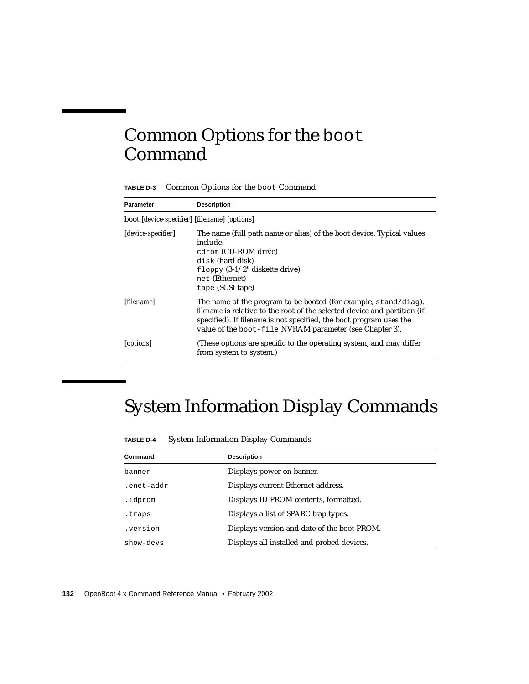#### Common Options for the boot Command

| <b>Parameter</b>    | <b>Description</b>                                                                                                                                                                                                                                                                       |  |  |  |
|---------------------|------------------------------------------------------------------------------------------------------------------------------------------------------------------------------------------------------------------------------------------------------------------------------------------|--|--|--|
|                     | boot [device-specifier] [filename] [options]                                                                                                                                                                                                                                             |  |  |  |
| $[device-specific]$ | The name (full path name or alias) of the boot device. Typical values<br>include:<br>cdrom (CD-ROM drive)<br>disk (hard disk)<br>floppy $(3-1/2)$ diskette drive)<br>net (Ethernet)<br>tape (SCSI tape)                                                                                  |  |  |  |
| [ <i>filename</i> ] | The name of the program to be booted (for example, $stand/diag$ ).<br>filename is relative to the root of the selected device and partition (if<br>specified). If <i>filename</i> is not specified, the boot program uses the<br>value of the boot-file NVRAM parameter (see Chapter 3). |  |  |  |
| <i>options</i>      | (These options are specific to the operating system, and may differ<br>from system to system.)                                                                                                                                                                                           |  |  |  |

#### **TABLE D-3** Common Options for the boot Command

# System Information Display Commands

**TABLE D-4** System Information Display Commands

| Command    | <b>Description</b>                          |  |
|------------|---------------------------------------------|--|
| banner     | Displays power-on banner.                   |  |
| .enet-addr | Displays current Ethernet address.          |  |
| .idprom    | Displays ID PROM contents, formatted.       |  |
| .traps     | Displays a list of SPARC trap types.        |  |
| .version   | Displays version and date of the boot PROM. |  |
| show-devs  | Displays all installed and probed devices.  |  |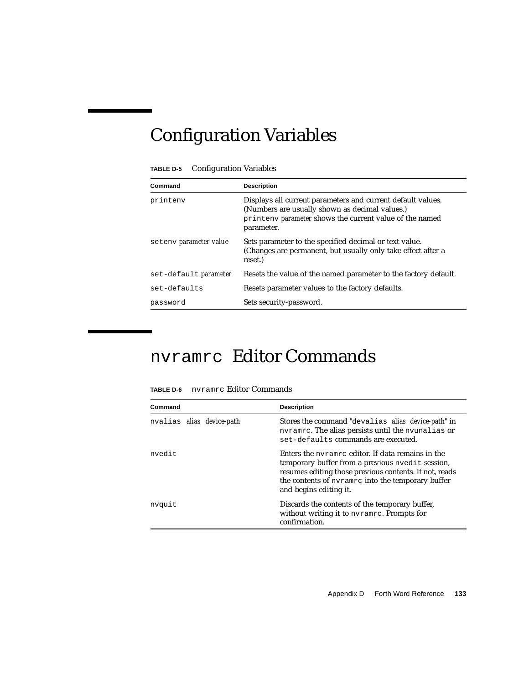# Configuration Variables

**TABLE D-5** Configuration Variables

| Command                | <b>Description</b>                                                                                                                                                                     |
|------------------------|----------------------------------------------------------------------------------------------------------------------------------------------------------------------------------------|
| printenv               | Displays all current parameters and current default values.<br>(Numbers are usually shown as decimal values.)<br>printeny parameter shows the current value of the named<br>parameter. |
| seteny parameter value | Sets parameter to the specified decimal or text value.<br>(Changes are permanent, but usually only take effect after a<br>reset.)                                                      |
| set-default parameter  | Resets the value of the named parameter to the factory default.                                                                                                                        |
| set-defaults           | Resets parameter values to the factory defaults.                                                                                                                                       |
| password               | Sets security-password.                                                                                                                                                                |

#### nvramrc Editor Commands

| TABLE D-6 |  | nyramrc Editor Commands |
|-----------|--|-------------------------|
|-----------|--|-------------------------|

| Command |                                  | <b>Description</b>                                                                                                                                                                                                                             |
|---------|----------------------------------|------------------------------------------------------------------------------------------------------------------------------------------------------------------------------------------------------------------------------------------------|
|         | nvalias <i>alias</i> device-path | Stores the command "devalias alias device-path" in<br>nvramrc. The alias persists until the nvunalias or<br>set-defaults commands are executed.                                                                                                |
| nvedit  |                                  | Enters the nyramrc editor. If data remains in the<br>temporary buffer from a previous nyedit session,<br>resumes editing those previous contents. If not, reads<br>the contents of nyramrc into the temporary buffer<br>and begins editing it. |
| nvquit  |                                  | Discards the contents of the temporary buffer,<br>without writing it to nvramrc. Prompts for<br>confirmation.                                                                                                                                  |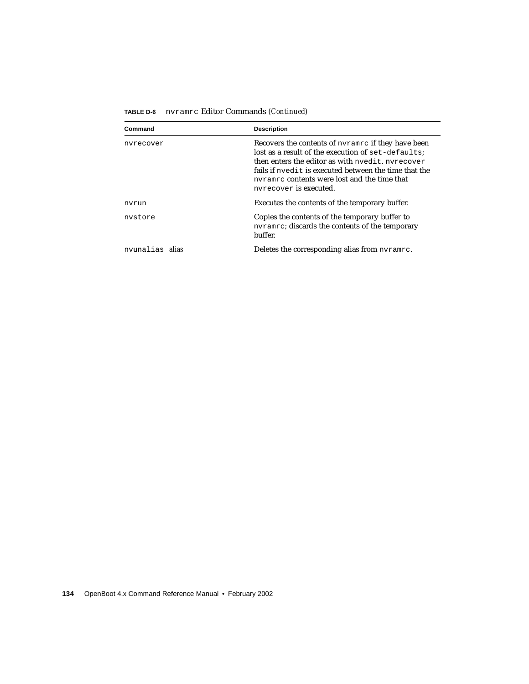| Command                | <b>Description</b>                                                                                                                                                                                                                                                                                |  |
|------------------------|---------------------------------------------------------------------------------------------------------------------------------------------------------------------------------------------------------------------------------------------------------------------------------------------------|--|
| nvrecover              | Recovers the contents of nyramrc if they have been<br>lost as a result of the execution of set-defaults;<br>then enters the editor as with nyed it, nyrecover<br>fails if nyed it is executed between the time that the<br>nyramrc contents were lost and the time that<br>nyrecover is executed. |  |
| nvrun                  | Executes the contents of the temporary buffer.                                                                                                                                                                                                                                                    |  |
| nystore                | Copies the contents of the temporary buffer to<br>nyramrc; discards the contents of the temporary<br>buffer.                                                                                                                                                                                      |  |
| nvunalias <i>alias</i> | Deletes the corresponding alias from nyramrc.                                                                                                                                                                                                                                                     |  |

#### **TABLE D-6** nvramrc Editor Commands *(Continued)*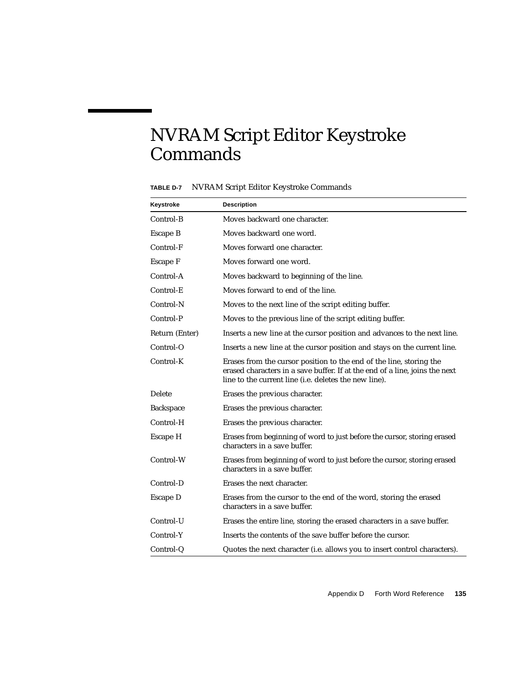#### NVRAM Script Editor Keystroke Commands

| TABLE D-7 |  |  | NVRAM Script Editor Keystroke Commands |
|-----------|--|--|----------------------------------------|
|           |  |  |                                        |

| Keystroke        | <b>Description</b>                                                                                                                                                                                                  |
|------------------|---------------------------------------------------------------------------------------------------------------------------------------------------------------------------------------------------------------------|
| Control-B        | Moves backward one character.                                                                                                                                                                                       |
| Escape B         | Moves backward one word.                                                                                                                                                                                            |
| Control-F        | Moves forward one character.                                                                                                                                                                                        |
| Escape F         | Moves forward one word.                                                                                                                                                                                             |
| Control-A        | Moves backward to beginning of the line.                                                                                                                                                                            |
| Control-E        | Moves forward to end of the line.                                                                                                                                                                                   |
| Control-N        | Moves to the next line of the script editing buffer.                                                                                                                                                                |
| Control-P        | Moves to the previous line of the script editing buffer.                                                                                                                                                            |
| Return (Enter)   | Inserts a new line at the cursor position and advances to the next line.                                                                                                                                            |
| Control-O        | Inserts a new line at the cursor position and stays on the current line.                                                                                                                                            |
| Control-K        | Erases from the cursor position to the end of the line, storing the<br>erased characters in a save buffer. If at the end of a line, joins the next<br>line to the current line ( <i>i.e.</i> deletes the new line). |
| <b>Delete</b>    | Erases the previous character.                                                                                                                                                                                      |
| <b>Backspace</b> | Erases the previous character.                                                                                                                                                                                      |
| Control-H        | Erases the previous character.                                                                                                                                                                                      |
| Escape H         | Erases from beginning of word to just before the cursor, storing erased<br>characters in a save buffer.                                                                                                             |
| Control-W        | Erases from beginning of word to just before the cursor, storing erased<br>characters in a save buffer.                                                                                                             |
| Control-D        | Erases the next character.                                                                                                                                                                                          |
| Escape D         | Erases from the cursor to the end of the word, storing the erased<br>characters in a save buffer.                                                                                                                   |
| Control-U        | Erases the entire line, storing the erased characters in a save buffer.                                                                                                                                             |
| Control-Y        | Inserts the contents of the save buffer before the cursor.                                                                                                                                                          |
| Control-Q        | Quotes the next character (i.e. allows you to insert control characters).                                                                                                                                           |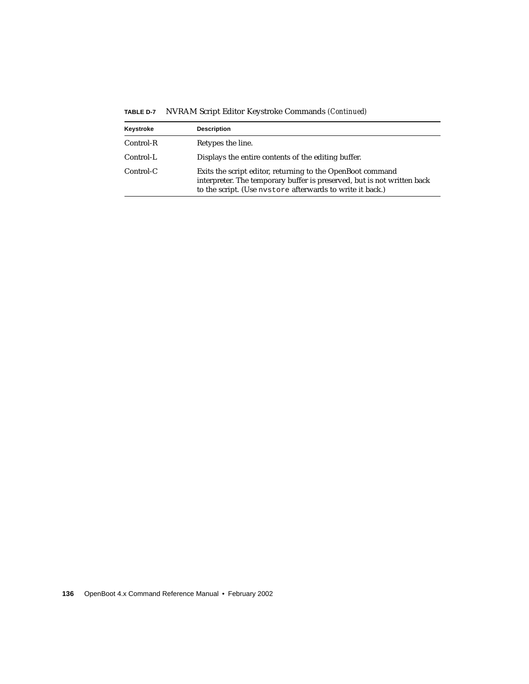Control-R Retypes the line. Control-L Displays the entire contents of the editing buffer. Control-C Exits the script editor, returning to the OpenBoot command interpreter. The temporary buffer is preserved, but is not written back to the script. (Use nvstore afterwards to write it back.) **Keystroke Description**

**TABLE D-7** NVRAM Script Editor Keystroke Commands *(Continued)*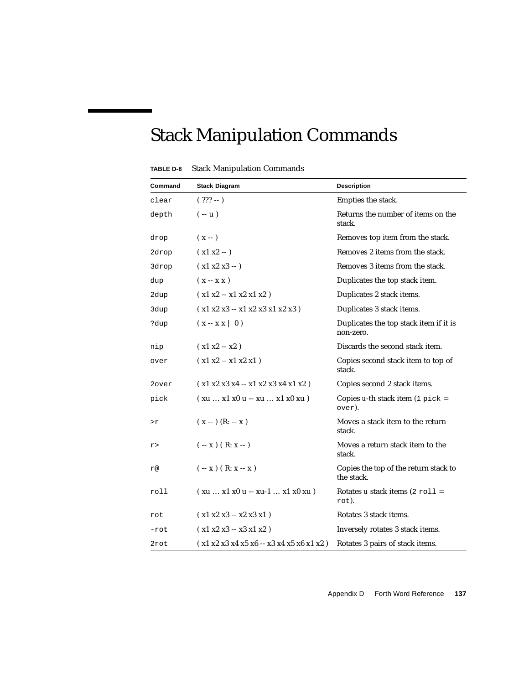# Stack Manipulation Commands

| Command | <b>Stack Diagram</b>                      | <b>Description</b>                                   |
|---------|-------------------------------------------|------------------------------------------------------|
| clear   | $(?)2? - )$                               | Empties the stack.                                   |
| depth   | $(-u)$                                    | Returns the number of items on the<br>stack.         |
| drop    | $(x - )$                                  | Removes top item from the stack.                     |
| 2drop   | $(x1 x2 - )$                              | Removes 2 items from the stack.                      |
| 3drop   | $(x1 x2 x3 - )$                           | Removes 3 items from the stack.                      |
| dup     | $(x - x x)$                               | Duplicates the top stack item.                       |
| 2dup    | $(x1 x2 - x1 x2 x1 x2)$                   | Duplicates 2 stack items.                            |
| 3dup    | $(x1 x2 x3 - x1 x2 x3 x1 x2 x3)$          | Duplicates 3 stack items.                            |
| ?dup    | $(x - x x \mid 0)$                        | Duplicates the top stack item if it is<br>non-zero.  |
| nip     | $(x1 x2 - x2)$                            | Discards the second stack item.                      |
| over    | $(x1 x2 - x1 x2 x1)$                      | Copies second stack item to top of<br>stack.         |
| 2over   | $(x1 x2 x3 x4 - x1 x2 x3 x4 x1 x2)$       | Copies second 2 stack items.                         |
| pick    | $(xu  x1 x0 u - xu  x1 x0 xu)$            | Copies u-th stack item $(1 \text{ pick} =$<br>over). |
| >r      | $(x - ) (R: - x)$                         | Moves a stack item to the return<br>stack.           |
| r>      | $(-x)$ (R: x -- )                         | Moves a return stack item to the<br>stack.           |
| r@      | $(-x)$ $(R: x - x)$                       | Copies the top of the return stack to<br>the stack.  |
| roll    | $(xu  x1 x0 u - xu-1  x1 x0 xu)$          | Rotates u stack items $(2 \text{ roll} =$<br>rot).   |
| rot     | $(x1 x2 x3 - x2 x3 x1)$                   | Rotates 3 stack items.                               |
| -rot    | $(x1 x2 x3 - x3 x1 x2)$                   | Inversely rotates 3 stack items.                     |
| 2rot    | $(x1 x2 x3 x4 x5 x6 - x3 x4 x5 x6 x1 x2)$ | Rotates 3 pairs of stack items.                      |

**TABLE D-8** Stack Manipulation Commands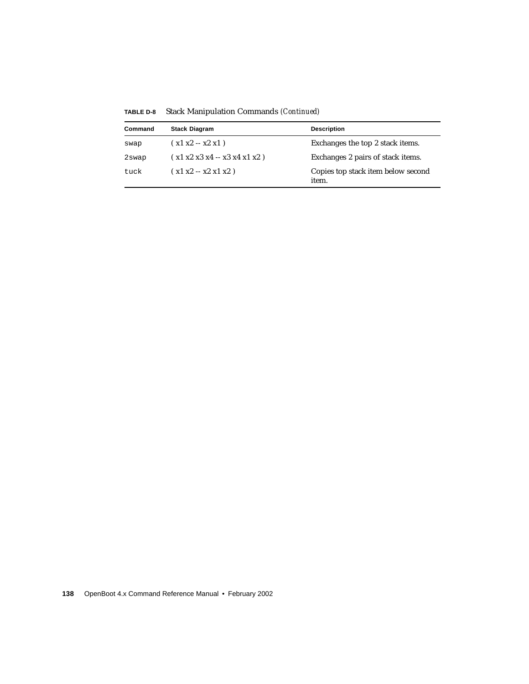| Command | <b>Stack Diagram</b>          | <b>Description</b>                          |
|---------|-------------------------------|---------------------------------------------|
| swap    | $(x1 x2 - x2 x1)$             | Exchanges the top 2 stack items.            |
| 2swap   | (x1 x2 x3 x4 -- x3 x4 x1 x2 ) | Exchanges 2 pairs of stack items.           |
| tuck    | $(x1 x2 - x2 x1 x2)$          | Copies top stack item below second<br>item. |

**TABLE D-8** Stack Manipulation Commands *(Continued)*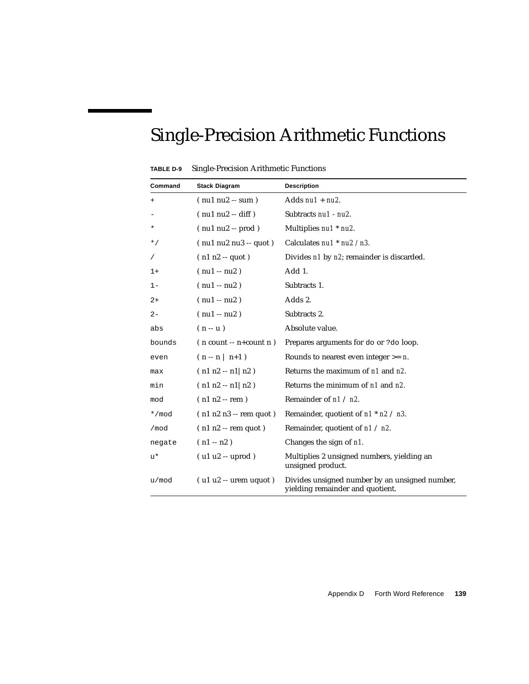# Single-Precision Arithmetic Functions

| Command   | <b>Stack Diagram</b>          | <b>Description</b>                                                                 |
|-----------|-------------------------------|------------------------------------------------------------------------------------|
| $\ddot{}$ | $(nu1 nu2 - sum)$             | Adds $nu1 + nu2$ .                                                                 |
|           | $(nu1 nu2 - diff)$            | Subtracts nu1 - nu2.                                                               |
| *         | $( \text{nu1 nu2 -- prod })$  | Multiplies nu1 * nu2.                                                              |
| $*$ /     | $(nu1 nu2 nu3 - quot)$        | Calculates $nu1 * nu2/n3$ .                                                        |
|           | $(n1 n2 - quot)$              | Divides n1 by n2; remainder is discarded.                                          |
| $1+$      | $(nu1 - nu2)$                 | Add 1.                                                                             |
| $1 -$     | $(nu1 - nu2)$                 | Subtracts 1.                                                                       |
| $2+$      | $(nu1 - nu2)$                 | Adds 2.                                                                            |
| $2 -$     | $(nu1 - nu2)$                 | Subtracts 2.                                                                       |
| abs       | $(n - u)$                     | Absolute value.                                                                    |
| bounds    | $($ n count $-$ n+count n $)$ | Prepares arguments for do or ?do loop.                                             |
| even      | $(n - n   n+1)$               | Rounds to nearest even integer $>= n$ .                                            |
| max       | $(n1 n2 - n1) n2)$            | Returns the maximum of n1 and n2.                                                  |
| min       | $(n1 n2 - n1) n2)$            | Returns the minimum of n1 and n2.                                                  |
| mod       | $(n1 n2 - rem)$               | Remainder of $n1 / n2$ .                                                           |
| $*$ /mod  | $(n1 n2 n3 - rem quot)$       | Remainder, quotient of $n1$ * $n2$ / $n3$ .                                        |
| /mod      | $(n1 n2 - rem quot)$          | Remainder, quotient of $n1 / n2$ .                                                 |
| negate    | $(n1 - n2)$                   | Changes the sign of n1.                                                            |
| u*        | $($ u1 u2 $-$ uprod $)$       | Multiplies 2 unsigned numbers, yielding an<br>unsigned product.                    |
| u/mod     | $($ u1 u2 $-$ urem uquot)     | Divides unsigned number by an unsigned number,<br>yielding remainder and quotient. |

#### **TABLE D-9** Single-Precision Arithmetic Functions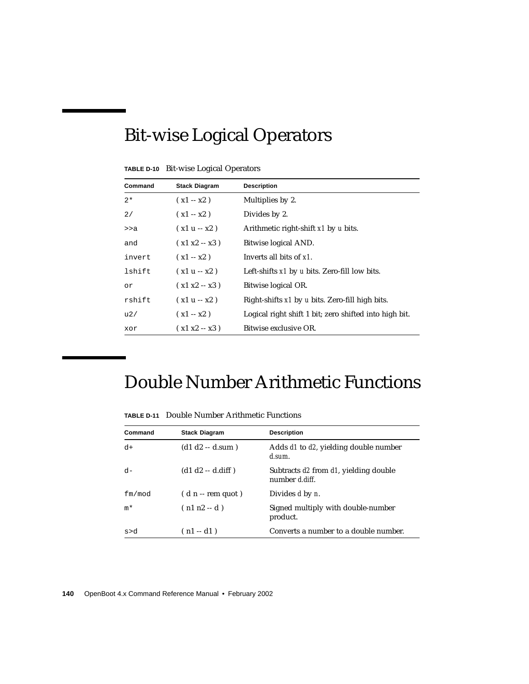#### Bit-wise Logical Operators

| Command | <b>Stack Diagram</b> | <b>Description</b>                                     |
|---------|----------------------|--------------------------------------------------------|
| $2*$    | $(x1 - x2)$          | Multiplies by 2.                                       |
| 2/      | $(x1 - x2)$          | Divides by 2.                                          |
| >>a     | $(x1 u - x2)$        | Arithmetic right-shift x1 by u bits.                   |
| and     | $(x1 x2 - x3)$       | Bitwise logical AND.                                   |
| invert  | $(x1 - x2)$          | Inverts all bits of x1.                                |
| lshift  | $(x1 u - x2)$        | Left-shifts x1 by u bits. Zero-fill low bits.          |
| or      | $(x1 x2 - x3)$       | Bitwise logical OR.                                    |
| rshift  | $(x1 u - x2)$        | Right-shifts x1 by u bits. Zero-fill high bits.        |
| u2/     | $(x1 - x2)$          | Logical right shift 1 bit; zero shifted into high bit. |
| xor     | $(x1 x2 - x3)$       | Bitwise exclusive OR.                                  |

**TABLE D-10** Bit-wise Logical Operators

#### Double Number Arithmetic Functions

**TABLE D-11** Double Number Arithmetic Functions

| Command | <b>Stack Diagram</b> | <b>Description</b>                                      |
|---------|----------------------|---------------------------------------------------------|
| $d+$    | $(d1 d2 - d.sum)$    | Adds d1 to d2, yielding double number<br>d.sum.         |
| $d-$    | $(d1 d2 - d.diff)$   | Subtracts d2 from d1, yielding double<br>number d.diff. |
| fm/mol  | $(d n - rem quot)$   | Divides d by n.                                         |
| $m*$    | $(n1 n2 - d)$        | Signed multiply with double-number<br>product.          |
| s>d     | $(n1 - d1)$          | Converts a number to a double number.                   |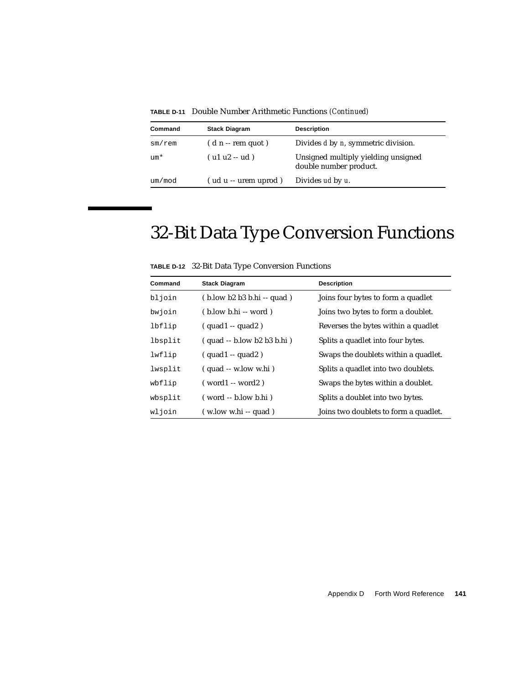| <b>Stack Diagram</b> | <b>Description</b>                                            |
|----------------------|---------------------------------------------------------------|
| $(d n - rem quot)$   | Divides <i>d</i> by <i>n</i> , symmetric division.            |
| $( ulu2 - ud)$       | Unsigned multiply yielding unsigned<br>double number product. |
| $(udu - urem uprod)$ | Divides <i>ud</i> by <i>u</i> .                               |
|                      |                                                               |

**TABLE D-11** Double Number Arithmetic Functions *(Continued)*

# 32-Bit Data Type Conversion Functions

| Command | <b>Stack Diagram</b>          | <b>Description</b>                    |
|---------|-------------------------------|---------------------------------------|
| bljoin  | $(b. low b2 b3 b.hi - quad)$  | Joins four bytes to form a quadlet    |
| bwioin  | $(b. low b.hi - word)$        | Joins two bytes to form a doublet.    |
| lbflip  | $(quad1 - quad2)$             | Reverses the bytes within a quadlet   |
| lbsplit | $(quad -- b. low b2 b3 b.hi)$ | Splits a quadlet into four bytes.     |
| lwflip  | $(quad1 - quad2)$             | Swaps the doublets within a quadlet.  |
| lwsplit | $(quad --$ w.low w.hi)        | Splits a quadlet into two doublets.   |
| wbflip  | $(word1 - word2)$             | Swaps the bytes within a doublet.     |
| wbsplit | $( word - b, low b. hi)$      | Splits a doublet into two bytes.      |
| wljoin  | (w.low w.hi -- quad)          | Joins two doublets to form a quadlet. |

**TABLE D-12** 32-Bit Data Type Conversion Functions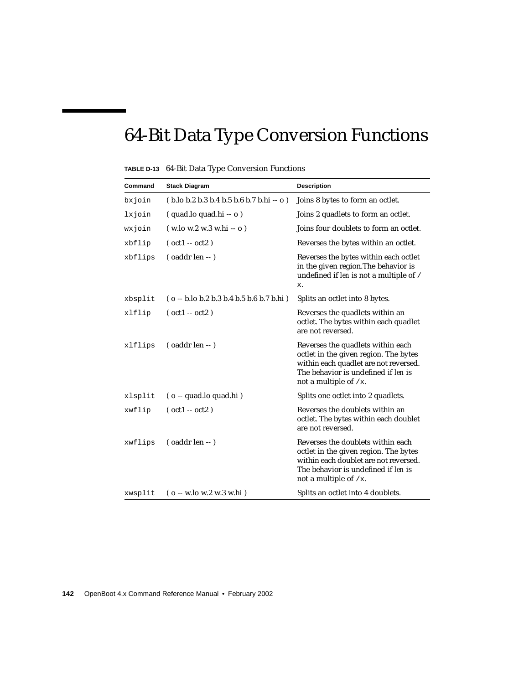# 64-Bit Data Type Conversion Functions

**TABLE D-13** 64-Bit Data Type Conversion Functions

| Command | <b>Stack Diagram</b>                              | <b>Description</b>                                                                                                                                                                     |
|---------|---------------------------------------------------|----------------------------------------------------------------------------------------------------------------------------------------------------------------------------------------|
| bxjoin  | (b.lo b.2 b.3 b.4 b.5 b.6 b.7 b.hi -- o)          | Joins 8 bytes to form an octlet.                                                                                                                                                       |
| lxjoin  | $(quad.lo quad.hi - o)$                           | Joins 2 quadlets to form an octlet.                                                                                                                                                    |
| wxjoin  | $(w \cdot 10 w \cdot 2 w \cdot 3 w \cdot 16 - 0)$ | Joins four doublets to form an octlet.                                                                                                                                                 |
| xbflip  | $(oct1 - oct2)$                                   | Reverses the bytes within an octlet.                                                                                                                                                   |
| xbflips | $($ oaddr len $-$ )                               | Reverses the bytes within each octlet<br>in the given region. The behavior is<br>undefined if len is not a multiple of $/$<br>x.                                                       |
| xbsplit | (o--b.lob.2 b.3 b.4 b.5 b.6 b.7 b.hi)             | Splits an octlet into 8 bytes.                                                                                                                                                         |
| xlflip  | $(oct1 - oct2)$                                   | Reverses the quadlets within an<br>octlet. The bytes within each quadlet<br>are not reversed.                                                                                          |
| xlflips | $($ oaddr len $-$ )                               | Reverses the quadlets within each<br>octlet in the given region. The bytes<br>within each quadlet are not reversed.<br>The behavior is undefined if len is<br>not a multiple of /x.    |
| xlsplit | $($ o -- quad.lo quad.hi $)$                      | Splits one octlet into 2 quadlets.                                                                                                                                                     |
| xwflip  | $(oct1 - oct2)$                                   | Reverses the doublets within an<br>octlet. The bytes within each doublet<br>are not reversed.                                                                                          |
| xwflips | $($ oaddr len $-$ )                               | Reverses the doublets within each<br>octlet in the given region. The bytes<br>within each doublet are not reversed.<br>The behavior is undefined if len is<br>not a multiple of $/x$ . |
| xwsplit | ( o -- w.lo w.2 w.3 w.hi )                        | Splits an octlet into 4 doublets.                                                                                                                                                      |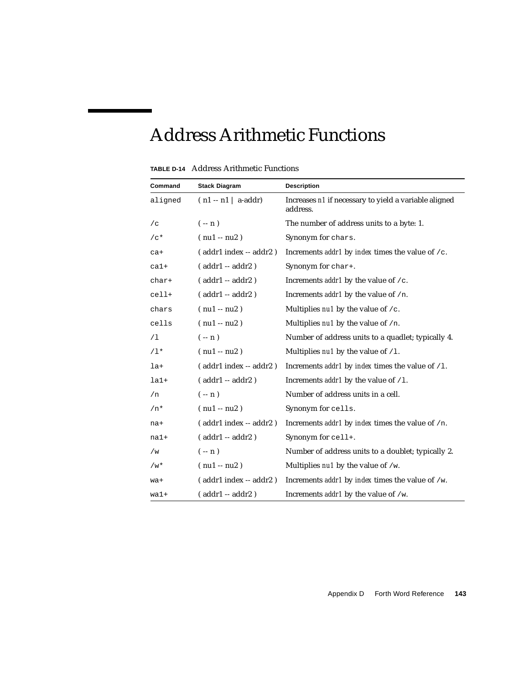## Address Arithmetic Functions

| Command | <b>Stack Diagram</b>      | <b>Description</b>                                                |
|---------|---------------------------|-------------------------------------------------------------------|
| aligned | $(n1 - n1   a-addr)$      | Increases n1 if necessary to yield a variable aligned<br>address. |
| /c      | $(-n)$                    | The number of address units to a byte: 1.                         |
| $/c*$   | $(nu1 - nu2)$             | Synonym for chars.                                                |
| ca+     | $( addr1 index - addr2)$  | Increments <i>addr1</i> by <i>index</i> times the value of $/c$ . |
| $ca1+$  | $(addr1 - addr2)$         | Synonym for char+.                                                |
| char+   | $( addr1 - addr2)$        | Increments <i>addr1</i> by the value of $/c$ .                    |
| cell+   | $($ addr $1 -$ addr $2$ ) | Increments <i>addr1</i> by the value of $/n$ .                    |
| chars   | $(nu1 - nu2)$             | Multiplies <i>nu1</i> by the value of $/c$ .                      |
| cells   | $(nu1 - nu2)$             | Multiplies $nu1$ by the value of /n.                              |
| /1      | $(-n)$                    | Number of address units to a quadlet; typically 4.                |
| $/1*$   | $(nu1 - nu2)$             | Multiplies $nu1$ by the value of $/1$ .                           |
| la+     | (addr1 index -- addr2)    | Increments <i>addr1</i> by <i>index</i> times the value of $/1$ . |
| $1a1+$  | $(addr1 - addr2)$         | Increments <i>addr1</i> by the value of $/1$ .                    |
| /n      | $(-n)$                    | Number of address units in a cell.                                |
| $/n*$   | $(nu1 - nu2)$             | Synonym for cells.                                                |
| na+     | (addr1 index -- addr2)    | Increments addr1 by index times the value of /n.                  |
| $na1+$  | $(addr1 - addr2)$         | Synonym for cell+.                                                |
| /w      | $(-n)$                    | Number of address units to a doublet; typically 2.                |
| $/w^*$  | $(nu1 - nu2)$             | Multiplies $nu1$ by the value of /w.                              |
| wa+     | (addr1 index -- addr2)    | Increments <i>addr1</i> by <i>index</i> times the value of /w.    |
| $wal+$  | $(addr1 - addr2)$         | Increments <i>addr1</i> by the value of /w.                       |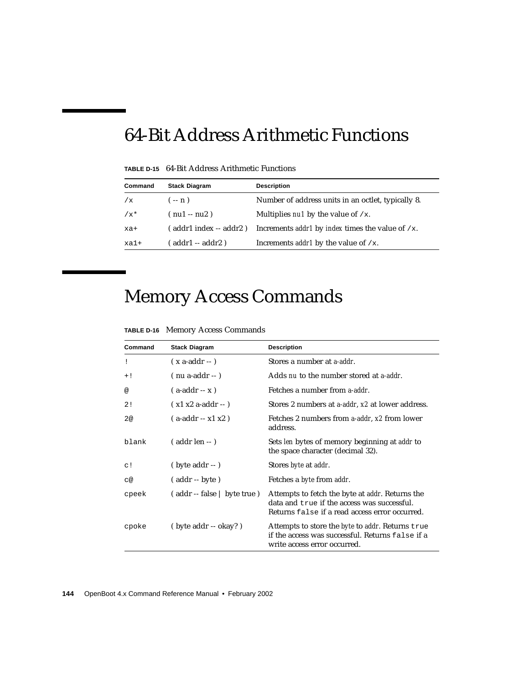## 64-Bit Address Arithmetic Functions

**TABLE D-15** 64-Bit Address Arithmetic Functions

| Command      | <b>Stack Diagram</b>    | <b>Description</b>                                                |
|--------------|-------------------------|-------------------------------------------------------------------|
| $\sqrt{x}$   | $(-n)$                  | Number of address units in an octlet, typically 8.                |
| $/x^{\star}$ | $(nu1 - nu2)$           | Multiplies nul by the value of $/x$ .                             |
| xa+          | (addr1 index -- addr2 ) | Increments <i>addr1</i> by <i>index</i> times the value of $/x$ . |
| xal+         | (addr1 -- addr2 )       | Increments <i>addr1</i> by the value of $/x$ .                    |

# Memory Access Commands

**TABLE D-16** Memory Access Commands

| Command | <b>Stack Diagram</b>                | <b>Description</b>                                                                                                                                  |
|---------|-------------------------------------|-----------------------------------------------------------------------------------------------------------------------------------------------------|
| Ţ       | $(x$ a-addr -- $)$                  | Stores a number at a-addr.                                                                                                                          |
| $+!$    | $($ nu a-addr $-$ )                 | Adds nu to the number stored at a-addr.                                                                                                             |
| @       | $(a-addr - x)$                      | Fetches a number from a-addr.                                                                                                                       |
| 2!      | $(x1 x2 a-addr - )$                 | Stores 2 numbers at <i>a-addr</i> , x2 at lower address.                                                                                            |
| 2@      | $(a - addr - x1 x2)$                | Fetches 2 numbers from a-addr, x2 from lower<br>address.                                                                                            |
| blank   | $($ addr len $-$ )                  | Sets len bytes of memory beginning at addr to<br>the space character (decimal 32).                                                                  |
| c!      | $(\text{byte addr} - \text{)}$      | Stores byte at addr.                                                                                                                                |
| C@      | $($ addr $-$ byte)                  | Fetches a <i>byte</i> from <i>addr</i> .                                                                                                            |
| cpeek   | $($ addr -- false $ $ byte true $)$ | Attempts to fetch the byte at addr. Returns the<br>data and true if the access was successful.<br>Returns false if a read access error occurred.    |
| cpoke   | (byte addr -- okay?)                | Attempts to store the <i>byte</i> to <i>addr</i> . Returns true<br>if the access was successful. Returns false if a<br>write access error occurred. |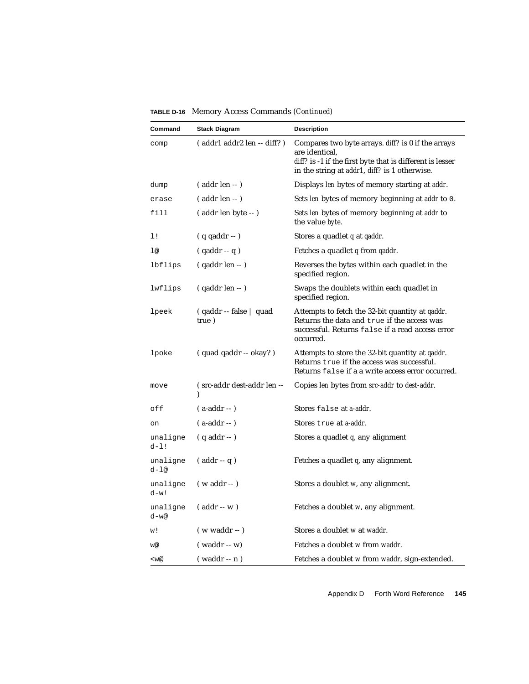| Command                                                                                                   | <b>Stack Diagram</b>            | <b>Description</b>                                                                                                                                                                                              |
|-----------------------------------------------------------------------------------------------------------|---------------------------------|-----------------------------------------------------------------------------------------------------------------------------------------------------------------------------------------------------------------|
| comp                                                                                                      | ( addr1 addr2 len -- diff? )    | Compares two byte arrays. <i>diff?</i> is 0 if the arrays<br>are identical,<br><i>diff?</i> is -1 if the first byte that is different is lesser<br>in the string at <i>addr1</i> , <i>diff?</i> is 1 otherwise. |
| dump                                                                                                      | (addr len -- )                  | Displays len bytes of memory starting at addr.                                                                                                                                                                  |
| erase                                                                                                     | (addr len -- )                  | Sets len bytes of memory beginning at addr to 0.                                                                                                                                                                |
| fill                                                                                                      | (addr len byte -- )             | Sets len bytes of memory beginning at addr to<br>the value byte.                                                                                                                                                |
| 1!                                                                                                        | $( q q a d d r - )$             | Stores a quadlet $q$ at $q$ addr.                                                                                                                                                                               |
| 1@                                                                                                        | $( qaddr - q )$                 | Fetches a quadlet $q$ from $q$ addr.                                                                                                                                                                            |
| lbflips                                                                                                   | (qaddr len -- )                 | Reverses the bytes within each quadlet in the<br>specified region.                                                                                                                                              |
| lwflips                                                                                                   | $($ qaddr len $-$ )             | Swaps the doublets within each quadlet in<br>specified region.                                                                                                                                                  |
| lpeek                                                                                                     | (qaddr -- false   quad<br>true) | Attempts to fetch the 32-bit quantity at <i>qaddr</i> .<br>Returns the data and true if the access was<br>successful. Returns false if a read access error<br>occurred.                                         |
| lpoke                                                                                                     | (quad qaddr -- okay?)           | Attempts to store the 32-bit quantity at <i>qaddr</i> .<br>Returns true if the access was successful.<br>Returns false if a a write access error occurred.                                                      |
| move                                                                                                      | (src-addr dest-addr len --      | Copies len bytes from src-addr to dest-addr.                                                                                                                                                                    |
| off                                                                                                       | $(a-addr - )$                   | Stores false at a-addr.                                                                                                                                                                                         |
| on                                                                                                        | $(a-addr - )$                   | Stores true at a-addr.                                                                                                                                                                                          |
| unaligne<br>$d-1!$                                                                                        | $(q \text{ addr} - )$           | Stores a quadlet $q$ , any alignment                                                                                                                                                                            |
| unaligne<br>d-l@                                                                                          | $($ addr -- q)                  | Fetches a quadlet $q$ , any alignment.                                                                                                                                                                          |
| unaligne<br>d-w!                                                                                          | $(w \text{ addr} -)$            | Stores a doublet w, any alignment.                                                                                                                                                                              |
| unaligne<br>d-w@                                                                                          | $($ addr $- w$ )                | Fetches a doublet w, any alignment.                                                                                                                                                                             |
| w!                                                                                                        | (w waddr -- )                   | Stores a doublet w at waddr.                                                                                                                                                                                    |
| w@                                                                                                        | ( waddr -- w)                   | Fetches a doublet w from waddr.                                                                                                                                                                                 |
| <w@< td=""><td><math>(waddr - n)</math></td><td>Fetches a doublet w from waddr, sign-extended.</td></w@<> | $(waddr - n)$                   | Fetches a doublet w from waddr, sign-extended.                                                                                                                                                                  |

#### **TABLE D-16** Memory Access Commands *(Continued)*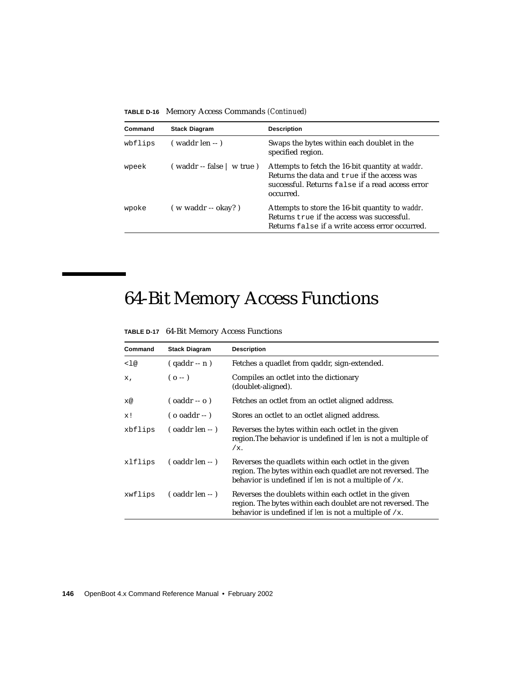| Command | <b>Stack Diagram</b>               | <b>Description</b>                                                                                                                                                      |
|---------|------------------------------------|-------------------------------------------------------------------------------------------------------------------------------------------------------------------------|
| wbflips | ( waddr len -- )                   | Swaps the bytes within each doublet in the<br>specified region.                                                                                                         |
| wpeek   | (waddr -- false   w true)          | Attempts to fetch the 16-bit quantity at <i>waddr</i> .<br>Returns the data and true if the access was<br>successful. Returns false if a read access error<br>occurred. |
| wpoke   | $(w \text{ waddr} - \text{okay?})$ | Attempts to store the 16-bit quantity to <i>waddr</i> .<br>Returns true if the access was successful.<br>Returns false if a write access error occurred.                |

**TABLE D-16** Memory Access Commands *(Continued)*

## 64-Bit Memory Access Functions

**TABLE D-17** 64-Bit Memory Access Functions

| Command | <b>Stack Diagram</b> | <b>Description</b>                                                                                                                                                               |
|---------|----------------------|----------------------------------------------------------------------------------------------------------------------------------------------------------------------------------|
| < 1@    | $(qaddr - n)$        | Fetches a quadlet from gaddr, sign-extended.                                                                                                                                     |
| х,      | $(0 - )$             | Compiles an octlet into the dictionary<br>(doublet-aligned).                                                                                                                     |
| x@      | $($ oaddr $-$ o $)$  | Fetches an octlet from an octlet aligned address.                                                                                                                                |
| x!      | $($ o oaddr $-$ )    | Stores an octlet to an octlet aligned address.                                                                                                                                   |
| xbflips | $($ oaddr len $-$ )  | Reverses the bytes within each octlet in the given<br>region. The behavior is undefined if len is not a multiple of<br>/x.                                                       |
| xlflips | $($ oaddr len $-$ )  | Reverses the quadlets within each octlet in the given<br>region. The bytes within each quadlet are not reversed. The<br>behavior is undefined if len is not a multiple of $/x$ . |
| xwflips | $($ oaddr len $-$ )  | Reverses the doublets within each octlet in the given<br>region. The bytes within each doublet are not reversed. The<br>behavior is undefined if len is not a multiple of $/x$ . |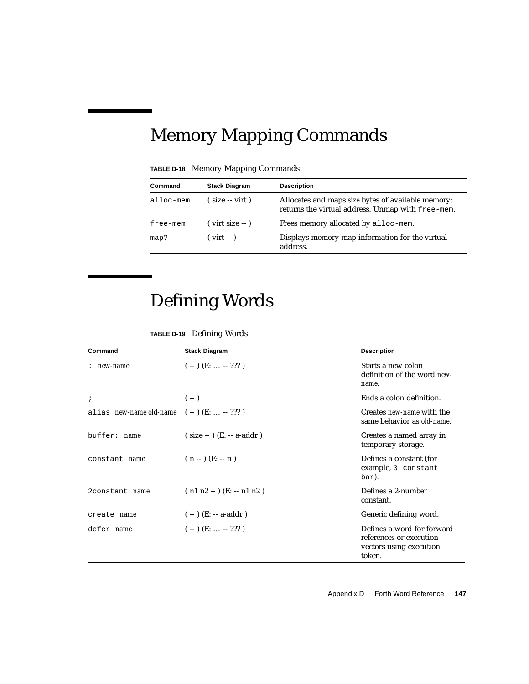# Memory Mapping Commands

**TABLE D-18** Memory Mapping Commands

| Command   | <b>Stack Diagram</b> | <b>Description</b>                                                                                      |
|-----------|----------------------|---------------------------------------------------------------------------------------------------------|
| alloc-mem | $(size - virt)$      | Allocates and maps size bytes of available memory;<br>returns the virtual address. Unmap with free-mem. |
| free-mem  | $(virt size - )$     | Frees memory allocated by alloc-mem.                                                                    |
| map?      | $(virt - )$          | Displays memory map information for the virtual<br>address.                                             |

## Defining Words

**TABLE D-19** Defining Words

| Command                                    | <b>Stack Diagram</b>      | <b>Description</b>                                                                         |
|--------------------------------------------|---------------------------|--------------------------------------------------------------------------------------------|
| new-name                                   | $(-)$ (E:  -- ???)        | Starts a new colon<br>definition of the word new-<br>name.                                 |
| $\cdot$                                    | $(-)$                     | Ends a colon definition.                                                                   |
| alias new-name old-name $(-)$ (E:  -- ???) |                           | Creates new-name with the<br>same behavior as old-name.                                    |
| buffer: name                               | $(size - ) (E: - a-addr)$ | Creates a named array in<br>temporary storage.                                             |
| constant name                              | $(n - ) (E: - n)$         | Defines a constant (for<br>example, 3 constant<br>bar).                                    |
| 2constant name                             | $(n1 n2 -)$ (E: -- n1 n2) | Defines a 2-number<br>constant.                                                            |
| create name                                | $(-)$ (E: $-$ a-addr)     | Generic defining word.                                                                     |
| defer <i>name</i>                          | $(-)$ (E:  -- ???)        | Defines a word for forward<br>references or execution<br>vectors using execution<br>token. |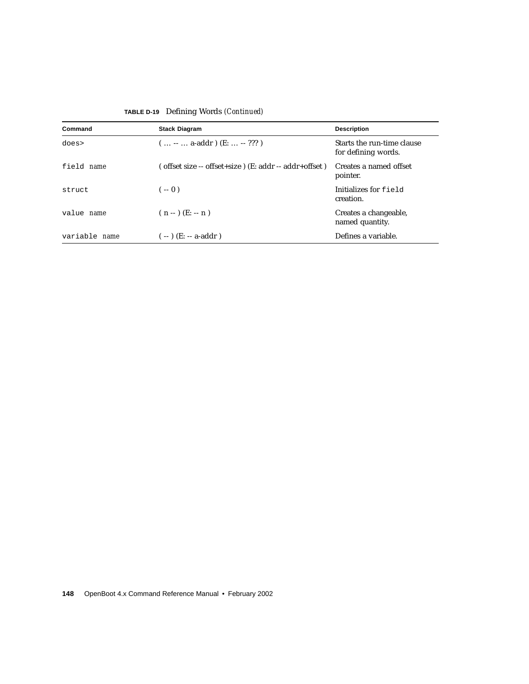| Command              | <b>Stack Diagram</b>                                     | <b>Description</b>                                |
|----------------------|----------------------------------------------------------|---------------------------------------------------|
| does                 | $( -  a-addr)$ (E:  -- ???)                              | Starts the run-time clause<br>for defining words. |
| field name           | ( offset size -- offset+size ) (E: addr -- addr+offset ) | Creates a named offset<br>pointer.                |
| struct               | $(-0)$                                                   | Initializes for field<br>creation.                |
| value name           | $(n - ) (E: - n)$                                        | Creates a changeable,<br>named quantity.          |
| variable <i>name</i> | $(-)$ (E: $-$ a-addr)                                    | Defines a variable.                               |

#### **TABLE D-19** Defining Words *(Continued)*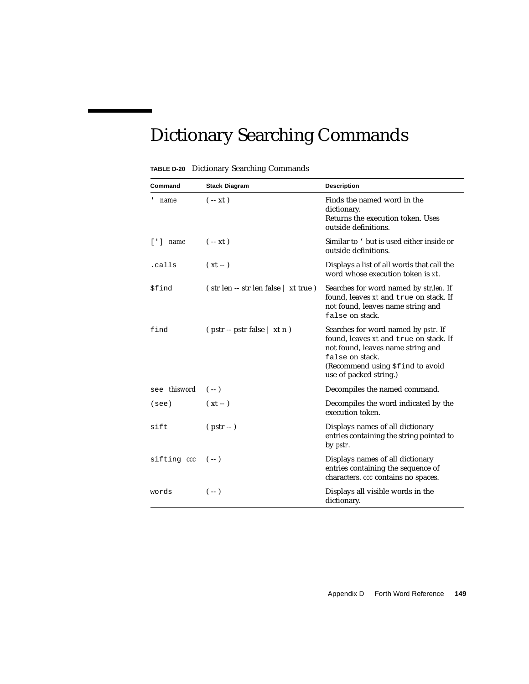# Dictionary Searching Commands

| Command                    | <b>Stack Diagram</b>                  | <b>Description</b>                                                                                                                                                                                          |
|----------------------------|---------------------------------------|-------------------------------------------------------------------------------------------------------------------------------------------------------------------------------------------------------------|
| name                       | $(-x t)$                              | Finds the named word in the<br>dictionary.<br>Returns the execution token. Uses<br>outside definitions.                                                                                                     |
| $\lceil \cdot \rceil$ name | $(-x t)$                              | Similar to ' but is used either inside or<br>outside definitions.                                                                                                                                           |
| .calls                     | $(xt - )$                             | Displays a list of all words that call the<br>word whose execution token is xt.                                                                                                                             |
| \$find                     | (str len -- str len false   xt true ) | Searches for word named by <i>str, len</i> . If<br>found, leaves xt and true on stack. If<br>not found, leaves name string and<br>false on stack.                                                           |
| find                       | (pstr -- pstr false   xt n )          | Searches for word named by <i>pstr</i> . If<br>found, leaves xt and true on stack. If<br>not found, leaves name string and<br>false on stack.<br>(Recommend using \$find to avoid<br>use of packed string.) |
| see thisword               | $(-)$                                 | Decompiles the named command.                                                                                                                                                                               |
| (see)                      | $(xt - )$                             | Decompiles the word indicated by the<br>execution token.                                                                                                                                                    |
| sift                       | $(pstr - )$                           | Displays names of all dictionary<br>entries containing the string pointed to<br>by <i>pstr.</i>                                                                                                             |
| sifting ccc                | $(-)$                                 | Displays names of all dictionary<br>entries containing the sequence of<br>characters. ccc contains no spaces.                                                                                               |
| words                      | $(-)$                                 | Displays all visible words in the<br>dictionary.                                                                                                                                                            |

**TABLE D-20** Dictionary Searching Commands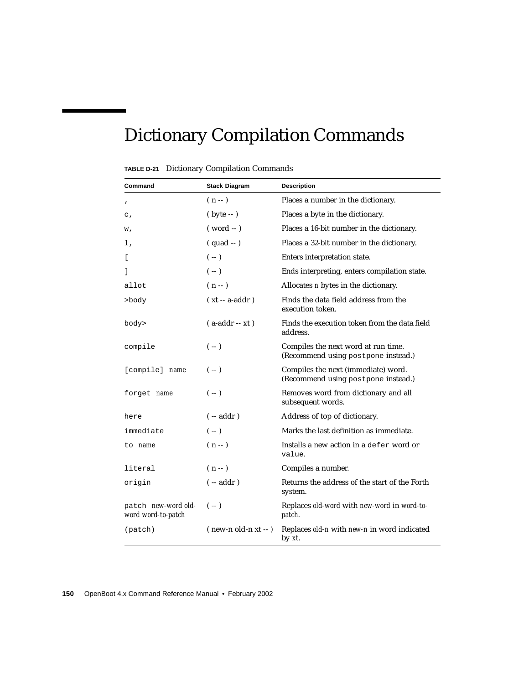# Dictionary Compilation Commands

| Command                                   | <b>Stack Diagram</b>  | <b>Description</b>                                                         |
|-------------------------------------------|-----------------------|----------------------------------------------------------------------------|
| $\mathbf{r}$                              | $(n - )$              | Places a number in the dictionary.                                         |
| $\mathbb{C}$ ,                            | $(\text{byte} - )$    | Places a byte in the dictionary.                                           |
| w,                                        | $(word - )$           | Places a 16-bit number in the dictionary.                                  |
| l,                                        | $(quad --)$           | Places a 32-bit number in the dictionary.                                  |
| $\mathbf{r}$                              | $(-)$                 | Enters interpretation state.                                               |
| 1                                         | $(-)$                 | Ends interpreting, enters compilation state.                               |
| allot                                     | $(n - )$              | Allocates <i>n</i> bytes in the dictionary.                                |
| >body                                     | $(xt - a-addr)$       | Finds the data field address from the<br>execution token.                  |
| body>                                     | $(a-addr - xt)$       | Finds the execution token from the data field<br>address.                  |
| compile                                   | $(-)$                 | Compiles the next word at run time.<br>(Recommend using postpone instead.) |
| [compile] name                            | $(-)$                 | Compiles the next (immediate) word.<br>(Recommend using postpone instead.) |
| forget name                               | $(-)$                 | Removes word from dictionary and all<br>subsequent words.                  |
| here                                      | $(-addr)$             | Address of top of dictionary.                                              |
| immediate                                 | $(-)$                 | Marks the last definition as immediate.                                    |
| to name                                   | $(n - )$              | Installs a new action in a defer word or<br>value.                         |
| literal                                   | $(n - )$              | Compiles a number.                                                         |
| origin                                    | $(-addr)$             | Returns the address of the start of the Forth<br>system.                   |
| patch new-word old-<br>word word-to-patch | $(-)$                 | Replaces old-word with new-word in word-to-<br>patch.                      |
| (path)                                    | $(new-n old-n xt - )$ | Replaces <i>old-n</i> with <i>new-n</i> in word indicated<br>by xt.        |

**TABLE D-21** Dictionary Compilation Commands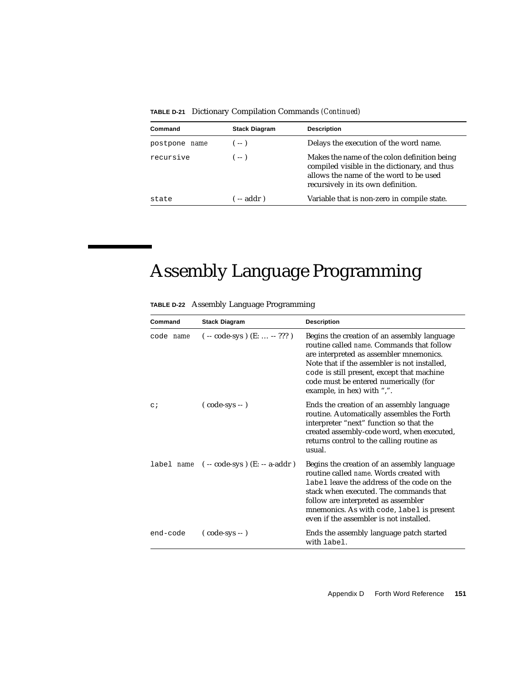| Command       | <b>Stack Diagram</b> | <b>Description</b>                                                                                                                                                           |
|---------------|----------------------|------------------------------------------------------------------------------------------------------------------------------------------------------------------------------|
| postpone name | $(-)$                | Delays the execution of the word name.                                                                                                                                       |
| recursive     | $(--)$               | Makes the name of the colon definition being<br>compiled visible in the dictionary, and thus<br>allows the name of the word to be used<br>recursively in its own definition. |
| state         | $(-$ addr)           | Variable that is non-zero in compile state.                                                                                                                                  |

**TABLE D-21** Dictionary Compilation Commands *(Continued)*

## Assembly Language Programming

| Command        | <b>Stack Diagram</b>                        | <b>Description</b>                                                                                                                                                                                                                                                                                                    |
|----------------|---------------------------------------------|-----------------------------------------------------------------------------------------------------------------------------------------------------------------------------------------------------------------------------------------------------------------------------------------------------------------------|
| code name      | $(-\text{code-sys})$ (E: $-$ ???)           | Begins the creation of an assembly language<br>routine called <i>name</i> . Commands that follow<br>are interpreted as assembler mnemonics.<br>Note that if the assembler is not installed,<br>code is still present, except that machine<br>code must be entered numerically (for<br>example, in hex) with ",".      |
| $\mathsf{C}$ i | $(\text{code-sys} - )$                      | Ends the creation of an assembly language<br>routine. Automatically assembles the Forth<br>interpreter "next" function so that the<br>created assembly-code word, when executed,<br>returns control to the calling routine as<br>usual.                                                                               |
| label name     | $(-\text{code-sys})$ (E: $-\text{a-addr}$ ) | Begins the creation of an assembly language<br>routine called <i>name</i> . Words created with<br>label leave the address of the code on the<br>stack when executed. The commands that<br>follow are interpreted as assembler<br>mnemonics. As with code, label is present<br>even if the assembler is not installed. |
| end-code       | $(\text{code-sys} - )$                      | Ends the assembly language patch started<br>with label.                                                                                                                                                                                                                                                               |

**TABLE D-22** Assembly Language Programming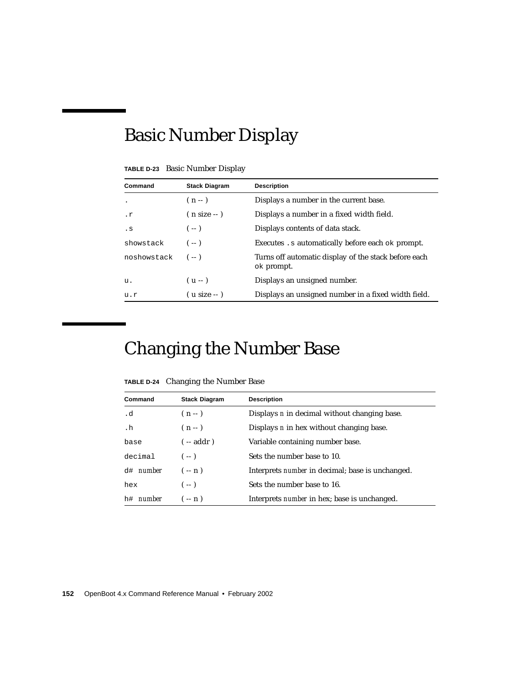# Basic Number Display

| TABLE D-23 Basic Number Display |  |  |  |
|---------------------------------|--|--|--|
|---------------------------------|--|--|--|

| Command     | <b>Stack Diagram</b> | <b>Description</b>                                                 |
|-------------|----------------------|--------------------------------------------------------------------|
|             | $(n - )$             | Displays a number in the current base.                             |
| $\cdot$ r   | $(n size - )$        | Displays a number in a fixed width field.                          |
| $\cdot$ S   | $(-)$                | Displays contents of data stack.                                   |
| showstack   | $(-)$                | Executes . s automatically before each ok prompt.                  |
| noshowstack | $(-)$                | Turns off automatic display of the stack before each<br>ok prompt. |
| u.          | $(u - )$             | Displays an unsigned number.                                       |
| u.r         | ( u size -- )        | Displays an unsigned number in a fixed width field.                |

# Changing the Number Base

| Command             | <b>Stack Diagram</b> | <b>Description</b>                                      |
|---------------------|----------------------|---------------------------------------------------------|
| .d                  | $(n - )$             | Displays <i>n</i> in decimal without changing base.     |
| . h                 | $(n - )$             | Displays <i>n</i> in hex without changing base.         |
| base                | $(-$ addr)           | Variable containing number base.                        |
| decimal             | $(-)$                | Sets the number base to 10.                             |
| $d$ # <i>number</i> | $(-n)$               | Interprets <i>number</i> in decimal; base is unchanged. |
| hex                 | $(-)$                | Sets the number base to 16.                             |
| h# <i>number</i>    | $(-n)$               | Interprets <i>number</i> in hex; base is unchanged.     |

| TABLE D-24 Changing the Number Base |  |  |  |  |
|-------------------------------------|--|--|--|--|
|-------------------------------------|--|--|--|--|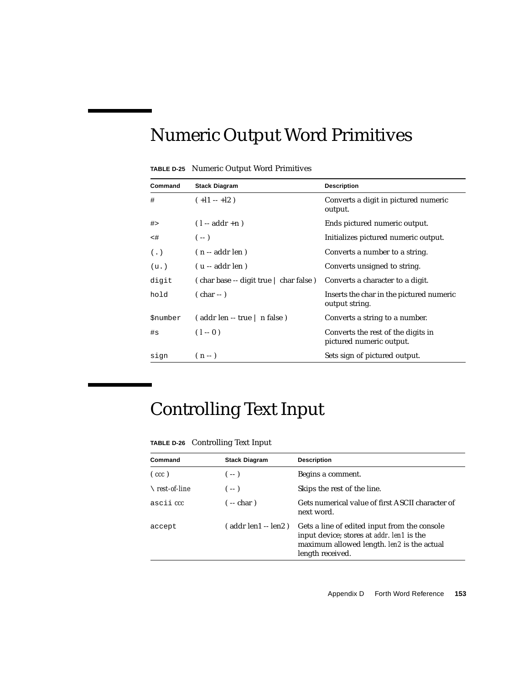## Numeric Output Word Primitives

| Command                | <b>Stack Diagram</b>                                      | <b>Description</b>                                             |
|------------------------|-----------------------------------------------------------|----------------------------------------------------------------|
| $\#$                   | $(+11 - 12)$                                              | Converts a digit in pictured numeric<br>output.                |
| #                      | $(1 - addr + n)$                                          | Ends pictured numeric output.                                  |
| <#                     | $(-)$                                                     | Initializes pictured numeric output.                           |
| $(\cdot)$              | $(n - addr len)$                                          | Converts a number to a string.                                 |
| (u.)                   | $(u - addr len)$                                          | Converts unsigned to string.                                   |
| digit                  | $\epsilon$ char base -- digit true $\epsilon$ char false) | Converts a character to a digit.                               |
| hold                   | $(char -)$                                                | Inserts the char in the pictured numeric<br>output string.     |
| <i><b>\$number</b></i> | $($ addr len -- true $ $ n false)                         | Converts a string to a number.                                 |
| #s                     | $(1 - 0)$                                                 | Converts the rest of the digits in<br>pictured numeric output. |
| sign                   | $(n - )$                                                  | Sets sign of pictured output.                                  |

**TABLE D-25** Numeric Output Word Primitives

#### Controlling Text Input

#### **TABLE D-26** Controlling Text Input

| Command      | <b>Stack Diagram</b>  | <b>Description</b>                                                                                                                                                        |
|--------------|-----------------------|---------------------------------------------------------------------------------------------------------------------------------------------------------------------------|
| $(\,cc\,c)$  | $(-)$                 | Begins a comment.                                                                                                                                                         |
| rest-of-line | $(- - )$              | Skips the rest of the line.                                                                                                                                               |
| ascii ccc    | $(-char)$             | Gets numerical value of first ASCII character of<br>next word.                                                                                                            |
| accept       | ( addr len1 -- len2 ) | Gets a line of edited input from the console<br>input device; stores at <i>addr. len1</i> is the<br>maximum allowed length. <i>len2</i> is the actual<br>length received. |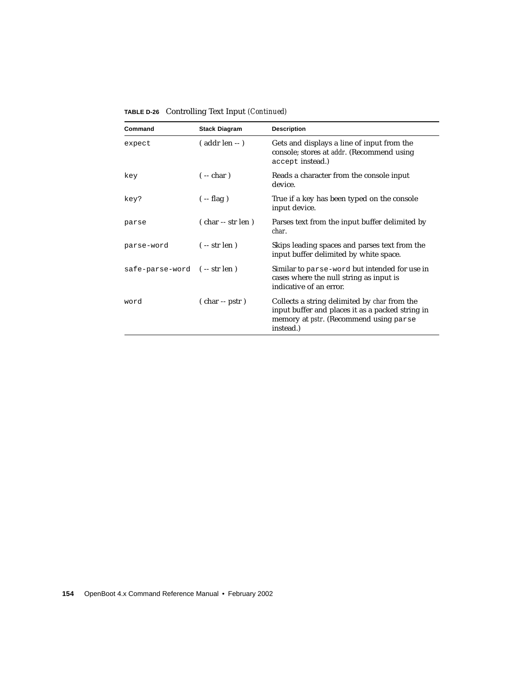| Command                      | <b>Stack Diagram</b> | <b>Description</b>                                                                                                                                                    |
|------------------------------|----------------------|-----------------------------------------------------------------------------------------------------------------------------------------------------------------------|
| expect                       | $($ addr len $-$ )   | Gets and displays a line of input from the<br>console; stores at <i>addr.</i> (Recommend using<br>accept instead.)                                                    |
| key                          | $(-\text{char})$     | Reads a character from the console input<br>device.                                                                                                                   |
| key?                         | $(-$ flag)           | True if a key has been typed on the console<br>input device.                                                                                                          |
| parse                        | $( char - str len)$  | Parses text from the input buffer delimited by<br>char.                                                                                                               |
| parse-word                   | $(-str len)$         | Skips leading spaces and parses text from the<br>input buffer delimited by white space.                                                                               |
| safe-parse-word (-- str len) |                      | Similar to parse-word but intended for use in<br>cases where the null string as input is<br>indicative of an error.                                                   |
| word                         | $(char -pstr)$       | Collects a string delimited by <i>char</i> from the<br>input buffer and places it as a packed string in<br>memory at <i>pstr.</i> (Recommend using parse<br>instead.) |

**TABLE D-26** Controlling Text Input *(Continued)*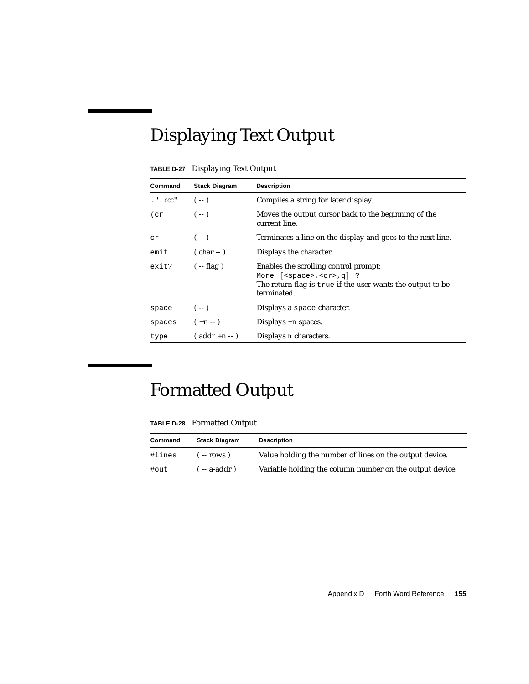# Displaying Text Output

|  | TABLE D-27 Displaying Text Output |  |  |
|--|-----------------------------------|--|--|
|--|-----------------------------------|--|--|

| Command           | <b>Stack Diagram</b> | <b>Description</b>                                                                                                                                      |
|-------------------|----------------------|---------------------------------------------------------------------------------------------------------------------------------------------------------|
| $\cdot$ " $ccc$ " | $(-)$                | Compiles a string for later display.                                                                                                                    |
| (cr)              | $(-)$                | Moves the output cursor back to the beginning of the<br>current line.                                                                                   |
| cr                | $(-)$                | Terminates a line on the display and goes to the next line.                                                                                             |
| emit              | $(char -)$           | Displays the character.                                                                                                                                 |
| exit?             | $(-$ flag)           | Enables the scrolling control prompt:<br>More $[<$ space>, $<$ cr>, $q]$ ?<br>The return flag is true if the user wants the output to be<br>terminated. |
| space             | $(-)$                | Displays a space character.                                                                                                                             |
| spaces            | $(+n - )$            | Displays $+n$ spaces.                                                                                                                                   |
| type              | $($ addr +n -- $)$   | Displays <i>n</i> characters.                                                                                                                           |

# Formatted Output

**TABLE D-28** Formatted Output

| Command | <b>Stack Diagram</b> | <b>Description</b>                                       |
|---------|----------------------|----------------------------------------------------------|
| #lines  | $(-$ rows)           | Value holding the number of lines on the output device.  |
| #out    | ( -- a-addr )        | Variable holding the column number on the output device. |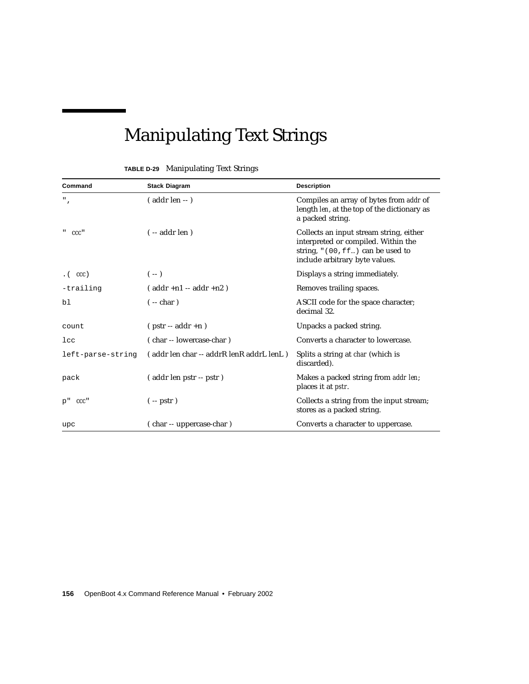# Manipulating Text Strings

| Command           | <b>Stack Diagram</b>                     | <b>Description</b>                                                                                                                                   |
|-------------------|------------------------------------------|------------------------------------------------------------------------------------------------------------------------------------------------------|
| ш                 | $($ addr len $-$ )                       | Compiles an array of bytes from addr of<br>length len, at the top of the dictionary as<br>a packed string.                                           |
| " $ccc$ "         | $(-$ addr len $)$                        | Collects an input stream string, either<br>interpreted or compiled. Within the<br>string, "(00, ff) can be used to<br>include arbitrary byte values. |
| $\cdot$ ( $ccc$ ) | $(-)$                                    | Displays a string immediately.                                                                                                                       |
| -trailing         | $($ addr +n1 -- addr +n2)                | Removes trailing spaces.                                                                                                                             |
| bl                | $(-\text{char})$                         | ASCII code for the space character;<br>decimal 32.                                                                                                   |
| count             | $(pstr - addr + n)$                      | Unpacks a packed string.                                                                                                                             |
| $_{1cc}$          | (char -- lowercase-char)                 | Converts a character to lowercase.                                                                                                                   |
| left-parse-string | (addr len char -- addrR lenR addrL lenL) | Splits a string at <i>char</i> (which is<br>discarded).                                                                                              |
| pack              | (addr len pstr -- pstr)                  | Makes a packed string from addr len;<br>places it at <i>pstr</i> .                                                                                   |
| $p"$ $ccc"$       | $(-$ pstr)                               | Collects a string from the input stream;<br>stores as a packed string.                                                                               |
| upc               | (char -- uppercase-char)                 | Converts a character to uppercase.                                                                                                                   |

#### **TABLE D-29** Manipulating Text Strings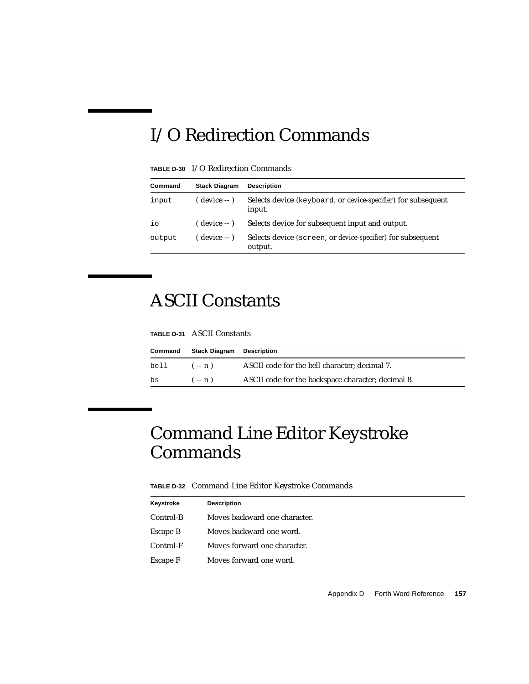## I/O Redirection Commands

**TABLE D-30** I/O Redirection Commands

| Command | <b>Stack Diagram</b> | <b>Description</b>                                                              |
|---------|----------------------|---------------------------------------------------------------------------------|
| input   | ( device -- )        | Selects device (keyboard, or <i>device-specifier</i> ) for subsequent<br>input. |
| io      | $(\text{device --})$ | Selects device for subsequent input and output.                                 |
| output  | ( device -- )        | Selects device (screen, or <i>device-specifier</i> ) for subsequent<br>output.  |

#### ASCII Constants

**TABLE D-31** ASCII Constants

| Command | <b>Stack Diagram</b> | Description                                        |
|---------|----------------------|----------------------------------------------------|
| bell    | $(-n)$               | ASCII code for the bell character; decimal 7.      |
| bs      | $(-n)$               | ASCII code for the backspace character; decimal 8. |

#### Command Line Editor Keystroke **Commands**

**TABLE D-32** Command Line Editor Keystroke Commands

| Keystroke | <b>Description</b>            |
|-----------|-------------------------------|
| Control-B | Moves backward one character. |
| Escape B  | Moves backward one word.      |
| Control-F | Moves forward one character.  |
| Escape F  | Moves forward one word.       |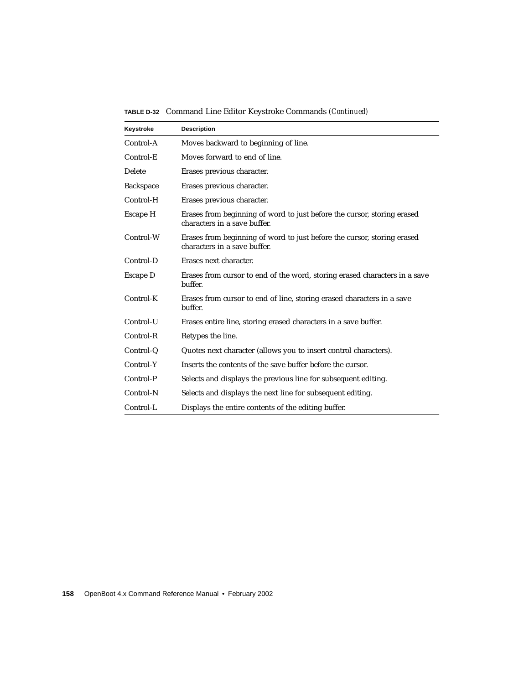| Keystroke | <b>Description</b>                                                                                      |
|-----------|---------------------------------------------------------------------------------------------------------|
| Control-A | Moves backward to beginning of line.                                                                    |
| Control-E | Moves forward to end of line.                                                                           |
| Delete    | Erases previous character.                                                                              |
| Backspace | Erases previous character.                                                                              |
| Control-H | Erases previous character.                                                                              |
| Escape H  | Erases from beginning of word to just before the cursor, storing erased<br>characters in a save buffer. |
| Control-W | Erases from beginning of word to just before the cursor, storing erased<br>characters in a save buffer. |
| Control-D | Erases next character.                                                                                  |
| Escape D  | Erases from cursor to end of the word, storing erased characters in a save<br>buffer.                   |
| Control-K | Erases from cursor to end of line, storing erased characters in a save<br>buffer.                       |
| Control-U | Erases entire line, storing erased characters in a save buffer.                                         |
| Control-R | Retypes the line.                                                                                       |
| Control-Q | Quotes next character (allows you to insert control characters).                                        |
| Control-Y | Inserts the contents of the save buffer before the cursor.                                              |
| Control-P | Selects and displays the previous line for subsequent editing.                                          |
| Control-N | Selects and displays the next line for subsequent editing.                                              |
| Control-L | Displays the entire contents of the editing buffer.                                                     |

**TABLE D-32** Command Line Editor Keystroke Commands *(Continued)*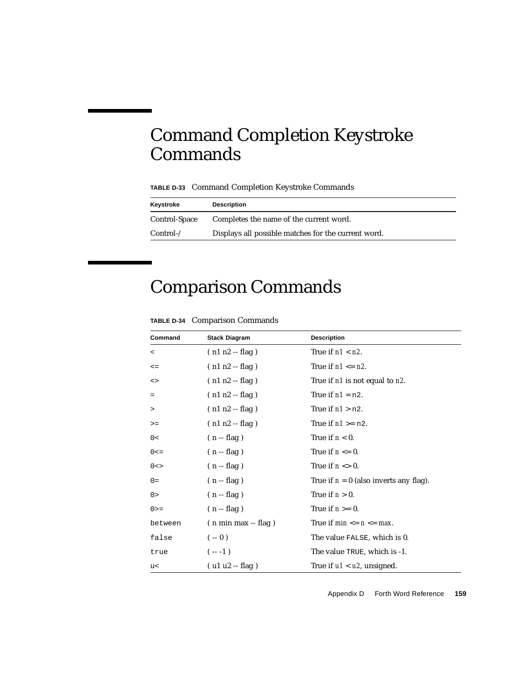#### Command Completion Keystroke Commands

#### **TABLE D-33** Command Completion Keystroke Commands

| Keystroke     | <b>Description</b>                                  |
|---------------|-----------------------------------------------------|
| Control-Space | Completes the name of the current word.             |
| $Control-$    | Displays all possible matches for the current word. |

## Comparison Commands

**TABLE D-34** Comparison Commands

| Command    | <b>Stack Diagram</b> | <b>Description</b>                       |
|------------|----------------------|------------------------------------------|
| $\,<$      | $(n1 n2 - flag)$     | True if $n1 < n2$ .                      |
| $\leq$ $=$ | $(n1 n2 - flag)$     | True if $n1 \leq n2$ .                   |
| <>         | $(n1 n2 - flag)$     | True if $n1$ is not equal to $n2$ .      |
| =          | $(n1 n2 - flag)$     | True if $nl = n2$ .                      |
| $\, > \,$  | $(n1 n2 - flag)$     | True if $n1 > n2$ .                      |
| $> =$      | $(n1 n2 - flag)$     | True if $n1 \geq n2$ .                   |
| 0<         | $(n - flag)$         | True if $n < 0$ .                        |
| $0 < =$    | $(n - flag)$         | True if $n \leq 0$ .                     |
| $0 < \gt$  | $(n - flag)$         | True if $n \leq 0$ .                     |
| $0 =$      | $(n - flag)$         | True if $n = 0$ (also inverts any flag). |
| 0>         | $(n - flag)$         | True if $n > 0$ .                        |
| $0 > =$    | $(n - flag)$         | True if $n \geq 0$ .                     |
| between    | $(n min max - flag)$ | True if $min \le n \le max$ .            |
| false      | $(-0)$               | The value FALSE, which is 0.             |
| true       | $(--1)$              | The value TRUE, which is -1.             |
| u<         | $($ u1 u2 -- flag)   | True if $u1 < u2$ , unsigned.            |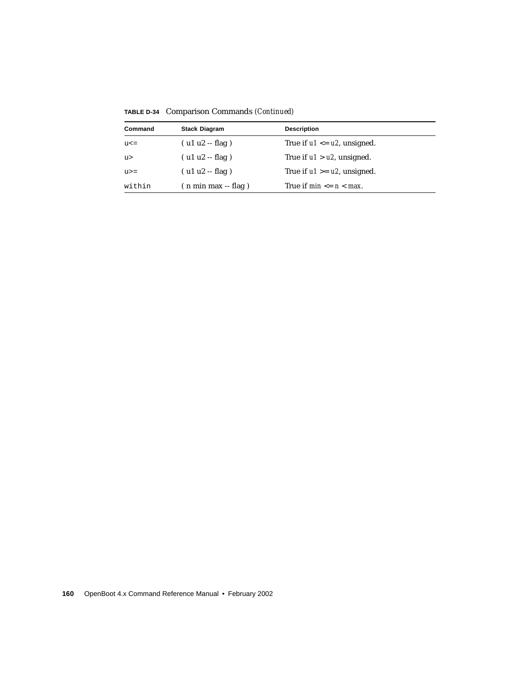**TABLE D-34** Comparison Commands *(Continued)*

| Command       | <b>Stack Diagram</b> | <b>Description</b>               |  |
|---------------|----------------------|----------------------------------|--|
| $11 \leq x =$ | $($ u1 u2 -- flag)   | True if $u1 \leq u2$ , unsigned. |  |
| u>            | $($ u1 u2 $-$ flag)  | True if $u1 > u2$ , unsigned.    |  |
| $11>=$        | $($ u1 u2 $-$ flag)  | True if $u1 \geq u2$ , unsigned. |  |
| within        | (n min max -- flag)  | True if $min \le n \le max$ .    |  |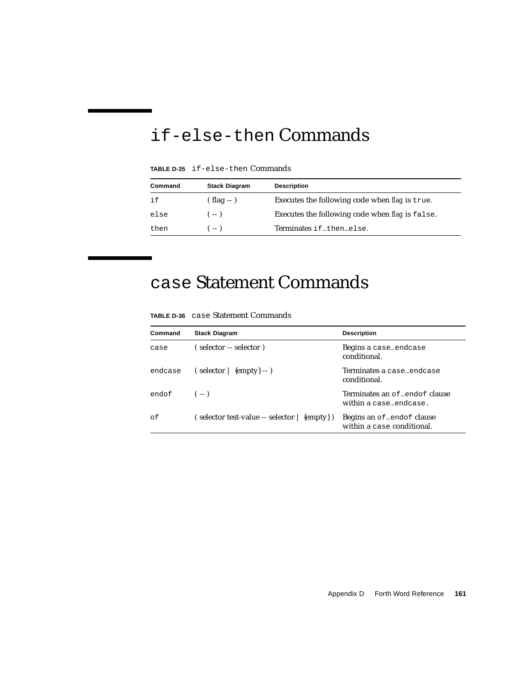### if-else-then Commands

**TABLE D-35** if-else-then Commands

| Command | <b>Stack Diagram</b> | <b>Description</b>                              |  |
|---------|----------------------|-------------------------------------------------|--|
| if      | (flag $-$ )          | Executes the following code when flag is true.  |  |
| else    | $(-)$                | Executes the following code when flag is false. |  |
| then    | $(- - )$             | Terminates if thenelse.                         |  |

#### case Statement Commands

**TABLE D-36** case Statement Commands

| Command | <b>Stack Diagram</b>                                    | <b>Description</b>                                      |
|---------|---------------------------------------------------------|---------------------------------------------------------|
| case    | ( selector -- selector )                                | Begins a caseendcase<br>conditional.                    |
| endcase | $\left($ selector $\left  \right.$ {empty} -- $\right)$ | Terminates a caseendcase<br>conditional.                |
| endof   | $(-)$                                                   | Terminates an of endof clause<br>within a caseendcase.  |
| of      | (selector test-value -- selector   {empty})             | Begins an of endof clause<br>within a case conditional. |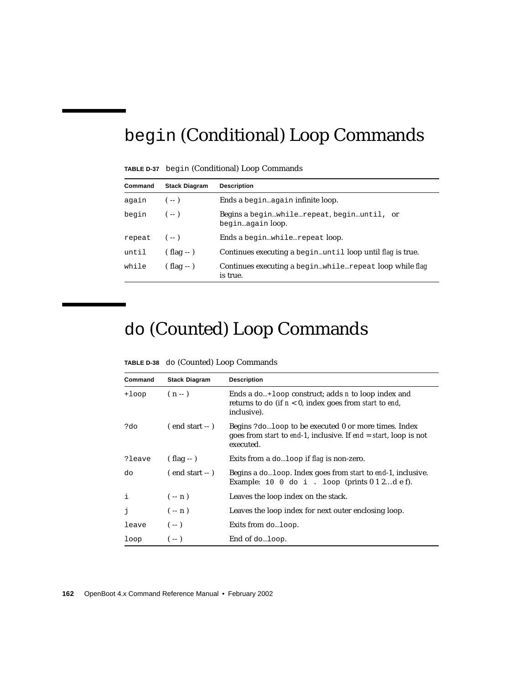## begin (Conditional) Loop Commands

**TABLE D-37** begin (Conditional) Loop Commands

| Command | <b>Stack Diagram</b> | <b>Description</b>                                                 |
|---------|----------------------|--------------------------------------------------------------------|
| again   | $(-)$                | Ends a begin  again infinite loop.                                 |
| begin   | $(-)$                | Begins a beginwhilerepeat, beginuntil, or<br>begin  again loop.    |
| repeat  | $(-)$                | Ends a beginwhilerepeat loop.                                      |
| until   | flag -- $)$          | Continues executing a begin  until loop until flag is true.        |
| while   | flag -- $)$          | Continues executing a beginwhilerepeat loop while flag<br>is true. |

### do (Counted) Loop Commands

**TABLE D-38** do (Counted) Loop Commands

| Command  | <b>Stack Diagram</b> | <b>Description</b>                                                                                                                                   |  |
|----------|----------------------|------------------------------------------------------------------------------------------------------------------------------------------------------|--|
| $+1$ oop | $(n - )$             | Ends a do+loop construct; adds n to loop index and<br>returns to do (if $n < 0$ , index goes from start to end,<br>inclusive).                       |  |
| ?do      | $($ end start $ )$   | Begins ?doloop to be executed 0 or more times. Index<br>goes from <i>start</i> to end-1, inclusive. If end = <i>start</i> , loop is not<br>executed. |  |
| ?leave   | (flag --)            | Exits from a do100p if flag is non-zero.                                                                                                             |  |
| do       | $($ end start $ )$   | Begins a do100p. Index goes from <i>start</i> to end-1, inclusive.<br>Example: 10 0 do i . loop (prints $0$ 1 2d e f).                               |  |
| i        | $(-n)$               | Leaves the loop index on the stack.                                                                                                                  |  |
| f.       | $(-n)$               | Leaves the loop index for next outer enclosing loop.                                                                                                 |  |
| leave    | $(-)$                | Exits from doloop.                                                                                                                                   |  |
| loop     | $(-)$                | End of doloop.                                                                                                                                       |  |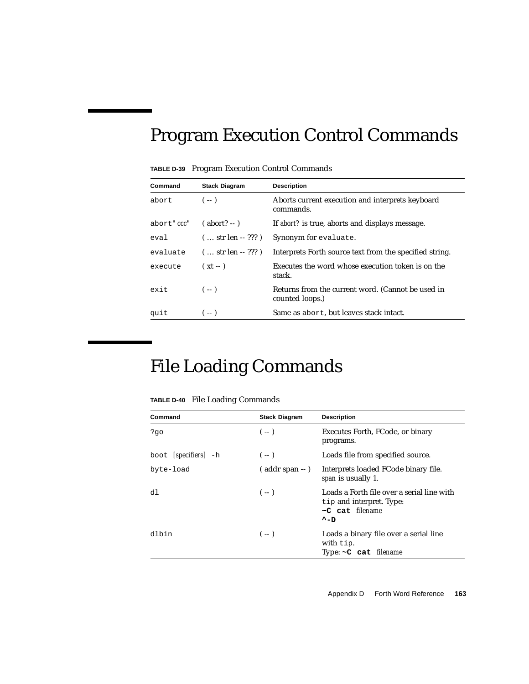# Program Execution Control Commands

| TABLE D-39 Program Execution Control Commands |  |  |  |
|-----------------------------------------------|--|--|--|
|-----------------------------------------------|--|--|--|

| Command        | <b>Stack Diagram</b> | <b>Description</b>                                                   |
|----------------|----------------------|----------------------------------------------------------------------|
| abort          | $(-)$                | Aborts current execution and interprets keyboard<br>commands.        |
| abort" $ccc$ " | $(abort? - )$        | If abort? is true, aborts and displays message.                      |
| eval           | $( str len - ???)$   | Synonym for evaluate.                                                |
| evaluate       | $( str len - ???)$   | Interprets Forth source text from the specified string.              |
| execute        | $(xt - )$            | Executes the word whose execution token is on the<br>stack.          |
| exit           | $(-)$                | Returns from the current word. (Cannot be used in<br>counted loops.) |
| quit           | $(- - )$             | Same as abort, but leaves stack intact.                              |

## File Loading Commands

**TABLE D-40** File Loading Commands

| Command                     | <b>Stack Diagram</b> | <b>Description</b>                                                                                     |
|-----------------------------|----------------------|--------------------------------------------------------------------------------------------------------|
| ?qo                         | $(-)$                | Executes Forth, FCode, or binary<br>programs.                                                          |
| boot <i>[specifiers]</i> -h | $(-)$                | Loads file from specified source.                                                                      |
| byte-load                   | $($ addr span $ )$   | Interprets loaded FCode binary file.<br>span is usually 1.                                             |
| d1                          | $(-)$                | Loads a Forth file over a serial line with<br>tip and interpret. Type:<br>$\sim$ C cat filename<br>^-D |
| dlbin                       | $(-)$                | Loads a binary file over a serial line<br>with tip.<br>Type: $\sim$ C cat filename                     |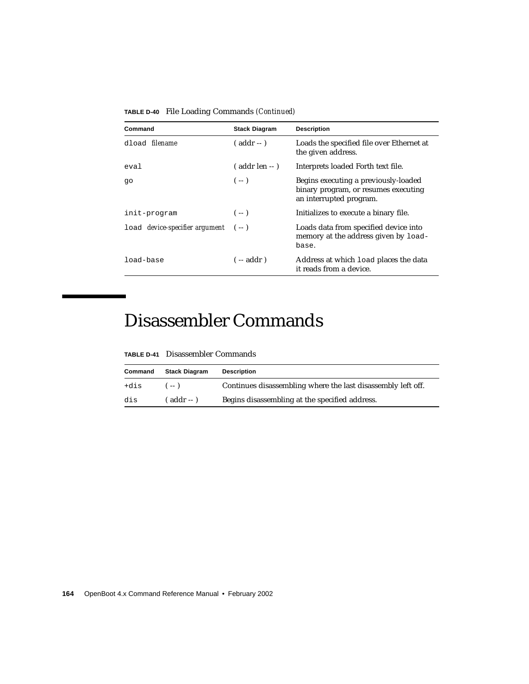| Command                                | <b>Stack Diagram</b> | <b>Description</b>                                                                                      |
|----------------------------------------|----------------------|---------------------------------------------------------------------------------------------------------|
| dload <i>filename</i>                  | $($ addr -- $)$      | Loads the specified file over Ethernet at<br>the given address.                                         |
| eval                                   | $($ addr len $ )$    | Interprets loaded Forth text file.                                                                      |
| qo                                     | $(-)$                | Begins executing a previously-loaded<br>binary program, or resumes executing<br>an interrupted program. |
| init-program                           | $(- - )$             | Initializes to execute a binary file.                                                                   |
| $load$ device-specifier argument $(-)$ |                      | Loads data from specified device into<br>memory at the address given by load-<br>base.                  |
| load-base                              | ( -- addr )          | Address at which load places the data<br>it reads from a device.                                        |

**TABLE D-40** File Loading Commands *(Continued)*

## Disassembler Commands

**TABLE D-41** Disassembler Commands

| Command | <b>Stack Diagram</b> | <b>Description</b>                                           |
|---------|----------------------|--------------------------------------------------------------|
| +dis    | $-1$                 | Continues disassembling where the last disassembly left off. |
| dis     | $($ addr $-$ )       | Begins disassembling at the specified address.               |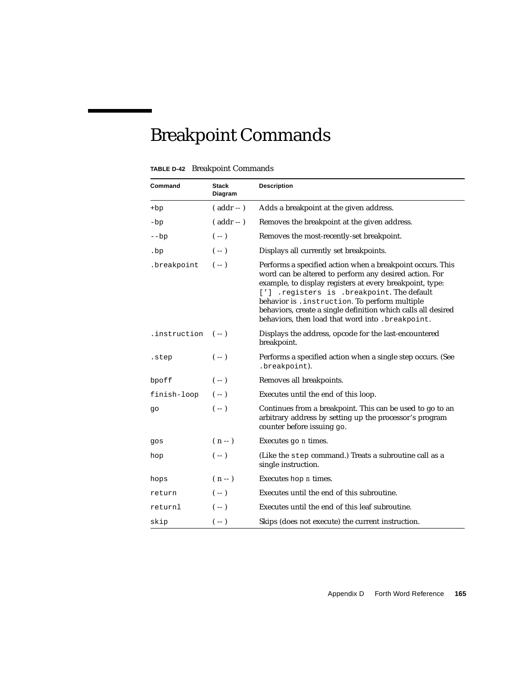# Breakpoint Commands

| <b>TABLE D-42</b> Breakpoint Commands |  |  |
|---------------------------------------|--|--|
|---------------------------------------|--|--|

<u> The Common Service Common Service Common Service Common Service Common Service Common Service Common Service Common Service Common Service Common Service Common Service Common Service Common Service Common Service Common</u>

| Command            | <b>Stack</b><br>Diagram | <b>Description</b>                                                                                                                                                                                                                                                                                                                                                                                     |
|--------------------|-------------------------|--------------------------------------------------------------------------------------------------------------------------------------------------------------------------------------------------------------------------------------------------------------------------------------------------------------------------------------------------------------------------------------------------------|
| $+bp$              | $($ addr $ )$           | Adds a breakpoint at the given address.                                                                                                                                                                                                                                                                                                                                                                |
| -bp                | $(addr - )$             | Removes the breakpoint at the given address.                                                                                                                                                                                                                                                                                                                                                           |
| $-\mathsf{bp}$     | $(-)$                   | Removes the most-recently-set breakpoint.                                                                                                                                                                                                                                                                                                                                                              |
| $\log$             | $(-)$                   | Displays all currently set breakpoints.                                                                                                                                                                                                                                                                                                                                                                |
| .breakpoint        | $(-)$                   | Performs a specified action when a breakpoint occurs. This<br>word can be altered to perform any desired action. For<br>example, to display registers at every breakpoint, type:<br>['] .registers is .breakpoint. The default<br>behavior is . instruction. To perform multiple<br>behaviors, create a single definition which calls all desired<br>behaviors, then load that word into . breakpoint. |
| .instruction $(-)$ |                         | Displays the address, opcode for the last-encountered<br>breakpoint.                                                                                                                                                                                                                                                                                                                                   |
| .step              | $(-)$                   | Performs a specified action when a single step occurs. (See<br>.breakpoint).                                                                                                                                                                                                                                                                                                                           |
| bpoff              | $(-)$                   | Removes all breakpoints.                                                                                                                                                                                                                                                                                                                                                                               |
| finish-loop        | $(-)$                   | Executes until the end of this loop.                                                                                                                                                                                                                                                                                                                                                                   |
| go                 | $(-)$                   | Continues from a breakpoint. This can be used to go to an<br>arbitrary address by setting up the processor's program<br>counter before issuing go.                                                                                                                                                                                                                                                     |
| gos                | $(n - )$                | Executes $q_0$ <i>n</i> times.                                                                                                                                                                                                                                                                                                                                                                         |
| hop                | $(-)$                   | (Like the step command.) Treats a subroutine call as a<br>single instruction.                                                                                                                                                                                                                                                                                                                          |
| hops               | $(n - )$                | Executes hop $n$ times.                                                                                                                                                                                                                                                                                                                                                                                |
| return             | $(-)$                   | Executes until the end of this subroutine.                                                                                                                                                                                                                                                                                                                                                             |
| returnl            | $(-)$                   | Executes until the end of this leaf subroutine.                                                                                                                                                                                                                                                                                                                                                        |
| skip               | $(-)$                   | Skips (does not execute) the current instruction.                                                                                                                                                                                                                                                                                                                                                      |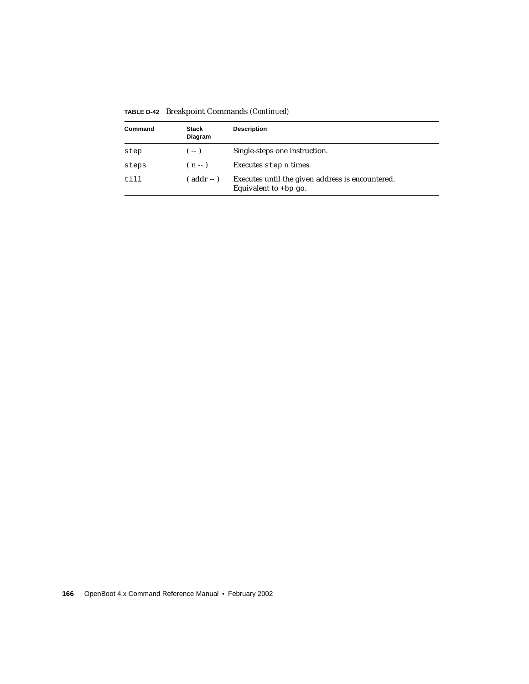| <b>Stack</b><br>Diagram | <b>Description</b>                                                          |
|-------------------------|-----------------------------------------------------------------------------|
| $(-)$                   | Single-steps one instruction.                                               |
| $(n - )$                | Executes step <i>n</i> times.                                               |
| $($ addr $-$ )          | Executes until the given address is encountered.<br>Equivalent to $+bp$ go. |
|                         |                                                                             |

**TABLE D-42** Breakpoint Commands *(Continued)*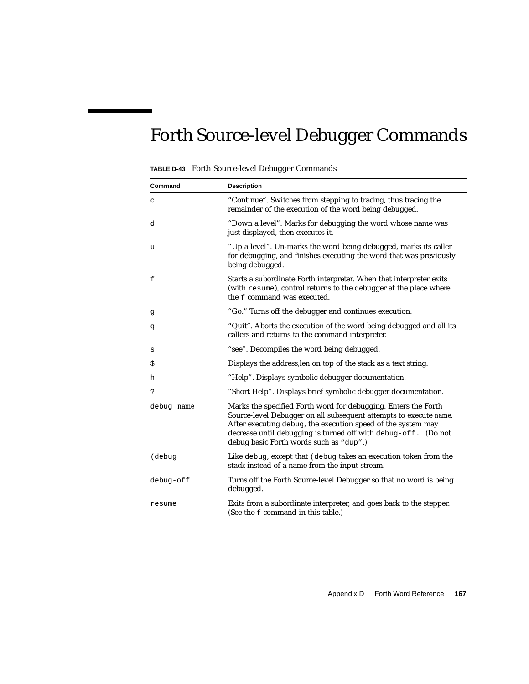# Forth Source-level Debugger Commands

| Command    | <b>Description</b>                                                                                                                                                                                                                                                                                               |
|------------|------------------------------------------------------------------------------------------------------------------------------------------------------------------------------------------------------------------------------------------------------------------------------------------------------------------|
| C          | "Continue". Switches from stepping to tracing, thus tracing the<br>remainder of the execution of the word being debugged.                                                                                                                                                                                        |
| d          | "Down a level". Marks for debugging the word whose name was<br>just displayed, then executes it.                                                                                                                                                                                                                 |
| u          | "Up a level". Un-marks the word being debugged, marks its caller<br>for debugging, and finishes executing the word that was previously<br>being debugged.                                                                                                                                                        |
| f          | Starts a subordinate Forth interpreter. When that interpreter exits<br>(with resume), control returns to the debugger at the place where<br>the f command was executed.                                                                                                                                          |
| g          | "Go." Turns off the debugger and continues execution.                                                                                                                                                                                                                                                            |
| đ          | "Quit". Aborts the execution of the word being debugged and all its<br>callers and returns to the command interpreter.                                                                                                                                                                                           |
| s          | "see". Decompiles the word being debugged.                                                                                                                                                                                                                                                                       |
| \$         | Displays the address, len on top of the stack as a text string.                                                                                                                                                                                                                                                  |
| h          | "Help". Displays symbolic debugger documentation.                                                                                                                                                                                                                                                                |
| S.         | "Short Help". Displays brief symbolic debugger documentation.                                                                                                                                                                                                                                                    |
| debug name | Marks the specified Forth word for debugging. Enters the Forth<br>Source-level Debugger on all subsequent attempts to execute name.<br>After executing debug, the execution speed of the system may<br>decrease until debugging is turned off with debug-off. (Do not<br>debug basic Forth words such as "dup".) |
| (debug     | Like debug, except that (debug takes an execution token from the<br>stack instead of a name from the input stream.                                                                                                                                                                                               |
| debug-off  | Turns off the Forth Source-level Debugger so that no word is being<br>debugged.                                                                                                                                                                                                                                  |
| resume     | Exits from a subordinate interpreter, and goes back to the stepper.<br>(See the f command in this table.)                                                                                                                                                                                                        |

**TABLE D-43** Forth Source-level Debugger Commands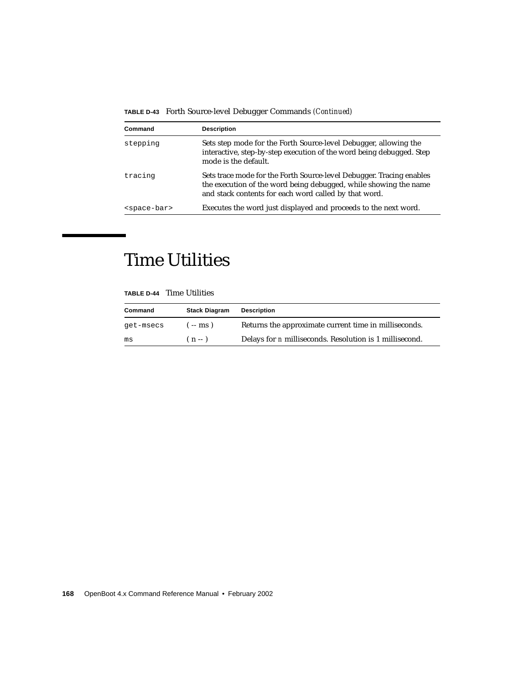| Command                 | <b>Description</b>                                                                                                                                                                                |
|-------------------------|---------------------------------------------------------------------------------------------------------------------------------------------------------------------------------------------------|
| stepping                | Sets step mode for the Forth Source-level Debugger, allowing the<br>interactive, step-by-step execution of the word being debugged. Step<br>mode is the default.                                  |
| tracing                 | Sets trace mode for the Forth Source-level Debugger. Tracing enables<br>the execution of the word being debugged, while showing the name<br>and stack contents for each word called by that word. |
| <space-bar></space-bar> | Executes the word just displayed and proceeds to the next word.                                                                                                                                   |

**TABLE D-43** Forth Source-level Debugger Commands *(Continued)*

## Time Utilities

#### **TABLE D-44** Time Utilities

| Command   | <b>Stack Diagram</b> | <b>Description</b>                                             |
|-----------|----------------------|----------------------------------------------------------------|
| qet-msecs | $-$ ms $)$           | Returns the approximate current time in milliseconds.          |
| ms        | $(n - )$             | Delays for <i>n</i> milliseconds. Resolution is 1 millisecond. |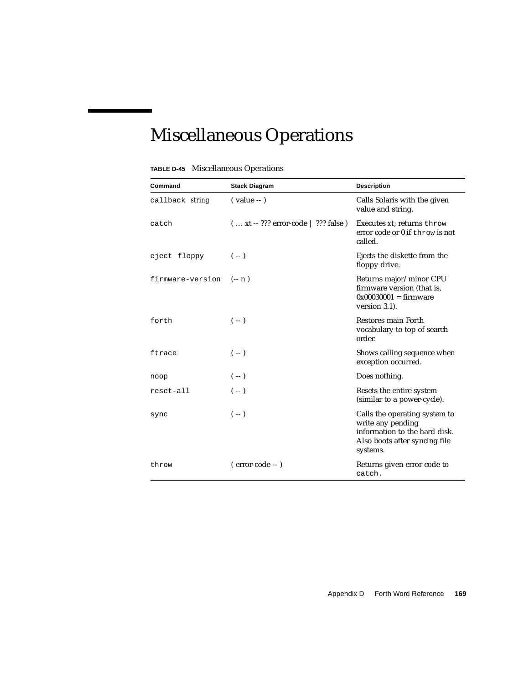# Miscellaneous Operations

| Command          | <b>Stack Diagram</b>                  | <b>Description</b>                                                                                                               |
|------------------|---------------------------------------|----------------------------------------------------------------------------------------------------------------------------------|
| callback string  | $\frac{1}{2}$ value $\frac{1}{2}$     | Calls Solaris with the given<br>value and string.                                                                                |
| catch            | $(xt - ???$ error-code $  ???$ false) | Executes xt; returns throw<br>error code or 0 if throw is not<br>called.                                                         |
| eject floppy     | $(-)$                                 | Ejects the diskette from the<br>floppy drive.                                                                                    |
| firmware-version | $(-n)$                                | Returns major/minor CPU<br>firmware version (that is,<br>$0x00030001 = firmware$<br>version 3.1).                                |
| forth            | $(-)$                                 | Restores main Forth<br>vocabulary to top of search<br>order.                                                                     |
| ftrace           | $(-)$                                 | Shows calling sequence when<br>exception occurred.                                                                               |
| noop             | $(-)$                                 | Does nothing.                                                                                                                    |
| reset-all        | $(-)$                                 | Resets the entire system<br>(similar to a power-cycle).                                                                          |
| sync             | $(-)$                                 | Calls the operating system to<br>write any pending<br>information to the hard disk.<br>Also boots after syncing file<br>systems. |
| throw            | $(error-code - )$                     | Returns given error code to<br>catch.                                                                                            |

**TABLE D-45** Miscellaneous Operations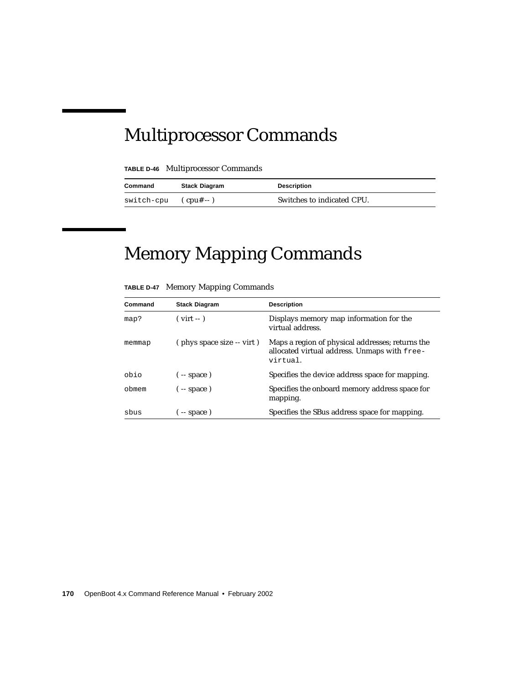# Multiprocessor Commands

**TABLE D-46** Multiprocessor Commands

| Command                           | <b>Stack Diagram</b> | <b>Description</b>         |
|-----------------------------------|----------------------|----------------------------|
| $switch$ -cpu $(\text{cpu}$ # --) |                      | Switches to indicated CPU. |

## Memory Mapping Commands

| Command | <b>Stack Diagram</b>      | <b>Description</b>                                                                                           |
|---------|---------------------------|--------------------------------------------------------------------------------------------------------------|
| map?    | $(virt - )$               | Displays memory map information for the<br>virtual address.                                                  |
| memmap  | (phys space size -- virt) | Maps a region of physical addresses; returns the<br>allocated virtual address. Unmaps with free-<br>virtual. |
| obio    | $(-$ space)               | Specifies the device address space for mapping.                                                              |
| obmem   | $(-$ space)               | Specifies the onboard memory address space for<br>mapping.                                                   |
| sbus    | $(-$ space)               | Specifies the SBus address space for mapping.                                                                |

|  | TABLE D-47 Memory Mapping Commands |
|--|------------------------------------|
|  |                                    |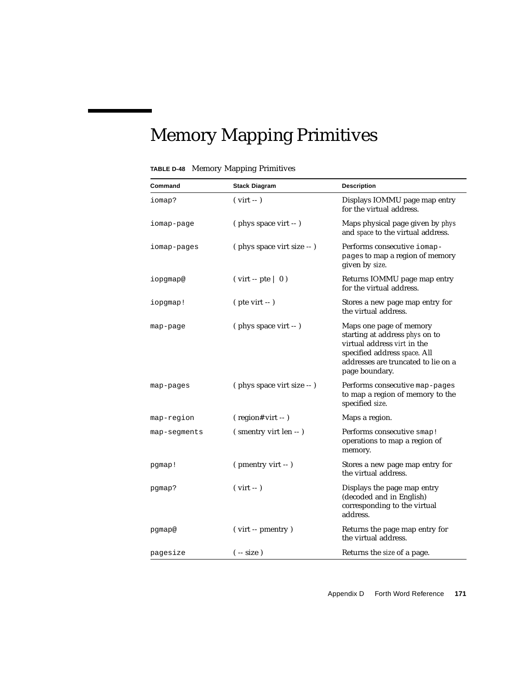## Memory Mapping Primitives

#### **Command Stack Diagram Description** iomap? (virt -- ) Displays IOMMU page map entry for the virtual address. iomap-page ( phys space virt -- ) Maps physical page given by *phys* and *space* to the virtual address. iomap-pages ( phys space virt size -- ) Performs consecutive iomappages to map a region of memory given by *size*. iopgmap@ ( virt -- pte | 0 ) Returns IOMMU page map entry for the virtual address. iopgmap! ( pte virt -- ) Stores a new page map entry for the virtual address. map-page ( phys space virt -- ) Maps one page of memory starting at address *phys* on to virtual address *virt* in the specified address *space*. All addresses are truncated to lie on a page boundary. map-pages (phys space virt size --) Performs consecutive map-pages to map a region of memory to the specified *size*. map-region ( region# virt -- ) Maps a region. map-segments (smentry virt len --) Performs consecutive smap! operations to map a region of memory. pgmap! ( pmentry virt -- ) Stores a new page map entry for the virtual address. pgmap? (virt -- ) Displays the page map entry (decoded and in English) corresponding to the virtual address. pgmap@ ( virt -- pmentry ) Returns the page map entry for the virtual address.

pagesize ( -- size ) Returns the *size* of a page.

#### **TABLE D-48** Memory Mapping Primitives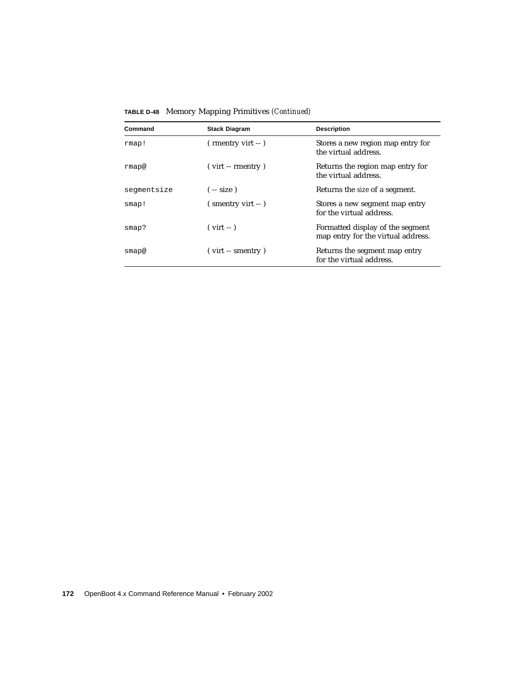| Command     | <b>Stack Diagram</b>  | <b>Description</b>                                                     |
|-------------|-----------------------|------------------------------------------------------------------------|
| rmap!       | $($ rmentry virt $ )$ | Stores a new region map entry for<br>the virtual address.              |
| rmap@       | $(virt - rmentry)$    | Returns the region map entry for<br>the virtual address.               |
| segmentsize | $(-size)$             | Returns the <i>size</i> of a segment.                                  |
| smap!       | $($ smentry virt $ )$ | Stores a new segment map entry<br>for the virtual address.             |
| smap?       | $(virt - )$           | Formatted display of the segment<br>map entry for the virtual address. |
| smap@       | $(virt - smentry)$    | Returns the segment map entry<br>for the virtual address.              |

**TABLE D-48** Memory Mapping Primitives *(Continued)*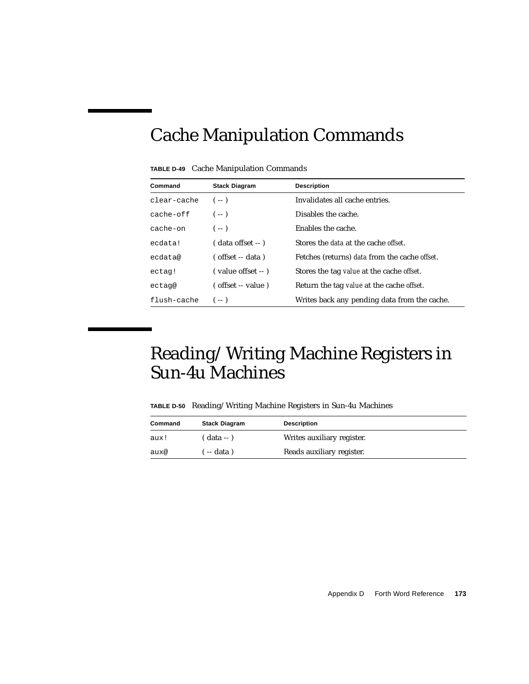# Cache Manipulation Commands

| TABLE D-49 Cache Manipulation Commands |  |
|----------------------------------------|--|
|                                        |  |

| Command     | <b>Stack Diagram</b> | <b>Description</b>                                  |
|-------------|----------------------|-----------------------------------------------------|
| clear-cache | $(- - )$             | Invalidates all cache entries.                      |
| cache-off   | $(-)$                | Disables the cache.                                 |
| cache-on    | $(- - )$             | Enables the cache.                                  |
| ecdata!     | (data offset --)     | Stores the <i>data</i> at the cache <i>offset</i> . |
| ecdata@     | ( offset -- data )   | Fetches (returns) data from the cache offset.       |
| ectag!      | (value offset --)    | Stores the tag value at the cache <i>offset</i> .   |
| ectag@      | ( offset -- value )  | Return the tag value at the cache offset.           |
| flush-cache | ( -- )               | Writes back any pending data from the cache.        |

## Reading/Writing Machine Registers in Sun-4u Machines

| TABLE D-50 Reading/Writing Machine Registers in Sun-4u Machines |  |  |  |  |  |  |  |
|-----------------------------------------------------------------|--|--|--|--|--|--|--|
|-----------------------------------------------------------------|--|--|--|--|--|--|--|

| Command | <b>Stack Diagram</b> | <b>Description</b>         |
|---------|----------------------|----------------------------|
| aux!    | ( data -- )          | Writes auxiliary register. |
| aux@    | $-$ data)            | Reads auxiliary register.  |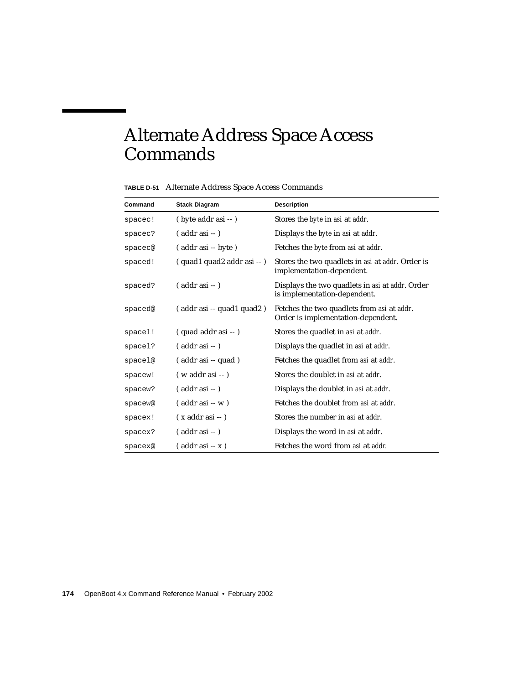## Alternate Address Space Access Commands

| Command | <b>Stack Diagram</b>       | <b>Description</b>                                                               |
|---------|----------------------------|----------------------------------------------------------------------------------|
| spacec! | (byte addr asi -- )        | Stores the byte in asi at addr.                                                  |
| spacec? | $($ addr asi $-$ )         | Displays the byte in asi at addr.                                                |
| spacec@ | (addr asi -- byte)         | Fetches the byte from asi at addr.                                               |
| spaced! | (quad1 quad2 addr asi -- ) | Stores the two quadlets in asi at addr. Order is<br>implementation-dependent.    |
| spaced? | $($ addr asi $-$ )         | Displays the two quadlets in asi at addr. Order<br>is implementation-dependent.  |
| spaced@ | (addr asi -- quad1 quad2)  | Fetches the two quadlets from asi at addr.<br>Order is implementation-dependent. |
| spacel! | $($ quad addr asi $-$ )    | Stores the quadlet in <i>asi</i> at <i>addr</i> .                                |
| spacel? | $($ addr asi $-$ )         | Displays the quadlet in asi at addr.                                             |
| spacel@ | $($ addr asi $-$ quad $)$  | Fetches the quadlet from asi at addr.                                            |
| spacew! | $(w$ addr asi $-$ )        | Stores the doublet in asi at addr.                                               |
| spacew? | $($ addr asi $-$ )         | Displays the doublet in asi at addr.                                             |
| spacew@ | $($ addr asi $- w$ )       | Fetches the doublet from asi at addr.                                            |
| spacex! | $(x \text{ addr asi} - )$  | Stores the number in asi at addr.                                                |
| spacex? | $($ addr asi $-$ )         | Displays the word in asi at addr.                                                |
| spacex@ | $($ addr asi $-x$ )        | Fetches the word from asi at addr.                                               |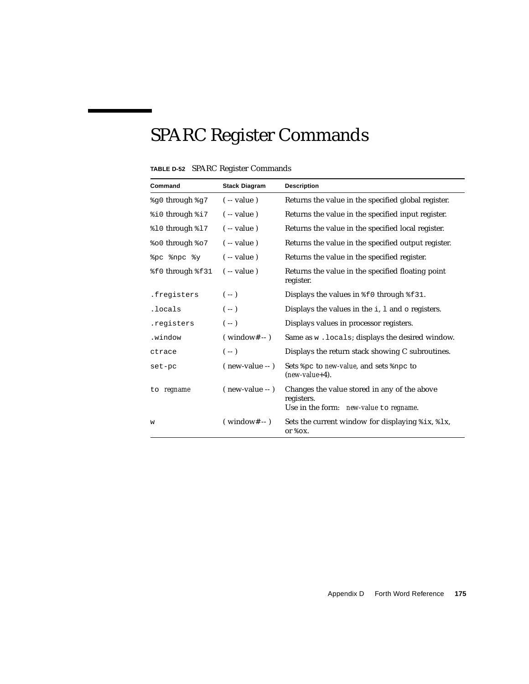# SPARC Register Commands

|  |  |  | TABLE D-52 SPARC Register Commands |
|--|--|--|------------------------------------|
|--|--|--|------------------------------------|

| Command          | <b>Stack Diagram</b> | <b>Description</b>                                                                                   |
|------------------|----------------------|------------------------------------------------------------------------------------------------------|
| %g0 through %g7  | $(-$ value)          | Returns the value in the specified global register.                                                  |
| %i0 through %i7  | $(-$ value)          | Returns the value in the specified input register.                                                   |
| %10 through %17  | $(-$ value $)$       | Returns the value in the specified local register.                                                   |
| %00 through %07  | $(-$ value $)$       | Returns the value in the specified output register.                                                  |
| &pc &npc &y      | $(-$ value)          | Returns the value in the specified register.                                                         |
| %f0 through %f31 | $(-$ value)          | Returns the value in the specified floating point<br>register.                                       |
| .freqisters      | $(-)$                | Displays the values in $\S$ f 0 through $\S$ f 31.                                                   |
| .locals          | $(-)$                | Displays the values in the $i$ , 1 and $\circ$ registers.                                            |
| .registers       | $(-)$                | Displays values in processor registers.                                                              |
| .window          | $(windown# - )$      | Same as w.locals; displays the desired window.                                                       |
| ctrace           | $(-)$                | Displays the return stack showing C subroutines.                                                     |
| set-pc           | (new-value -- )      | Sets &pc to new-value, and sets &npc to<br>$(new-value+4)$ .                                         |
| to regname       | $(new-value - )$     | Changes the value stored in any of the above<br>registers.<br>Use in the form: new-value to regname. |
| W                | $(windown# --)$      | Sets the current window for displaying $\forall$ ix, $\forall$ lx,<br>or $\circ$ $\circ$ x.          |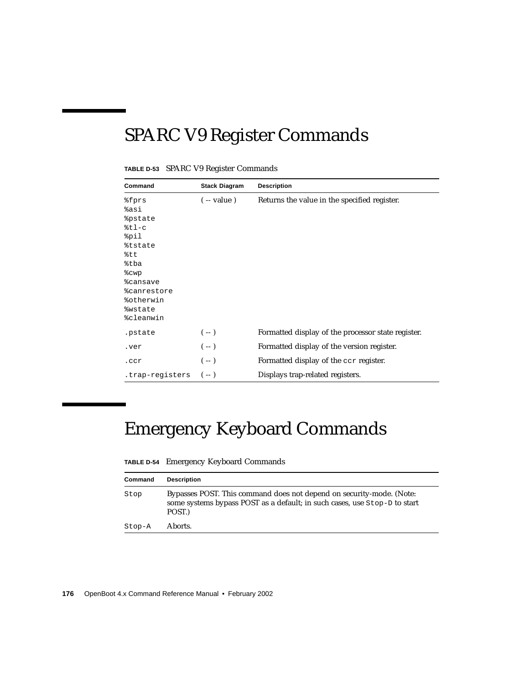# SPARC V9 Register Commands

| Command                   | <b>Stack Diagram</b> | <b>Description</b>                                 |
|---------------------------|----------------------|----------------------------------------------------|
| %fprs                     | $(-$ value)          | Returns the value in the specified register.       |
| %asi                      |                      |                                                    |
| <i><b>&amp;pstate</b></i> |                      |                                                    |
| $8t1-c$                   |                      |                                                    |
| %pil                      |                      |                                                    |
| <i><b>&amp;tstate</b></i> |                      |                                                    |
| %tt                       |                      |                                                    |
| %tba                      |                      |                                                    |
| scwp                      |                      |                                                    |
| <i><b>%cansave</b></i>    |                      |                                                    |
| <i><b>%canrestore</b></i> |                      |                                                    |
| %otherwin                 |                      |                                                    |
| <b>%wstate</b>            |                      |                                                    |
| %cleanwin                 |                      |                                                    |
| .pstate                   | $(-)$                | Formatted display of the processor state register. |
| .ver                      | $(-)$                | Formatted display of the version register.         |
| .ccr                      | $(-)$                | Formatted display of the ccr register.             |
| .trap-registers           | $(- - )$             | Displays trap-related registers.                   |

**TABLE D-53** SPARC V9 Register Commands

## Emergency Keyboard Commands

|  | TABLE D-54 Emergency Keyboard Commands |  |  |
|--|----------------------------------------|--|--|
|--|----------------------------------------|--|--|

| Command | <b>Description</b>                                                                                                                                          |
|---------|-------------------------------------------------------------------------------------------------------------------------------------------------------------|
| Stop    | Bypasses POST. This command does not depend on security-mode. (Note:<br>some systems bypass POST as a default; in such cases, use Stop-D to start<br>POST.) |
| Stop-A  | Aborts.                                                                                                                                                     |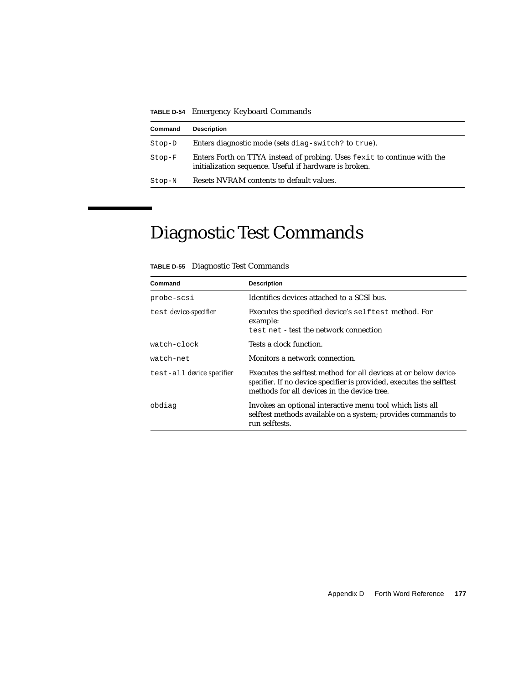#### **TABLE D-54** Emergency Keyboard Commands

| Command  | <b>Description</b>                                                                                                                 |
|----------|------------------------------------------------------------------------------------------------------------------------------------|
| Stop-D   | Enters diagnostic mode (sets diag-switch? to true).                                                                                |
| $Stop-F$ | Enters Forth on TTYA instead of probing. Uses fexit to continue with the<br>initialization sequence. Useful if hardware is broken. |
| Stop-N   | Resets NVRAM contents to default values.                                                                                           |

# Diagnostic Test Commands

|  | TABLE D-55 Diagnostic Test Commands |  |  |
|--|-------------------------------------|--|--|
|--|-------------------------------------|--|--|

<span id="page-192-4"></span><span id="page-192-3"></span><span id="page-192-2"></span><span id="page-192-1"></span><span id="page-192-0"></span>

| Command                      | <b>Description</b>                                                                                                                                                                                     |
|------------------------------|--------------------------------------------------------------------------------------------------------------------------------------------------------------------------------------------------------|
| probe-scsi                   | Identifies devices attached to a SCSI bus.                                                                                                                                                             |
| test <i>device-specifier</i> | Executes the specified device's selftest method. For<br>example:<br>test net - test the network connection                                                                                             |
| watch-clock                  | Tests a clock function.                                                                                                                                                                                |
| watch-net                    | Monitors a network connection.                                                                                                                                                                         |
| test-all device specifier    | Executes the selftest method for all devices at or below <i>device</i> -<br><i>specifier.</i> If no device specifier is provided, executes the selftest<br>methods for all devices in the device tree. |
| obdiag                       | Invokes an optional interactive menu tool which lists all<br>selftest methods available on a system; provides commands to<br>run selftests.                                                            |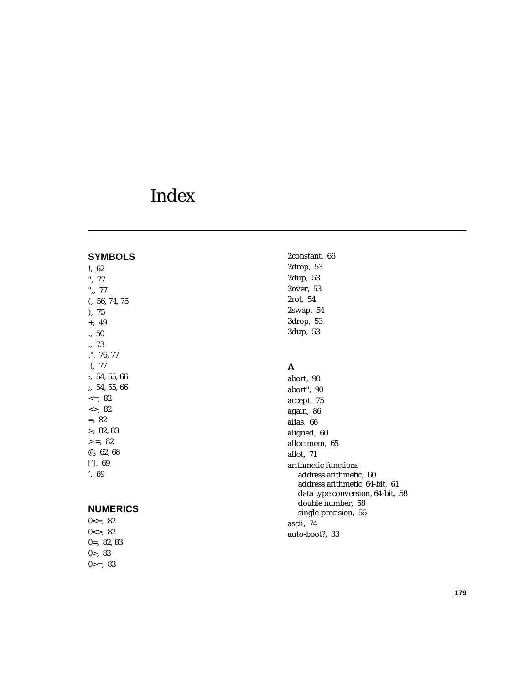### Index

#### **SYMBOLS**

![, 62](#page-77-0) [", 77](#page-92-0) "'[, 77](#page-92-1) ([, 56,](#page-71-0) [74,](#page-89-0) [75](#page-90-0) )[, 75](#page-90-1) [+, 49](#page-64-0) [., 50](#page-65-0) [., 73](#page-88-0) ."[, 76,](#page-91-0) [77](#page-92-2) .[\(, 77](#page-92-3) [:, 54,](#page-69-0) [55,](#page-70-0) [66](#page-81-0) [;, 54,](#page-69-1) [55,](#page-70-1) [66](#page-81-1)  $\leq$  =[, 82](#page-97-0)  $\ll$  82 =[, 82](#page-97-2) >[, 82,](#page-97-3) [83](#page-98-0)  $>$  [=, 82](#page-97-4) @[, 62,](#page-77-1) [68](#page-83-0) ['][, 69](#page-84-0) '[, 69](#page-84-1)

#### **NUMERICS**

 $0 \leq 82$  $0 < >, 82$  $0 < >, 82$  $0=$ , 82, [83](#page-98-1)  $0 > 83$  $0 \geq 0.83$ 

2constant[, 66](#page-81-2) 2dro[p, 53](#page-68-0) 2du[p, 53](#page-68-1) 2over[, 53](#page-68-2) 2ro[t, 54](#page-69-2) 2swa[p, 54](#page-69-3) 3dro[p, 53](#page-68-3) 3du[p, 53](#page-68-4)

#### **A**

abor[t, 90](#page-105-0) abort"[, 90](#page-105-1) accept[, 75](#page-90-2) agai[n, 86](#page-101-0) alias[, 66](#page-81-3) aligne[d, 60](#page-75-0) alloc-mem[, 65](#page-80-0) allot[, 71](#page-86-0) arithmetic functions [address arithmetic, 60](#page-75-1) [address arithmetic, 64-bit, 61](#page-76-0) [data type conversion, 64-bit, 58](#page-73-0) [double number, 58](#page-73-1) [single-precision, 56](#page-71-1) ascii[, 74](#page-89-1) auto-boot[?, 33](#page-48-0)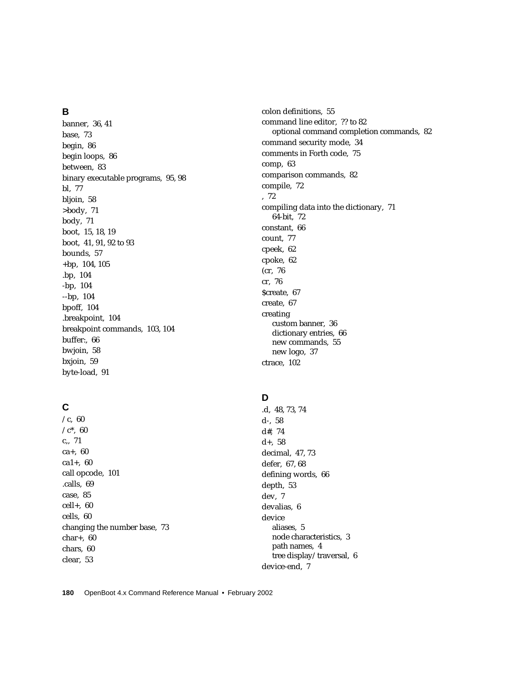#### **B**

banne[r, 36,](#page-51-0) [41](#page-56-0) base[, 73](#page-88-1) begin[, 86](#page-101-1) begin [loops, 86](#page-101-2) betwee[n, 83](#page-98-4) [binary executable programs, 95,](#page-110-0) [98](#page-113-0) bl[, 77](#page-92-4) bljoin[, 58](#page-73-2) >bod[y, 71](#page-86-1) body[, 71](#page-86-2) [boot, 15,](#page-30-0) [18,](#page-33-0) [19](#page-34-0) boo[t, 41,](#page-56-1) [91,](#page-106-0) [92 to](#page-107-0) [93](#page-108-0) bound[s, 57](#page-72-0) +b[p, 104,](#page-119-0) [105](#page-120-0) .bp[, 104](#page-119-1) -bp[, 104](#page-119-2) --bp[, 104](#page-119-3) bpoff[, 104](#page-119-4) .breakpoint[, 104](#page-119-1) [breakpoint commands, 103,](#page-118-0) [104](#page-119-5) buffer:[, 66](#page-81-4) bwjoin[, 58](#page-73-3) bxjoin[, 59](#page-74-0) byte-load[, 91](#page-106-1)

### **C**

 $/c$ [, 60](#page-75-2)  $/c^*$ , 60 c[,, 71](#page-86-3) ca[+, 60](#page-75-4) ca1+[, 60](#page-75-5) call opcode[, 101](#page-116-0) .call[s, 69](#page-84-2) case[, 85](#page-100-0) cell[+, 60](#page-75-6) cells[, 60](#page-75-7) [changing the number base, 73](#page-88-2) char[+, 60](#page-75-8) chars[, 60](#page-75-9) clea[r, 53](#page-68-5)

[colon definitions, 55](#page-70-2) [command line editor, ?? to 82](#page-97-8) [optional command completion commands, 82](#page-97-9) [command security mode, 34](#page-49-0) [comments in Forth code, 75](#page-90-3) comp[, 63](#page-78-0) [comparison commands, 82](#page-97-10) compil[e, 72](#page-87-0) [, 72](#page-87-1) [compiling data into the dictionary, 71](#page-86-4) [64-bit, 72](#page-87-2) constan[t, 66](#page-81-5) count[, 77](#page-92-5) cpee[k, 62](#page-77-2) cpoke[, 62](#page-77-3) (cr[, 76](#page-91-1) cr[, 76](#page-91-2) \$create[, 67](#page-82-0) create[, 67](#page-82-1) creating [custom banner, 36](#page-51-1) [dictionary entries, 66](#page-81-6) [new commands, 55](#page-70-3) [new logo, 37](#page-52-0) ctrace[, 102](#page-117-0)

#### **D**

.d[, 48,](#page-63-0) [73,](#page-88-3) [74](#page-89-2) d-[, 58](#page-73-4) d[#, 74](#page-89-3) d[+, 58](#page-73-5) decima[l, 47,](#page-62-0) [73](#page-88-4) defe[r, 67,](#page-82-2) [68](#page-83-1) [defining words, 66](#page-81-7) depth[, 53](#page-68-6) de[v, 7](#page-22-0) devalias[, 6](#page-21-0) device [aliases, 5](#page-20-0) [node characteristics, 3](#page-18-0) [path names, 4](#page-19-0) [tree display/traversal, 6](#page-21-1) device-end[, 7](#page-22-1)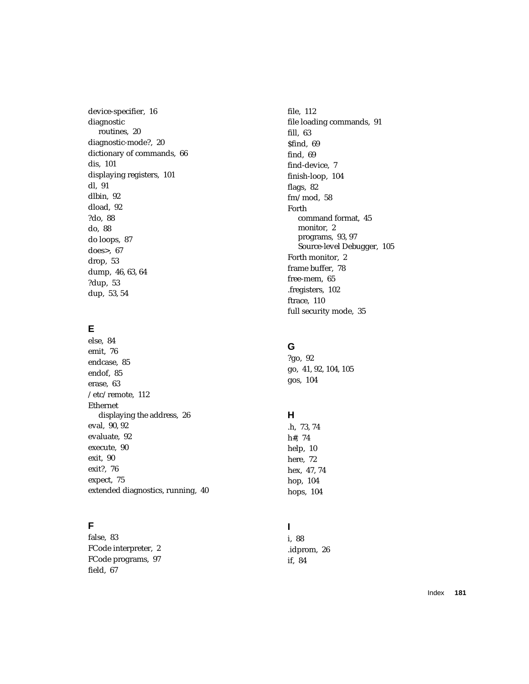device-specifier[, 16](#page-31-0) diagnostic [routines, 20](#page-35-0) diagnostic-mode[?, 20](#page-35-1) [dictionary of commands, 66](#page-81-8) di[s, 101](#page-116-1) [displaying registers, 101](#page-116-2) d[l, 91](#page-106-2) dlbi[n, 92](#page-107-1) dloa[d, 92](#page-107-2) ?do[, 88](#page-103-0) do[, 88](#page-103-1) do [loops, 87](#page-102-0) does[>, 67](#page-82-3) drop[, 53](#page-68-7) dump[, 46,](#page-61-0) [63,](#page-78-1) [64](#page-79-0) ?dup[, 53](#page-68-8) dup[, 53,](#page-68-9) [54](#page-69-4)

### **E**

els[e, 84](#page-99-0) emi[t, 76](#page-91-3) endcas[e, 85](#page-100-1) endo[f, 85](#page-100-2) erase[, 63](#page-78-2) /etc/remote[, 112](#page-127-0) Ethernet [displaying the address, 26](#page-41-0) eval[, 90,](#page-105-2) [92](#page-107-3) evaluat[e, 92](#page-107-4) execute[, 90](#page-105-3) exit[, 90](#page-105-4) exit?[, 76](#page-91-4) expec[t, 75](#page-90-4) [extended diagnostics, running, 40](#page-55-0)

### **F**

false[, 83](#page-98-5) [FCode interpreter, 2](#page-17-0) [FCode programs, 97](#page-112-0) fiel[d, 67](#page-82-4)

[file, 112](#page-127-0) [file loading commands, 91](#page-106-3) fill[, 63](#page-78-3) \$fin[d, 69](#page-84-3) find[, 69](#page-84-4) find-device[, 7](#page-22-2) finish-loo[p, 104](#page-119-6) [flags, 82](#page-97-11) fm/mo[d, 58](#page-73-6) Forth [command format, 45](#page-60-0) [monitor, 2](#page-17-1) [programs, 93,](#page-108-1) [97](#page-112-1) [Source-level Debugger, 105](#page-120-1) [Forth monitor, 2](#page-17-2) [frame buffer, 78](#page-93-0) free-mem[, 65](#page-80-1) .fregisters[, 102](#page-117-1) ftrace[, 110](#page-125-0) [full security mode, 35](#page-50-0)

### **G**

?g[o, 92](#page-107-5) g[o, 41,](#page-56-2) [92,](#page-107-6) [104,](#page-119-7) [105](#page-120-0) gos[, 104](#page-119-8)

### **H**

.h[, 73,](#page-88-5) [74](#page-89-4) h#[, 74](#page-89-5) help[, 10](#page-25-0) here[, 72](#page-87-3) he[x, 47,](#page-62-1) [74](#page-89-6) hop[, 104](#page-119-9) hops[, 104](#page-119-10)

### **I**

i[, 88](#page-103-2) .idprom[, 26](#page-41-1) if[, 84](#page-99-1)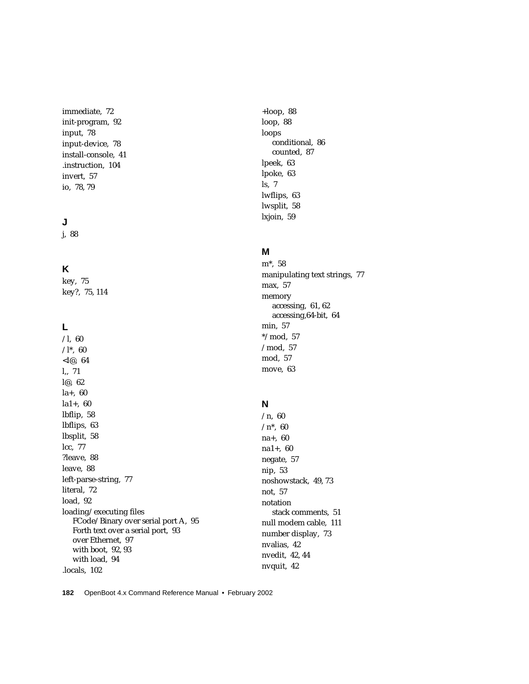immediat[e, 72](#page-87-4) init-progra[m, 92](#page-107-7) input[, 78](#page-93-1) input-device[, 78](#page-93-2) install-consol[e, 41](#page-56-3) .instruction[, 104](#page-119-11) inver[t, 57](#page-72-1) io[, 78,](#page-93-3) [79](#page-94-0)

#### **J**

[j, 88](#page-103-3)

#### **K**

key[, 75](#page-90-5) key?[, 75,](#page-90-6) [114](#page-129-0)

### **L**

/[l, 60](#page-75-10)  $/$ l<sup>\*</sup>[, 60](#page-75-11) <l@[, 64](#page-79-1) l,[, 71](#page-86-5) l@[, 62](#page-77-4) la+[, 60](#page-75-12) la1[+, 60](#page-75-13) lbflip[, 58](#page-73-7) lbflips[, 63](#page-78-4) lbsplit[, 58](#page-73-8) lcc[, 77](#page-92-6) ?leav[e, 88](#page-103-4) leav[e, 88](#page-103-5) left-parse-strin[g, 77](#page-92-7) literal[, 72](#page-87-5) load[, 92](#page-107-8) loading/executing files [FCode/Binary over serial port A, 95](#page-110-1) [Forth text over a serial port, 93](#page-108-2) [over Ethernet, 97](#page-112-2) with boo[t, 92,](#page-107-0) [93](#page-108-0) with loa[d, 94](#page-109-0) .local[s, 102](#page-117-2)

+loop[, 88](#page-103-6) loo[p, 88](#page-103-7) loops [conditional, 86](#page-101-3) [counted, 87](#page-102-0) lpee[k, 63](#page-78-5) lpoke[, 63](#page-78-6) ls[, 7](#page-22-3) lwflips[, 63](#page-78-7) lwspli[t, 58](#page-73-9) lxjoin[, 59](#page-74-1)

#### **M**

m\*[, 58](#page-73-10) [manipulating text strings, 77](#page-92-8) ma[x, 57](#page-72-2) memory [accessing, 61,](#page-76-1) [62](#page-77-5) [accessing,64-bit, 64](#page-79-2) min[, 57](#page-72-3) \*/mod[, 57](#page-72-4) /mo[d, 57](#page-72-5) mod[, 57](#page-72-6) move[, 63](#page-78-8)

### **N**

 $/n. 60$  $/n^*$ , 60 na[+, 60](#page-75-16) na1+[, 60](#page-75-17) negate[, 57](#page-72-7) nip[, 53](#page-68-10) noshowstack[, 49,](#page-64-1) [73](#page-88-6) no[t, 57](#page-72-8) notation [stack comments, 51](#page-66-0) [null modem cable, 111](#page-126-0) [number display, 73](#page-88-7) nvalias[, 42](#page-57-0) nvedi[t, 42,](#page-57-1) [44](#page-59-0) nvquit[, 42](#page-57-2)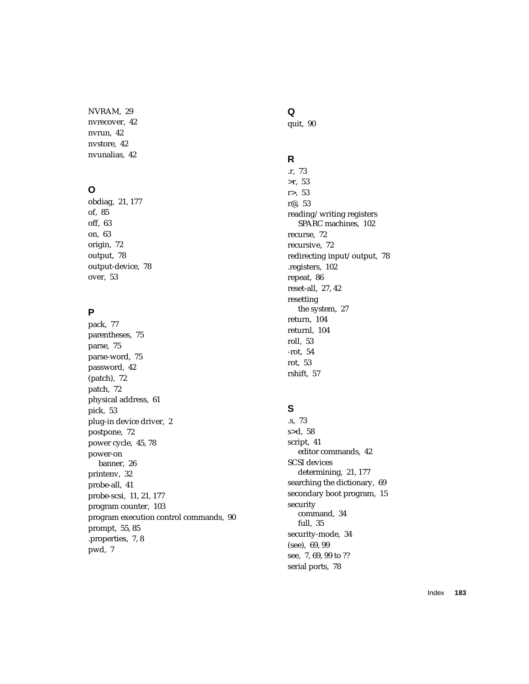[NVRAM, 29](#page-44-0) nvrecover[, 42](#page-57-3) nvrun[, 42](#page-57-4) nvstor[e, 42](#page-57-5) nvunalias[, 42](#page-57-6)

### **O**

[obdiag, 21,](#page-36-0) [177](#page-192-0) o[f, 85](#page-100-3) off[, 63](#page-78-9) o[n, 63](#page-78-10) origi[n, 72](#page-87-6) output[, 78](#page-93-4) output-device[, 78](#page-93-2) ove[r, 53](#page-68-11)

### **P**

pac[k, 77](#page-92-9) parenthese[s, 75](#page-90-0) parse[, 75](#page-90-7) parse-word[, 75](#page-90-8) password[, 42](#page-57-7) (patch)[, 72](#page-87-7) patch[, 72](#page-87-8) [physical address, 61](#page-76-2) pic[k, 53](#page-68-12) [plug-in device driver, 2](#page-17-3) postpone[, 72](#page-87-9) [power cycle, 45,](#page-60-1) [78](#page-93-5) power-on [banner, 26](#page-41-2) printen[v, 32](#page-47-0) probe-all[, 41](#page-56-4) probe-scs[i, 11,](#page-26-0) [21,](#page-36-1) [177](#page-192-1) [program counter, 103](#page-118-1) [program execution control commands, 90](#page-105-5) [prompt, 55,](#page-70-4) [85](#page-100-4) .properties[, 7,](#page-22-4) [8](#page-23-0) pwd[, 7](#page-22-5)

#### **Q**

qui[t, 90](#page-105-6)

#### **R**

.r[, 73](#page-88-8) >[r, 53](#page-68-13) r[>, 53](#page-68-13) r[@, 53](#page-68-14) reading/writing registers [SPARC machines, 102](#page-117-3) recurs[e, 72](#page-87-10) recursiv[e, 72](#page-87-11) [redirecting input/output, 78](#page-93-6) .registers[, 102](#page-117-4) repea[t, 86](#page-101-4) reset-al[l, 27,](#page-42-0) [42](#page-57-8) resetting [the system, 27](#page-42-0) retur[n, 104](#page-119-12) return[l, 104](#page-119-13) roll[, 53](#page-68-15) -rot[, 54](#page-69-5) rot[, 53](#page-68-16) rshift[, 57](#page-72-9)

#### **S**

.[s, 73](#page-88-9) s>d[, 58](#page-73-11) [script, 41](#page-56-5) [editor commands, 42](#page-57-9) SCSI devices [determining, 21,](#page-36-1) [177](#page-192-1) [searching the dictionary, 69](#page-84-5) [secondary boot program, 15](#page-30-1) security [command, 34](#page-49-0) [full, 35](#page-50-0) security-mod[e, 34](#page-49-1) (see)[, 69,](#page-84-6) [99](#page-114-0) see[, 7,](#page-22-6) [69,](#page-84-7) [99 to ??](#page-114-1) [serial ports, 78](#page-93-7)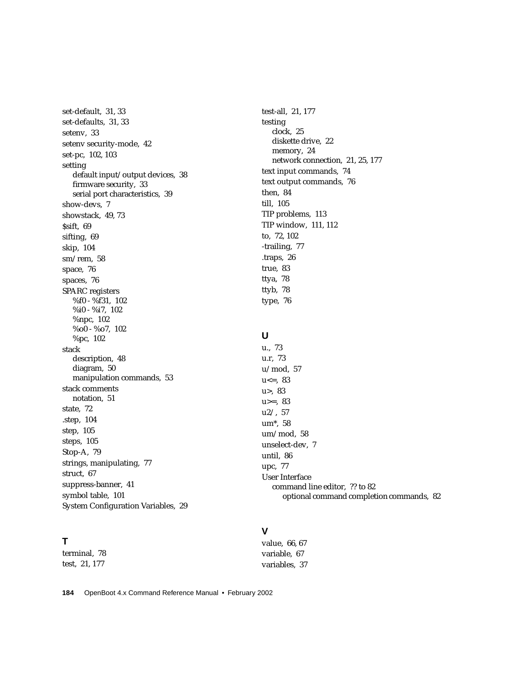set-defaul[t, 31,](#page-46-0) [33](#page-48-1) set-default[s, 31,](#page-46-1) [33](#page-48-2) seten[v, 33](#page-48-3) setenv security-mode[, 42](#page-57-10) set-pc[, 102,](#page-117-5) [103](#page-118-2) setting [default input/output devices, 38](#page-53-0) [firmware security, 33](#page-48-4) [serial port characteristics, 39](#page-54-0) show-devs[, 7](#page-22-7) showstack[, 49,](#page-64-2) [73](#page-88-10) \$sif[t, 69](#page-84-8) sifting[, 69](#page-84-9) ski[p, 104](#page-119-14) sm/re[m, 58](#page-73-12) spac[e, 76](#page-91-5) space[s, 76](#page-91-6) SPARC registers [%f0 - %f31, 102](#page-117-6) [%i0 - %i7, 102](#page-117-7) [%npc, 102](#page-117-8) [%o0 - %o7, 102](#page-117-9) [%pc, 102](#page-117-8) stack [description, 48](#page-63-1) [diagram, 50](#page-65-1) [manipulation commands, 53](#page-68-17) stack comments [notation, 51](#page-66-0) state[, 72](#page-87-12) .ste[p, 104](#page-119-15) step[, 105](#page-120-2) steps[, 105](#page-120-3) Stop-A[, 79](#page-94-1) [strings, manipulating, 77](#page-92-8) struc[t, 67](#page-82-5) suppress-banner[, 41](#page-56-6) [symbol table, 101](#page-116-3) [System Configuration Variables, 29](#page-44-1) [test-all, 21,](#page-36-3) [177](#page-192-3) testing [clock, 25](#page-40-0) [diskette drive, 22](#page-37-0) [memory, 24](#page-39-0) [network connection, 21,](#page-36-4) [25,](#page-40-1) [177](#page-192-4) [text input commands, 74](#page-89-7) [text output commands, 76](#page-91-7) then[, 84](#page-99-2) til[l, 105](#page-120-4) [TIP problems, 113](#page-128-0) [TIP window, 111,](#page-126-1) [112](#page-127-1) to[, 72,](#page-87-13) [102](#page-117-10) -trailing[, 77](#page-92-10) .traps[, 26](#page-41-3) true[, 83](#page-98-6) ttya[, 78](#page-93-9) tty[b, 78](#page-93-9) type[, 76](#page-91-8)

#### **U**

u.[, 73](#page-88-11) u.r[, 73](#page-88-12) u/mod[, 57](#page-72-10)  $u \le 83$ u>[, 83](#page-98-8)  $u>=.83$ u2/[, 57](#page-72-11) um[\\*, 58](#page-73-13) um/mod[, 58](#page-73-14) [unselect-dev, 7](#page-22-8) unti[l, 86](#page-101-5) up[c, 77](#page-92-11) User Interface [command line editor, ?? to 82](#page-97-8) [optional command completion commands, 82](#page-97-9)

#### **T**

[terminal, 78](#page-93-8) tes[t, 21,](#page-36-2) [177](#page-192-2)

#### **V**

valu[e, 66,](#page-81-9) [67](#page-82-6) variable[, 67](#page-82-7) [variables, 37](#page-52-1)